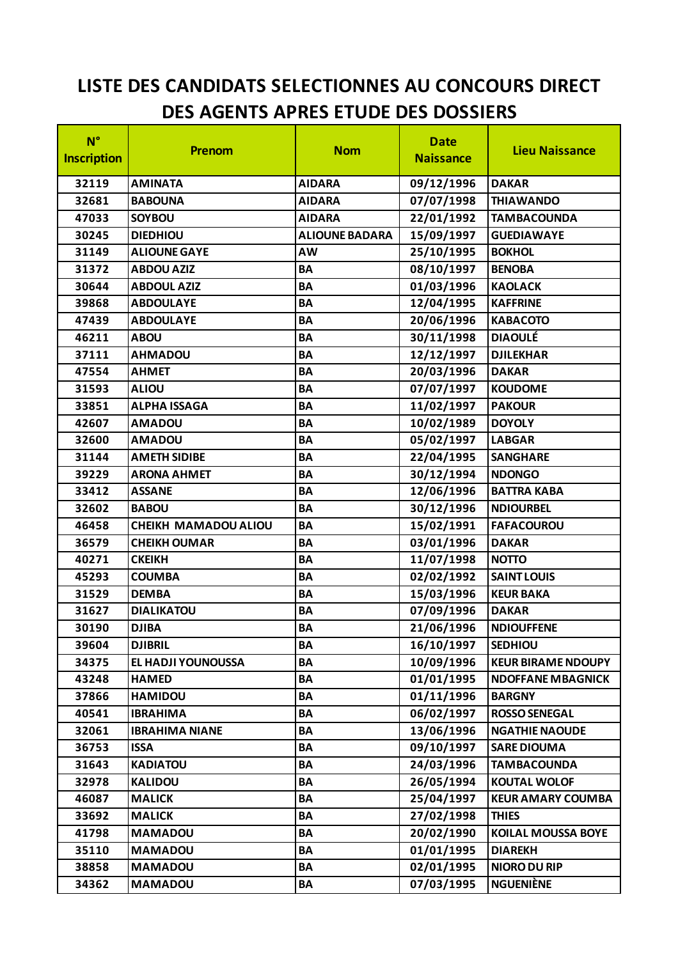## **LISTE DES CANDIDATS SELECTIONNES AU CONCOURS DIRECT DES AGENTS APRES ETUDE DES DOSSIERS**

| $N^{\circ}$<br><b>Inscription</b> | <b>Prenom</b>               | <b>Nom</b>            | <b>Date</b><br><b>Naissance</b> | <b>Lieu Naissance</b>     |
|-----------------------------------|-----------------------------|-----------------------|---------------------------------|---------------------------|
| 32119                             | <b>AMINATA</b>              | <b>AIDARA</b>         | 09/12/1996                      | <b>DAKAR</b>              |
| 32681                             | <b>BABOUNA</b>              | <b>AIDARA</b>         | 07/07/1998                      | <b>THIAWANDO</b>          |
| 47033                             | <b>SOYBOU</b>               | <b>AIDARA</b>         | 22/01/1992                      | <b>TAMBACOUNDA</b>        |
| 30245                             | <b>DIEDHIOU</b>             | <b>ALIOUNE BADARA</b> | 15/09/1997                      | <b>GUEDIAWAYE</b>         |
| 31149                             | <b>ALIOUNE GAYE</b>         | AW                    | 25/10/1995                      | <b>BOKHOL</b>             |
| 31372                             | <b>ABDOU AZIZ</b>           | BA                    | 08/10/1997                      | <b>BENOBA</b>             |
| 30644                             | <b>ABDOUL AZIZ</b>          | <b>BA</b>             | 01/03/1996                      | <b>KAOLACK</b>            |
| 39868                             | <b>ABDOULAYE</b>            | BA                    | 12/04/1995                      | <b>KAFFRINE</b>           |
| 47439                             | <b>ABDOULAYE</b>            | <b>BA</b>             | 20/06/1996                      | <b>KABACOTO</b>           |
| 46211                             | <b>ABOU</b>                 | BA                    | 30/11/1998                      | <b>DIAOULÉ</b>            |
| 37111                             | <b>AHMADOU</b>              | BA                    | 12/12/1997                      | <b>DJILEKHAR</b>          |
| 47554                             | <b>AHMET</b>                | BA                    | 20/03/1996                      | <b>DAKAR</b>              |
| 31593                             | <b>ALIOU</b>                | <b>BA</b>             | 07/07/1997                      | <b>KOUDOME</b>            |
| 33851                             | <b>ALPHA ISSAGA</b>         | BA                    | 11/02/1997                      | <b>PAKOUR</b>             |
| 42607                             | <b>AMADOU</b>               | BA                    | 10/02/1989                      | <b>DOYOLY</b>             |
| 32600                             | <b>AMADOU</b>               | BA                    | 05/02/1997                      | <b>LABGAR</b>             |
| 31144                             | <b>AMETH SIDIBE</b>         | <b>BA</b>             | 22/04/1995                      | <b>SANGHARE</b>           |
| 39229                             | <b>ARONA AHMET</b>          | BA                    | 30/12/1994                      | <b>NDONGO</b>             |
| 33412                             | <b>ASSANE</b>               | BA                    | 12/06/1996                      | <b>BATTRA KABA</b>        |
| 32602                             | <b>BABOU</b>                | BA                    | 30/12/1996                      | <b>NDIOURBEL</b>          |
| 46458                             | <b>CHEIKH MAMADOU ALIOU</b> | <b>BA</b>             | 15/02/1991                      | <b>FAFACOUROU</b>         |
| 36579                             | <b>CHEIKH OUMAR</b>         | BA                    | 03/01/1996                      | <b>DAKAR</b>              |
| 40271                             | <b>CKEIKH</b>               | BA                    | 11/07/1998                      | <b>NOTTO</b>              |
| 45293                             | <b>COUMBA</b>               | BA                    | 02/02/1992                      | <b>SAINT LOUIS</b>        |
| 31529                             | <b>DEMBA</b>                | <b>BA</b>             | 15/03/1996                      | <b>KEUR BAKA</b>          |
| 31627                             | <b>DIALIKATOU</b>           | BA                    | 07/09/1996                      | <b>DAKAR</b>              |
| 30190                             | <b>DJIBA</b>                | BA                    | 21/06/1996                      | <b>NDIOUFFENE</b>         |
| 39604                             | <b>DJIBRIL</b>              | BA                    | 16/10/1997                      | <b>SEDHIOU</b>            |
| 34375                             | EL HADJI YOUNOUSSA          | BA                    | 10/09/1996                      | <b>KEUR BIRAME NDOUPY</b> |
| 43248                             | <b>HAMED</b>                | ΒA                    | 01/01/1995                      | <b>NDOFFANE MBAGNICK</b>  |
| 37866                             | <b>HAMIDOU</b>              | BA                    | 01/11/1996                      | <b>BARGNY</b>             |
| 40541                             | <b>IBRAHIMA</b>             | ΒA                    | 06/02/1997                      | <b>ROSSO SENEGAL</b>      |
| 32061                             | <b>IBRAHIMA NIANE</b>       | BA                    | 13/06/1996                      | <b>NGATHIE NAOUDE</b>     |
| 36753                             | <b>ISSA</b>                 | BA                    | 09/10/1997                      | <b>SARE DIOUMA</b>        |
| 31643                             | <b>KADIATOU</b>             | BA                    | 24/03/1996                      | <b>TAMBACOUNDA</b>        |
| 32978                             | <b>KALIDOU</b>              | BA                    | 26/05/1994                      | <b>KOUTAL WOLOF</b>       |
| 46087                             | <b>MALICK</b>               | BA                    | 25/04/1997                      | <b>KEUR AMARY COUMBA</b>  |
| 33692                             | <b>MALICK</b>               | BA                    | 27/02/1998                      | <b>THIES</b>              |
| 41798                             | <b>MAMADOU</b>              | BA                    | 20/02/1990                      | <b>KOILAL MOUSSA BOYE</b> |
| 35110                             | <b>MAMADOU</b>              | BA                    | 01/01/1995                      | <b>DIAREKH</b>            |
| 38858                             | <b>MAMADOU</b>              | BA                    | 02/01/1995                      | <b>NIORO DU RIP</b>       |
| 34362                             | <b>MAMADOU</b>              | BA                    | 07/03/1995                      | <b>NGUENIÈNE</b>          |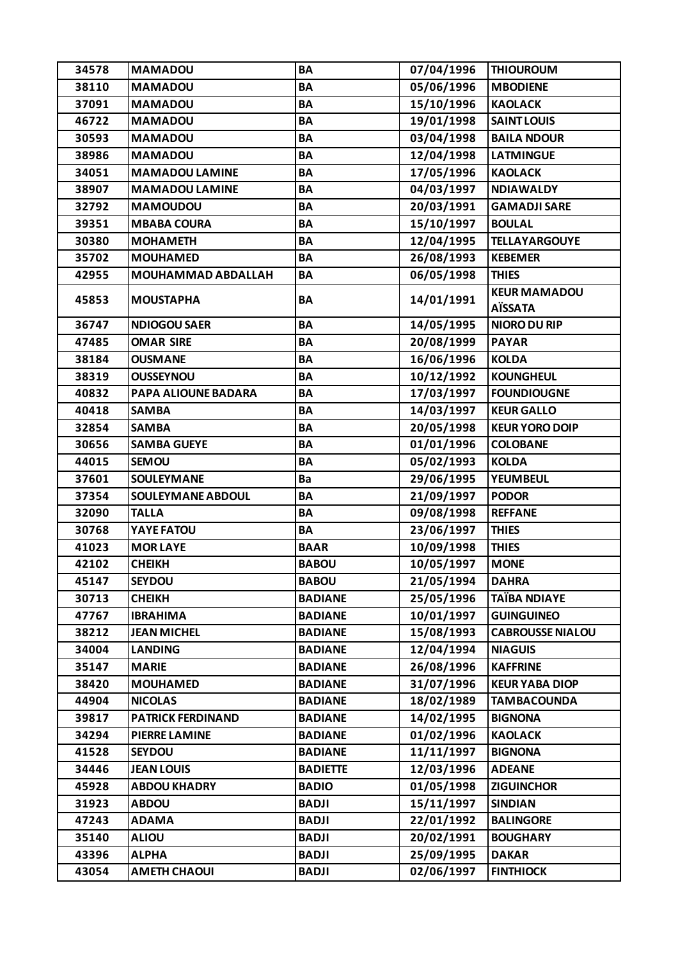| 34578 | <b>MAMADOU</b>           | <b>BA</b>       | 07/04/1996 | <b>THIOUROUM</b>                      |
|-------|--------------------------|-----------------|------------|---------------------------------------|
| 38110 | <b>MAMADOU</b>           | <b>BA</b>       | 05/06/1996 | <b>MBODIENE</b>                       |
| 37091 | <b>MAMADOU</b>           | BA              | 15/10/1996 | <b>KAOLACK</b>                        |
| 46722 | <b>MAMADOU</b>           | <b>BA</b>       | 19/01/1998 | <b>SAINT LOUIS</b>                    |
| 30593 | <b>MAMADOU</b>           | BA              | 03/04/1998 | <b>BAILA NDOUR</b>                    |
| 38986 | <b>MAMADOU</b>           | BA              | 12/04/1998 | <b>LATMINGUE</b>                      |
| 34051 | <b>MAMADOU LAMINE</b>    | BA              | 17/05/1996 | <b>KAOLACK</b>                        |
| 38907 | <b>MAMADOU LAMINE</b>    | <b>BA</b>       | 04/03/1997 | <b>NDIAWALDY</b>                      |
| 32792 | <b>MAMOUDOU</b>          | BA              | 20/03/1991 | <b>GAMADJI SARE</b>                   |
| 39351 | <b>MBABA COURA</b>       | BA              | 15/10/1997 | <b>BOULAL</b>                         |
| 30380 | <b>MOHAMETH</b>          | BA              | 12/04/1995 | <b>TELLAYARGOUYE</b>                  |
| 35702 | <b>MOUHAMED</b>          | <b>BA</b>       | 26/08/1993 | <b>KEBEMER</b>                        |
| 42955 | MOUHAMMAD ABDALLAH       | BA              | 06/05/1998 | <b>THIES</b>                          |
| 45853 | <b>MOUSTAPHA</b>         | BA              | 14/01/1991 | <b>KEUR MAMADOU</b><br><b>AÏSSATA</b> |
| 36747 | <b>NDIOGOU SAER</b>      | <b>BA</b>       | 14/05/1995 | <b>NIORO DU RIP</b>                   |
| 47485 | <b>OMAR SIRE</b>         | <b>BA</b>       | 20/08/1999 | <b>PAYAR</b>                          |
| 38184 | <b>OUSMANE</b>           | BA              | 16/06/1996 | <b>KOLDA</b>                          |
| 38319 | <b>OUSSEYNOU</b>         | <b>BA</b>       | 10/12/1992 | <b>KOUNGHEUL</b>                      |
| 40832 | PAPA ALIOUNE BADARA      | <b>BA</b>       | 17/03/1997 | <b>FOUNDIOUGNE</b>                    |
| 40418 | <b>SAMBA</b>             | <b>BA</b>       | 14/03/1997 | <b>KEUR GALLO</b>                     |
| 32854 | <b>SAMBA</b>             | <b>BA</b>       | 20/05/1998 | <b>KEUR YORO DOIP</b>                 |
| 30656 | <b>SAMBA GUEYE</b>       | <b>BA</b>       | 01/01/1996 | <b>COLOBANE</b>                       |
| 44015 | <b>SEMOU</b>             | <b>BA</b>       | 05/02/1993 | <b>KOLDA</b>                          |
| 37601 | SOULEYMANE               | Ba              | 29/06/1995 | <b>YEUMBEUL</b>                       |
| 37354 | <b>SOULEYMANE ABDOUL</b> | <b>BA</b>       | 21/09/1997 | <b>PODOR</b>                          |
| 32090 | <b>TALLA</b>             | <b>BA</b>       | 09/08/1998 | <b>REFFANE</b>                        |
| 30768 | YAYE FATOU               | BA              | 23/06/1997 | <b>THIES</b>                          |
| 41023 | <b>MOR LAYE</b>          | <b>BAAR</b>     | 10/09/1998 | <b>THIES</b>                          |
| 42102 | <b>CHEIKH</b>            | <b>BABOU</b>    | 10/05/1997 | <b>MONE</b>                           |
| 45147 | <b>SEYDOU</b>            | <b>BABOU</b>    | 21/05/1994 | <b>DAHRA</b>                          |
| 30713 | <b>CHEIKH</b>            | <b>BADIANE</b>  | 25/05/1996 | <b>TAÏBA NDIAYE</b>                   |
| 47767 | <b>IBRAHIMA</b>          | <b>BADIANE</b>  | 10/01/1997 | <b>GUINGUINEO</b>                     |
| 38212 | <b>JEAN MICHEL</b>       | <b>BADIANE</b>  | 15/08/1993 | <b>CABROUSSE NIALOU</b>               |
| 34004 | <b>LANDING</b>           | <b>BADIANE</b>  | 12/04/1994 | <b>NIAGUIS</b>                        |
| 35147 | <b>MARIE</b>             | <b>BADIANE</b>  | 26/08/1996 | <b>KAFFRINE</b>                       |
| 38420 | <b>MOUHAMED</b>          | <b>BADIANE</b>  | 31/07/1996 | <b>KEUR YABA DIOP</b>                 |
| 44904 | <b>NICOLAS</b>           | <b>BADIANE</b>  | 18/02/1989 | <b>TAMBACOUNDA</b>                    |
| 39817 | <b>PATRICK FERDINAND</b> | <b>BADIANE</b>  | 14/02/1995 | <b>BIGNONA</b>                        |
| 34294 | <b>PIERRE LAMINE</b>     | <b>BADIANE</b>  | 01/02/1996 | <b>KAOLACK</b>                        |
| 41528 | <b>SEYDOU</b>            | <b>BADIANE</b>  | 11/11/1997 | <b>BIGNONA</b>                        |
| 34446 | <b>JEAN LOUIS</b>        | <b>BADIETTE</b> | 12/03/1996 | <b>ADEANE</b>                         |
| 45928 | <b>ABDOU KHADRY</b>      | <b>BADIO</b>    | 01/05/1998 | <b>ZIGUINCHOR</b>                     |
| 31923 | <b>ABDOU</b>             | <b>BADJI</b>    | 15/11/1997 | <b>SINDIAN</b>                        |
| 47243 | <b>ADAMA</b>             | <b>BADJI</b>    | 22/01/1992 | <b>BALINGORE</b>                      |
| 35140 | <b>ALIOU</b>             | <b>BADJI</b>    | 20/02/1991 | <b>BOUGHARY</b>                       |
| 43396 | <b>ALPHA</b>             | <b>BADJI</b>    | 25/09/1995 | <b>DAKAR</b>                          |
| 43054 | <b>AMETH CHAOUI</b>      | <b>BADJI</b>    | 02/06/1997 | <b>FINTHIOCK</b>                      |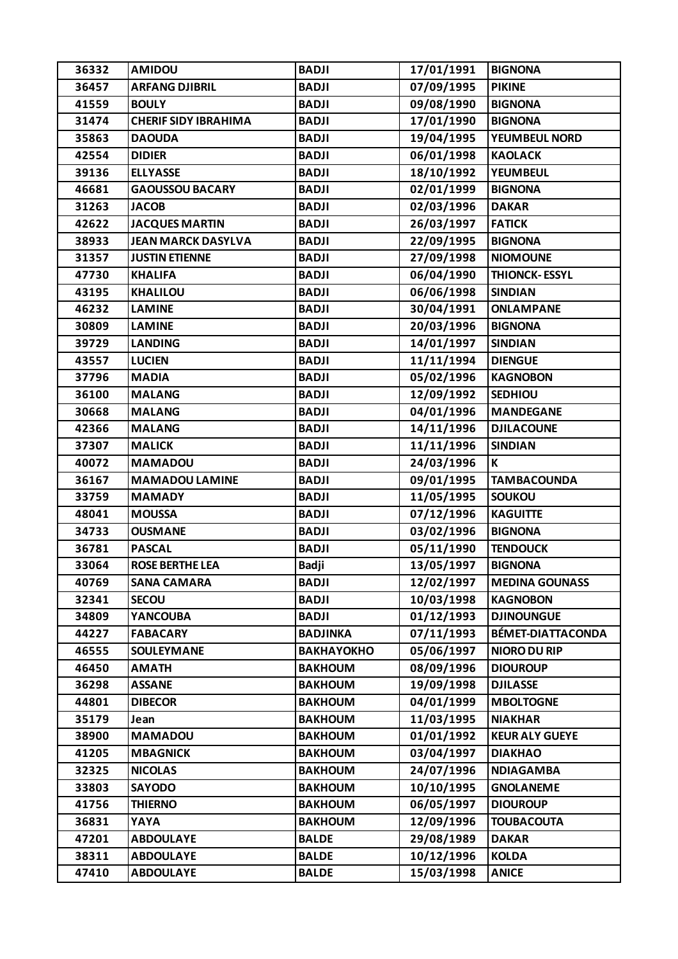| 36332 | <b>AMIDOU</b>               | <b>BADJI</b>    | 17/01/1991 | <b>BIGNONA</b>        |
|-------|-----------------------------|-----------------|------------|-----------------------|
| 36457 | <b>ARFANG DJIBRIL</b>       | <b>BADJI</b>    | 07/09/1995 | <b>PIKINE</b>         |
| 41559 | <b>BOULY</b>                | <b>BADJI</b>    | 09/08/1990 | <b>BIGNONA</b>        |
| 31474 | <b>CHERIF SIDY IBRAHIMA</b> | <b>BADJI</b>    | 17/01/1990 | <b>BIGNONA</b>        |
| 35863 | <b>DAOUDA</b>               | <b>BADJI</b>    | 19/04/1995 | YEUMBEUL NORD         |
| 42554 | <b>DIDIER</b>               | <b>BADJI</b>    | 06/01/1998 | <b>KAOLACK</b>        |
| 39136 | <b>ELLYASSE</b>             | <b>BADJI</b>    | 18/10/1992 | <b>YEUMBEUL</b>       |
| 46681 | <b>GAOUSSOU BACARY</b>      | <b>BADJI</b>    | 02/01/1999 | <b>BIGNONA</b>        |
| 31263 | <b>JACOB</b>                | <b>BADJI</b>    | 02/03/1996 | <b>DAKAR</b>          |
| 42622 | <b>JACQUES MARTIN</b>       | <b>BADJI</b>    | 26/03/1997 | <b>FATICK</b>         |
| 38933 | <b>JEAN MARCK DASYLVA</b>   | <b>BADJI</b>    | 22/09/1995 | <b>BIGNONA</b>        |
| 31357 | <b>JUSTIN ETIENNE</b>       | <b>BADJI</b>    | 27/09/1998 | <b>NIOMOUNE</b>       |
| 47730 | <b>KHALIFA</b>              | <b>BADJI</b>    | 06/04/1990 | <b>THIONCK-ESSYL</b>  |
| 43195 | <b>KHALILOU</b>             | <b>BADJI</b>    | 06/06/1998 | <b>SINDIAN</b>        |
| 46232 | <b>LAMINE</b>               | <b>BADJI</b>    | 30/04/1991 | <b>ONLAMPANE</b>      |
| 30809 | <b>LAMINE</b>               | <b>BADJI</b>    | 20/03/1996 | <b>BIGNONA</b>        |
| 39729 | <b>LANDING</b>              | <b>BADJI</b>    | 14/01/1997 | <b>SINDIAN</b>        |
| 43557 | <b>LUCIEN</b>               | <b>BADJI</b>    | 11/11/1994 | <b>DIENGUE</b>        |
| 37796 | <b>MADIA</b>                | <b>BADJI</b>    | 05/02/1996 | <b>KAGNOBON</b>       |
| 36100 | <b>MALANG</b>               | <b>BADJI</b>    | 12/09/1992 | <b>SEDHIOU</b>        |
| 30668 | <b>MALANG</b>               | <b>BADJI</b>    | 04/01/1996 | <b>MANDEGANE</b>      |
| 42366 | <b>MALANG</b>               | <b>BADJI</b>    | 14/11/1996 | <b>DJILACOUNE</b>     |
| 37307 | <b>MALICK</b>               | <b>BADJI</b>    | 11/11/1996 | <b>SINDIAN</b>        |
| 40072 | <b>MAMADOU</b>              | <b>BADJI</b>    | 24/03/1996 | K                     |
| 36167 | <b>MAMADOU LAMINE</b>       | <b>BADJI</b>    | 09/01/1995 | <b>TAMBACOUNDA</b>    |
| 33759 | <b>MAMADY</b>               | <b>BADJI</b>    | 11/05/1995 | <b>SOUKOU</b>         |
| 48041 | <b>MOUSSA</b>               | <b>BADJI</b>    | 07/12/1996 | <b>KAGUITTE</b>       |
| 34733 | <b>OUSMANE</b>              | <b>BADJI</b>    | 03/02/1996 | <b>BIGNONA</b>        |
| 36781 | <b>PASCAL</b>               | <b>BADJI</b>    | 05/11/1990 | <b>TENDOUCK</b>       |
| 33064 | <b>ROSE BERTHE LEA</b>      | <b>Badji</b>    | 13/05/1997 | <b>BIGNONA</b>        |
| 40769 | <b>SANA CAMARA</b>          | <b>BADJI</b>    | 12/02/1997 | <b>MEDINA GOUNASS</b> |
| 32341 | <b>SECOU</b>                | <b>BADJI</b>    | 10/03/1998 | <b>KAGNOBON</b>       |
| 34809 | <b>YANCOUBA</b>             | <b>BADJI</b>    | 01/12/1993 | <b>DJINOUNGUE</b>     |
| 44227 | <b>FABACARY</b>             | <b>BADJINKA</b> | 07/11/1993 | BÉMET-DIATTACONDA     |
| 46555 | SOULEYMANE                  | ΒΑΚΗΑΥΟΚΗΟ      | 05/06/1997 | <b>NIORO DU RIP</b>   |
| 46450 | <b>AMATH</b>                | <b>BAKHOUM</b>  | 08/09/1996 | <b>DIOUROUP</b>       |
| 36298 | <b>ASSANE</b>               | <b>BAKHOUM</b>  | 19/09/1998 | <b>DJILASSE</b>       |
| 44801 | <b>DIBECOR</b>              | <b>BAKHOUM</b>  | 04/01/1999 | <b>MBOLTOGNE</b>      |
| 35179 | Jean                        | <b>BAKHOUM</b>  | 11/03/1995 | <b>NIAKHAR</b>        |
| 38900 | <b>MAMADOU</b>              | <b>BAKHOUM</b>  | 01/01/1992 | <b>KEUR ALY GUEYE</b> |
| 41205 | <b>MBAGNICK</b>             | <b>BAKHOUM</b>  | 03/04/1997 | <b>DIAKHAO</b>        |
| 32325 | <b>NICOLAS</b>              | <b>BAKHOUM</b>  | 24/07/1996 | <b>NDIAGAMBA</b>      |
| 33803 | <b>SAYODO</b>               | <b>BAKHOUM</b>  | 10/10/1995 | <b>GNOLANEME</b>      |
| 41756 | <b>THIERNO</b>              | <b>BAKHOUM</b>  | 06/05/1997 | <b>DIOUROUP</b>       |
| 36831 | YAYA                        | <b>BAKHOUM</b>  | 12/09/1996 | <b>TOUBACOUTA</b>     |
| 47201 | <b>ABDOULAYE</b>            | <b>BALDE</b>    | 29/08/1989 | <b>DAKAR</b>          |
| 38311 | <b>ABDOULAYE</b>            | <b>BALDE</b>    | 10/12/1996 | <b>KOLDA</b>          |
| 47410 | <b>ABDOULAYE</b>            | <b>BALDE</b>    | 15/03/1998 | <b>ANICE</b>          |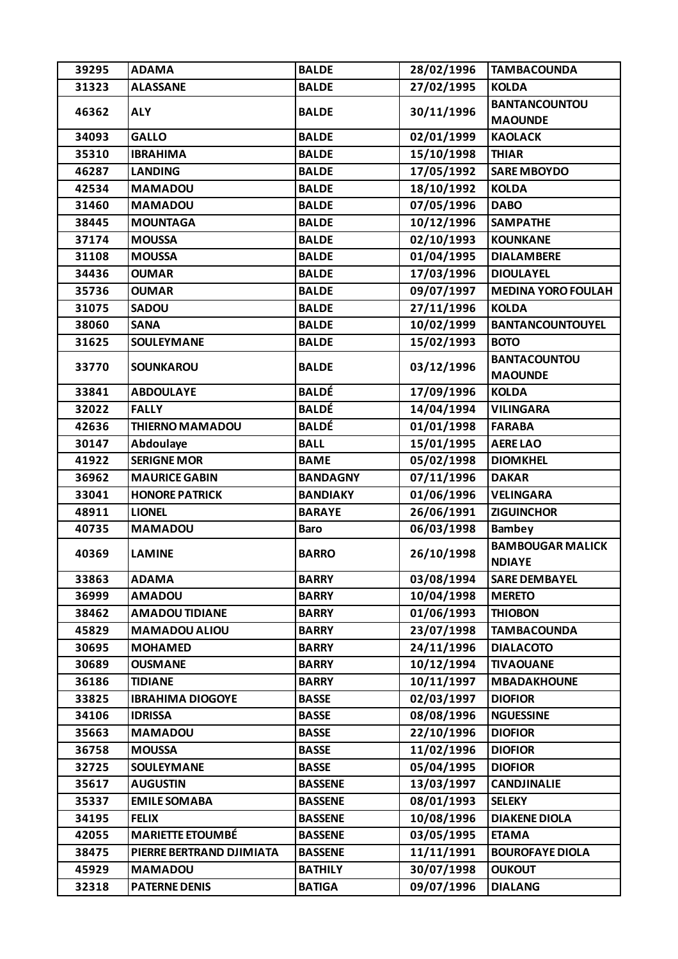| 27/02/1995<br>31323<br><b>ALASSANE</b><br><b>BALDE</b><br><b>KOLDA</b><br><b>BANTANCOUNTOU</b><br>30/11/1996<br>46362<br><b>ALY</b><br><b>BALDE</b><br><b>MAOUNDE</b><br><b>GALLO</b><br>02/01/1999<br>34093<br><b>BALDE</b><br><b>KAOLACK</b><br><b>IBRAHIMA</b><br><b>BALDE</b><br>15/10/1998<br><b>THIAR</b><br>35310<br><b>BALDE</b><br>17/05/1992<br><b>SARE MBOYDO</b><br>46287<br><b>LANDING</b><br>18/10/1992<br><b>MAMADOU</b><br><b>BALDE</b><br><b>KOLDA</b><br>42534<br>07/05/1996<br><b>BALDE</b><br>31460<br><b>MAMADOU</b><br><b>DABO</b><br>10/12/1996<br><b>MOUNTAGA</b><br><b>SAMPATHE</b><br>38445<br><b>BALDE</b><br><b>BALDE</b><br>02/10/1993<br>37174<br><b>MOUSSA</b><br><b>KOUNKANE</b><br>01/04/1995<br><b>MOUSSA</b><br><b>BALDE</b><br><b>DIALAMBERE</b><br>31108<br>17/03/1996<br><b>BALDE</b><br>34436<br><b>OUMAR</b><br><b>DIOULAYEL</b><br>09/07/1997<br><b>MEDINA YORO FOULAH</b><br>35736<br><b>OUMAR</b><br><b>BALDE</b><br>27/11/1996<br><b>BALDE</b><br>31075<br><b>SADOU</b><br><b>KOLDA</b><br>10/02/1999<br><b>BALDE</b><br>38060<br><b>SANA</b><br><b>BANTANCOUNTOUYEL</b><br>15/02/1993<br><b>SOULEYMANE</b><br><b>BALDE</b><br><b>BOTO</b><br>31625<br><b>BANTACOUNTOU</b><br>03/12/1996<br>33770<br><b>SOUNKAROU</b><br><b>BALDE</b><br><b>MAOUNDE</b><br><b>BALDÉ</b><br>17/09/1996<br>33841<br><b>ABDOULAYE</b><br><b>KOLDA</b><br><b>BALDÉ</b><br>14/04/1994<br>32022<br><b>FALLY</b><br><b>VILINGARA</b><br><b>BALDÉ</b><br>01/01/1998<br>42636<br><b>THIERNO MAMADOU</b><br><b>FARABA</b><br>15/01/1995<br>30147<br>Abdoulaye<br><b>BALL</b><br><b>AERE LAO</b><br><b>SERIGNE MOR</b><br>05/02/1998<br>41922<br><b>BAME</b><br><b>DIOMKHEL</b><br>07/11/1996<br>36962<br><b>MAURICE GABIN</b><br><b>BANDAGNY</b><br><b>DAKAR</b><br>01/06/1996<br>33041<br><b>VELINGARA</b><br><b>HONORE PATRICK</b><br><b>BANDIAKY</b><br>26/06/1991<br>48911<br><b>BARAYE</b><br><b>ZIGUINCHOR</b><br><b>LIONEL</b><br>06/03/1998<br>40735<br>Bambey<br><b>MAMADOU</b><br><b>Baro</b><br><b>BAMBOUGAR MALICK</b><br>26/10/1998<br>40369<br><b>LAMINE</b><br><b>BARRO</b><br><b>NDIAYE</b><br>03/08/1994<br>33863<br><b>ADAMA</b><br><b>BARRY</b><br><b>SARE DEMBAYEL</b><br>10/04/1998<br>36999<br><b>AMADOU</b><br><b>BARRY</b><br><b>MERETO</b><br><b>AMADOU TIDIANE</b><br>01/06/1993<br>38462<br><b>BARRY</b><br><b>THIOBON</b><br>23/07/1998<br>45829<br><b>MAMADOU ALIOU</b><br><b>BARRY</b><br><b>TAMBACOUNDA</b><br>24/11/1996<br>30695<br><b>MOHAMED</b><br><b>DIALACOTO</b><br><b>BARRY</b><br>10/12/1994<br>30689<br><b>TIVAOUANE</b><br><b>OUSMANE</b><br><b>BARRY</b><br>10/11/1997<br>36186<br><b>TIDIANE</b><br><b>BARRY</b><br><b>MBADAKHOUNE</b><br>02/03/1997<br>33825<br><b>IBRAHIMA DIOGOYE</b><br><b>BASSE</b><br><b>DIOFIOR</b><br>08/08/1996<br>34106<br><b>IDRISSA</b><br><b>BASSE</b><br><b>NGUESSINE</b><br>22/10/1996<br>35663<br><b>BASSE</b><br><b>DIOFIOR</b><br><b>MAMADOU</b><br><b>BASSE</b><br>11/02/1996<br>36758<br><b>MOUSSA</b><br><b>DIOFIOR</b><br>05/04/1995<br><b>SOULEYMANE</b><br><b>BASSE</b><br><b>DIOFIOR</b><br>32725<br>13/03/1997<br>35617<br><b>AUGUSTIN</b><br><b>BASSENE</b><br><b>CANDJINALIE</b><br>08/01/1993<br>35337<br><b>EMILE SOMABA</b><br><b>BASSENE</b><br><b>SELEKY</b><br>10/08/1996<br>34195<br><b>DIAKENE DIOLA</b><br><b>FELIX</b><br><b>BASSENE</b><br>03/05/1995<br><b>MARIETTE ETOUMBÉ</b><br>42055<br><b>BASSENE</b><br><b>ETAMA</b><br>11/11/1991<br>38475<br>PIERRE BERTRAND DJIMIATA<br><b>BASSENE</b><br><b>BOUROFAYE DIOLA</b><br>30/07/1998<br>45929<br><b>BATHILY</b><br><b>OUKOUT</b><br><b>MAMADOU</b><br>09/07/1996<br>32318<br><b>BATIGA</b><br><b>DIALANG</b><br><b>PATERNE DENIS</b> | 39295 | <b>ADAMA</b> | <b>BALDE</b> | 28/02/1996 | <b>TAMBACOUNDA</b> |
|----------------------------------------------------------------------------------------------------------------------------------------------------------------------------------------------------------------------------------------------------------------------------------------------------------------------------------------------------------------------------------------------------------------------------------------------------------------------------------------------------------------------------------------------------------------------------------------------------------------------------------------------------------------------------------------------------------------------------------------------------------------------------------------------------------------------------------------------------------------------------------------------------------------------------------------------------------------------------------------------------------------------------------------------------------------------------------------------------------------------------------------------------------------------------------------------------------------------------------------------------------------------------------------------------------------------------------------------------------------------------------------------------------------------------------------------------------------------------------------------------------------------------------------------------------------------------------------------------------------------------------------------------------------------------------------------------------------------------------------------------------------------------------------------------------------------------------------------------------------------------------------------------------------------------------------------------------------------------------------------------------------------------------------------------------------------------------------------------------------------------------------------------------------------------------------------------------------------------------------------------------------------------------------------------------------------------------------------------------------------------------------------------------------------------------------------------------------------------------------------------------------------------------------------------------------------------------------------------------------------------------------------------------------------------------------------------------------------------------------------------------------------------------------------------------------------------------------------------------------------------------------------------------------------------------------------------------------------------------------------------------------------------------------------------------------------------------------------------------------------------------------------------------------------------------------------------------------------------------------------------------------------------------------------------------------------------------------------------------------------------------------------------------------------------------------------------------------------------------------------------------------------------------------------------------------------------------------------------------------------------------------------------------------------------------------------------------------|-------|--------------|--------------|------------|--------------------|
|                                                                                                                                                                                                                                                                                                                                                                                                                                                                                                                                                                                                                                                                                                                                                                                                                                                                                                                                                                                                                                                                                                                                                                                                                                                                                                                                                                                                                                                                                                                                                                                                                                                                                                                                                                                                                                                                                                                                                                                                                                                                                                                                                                                                                                                                                                                                                                                                                                                                                                                                                                                                                                                                                                                                                                                                                                                                                                                                                                                                                                                                                                                                                                                                                                                                                                                                                                                                                                                                                                                                                                                                                                                                                                                |       |              |              |            |                    |
|                                                                                                                                                                                                                                                                                                                                                                                                                                                                                                                                                                                                                                                                                                                                                                                                                                                                                                                                                                                                                                                                                                                                                                                                                                                                                                                                                                                                                                                                                                                                                                                                                                                                                                                                                                                                                                                                                                                                                                                                                                                                                                                                                                                                                                                                                                                                                                                                                                                                                                                                                                                                                                                                                                                                                                                                                                                                                                                                                                                                                                                                                                                                                                                                                                                                                                                                                                                                                                                                                                                                                                                                                                                                                                                |       |              |              |            |                    |
|                                                                                                                                                                                                                                                                                                                                                                                                                                                                                                                                                                                                                                                                                                                                                                                                                                                                                                                                                                                                                                                                                                                                                                                                                                                                                                                                                                                                                                                                                                                                                                                                                                                                                                                                                                                                                                                                                                                                                                                                                                                                                                                                                                                                                                                                                                                                                                                                                                                                                                                                                                                                                                                                                                                                                                                                                                                                                                                                                                                                                                                                                                                                                                                                                                                                                                                                                                                                                                                                                                                                                                                                                                                                                                                |       |              |              |            |                    |
|                                                                                                                                                                                                                                                                                                                                                                                                                                                                                                                                                                                                                                                                                                                                                                                                                                                                                                                                                                                                                                                                                                                                                                                                                                                                                                                                                                                                                                                                                                                                                                                                                                                                                                                                                                                                                                                                                                                                                                                                                                                                                                                                                                                                                                                                                                                                                                                                                                                                                                                                                                                                                                                                                                                                                                                                                                                                                                                                                                                                                                                                                                                                                                                                                                                                                                                                                                                                                                                                                                                                                                                                                                                                                                                |       |              |              |            |                    |
|                                                                                                                                                                                                                                                                                                                                                                                                                                                                                                                                                                                                                                                                                                                                                                                                                                                                                                                                                                                                                                                                                                                                                                                                                                                                                                                                                                                                                                                                                                                                                                                                                                                                                                                                                                                                                                                                                                                                                                                                                                                                                                                                                                                                                                                                                                                                                                                                                                                                                                                                                                                                                                                                                                                                                                                                                                                                                                                                                                                                                                                                                                                                                                                                                                                                                                                                                                                                                                                                                                                                                                                                                                                                                                                |       |              |              |            |                    |
|                                                                                                                                                                                                                                                                                                                                                                                                                                                                                                                                                                                                                                                                                                                                                                                                                                                                                                                                                                                                                                                                                                                                                                                                                                                                                                                                                                                                                                                                                                                                                                                                                                                                                                                                                                                                                                                                                                                                                                                                                                                                                                                                                                                                                                                                                                                                                                                                                                                                                                                                                                                                                                                                                                                                                                                                                                                                                                                                                                                                                                                                                                                                                                                                                                                                                                                                                                                                                                                                                                                                                                                                                                                                                                                |       |              |              |            |                    |
|                                                                                                                                                                                                                                                                                                                                                                                                                                                                                                                                                                                                                                                                                                                                                                                                                                                                                                                                                                                                                                                                                                                                                                                                                                                                                                                                                                                                                                                                                                                                                                                                                                                                                                                                                                                                                                                                                                                                                                                                                                                                                                                                                                                                                                                                                                                                                                                                                                                                                                                                                                                                                                                                                                                                                                                                                                                                                                                                                                                                                                                                                                                                                                                                                                                                                                                                                                                                                                                                                                                                                                                                                                                                                                                |       |              |              |            |                    |
|                                                                                                                                                                                                                                                                                                                                                                                                                                                                                                                                                                                                                                                                                                                                                                                                                                                                                                                                                                                                                                                                                                                                                                                                                                                                                                                                                                                                                                                                                                                                                                                                                                                                                                                                                                                                                                                                                                                                                                                                                                                                                                                                                                                                                                                                                                                                                                                                                                                                                                                                                                                                                                                                                                                                                                                                                                                                                                                                                                                                                                                                                                                                                                                                                                                                                                                                                                                                                                                                                                                                                                                                                                                                                                                |       |              |              |            |                    |
|                                                                                                                                                                                                                                                                                                                                                                                                                                                                                                                                                                                                                                                                                                                                                                                                                                                                                                                                                                                                                                                                                                                                                                                                                                                                                                                                                                                                                                                                                                                                                                                                                                                                                                                                                                                                                                                                                                                                                                                                                                                                                                                                                                                                                                                                                                                                                                                                                                                                                                                                                                                                                                                                                                                                                                                                                                                                                                                                                                                                                                                                                                                                                                                                                                                                                                                                                                                                                                                                                                                                                                                                                                                                                                                |       |              |              |            |                    |
|                                                                                                                                                                                                                                                                                                                                                                                                                                                                                                                                                                                                                                                                                                                                                                                                                                                                                                                                                                                                                                                                                                                                                                                                                                                                                                                                                                                                                                                                                                                                                                                                                                                                                                                                                                                                                                                                                                                                                                                                                                                                                                                                                                                                                                                                                                                                                                                                                                                                                                                                                                                                                                                                                                                                                                                                                                                                                                                                                                                                                                                                                                                                                                                                                                                                                                                                                                                                                                                                                                                                                                                                                                                                                                                |       |              |              |            |                    |
|                                                                                                                                                                                                                                                                                                                                                                                                                                                                                                                                                                                                                                                                                                                                                                                                                                                                                                                                                                                                                                                                                                                                                                                                                                                                                                                                                                                                                                                                                                                                                                                                                                                                                                                                                                                                                                                                                                                                                                                                                                                                                                                                                                                                                                                                                                                                                                                                                                                                                                                                                                                                                                                                                                                                                                                                                                                                                                                                                                                                                                                                                                                                                                                                                                                                                                                                                                                                                                                                                                                                                                                                                                                                                                                |       |              |              |            |                    |
|                                                                                                                                                                                                                                                                                                                                                                                                                                                                                                                                                                                                                                                                                                                                                                                                                                                                                                                                                                                                                                                                                                                                                                                                                                                                                                                                                                                                                                                                                                                                                                                                                                                                                                                                                                                                                                                                                                                                                                                                                                                                                                                                                                                                                                                                                                                                                                                                                                                                                                                                                                                                                                                                                                                                                                                                                                                                                                                                                                                                                                                                                                                                                                                                                                                                                                                                                                                                                                                                                                                                                                                                                                                                                                                |       |              |              |            |                    |
|                                                                                                                                                                                                                                                                                                                                                                                                                                                                                                                                                                                                                                                                                                                                                                                                                                                                                                                                                                                                                                                                                                                                                                                                                                                                                                                                                                                                                                                                                                                                                                                                                                                                                                                                                                                                                                                                                                                                                                                                                                                                                                                                                                                                                                                                                                                                                                                                                                                                                                                                                                                                                                                                                                                                                                                                                                                                                                                                                                                                                                                                                                                                                                                                                                                                                                                                                                                                                                                                                                                                                                                                                                                                                                                |       |              |              |            |                    |
|                                                                                                                                                                                                                                                                                                                                                                                                                                                                                                                                                                                                                                                                                                                                                                                                                                                                                                                                                                                                                                                                                                                                                                                                                                                                                                                                                                                                                                                                                                                                                                                                                                                                                                                                                                                                                                                                                                                                                                                                                                                                                                                                                                                                                                                                                                                                                                                                                                                                                                                                                                                                                                                                                                                                                                                                                                                                                                                                                                                                                                                                                                                                                                                                                                                                                                                                                                                                                                                                                                                                                                                                                                                                                                                |       |              |              |            |                    |
|                                                                                                                                                                                                                                                                                                                                                                                                                                                                                                                                                                                                                                                                                                                                                                                                                                                                                                                                                                                                                                                                                                                                                                                                                                                                                                                                                                                                                                                                                                                                                                                                                                                                                                                                                                                                                                                                                                                                                                                                                                                                                                                                                                                                                                                                                                                                                                                                                                                                                                                                                                                                                                                                                                                                                                                                                                                                                                                                                                                                                                                                                                                                                                                                                                                                                                                                                                                                                                                                                                                                                                                                                                                                                                                |       |              |              |            |                    |
|                                                                                                                                                                                                                                                                                                                                                                                                                                                                                                                                                                                                                                                                                                                                                                                                                                                                                                                                                                                                                                                                                                                                                                                                                                                                                                                                                                                                                                                                                                                                                                                                                                                                                                                                                                                                                                                                                                                                                                                                                                                                                                                                                                                                                                                                                                                                                                                                                                                                                                                                                                                                                                                                                                                                                                                                                                                                                                                                                                                                                                                                                                                                                                                                                                                                                                                                                                                                                                                                                                                                                                                                                                                                                                                |       |              |              |            |                    |
|                                                                                                                                                                                                                                                                                                                                                                                                                                                                                                                                                                                                                                                                                                                                                                                                                                                                                                                                                                                                                                                                                                                                                                                                                                                                                                                                                                                                                                                                                                                                                                                                                                                                                                                                                                                                                                                                                                                                                                                                                                                                                                                                                                                                                                                                                                                                                                                                                                                                                                                                                                                                                                                                                                                                                                                                                                                                                                                                                                                                                                                                                                                                                                                                                                                                                                                                                                                                                                                                                                                                                                                                                                                                                                                |       |              |              |            |                    |
|                                                                                                                                                                                                                                                                                                                                                                                                                                                                                                                                                                                                                                                                                                                                                                                                                                                                                                                                                                                                                                                                                                                                                                                                                                                                                                                                                                                                                                                                                                                                                                                                                                                                                                                                                                                                                                                                                                                                                                                                                                                                                                                                                                                                                                                                                                                                                                                                                                                                                                                                                                                                                                                                                                                                                                                                                                                                                                                                                                                                                                                                                                                                                                                                                                                                                                                                                                                                                                                                                                                                                                                                                                                                                                                |       |              |              |            |                    |
|                                                                                                                                                                                                                                                                                                                                                                                                                                                                                                                                                                                                                                                                                                                                                                                                                                                                                                                                                                                                                                                                                                                                                                                                                                                                                                                                                                                                                                                                                                                                                                                                                                                                                                                                                                                                                                                                                                                                                                                                                                                                                                                                                                                                                                                                                                                                                                                                                                                                                                                                                                                                                                                                                                                                                                                                                                                                                                                                                                                                                                                                                                                                                                                                                                                                                                                                                                                                                                                                                                                                                                                                                                                                                                                |       |              |              |            |                    |
|                                                                                                                                                                                                                                                                                                                                                                                                                                                                                                                                                                                                                                                                                                                                                                                                                                                                                                                                                                                                                                                                                                                                                                                                                                                                                                                                                                                                                                                                                                                                                                                                                                                                                                                                                                                                                                                                                                                                                                                                                                                                                                                                                                                                                                                                                                                                                                                                                                                                                                                                                                                                                                                                                                                                                                                                                                                                                                                                                                                                                                                                                                                                                                                                                                                                                                                                                                                                                                                                                                                                                                                                                                                                                                                |       |              |              |            |                    |
|                                                                                                                                                                                                                                                                                                                                                                                                                                                                                                                                                                                                                                                                                                                                                                                                                                                                                                                                                                                                                                                                                                                                                                                                                                                                                                                                                                                                                                                                                                                                                                                                                                                                                                                                                                                                                                                                                                                                                                                                                                                                                                                                                                                                                                                                                                                                                                                                                                                                                                                                                                                                                                                                                                                                                                                                                                                                                                                                                                                                                                                                                                                                                                                                                                                                                                                                                                                                                                                                                                                                                                                                                                                                                                                |       |              |              |            |                    |
|                                                                                                                                                                                                                                                                                                                                                                                                                                                                                                                                                                                                                                                                                                                                                                                                                                                                                                                                                                                                                                                                                                                                                                                                                                                                                                                                                                                                                                                                                                                                                                                                                                                                                                                                                                                                                                                                                                                                                                                                                                                                                                                                                                                                                                                                                                                                                                                                                                                                                                                                                                                                                                                                                                                                                                                                                                                                                                                                                                                                                                                                                                                                                                                                                                                                                                                                                                                                                                                                                                                                                                                                                                                                                                                |       |              |              |            |                    |
|                                                                                                                                                                                                                                                                                                                                                                                                                                                                                                                                                                                                                                                                                                                                                                                                                                                                                                                                                                                                                                                                                                                                                                                                                                                                                                                                                                                                                                                                                                                                                                                                                                                                                                                                                                                                                                                                                                                                                                                                                                                                                                                                                                                                                                                                                                                                                                                                                                                                                                                                                                                                                                                                                                                                                                                                                                                                                                                                                                                                                                                                                                                                                                                                                                                                                                                                                                                                                                                                                                                                                                                                                                                                                                                |       |              |              |            |                    |
|                                                                                                                                                                                                                                                                                                                                                                                                                                                                                                                                                                                                                                                                                                                                                                                                                                                                                                                                                                                                                                                                                                                                                                                                                                                                                                                                                                                                                                                                                                                                                                                                                                                                                                                                                                                                                                                                                                                                                                                                                                                                                                                                                                                                                                                                                                                                                                                                                                                                                                                                                                                                                                                                                                                                                                                                                                                                                                                                                                                                                                                                                                                                                                                                                                                                                                                                                                                                                                                                                                                                                                                                                                                                                                                |       |              |              |            |                    |
|                                                                                                                                                                                                                                                                                                                                                                                                                                                                                                                                                                                                                                                                                                                                                                                                                                                                                                                                                                                                                                                                                                                                                                                                                                                                                                                                                                                                                                                                                                                                                                                                                                                                                                                                                                                                                                                                                                                                                                                                                                                                                                                                                                                                                                                                                                                                                                                                                                                                                                                                                                                                                                                                                                                                                                                                                                                                                                                                                                                                                                                                                                                                                                                                                                                                                                                                                                                                                                                                                                                                                                                                                                                                                                                |       |              |              |            |                    |
|                                                                                                                                                                                                                                                                                                                                                                                                                                                                                                                                                                                                                                                                                                                                                                                                                                                                                                                                                                                                                                                                                                                                                                                                                                                                                                                                                                                                                                                                                                                                                                                                                                                                                                                                                                                                                                                                                                                                                                                                                                                                                                                                                                                                                                                                                                                                                                                                                                                                                                                                                                                                                                                                                                                                                                                                                                                                                                                                                                                                                                                                                                                                                                                                                                                                                                                                                                                                                                                                                                                                                                                                                                                                                                                |       |              |              |            |                    |
|                                                                                                                                                                                                                                                                                                                                                                                                                                                                                                                                                                                                                                                                                                                                                                                                                                                                                                                                                                                                                                                                                                                                                                                                                                                                                                                                                                                                                                                                                                                                                                                                                                                                                                                                                                                                                                                                                                                                                                                                                                                                                                                                                                                                                                                                                                                                                                                                                                                                                                                                                                                                                                                                                                                                                                                                                                                                                                                                                                                                                                                                                                                                                                                                                                                                                                                                                                                                                                                                                                                                                                                                                                                                                                                |       |              |              |            |                    |
|                                                                                                                                                                                                                                                                                                                                                                                                                                                                                                                                                                                                                                                                                                                                                                                                                                                                                                                                                                                                                                                                                                                                                                                                                                                                                                                                                                                                                                                                                                                                                                                                                                                                                                                                                                                                                                                                                                                                                                                                                                                                                                                                                                                                                                                                                                                                                                                                                                                                                                                                                                                                                                                                                                                                                                                                                                                                                                                                                                                                                                                                                                                                                                                                                                                                                                                                                                                                                                                                                                                                                                                                                                                                                                                |       |              |              |            |                    |
|                                                                                                                                                                                                                                                                                                                                                                                                                                                                                                                                                                                                                                                                                                                                                                                                                                                                                                                                                                                                                                                                                                                                                                                                                                                                                                                                                                                                                                                                                                                                                                                                                                                                                                                                                                                                                                                                                                                                                                                                                                                                                                                                                                                                                                                                                                                                                                                                                                                                                                                                                                                                                                                                                                                                                                                                                                                                                                                                                                                                                                                                                                                                                                                                                                                                                                                                                                                                                                                                                                                                                                                                                                                                                                                |       |              |              |            |                    |
|                                                                                                                                                                                                                                                                                                                                                                                                                                                                                                                                                                                                                                                                                                                                                                                                                                                                                                                                                                                                                                                                                                                                                                                                                                                                                                                                                                                                                                                                                                                                                                                                                                                                                                                                                                                                                                                                                                                                                                                                                                                                                                                                                                                                                                                                                                                                                                                                                                                                                                                                                                                                                                                                                                                                                                                                                                                                                                                                                                                                                                                                                                                                                                                                                                                                                                                                                                                                                                                                                                                                                                                                                                                                                                                |       |              |              |            |                    |
|                                                                                                                                                                                                                                                                                                                                                                                                                                                                                                                                                                                                                                                                                                                                                                                                                                                                                                                                                                                                                                                                                                                                                                                                                                                                                                                                                                                                                                                                                                                                                                                                                                                                                                                                                                                                                                                                                                                                                                                                                                                                                                                                                                                                                                                                                                                                                                                                                                                                                                                                                                                                                                                                                                                                                                                                                                                                                                                                                                                                                                                                                                                                                                                                                                                                                                                                                                                                                                                                                                                                                                                                                                                                                                                |       |              |              |            |                    |
|                                                                                                                                                                                                                                                                                                                                                                                                                                                                                                                                                                                                                                                                                                                                                                                                                                                                                                                                                                                                                                                                                                                                                                                                                                                                                                                                                                                                                                                                                                                                                                                                                                                                                                                                                                                                                                                                                                                                                                                                                                                                                                                                                                                                                                                                                                                                                                                                                                                                                                                                                                                                                                                                                                                                                                                                                                                                                                                                                                                                                                                                                                                                                                                                                                                                                                                                                                                                                                                                                                                                                                                                                                                                                                                |       |              |              |            |                    |
|                                                                                                                                                                                                                                                                                                                                                                                                                                                                                                                                                                                                                                                                                                                                                                                                                                                                                                                                                                                                                                                                                                                                                                                                                                                                                                                                                                                                                                                                                                                                                                                                                                                                                                                                                                                                                                                                                                                                                                                                                                                                                                                                                                                                                                                                                                                                                                                                                                                                                                                                                                                                                                                                                                                                                                                                                                                                                                                                                                                                                                                                                                                                                                                                                                                                                                                                                                                                                                                                                                                                                                                                                                                                                                                |       |              |              |            |                    |
|                                                                                                                                                                                                                                                                                                                                                                                                                                                                                                                                                                                                                                                                                                                                                                                                                                                                                                                                                                                                                                                                                                                                                                                                                                                                                                                                                                                                                                                                                                                                                                                                                                                                                                                                                                                                                                                                                                                                                                                                                                                                                                                                                                                                                                                                                                                                                                                                                                                                                                                                                                                                                                                                                                                                                                                                                                                                                                                                                                                                                                                                                                                                                                                                                                                                                                                                                                                                                                                                                                                                                                                                                                                                                                                |       |              |              |            |                    |
|                                                                                                                                                                                                                                                                                                                                                                                                                                                                                                                                                                                                                                                                                                                                                                                                                                                                                                                                                                                                                                                                                                                                                                                                                                                                                                                                                                                                                                                                                                                                                                                                                                                                                                                                                                                                                                                                                                                                                                                                                                                                                                                                                                                                                                                                                                                                                                                                                                                                                                                                                                                                                                                                                                                                                                                                                                                                                                                                                                                                                                                                                                                                                                                                                                                                                                                                                                                                                                                                                                                                                                                                                                                                                                                |       |              |              |            |                    |
|                                                                                                                                                                                                                                                                                                                                                                                                                                                                                                                                                                                                                                                                                                                                                                                                                                                                                                                                                                                                                                                                                                                                                                                                                                                                                                                                                                                                                                                                                                                                                                                                                                                                                                                                                                                                                                                                                                                                                                                                                                                                                                                                                                                                                                                                                                                                                                                                                                                                                                                                                                                                                                                                                                                                                                                                                                                                                                                                                                                                                                                                                                                                                                                                                                                                                                                                                                                                                                                                                                                                                                                                                                                                                                                |       |              |              |            |                    |
|                                                                                                                                                                                                                                                                                                                                                                                                                                                                                                                                                                                                                                                                                                                                                                                                                                                                                                                                                                                                                                                                                                                                                                                                                                                                                                                                                                                                                                                                                                                                                                                                                                                                                                                                                                                                                                                                                                                                                                                                                                                                                                                                                                                                                                                                                                                                                                                                                                                                                                                                                                                                                                                                                                                                                                                                                                                                                                                                                                                                                                                                                                                                                                                                                                                                                                                                                                                                                                                                                                                                                                                                                                                                                                                |       |              |              |            |                    |
|                                                                                                                                                                                                                                                                                                                                                                                                                                                                                                                                                                                                                                                                                                                                                                                                                                                                                                                                                                                                                                                                                                                                                                                                                                                                                                                                                                                                                                                                                                                                                                                                                                                                                                                                                                                                                                                                                                                                                                                                                                                                                                                                                                                                                                                                                                                                                                                                                                                                                                                                                                                                                                                                                                                                                                                                                                                                                                                                                                                                                                                                                                                                                                                                                                                                                                                                                                                                                                                                                                                                                                                                                                                                                                                |       |              |              |            |                    |
|                                                                                                                                                                                                                                                                                                                                                                                                                                                                                                                                                                                                                                                                                                                                                                                                                                                                                                                                                                                                                                                                                                                                                                                                                                                                                                                                                                                                                                                                                                                                                                                                                                                                                                                                                                                                                                                                                                                                                                                                                                                                                                                                                                                                                                                                                                                                                                                                                                                                                                                                                                                                                                                                                                                                                                                                                                                                                                                                                                                                                                                                                                                                                                                                                                                                                                                                                                                                                                                                                                                                                                                                                                                                                                                |       |              |              |            |                    |
|                                                                                                                                                                                                                                                                                                                                                                                                                                                                                                                                                                                                                                                                                                                                                                                                                                                                                                                                                                                                                                                                                                                                                                                                                                                                                                                                                                                                                                                                                                                                                                                                                                                                                                                                                                                                                                                                                                                                                                                                                                                                                                                                                                                                                                                                                                                                                                                                                                                                                                                                                                                                                                                                                                                                                                                                                                                                                                                                                                                                                                                                                                                                                                                                                                                                                                                                                                                                                                                                                                                                                                                                                                                                                                                |       |              |              |            |                    |
|                                                                                                                                                                                                                                                                                                                                                                                                                                                                                                                                                                                                                                                                                                                                                                                                                                                                                                                                                                                                                                                                                                                                                                                                                                                                                                                                                                                                                                                                                                                                                                                                                                                                                                                                                                                                                                                                                                                                                                                                                                                                                                                                                                                                                                                                                                                                                                                                                                                                                                                                                                                                                                                                                                                                                                                                                                                                                                                                                                                                                                                                                                                                                                                                                                                                                                                                                                                                                                                                                                                                                                                                                                                                                                                |       |              |              |            |                    |
|                                                                                                                                                                                                                                                                                                                                                                                                                                                                                                                                                                                                                                                                                                                                                                                                                                                                                                                                                                                                                                                                                                                                                                                                                                                                                                                                                                                                                                                                                                                                                                                                                                                                                                                                                                                                                                                                                                                                                                                                                                                                                                                                                                                                                                                                                                                                                                                                                                                                                                                                                                                                                                                                                                                                                                                                                                                                                                                                                                                                                                                                                                                                                                                                                                                                                                                                                                                                                                                                                                                                                                                                                                                                                                                |       |              |              |            |                    |
|                                                                                                                                                                                                                                                                                                                                                                                                                                                                                                                                                                                                                                                                                                                                                                                                                                                                                                                                                                                                                                                                                                                                                                                                                                                                                                                                                                                                                                                                                                                                                                                                                                                                                                                                                                                                                                                                                                                                                                                                                                                                                                                                                                                                                                                                                                                                                                                                                                                                                                                                                                                                                                                                                                                                                                                                                                                                                                                                                                                                                                                                                                                                                                                                                                                                                                                                                                                                                                                                                                                                                                                                                                                                                                                |       |              |              |            |                    |
|                                                                                                                                                                                                                                                                                                                                                                                                                                                                                                                                                                                                                                                                                                                                                                                                                                                                                                                                                                                                                                                                                                                                                                                                                                                                                                                                                                                                                                                                                                                                                                                                                                                                                                                                                                                                                                                                                                                                                                                                                                                                                                                                                                                                                                                                                                                                                                                                                                                                                                                                                                                                                                                                                                                                                                                                                                                                                                                                                                                                                                                                                                                                                                                                                                                                                                                                                                                                                                                                                                                                                                                                                                                                                                                |       |              |              |            |                    |
|                                                                                                                                                                                                                                                                                                                                                                                                                                                                                                                                                                                                                                                                                                                                                                                                                                                                                                                                                                                                                                                                                                                                                                                                                                                                                                                                                                                                                                                                                                                                                                                                                                                                                                                                                                                                                                                                                                                                                                                                                                                                                                                                                                                                                                                                                                                                                                                                                                                                                                                                                                                                                                                                                                                                                                                                                                                                                                                                                                                                                                                                                                                                                                                                                                                                                                                                                                                                                                                                                                                                                                                                                                                                                                                |       |              |              |            |                    |
|                                                                                                                                                                                                                                                                                                                                                                                                                                                                                                                                                                                                                                                                                                                                                                                                                                                                                                                                                                                                                                                                                                                                                                                                                                                                                                                                                                                                                                                                                                                                                                                                                                                                                                                                                                                                                                                                                                                                                                                                                                                                                                                                                                                                                                                                                                                                                                                                                                                                                                                                                                                                                                                                                                                                                                                                                                                                                                                                                                                                                                                                                                                                                                                                                                                                                                                                                                                                                                                                                                                                                                                                                                                                                                                |       |              |              |            |                    |
|                                                                                                                                                                                                                                                                                                                                                                                                                                                                                                                                                                                                                                                                                                                                                                                                                                                                                                                                                                                                                                                                                                                                                                                                                                                                                                                                                                                                                                                                                                                                                                                                                                                                                                                                                                                                                                                                                                                                                                                                                                                                                                                                                                                                                                                                                                                                                                                                                                                                                                                                                                                                                                                                                                                                                                                                                                                                                                                                                                                                                                                                                                                                                                                                                                                                                                                                                                                                                                                                                                                                                                                                                                                                                                                |       |              |              |            |                    |
|                                                                                                                                                                                                                                                                                                                                                                                                                                                                                                                                                                                                                                                                                                                                                                                                                                                                                                                                                                                                                                                                                                                                                                                                                                                                                                                                                                                                                                                                                                                                                                                                                                                                                                                                                                                                                                                                                                                                                                                                                                                                                                                                                                                                                                                                                                                                                                                                                                                                                                                                                                                                                                                                                                                                                                                                                                                                                                                                                                                                                                                                                                                                                                                                                                                                                                                                                                                                                                                                                                                                                                                                                                                                                                                |       |              |              |            |                    |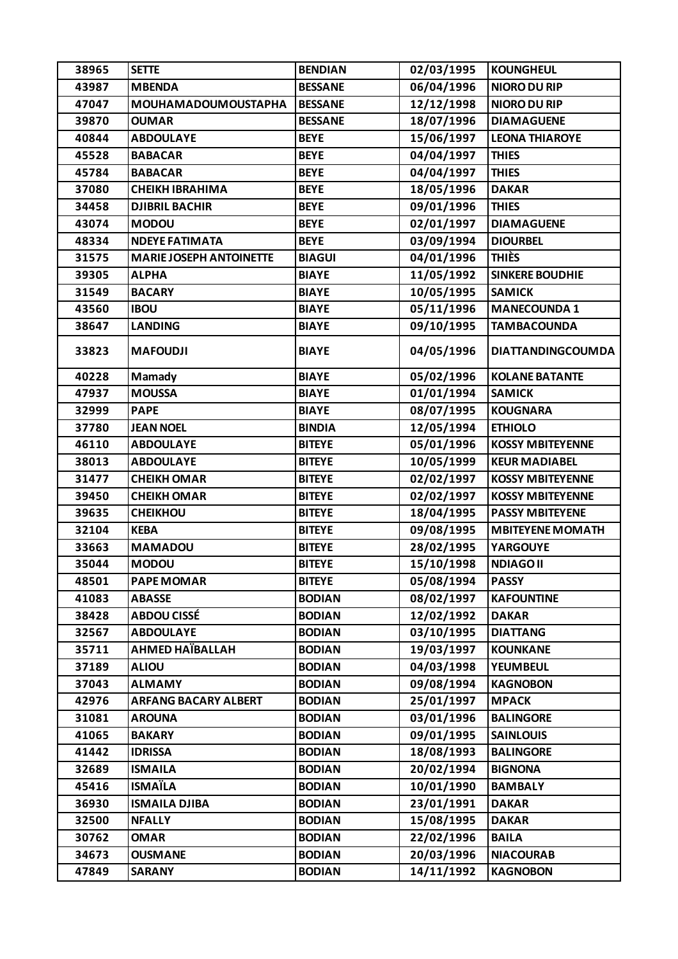| 38965 | <b>SETTE</b>                   | <b>BENDIAN</b> | 02/03/1995 | <b>KOUNGHEUL</b>         |
|-------|--------------------------------|----------------|------------|--------------------------|
| 43987 | <b>MBENDA</b>                  | <b>BESSANE</b> | 06/04/1996 | <b>NIORO DU RIP</b>      |
| 47047 | <b>MOUHAMADOUMOUSTAPHA</b>     | <b>BESSANE</b> | 12/12/1998 | <b>NIORO DU RIP</b>      |
| 39870 | <b>OUMAR</b>                   | <b>BESSANE</b> | 18/07/1996 | <b>DIAMAGUENE</b>        |
| 40844 | <b>ABDOULAYE</b>               | <b>BEYE</b>    | 15/06/1997 | <b>LEONA THIAROYE</b>    |
| 45528 | <b>BABACAR</b>                 | <b>BEYE</b>    | 04/04/1997 | <b>THIES</b>             |
| 45784 | <b>BABACAR</b>                 | <b>BEYE</b>    | 04/04/1997 | <b>THIES</b>             |
| 37080 | <b>CHEIKH IBRAHIMA</b>         | <b>BEYE</b>    | 18/05/1996 | <b>DAKAR</b>             |
| 34458 | <b>DJIBRIL BACHIR</b>          | <b>BEYE</b>    | 09/01/1996 | <b>THIES</b>             |
| 43074 | <b>MODOU</b>                   | <b>BEYE</b>    | 02/01/1997 | <b>DIAMAGUENE</b>        |
| 48334 | <b>NDEYE FATIMATA</b>          | <b>BEYE</b>    | 03/09/1994 | <b>DIOURBEL</b>          |
| 31575 | <b>MARIE JOSEPH ANTOINETTE</b> | <b>BIAGUI</b>  | 04/01/1996 | <b>THIÈS</b>             |
| 39305 | <b>ALPHA</b>                   | <b>BIAYE</b>   | 11/05/1992 | <b>SINKERE BOUDHIE</b>   |
| 31549 | <b>BACARY</b>                  | <b>BIAYE</b>   | 10/05/1995 | <b>SAMICK</b>            |
| 43560 | <b>IBOU</b>                    | <b>BIAYE</b>   | 05/11/1996 | <b>MANECOUNDA 1</b>      |
| 38647 | <b>LANDING</b>                 | <b>BIAYE</b>   | 09/10/1995 | <b>TAMBACOUNDA</b>       |
| 33823 | <b>MAFOUDJI</b>                | <b>BIAYE</b>   | 04/05/1996 | <b>DIATTANDINGCOUMDA</b> |
| 40228 | Mamady                         | <b>BIAYE</b>   | 05/02/1996 | <b>KOLANE BATANTE</b>    |
| 47937 | <b>MOUSSA</b>                  | <b>BIAYE</b>   | 01/01/1994 | <b>SAMICK</b>            |
| 32999 | <b>PAPE</b>                    | <b>BIAYE</b>   | 08/07/1995 | <b>KOUGNARA</b>          |
| 37780 | <b>JEAN NOEL</b>               | <b>BINDIA</b>  | 12/05/1994 | <b>ETHIOLO</b>           |
| 46110 | <b>ABDOULAYE</b>               | <b>BITEYE</b>  | 05/01/1996 | <b>KOSSY MBITEYENNE</b>  |
| 38013 | <b>ABDOULAYE</b>               | <b>BITEYE</b>  | 10/05/1999 | <b>KEUR MADIABEL</b>     |
| 31477 | <b>CHEIKH OMAR</b>             | <b>BITEYE</b>  | 02/02/1997 | <b>KOSSY MBITEYENNE</b>  |
| 39450 | <b>CHEIKH OMAR</b>             | <b>BITEYE</b>  | 02/02/1997 | <b>KOSSY MBITEYENNE</b>  |
| 39635 | <b>CHEIKHOU</b>                | <b>BITEYE</b>  | 18/04/1995 | <b>PASSY MBITEYENE</b>   |
| 32104 | <b>KEBA</b>                    | <b>BITEYE</b>  | 09/08/1995 | <b>MBITEYENE MOMATH</b>  |
| 33663 | <b>MAMADOU</b>                 | <b>BITEYE</b>  | 28/02/1995 | <b>YARGOUYE</b>          |
| 35044 | <b>MODOU</b>                   | <b>BITEYE</b>  | 15/10/1998 | <b>NDIAGO II</b>         |
| 48501 | <b>PAPE MOMAR</b>              | <b>BITEYE</b>  | 05/08/1994 | <b>PASSY</b>             |
| 41083 | <b>ABASSE</b>                  | <b>BODIAN</b>  | 08/02/1997 | <b>KAFOUNTINE</b>        |
| 38428 | <b>ABDOU CISSÉ</b>             | <b>BODIAN</b>  | 12/02/1992 | <b>DAKAR</b>             |
| 32567 | <b>ABDOULAYE</b>               | <b>BODIAN</b>  | 03/10/1995 | <b>DIATTANG</b>          |
| 35711 | AHMED HAÏBALLAH                | <b>BODIAN</b>  | 19/03/1997 | <b>KOUNKANE</b>          |
| 37189 | <b>ALIOU</b>                   | <b>BODIAN</b>  | 04/03/1998 | <b>YEUMBEUL</b>          |
| 37043 | <b>ALMAMY</b>                  | <b>BODIAN</b>  | 09/08/1994 | <b>KAGNOBON</b>          |
| 42976 | <b>ARFANG BACARY ALBERT</b>    | <b>BODIAN</b>  | 25/01/1997 | <b>MPACK</b>             |
| 31081 | <b>AROUNA</b>                  | <b>BODIAN</b>  | 03/01/1996 | <b>BALINGORE</b>         |
| 41065 | <b>BAKARY</b>                  | <b>BODIAN</b>  | 09/01/1995 | <b>SAINLOUIS</b>         |
| 41442 | <b>IDRISSA</b>                 | <b>BODIAN</b>  | 18/08/1993 | <b>BALINGORE</b>         |
| 32689 | <b>ISMAILA</b>                 | <b>BODIAN</b>  | 20/02/1994 | <b>BIGNONA</b>           |
| 45416 | <b>ISMAÏLA</b>                 | <b>BODIAN</b>  | 10/01/1990 | <b>BAMBALY</b>           |
| 36930 | <b>ISMAILA DJIBA</b>           | <b>BODIAN</b>  | 23/01/1991 | <b>DAKAR</b>             |
| 32500 | <b>NFALLY</b>                  | <b>BODIAN</b>  | 15/08/1995 | <b>DAKAR</b>             |
| 30762 | <b>OMAR</b>                    | <b>BODIAN</b>  | 22/02/1996 | <b>BAILA</b>             |
| 34673 | <b>OUSMANE</b>                 | <b>BODIAN</b>  | 20/03/1996 | <b>NIACOURAB</b>         |
| 47849 | <b>SARANY</b>                  | <b>BODIAN</b>  | 14/11/1992 | <b>KAGNOBON</b>          |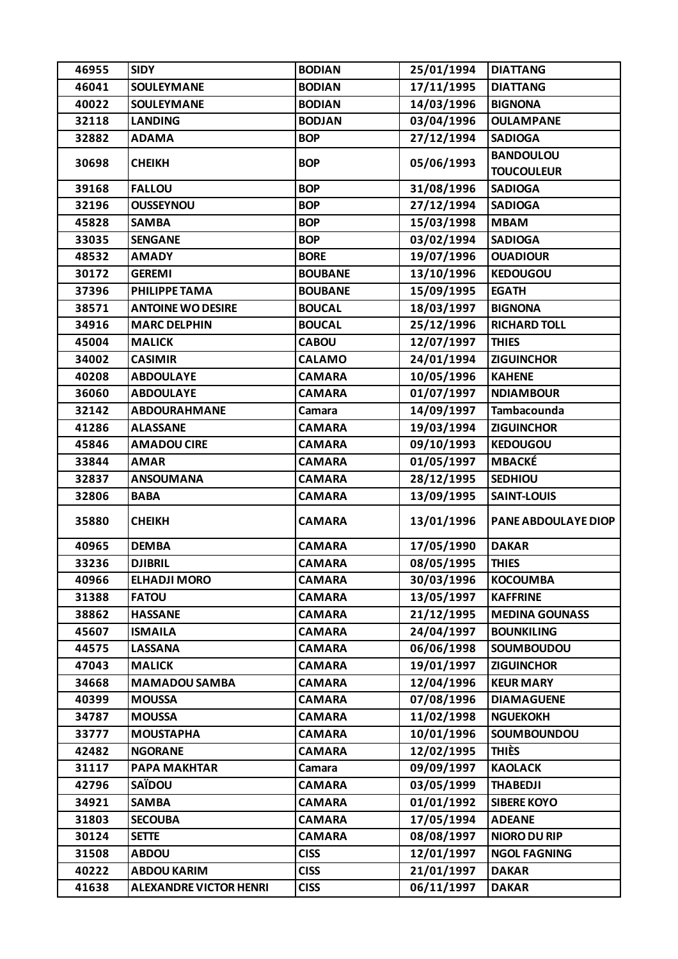| 46955 | <b>SIDY</b>                   | <b>BODIAN</b>  | 25/01/1994 | <b>DIATTANG</b>                       |
|-------|-------------------------------|----------------|------------|---------------------------------------|
| 46041 | <b>SOULEYMANE</b>             | <b>BODIAN</b>  | 17/11/1995 | <b>DIATTANG</b>                       |
| 40022 | <b>SOULEYMANE</b>             | <b>BODIAN</b>  | 14/03/1996 | <b>BIGNONA</b>                        |
| 32118 | <b>LANDING</b>                | <b>BODJAN</b>  | 03/04/1996 | <b>OULAMPANE</b>                      |
| 32882 | <b>ADAMA</b>                  | <b>BOP</b>     | 27/12/1994 | <b>SADIOGA</b>                        |
| 30698 | <b>CHEIKH</b>                 | <b>BOP</b>     | 05/06/1993 | <b>BANDOULOU</b><br><b>TOUCOULEUR</b> |
| 39168 | <b>FALLOU</b>                 | <b>BOP</b>     | 31/08/1996 | <b>SADIOGA</b>                        |
| 32196 | <b>OUSSEYNOU</b>              | <b>BOP</b>     | 27/12/1994 | <b>SADIOGA</b>                        |
| 45828 | <b>SAMBA</b>                  | <b>BOP</b>     | 15/03/1998 | <b>MBAM</b>                           |
| 33035 | <b>SENGANE</b>                | <b>BOP</b>     | 03/02/1994 | <b>SADIOGA</b>                        |
| 48532 | <b>AMADY</b>                  | <b>BORE</b>    | 19/07/1996 | <b>OUADIOUR</b>                       |
| 30172 | <b>GEREMI</b>                 | <b>BOUBANE</b> | 13/10/1996 | <b>KEDOUGOU</b>                       |
| 37396 | PHILIPPE TAMA                 | <b>BOUBANE</b> | 15/09/1995 | <b>EGATH</b>                          |
| 38571 | <b>ANTOINE WO DESIRE</b>      | <b>BOUCAL</b>  | 18/03/1997 | <b>BIGNONA</b>                        |
| 34916 | <b>MARC DELPHIN</b>           | <b>BOUCAL</b>  | 25/12/1996 | <b>RICHARD TOLL</b>                   |
| 45004 | <b>MALICK</b>                 | <b>CABOU</b>   | 12/07/1997 | <b>THIES</b>                          |
| 34002 | <b>CASIMIR</b>                | <b>CALAMO</b>  | 24/01/1994 | <b>ZIGUINCHOR</b>                     |
| 40208 | <b>ABDOULAYE</b>              | <b>CAMARA</b>  | 10/05/1996 | <b>KAHENE</b>                         |
| 36060 | <b>ABDOULAYE</b>              | <b>CAMARA</b>  | 01/07/1997 | <b>NDIAMBOUR</b>                      |
| 32142 | <b>ABDOURAHMANE</b>           | Camara         | 14/09/1997 | <b>Tambacounda</b>                    |
| 41286 | <b>ALASSANE</b>               | <b>CAMARA</b>  | 19/03/1994 | <b>ZIGUINCHOR</b>                     |
| 45846 | <b>AMADOU CIRE</b>            | <b>CAMARA</b>  | 09/10/1993 | <b>KEDOUGOU</b>                       |
| 33844 | <b>AMAR</b>                   | <b>CAMARA</b>  | 01/05/1997 | <b>MBACKÉ</b>                         |
| 32837 | <b>ANSOUMANA</b>              | <b>CAMARA</b>  | 28/12/1995 | <b>SEDHIOU</b>                        |
| 32806 | <b>BABA</b>                   | <b>CAMARA</b>  | 13/09/1995 | <b>SAINT-LOUIS</b>                    |
| 35880 | <b>CHEIKH</b>                 | <b>CAMARA</b>  | 13/01/1996 | PANE ABDOULAYE DIOP                   |
| 40965 | <b>DEMBA</b>                  | <b>CAMARA</b>  | 17/05/1990 | <b>DAKAR</b>                          |
| 33236 | <b>DJIBRIL</b>                | <b>CAMARA</b>  | 08/05/1995 | <b>THIES</b>                          |
| 40966 | <b>ELHADJI MORO</b>           | <b>CAMARA</b>  | 30/03/1996 | <b>KOCOUMBA</b>                       |
| 31388 | <b>FATOU</b>                  | <b>CAMARA</b>  | 13/05/1997 | <b>KAFFRINE</b>                       |
| 38862 | <b>HASSANE</b>                | <b>CAMARA</b>  | 21/12/1995 | <b>MEDINA GOUNASS</b>                 |
| 45607 | <b>ISMAILA</b>                | <b>CAMARA</b>  | 24/04/1997 | <b>BOUNKILING</b>                     |
| 44575 | <b>LASSANA</b>                | <b>CAMARA</b>  | 06/06/1998 | <b>SOUMBOUDOU</b>                     |
| 47043 | <b>MALICK</b>                 | <b>CAMARA</b>  | 19/01/1997 | <b>ZIGUINCHOR</b>                     |
| 34668 | <b>MAMADOU SAMBA</b>          | <b>CAMARA</b>  | 12/04/1996 | <b>KEUR MARY</b>                      |
| 40399 | <b>MOUSSA</b>                 | <b>CAMARA</b>  | 07/08/1996 | <b>DIAMAGUENE</b>                     |
| 34787 | <b>MOUSSA</b>                 | <b>CAMARA</b>  | 11/02/1998 | <b>NGUEKOKH</b>                       |
| 33777 | <b>MOUSTAPHA</b>              | <b>CAMARA</b>  | 10/01/1996 | SOUMBOUNDOU                           |
| 42482 | <b>NGORANE</b>                | <b>CAMARA</b>  | 12/02/1995 | <b>THIÈS</b>                          |
| 31117 | <b>PAPA MAKHTAR</b>           | Camara         | 09/09/1997 | <b>KAOLACK</b>                        |
| 42796 | <b>SAÏDOU</b>                 | <b>CAMARA</b>  | 03/05/1999 | <b>THABEDJI</b>                       |
| 34921 | <b>SAMBA</b>                  | <b>CAMARA</b>  | 01/01/1992 | <b>SIBERE KOYO</b>                    |
| 31803 | <b>SECOUBA</b>                | <b>CAMARA</b>  | 17/05/1994 | <b>ADEANE</b>                         |
| 30124 | <b>SETTE</b>                  | <b>CAMARA</b>  | 08/08/1997 | <b>NIORO DU RIP</b>                   |
| 31508 | <b>ABDOU</b>                  | <b>CISS</b>    | 12/01/1997 | <b>NGOL FAGNING</b>                   |
| 40222 | <b>ABDOU KARIM</b>            | <b>CISS</b>    | 21/01/1997 | <b>DAKAR</b>                          |
| 41638 | <b>ALEXANDRE VICTOR HENRI</b> | <b>CISS</b>    | 06/11/1997 | <b>DAKAR</b>                          |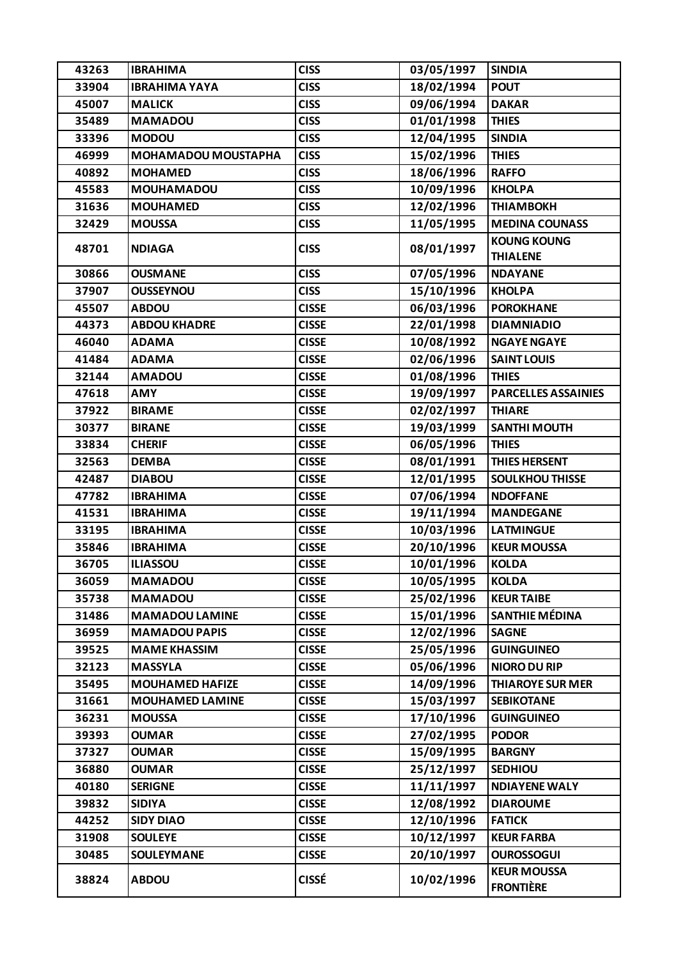| 43263 | <b>IBRAHIMA</b>            | <b>CISS</b>  | 03/05/1997 | <b>SINDIA</b>                          |
|-------|----------------------------|--------------|------------|----------------------------------------|
| 33904 | <b>IBRAHIMA YAYA</b>       | <b>CISS</b>  | 18/02/1994 | <b>POUT</b>                            |
| 45007 | <b>MALICK</b>              | <b>CISS</b>  | 09/06/1994 | <b>DAKAR</b>                           |
| 35489 | <b>MAMADOU</b>             | <b>CISS</b>  | 01/01/1998 | <b>THIES</b>                           |
| 33396 | <b>MODOU</b>               | <b>CISS</b>  | 12/04/1995 | <b>SINDIA</b>                          |
| 46999 | <b>MOHAMADOU MOUSTAPHA</b> | <b>CISS</b>  | 15/02/1996 | <b>THIES</b>                           |
| 40892 | <b>MOHAMED</b>             | <b>CISS</b>  | 18/06/1996 | <b>RAFFO</b>                           |
| 45583 | <b>MOUHAMADOU</b>          | <b>CISS</b>  | 10/09/1996 | <b>KHOLPA</b>                          |
| 31636 | <b>MOUHAMED</b>            | <b>CISS</b>  | 12/02/1996 | <b>THIAMBOKH</b>                       |
| 32429 | <b>MOUSSA</b>              | <b>CISS</b>  | 11/05/1995 | <b>MEDINA COUNASS</b>                  |
| 48701 | <b>NDIAGA</b>              | <b>CISS</b>  | 08/01/1997 | <b>KOUNG KOUNG</b><br><b>THIALENE</b>  |
| 30866 | <b>OUSMANE</b>             | <b>CISS</b>  | 07/05/1996 | <b>NDAYANE</b>                         |
| 37907 | <b>OUSSEYNOU</b>           | <b>CISS</b>  | 15/10/1996 | <b>KHOLPA</b>                          |
| 45507 | <b>ABDOU</b>               | <b>CISSE</b> | 06/03/1996 | <b>POROKHANE</b>                       |
| 44373 | <b>ABDOU KHADRE</b>        | <b>CISSE</b> | 22/01/1998 | <b>DIAMNIADIO</b>                      |
| 46040 | <b>ADAMA</b>               | <b>CISSE</b> | 10/08/1992 | <b>NGAYE NGAYE</b>                     |
| 41484 | <b>ADAMA</b>               | <b>CISSE</b> | 02/06/1996 | <b>SAINT LOUIS</b>                     |
| 32144 | <b>AMADOU</b>              | <b>CISSE</b> | 01/08/1996 | <b>THIES</b>                           |
| 47618 | <b>AMY</b>                 | <b>CISSE</b> | 19/09/1997 | <b>PARCELLES ASSAINIES</b>             |
| 37922 | <b>BIRAME</b>              | <b>CISSE</b> | 02/02/1997 | <b>THIARE</b>                          |
| 30377 | <b>BIRANE</b>              | <b>CISSE</b> | 19/03/1999 | <b>SANTHI MOUTH</b>                    |
| 33834 | <b>CHERIF</b>              | <b>CISSE</b> | 06/05/1996 | <b>THIES</b>                           |
| 32563 | <b>DEMBA</b>               | <b>CISSE</b> | 08/01/1991 | <b>THIES HERSENT</b>                   |
| 42487 | <b>DIABOU</b>              | <b>CISSE</b> | 12/01/1995 | <b>SOULKHOU THISSE</b>                 |
| 47782 | <b>IBRAHIMA</b>            | <b>CISSE</b> | 07/06/1994 | <b>NDOFFANE</b>                        |
| 41531 | <b>IBRAHIMA</b>            | <b>CISSE</b> | 19/11/1994 | <b>MANDEGANE</b>                       |
| 33195 | <b>IBRAHIMA</b>            | <b>CISSE</b> | 10/03/1996 | <b>LATMINGUE</b>                       |
| 35846 | <b>IBRAHIMA</b>            | <b>CISSE</b> | 20/10/1996 | <b>KEUR MOUSSA</b>                     |
| 36705 | <b>ILIASSOU</b>            | <b>CISSE</b> | 10/01/1996 | <b>KOLDA</b>                           |
| 36059 | <b>MAMADOU</b>             | <b>CISSE</b> | 10/05/1995 | <b>KOLDA</b>                           |
| 35738 | <b>MAMADOU</b>             | <b>CISSE</b> | 25/02/1996 | <b>KEUR TAIBE</b>                      |
| 31486 | <b>MAMADOU LAMINE</b>      | <b>CISSE</b> | 15/01/1996 | <b>SANTHIE MÉDINA</b>                  |
| 36959 | <b>MAMADOU PAPIS</b>       | <b>CISSE</b> | 12/02/1996 | <b>SAGNE</b>                           |
| 39525 | <b>MAME KHASSIM</b>        | <b>CISSE</b> | 25/05/1996 | <b>GUINGUINEO</b>                      |
| 32123 | <b>MASSYLA</b>             | <b>CISSE</b> | 05/06/1996 | <b>NIORO DU RIP</b>                    |
| 35495 | <b>MOUHAMED HAFIZE</b>     | <b>CISSE</b> | 14/09/1996 | <b>THIAROYE SUR MER</b>                |
| 31661 | <b>MOUHAMED LAMINE</b>     | <b>CISSE</b> | 15/03/1997 | <b>SEBIKOTANE</b>                      |
| 36231 | <b>MOUSSA</b>              | <b>CISSE</b> | 17/10/1996 | <b>GUINGUINEO</b>                      |
| 39393 | <b>OUMAR</b>               | <b>CISSE</b> | 27/02/1995 | <b>PODOR</b>                           |
| 37327 | <b>OUMAR</b>               | <b>CISSE</b> | 15/09/1995 | <b>BARGNY</b>                          |
| 36880 | <b>OUMAR</b>               | <b>CISSE</b> | 25/12/1997 | <b>SEDHIOU</b>                         |
| 40180 | <b>SERIGNE</b>             | <b>CISSE</b> | 11/11/1997 | <b>NDIAYENE WALY</b>                   |
| 39832 | <b>SIDIYA</b>              | <b>CISSE</b> | 12/08/1992 | <b>DIAROUME</b>                        |
| 44252 | <b>SIDY DIAO</b>           | <b>CISSE</b> | 12/10/1996 | <b>FATICK</b>                          |
| 31908 | <b>SOULEYE</b>             | <b>CISSE</b> | 10/12/1997 | <b>KEUR FARBA</b>                      |
| 30485 | SOULEYMANE                 | <b>CISSE</b> | 20/10/1997 | <b>OUROSSOGUI</b>                      |
| 38824 | <b>ABDOU</b>               | <b>CISSÉ</b> | 10/02/1996 | <b>KEUR MOUSSA</b><br><b>FRONTIÈRE</b> |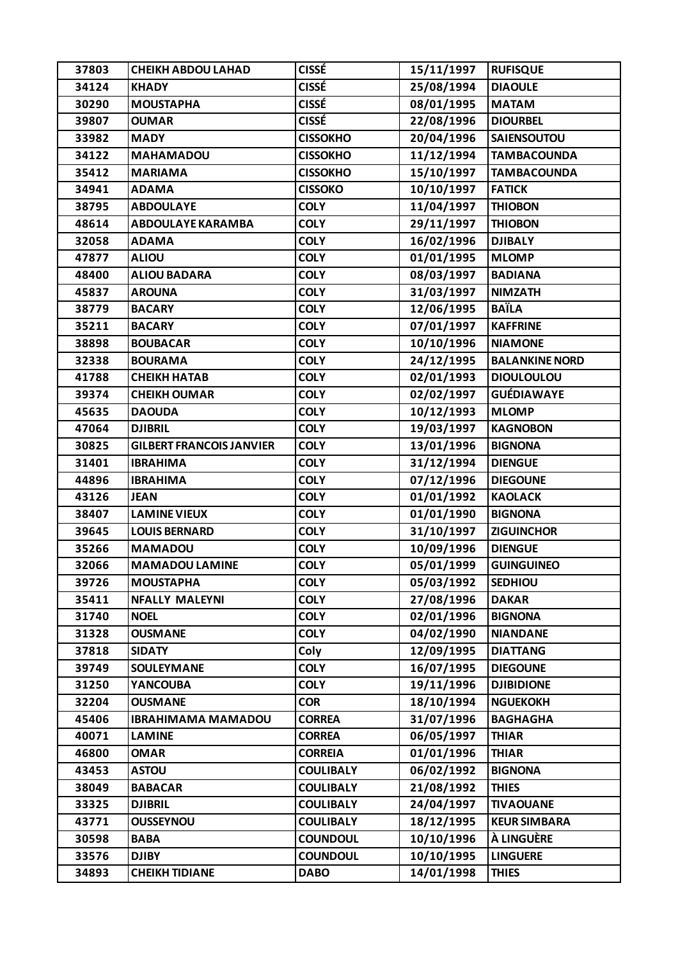| 37803 | <b>CHEIKH ABDOU LAHAD</b>       | <b>CISSÉ</b>     | 15/11/1997              | <b>RUFISQUE</b>       |
|-------|---------------------------------|------------------|-------------------------|-----------------------|
| 34124 | <b>KHADY</b>                    | <b>CISSÉ</b>     | 25/08/1994              | <b>DIAOULE</b>        |
| 30290 | <b>MOUSTAPHA</b>                | <b>CISSÉ</b>     | 08/01/1995              | <b>MATAM</b>          |
| 39807 | <b>OUMAR</b>                    | <b>CISSÉ</b>     | 22/08/1996              | <b>DIOURBEL</b>       |
| 33982 | <b>MADY</b>                     | <b>CISSOKHO</b>  | 20/04/1996              | <b>SAIENSOUTOU</b>    |
| 34122 | <b>MAHAMADOU</b>                | <b>CISSOKHO</b>  | 11/12/1994              | <b>TAMBACOUNDA</b>    |
| 35412 | <b>MARIAMA</b>                  | <b>CISSOKHO</b>  | 15/10/1997              | <b>TAMBACOUNDA</b>    |
| 34941 | <b>ADAMA</b>                    | <b>CISSOKO</b>   | 10/10/1997              | <b>FATICK</b>         |
| 38795 | <b>ABDOULAYE</b>                | <b>COLY</b>      | $\overline{11/04/1997}$ | <b>THIOBON</b>        |
| 48614 | <b>ABDOULAYE KARAMBA</b>        | <b>COLY</b>      | 29/11/1997              | <b>THIOBON</b>        |
| 32058 | <b>ADAMA</b>                    | <b>COLY</b>      | 16/02/1996              | <b>DJIBALY</b>        |
| 47877 | <b>ALIOU</b>                    | <b>COLY</b>      | 01/01/1995              | <b>MLOMP</b>          |
| 48400 | <b>ALIOU BADARA</b>             | <b>COLY</b>      | 08/03/1997              | <b>BADIANA</b>        |
| 45837 | <b>AROUNA</b>                   | <b>COLY</b>      | 31/03/1997              | <b>NIMZATH</b>        |
| 38779 | <b>BACARY</b>                   | <b>COLY</b>      | 12/06/1995              | <b>BAÏLA</b>          |
| 35211 | <b>BACARY</b>                   | <b>COLY</b>      | 07/01/1997              | <b>KAFFRINE</b>       |
| 38898 | <b>BOUBACAR</b>                 | <b>COLY</b>      | 10/10/1996              | <b>NIAMONE</b>        |
| 32338 | <b>BOURAMA</b>                  | <b>COLY</b>      | 24/12/1995              | <b>BALANKINE NORD</b> |
| 41788 | СНЕІКН НАТАВ                    | <b>COLY</b>      | 02/01/1993              | <b>DIOULOULOU</b>     |
| 39374 | <b>CHEIKH OUMAR</b>             | <b>COLY</b>      | 02/02/1997              | <b>GUÉDIAWAYE</b>     |
| 45635 | <b>DAOUDA</b>                   | <b>COLY</b>      | 10/12/1993              | <b>MLOMP</b>          |
| 47064 | <b>DJIBRIL</b>                  | <b>COLY</b>      | 19/03/1997              | <b>KAGNOBON</b>       |
| 30825 | <b>GILBERT FRANCOIS JANVIER</b> | <b>COLY</b>      | 13/01/1996              | <b>BIGNONA</b>        |
| 31401 | <b>IBRAHIMA</b>                 | <b>COLY</b>      | 31/12/1994              | <b>DIENGUE</b>        |
| 44896 | <b>IBRAHIMA</b>                 | <b>COLY</b>      | 07/12/1996              | <b>DIEGOUNE</b>       |
| 43126 | <b>JEAN</b>                     | <b>COLY</b>      | 01/01/1992              | <b>KAOLACK</b>        |
| 38407 | <b>LAMINE VIEUX</b>             | <b>COLY</b>      | 01/01/1990              | <b>BIGNONA</b>        |
| 39645 | <b>LOUIS BERNARD</b>            | <b>COLY</b>      | 31/10/1997              | <b>ZIGUINCHOR</b>     |
| 35266 | <b>MAMADOU</b>                  | <b>COLY</b>      | 10/09/1996              | <b>DIENGUE</b>        |
| 32066 | <b>MAMADOU LAMINE</b>           | <b>COLY</b>      | 05/01/1999              | <b>GUINGUINEO</b>     |
| 39726 | <b>MOUSTAPHA</b>                | <b>COLY</b>      | 05/03/1992              | <b>SEDHIOU</b>        |
| 35411 | <b>NFALLY MALEYNI</b>           | <b>COLY</b>      | 27/08/1996              | <b>DAKAR</b>          |
| 31740 | <b>NOEL</b>                     | <b>COLY</b>      | 02/01/1996              | <b>BIGNONA</b>        |
| 31328 | <b>OUSMANE</b>                  | <b>COLY</b>      | 04/02/1990              | <b>NIANDANE</b>       |
| 37818 | <b>SIDATY</b>                   | Coly             | 12/09/1995              | <b>DIATTANG</b>       |
| 39749 | <b>SOULEYMANE</b>               | <b>COLY</b>      | 16/07/1995              | <b>DIEGOUNE</b>       |
| 31250 | <b>YANCOUBA</b>                 | <b>COLY</b>      | 19/11/1996              | <b>DJIBIDIONE</b>     |
| 32204 | <b>OUSMANE</b>                  | <b>COR</b>       | 18/10/1994              | <b>NGUEKOKH</b>       |
| 45406 | <b>IBRAHIMAMA MAMADOU</b>       | <b>CORREA</b>    | 31/07/1996              | <b>BAGHAGHA</b>       |
| 40071 | <b>LAMINE</b>                   | <b>CORREA</b>    | 06/05/1997              | <b>THIAR</b>          |
| 46800 | <b>OMAR</b>                     | <b>CORREIA</b>   | 01/01/1996              | <b>THIAR</b>          |
| 43453 | <b>ASTOU</b>                    | <b>COULIBALY</b> | 06/02/1992              | <b>BIGNONA</b>        |
| 38049 | <b>BABACAR</b>                  | <b>COULIBALY</b> | 21/08/1992              | <b>THIES</b>          |
| 33325 | <b>DJIBRIL</b>                  | <b>COULIBALY</b> | 24/04/1997              | <b>TIVAOUANE</b>      |
| 43771 | <b>OUSSEYNOU</b>                | <b>COULIBALY</b> | 18/12/1995              | <b>KEUR SIMBARA</b>   |
| 30598 | <b>BABA</b>                     | <b>COUNDOUL</b>  | 10/10/1996              | À LINGUÈRE            |
| 33576 | <b>DJIBY</b>                    | <b>COUNDOUL</b>  | 10/10/1995              | <b>LINGUERE</b>       |
| 34893 | <b>CHEIKH TIDIANE</b>           | <b>DABO</b>      | 14/01/1998              | <b>THIES</b>          |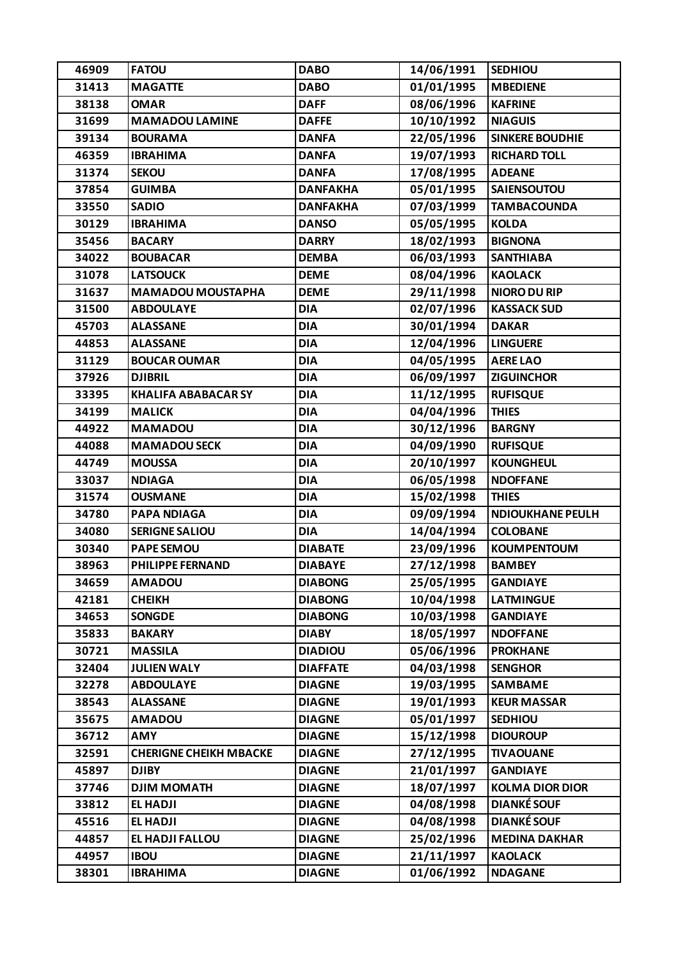| 46909 | <b>FATOU</b>                  | <b>DABO</b>     | 14/06/1991              | <b>SEDHIOU</b>          |
|-------|-------------------------------|-----------------|-------------------------|-------------------------|
| 31413 | <b>MAGATTE</b>                | <b>DABO</b>     | 01/01/1995              | <b>MBEDIENE</b>         |
| 38138 | <b>OMAR</b>                   | <b>DAFF</b>     | 08/06/1996              | <b>KAFRINE</b>          |
| 31699 | <b>MAMADOU LAMINE</b>         | <b>DAFFE</b>    | 10/10/1992              | <b>NIAGUIS</b>          |
| 39134 | <b>BOURAMA</b>                | <b>DANFA</b>    | 22/05/1996              | <b>SINKERE BOUDHIE</b>  |
| 46359 | <b>IBRAHIMA</b>               | <b>DANFA</b>    | $\overline{19/07/1993}$ | <b>RICHARD TOLL</b>     |
| 31374 | <b>SEKOU</b>                  | <b>DANFA</b>    | 17/08/1995              | <b>ADEANE</b>           |
| 37854 | <b>GUIMBA</b>                 | <b>DANFAKHA</b> | 05/01/1995              | <b>SAIENSOUTOU</b>      |
| 33550 | <b>SADIO</b>                  | <b>DANFAKHA</b> | 07/03/1999              | <b>TAMBACOUNDA</b>      |
| 30129 | <b>IBRAHIMA</b>               | <b>DANSO</b>    | 05/05/1995              | <b>KOLDA</b>            |
| 35456 | <b>BACARY</b>                 | <b>DARRY</b>    | 18/02/1993              | <b>BIGNONA</b>          |
| 34022 | <b>BOUBACAR</b>               | <b>DEMBA</b>    | 06/03/1993              | <b>SANTHIABA</b>        |
| 31078 | <b>LATSOUCK</b>               | <b>DEME</b>     | 08/04/1996              | <b>KAOLACK</b>          |
| 31637 | <b>MAMADOU MOUSTAPHA</b>      | <b>DEME</b>     | 29/11/1998              | <b>NIORO DU RIP</b>     |
| 31500 | <b>ABDOULAYE</b>              | <b>DIA</b>      | 02/07/1996              | <b>KASSACK SUD</b>      |
| 45703 | <b>ALASSANE</b>               | <b>DIA</b>      | 30/01/1994              | <b>DAKAR</b>            |
| 44853 | <b>ALASSANE</b>               | DIA             | 12/04/1996              | <b>LINGUERE</b>         |
| 31129 | <b>BOUCAR OUMAR</b>           | <b>DIA</b>      | 04/05/1995              | <b>AERE LAO</b>         |
| 37926 | <b>DJIBRIL</b>                | <b>DIA</b>      | 06/09/1997              | <b>ZIGUINCHOR</b>       |
| 33395 | <b>KHALIFA ABABACAR SY</b>    | <b>DIA</b>      | 11/12/1995              | <b>RUFISQUE</b>         |
| 34199 | <b>MALICK</b>                 | <b>DIA</b>      | 04/04/1996              | <b>THIES</b>            |
| 44922 | <b>MAMADOU</b>                | <b>DIA</b>      | 30/12/1996              | <b>BARGNY</b>           |
| 44088 | <b>MAMADOU SECK</b>           | <b>DIA</b>      | 04/09/1990              | <b>RUFISQUE</b>         |
| 44749 | <b>MOUSSA</b>                 | <b>DIA</b>      | 20/10/1997              | <b>KOUNGHEUL</b>        |
| 33037 | <b>NDIAGA</b>                 | <b>DIA</b>      | 06/05/1998              | <b>NDOFFANE</b>         |
| 31574 | <b>OUSMANE</b>                | <b>DIA</b>      | 15/02/1998              | <b>THIES</b>            |
| 34780 | <b>PAPA NDIAGA</b>            | <b>DIA</b>      | 09/09/1994              | <b>NDIOUKHANE PEULH</b> |
| 34080 | <b>SERIGNE SALIOU</b>         | <b>DIA</b>      | 14/04/1994              | <b>COLOBANE</b>         |
| 30340 | <b>PAPE SEMOU</b>             | <b>DIABATE</b>  | 23/09/1996              | <b>KOUMPENTOUM</b>      |
| 38963 | <b>PHILIPPE FERNAND</b>       | <b>DIABAYE</b>  | 27/12/1998              | <b>BAMBEY</b>           |
| 34659 | <b>AMADOU</b>                 | <b>DIABONG</b>  | 25/05/1995              | <b>GANDIAYE</b>         |
| 42181 | <b>CHEIKH</b>                 | <b>DIABONG</b>  | 10/04/1998              | <b>LATMINGUE</b>        |
| 34653 | <b>SONGDE</b>                 | <b>DIABONG</b>  | 10/03/1998              | <b>GANDIAYE</b>         |
| 35833 | <b>BAKARY</b>                 | <b>DIABY</b>    | 18/05/1997              | <b>NDOFFANE</b>         |
| 30721 | <b>MASSILA</b>                | <b>DIADIOU</b>  | 05/06/1996              | <b>PROKHANE</b>         |
| 32404 | <b>JULIEN WALY</b>            | <b>DIAFFATE</b> | 04/03/1998              | <b>SENGHOR</b>          |
| 32278 | <b>ABDOULAYE</b>              | <b>DIAGNE</b>   | 19/03/1995              | <b>SAMBAME</b>          |
| 38543 | <b>ALASSANE</b>               | <b>DIAGNE</b>   | 19/01/1993              | <b>KEUR MASSAR</b>      |
| 35675 | <b>AMADOU</b>                 | <b>DIAGNE</b>   | 05/01/1997              | <b>SEDHIOU</b>          |
| 36712 | <b>AMY</b>                    | <b>DIAGNE</b>   | 15/12/1998              | <b>DIOUROUP</b>         |
| 32591 | <b>CHERIGNE CHEIKH MBACKE</b> | <b>DIAGNE</b>   | 27/12/1995              | <b>TIVAOUANE</b>        |
| 45897 | <b>DJIBY</b>                  | <b>DIAGNE</b>   | 21/01/1997              | <b>GANDIAYE</b>         |
| 37746 | <b>DJIM MOMATH</b>            | <b>DIAGNE</b>   | 18/07/1997              | <b>KOLMA DIOR DIOR</b>  |
| 33812 | <b>EL HADJI</b>               | <b>DIAGNE</b>   | 04/08/1998              | <b>DIANKÉ SOUF</b>      |
| 45516 | <b>EL HADJI</b>               | <b>DIAGNE</b>   | 04/08/1998              | <b>DIANKÉ SOUF</b>      |
| 44857 | EL HADJI FALLOU               | <b>DIAGNE</b>   | 25/02/1996              | <b>MEDINA DAKHAR</b>    |
| 44957 | <b>IBOU</b>                   | <b>DIAGNE</b>   | 21/11/1997              | <b>KAOLACK</b>          |
| 38301 | <b>IBRAHIMA</b>               | <b>DIAGNE</b>   | 01/06/1992              | <b>NDAGANE</b>          |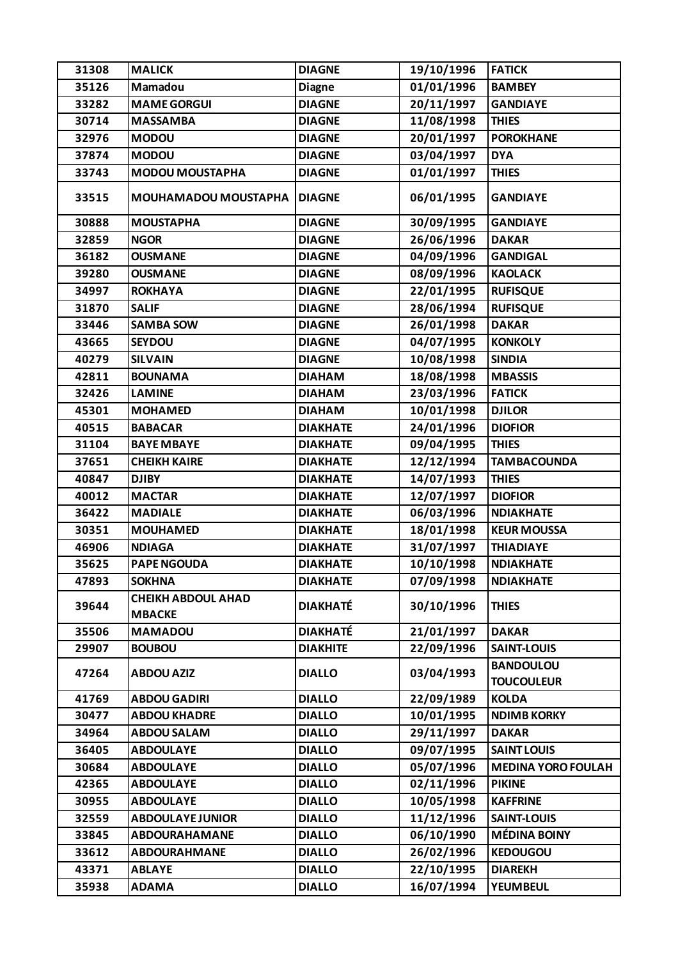| 31308 | <b>MALICK</b>                              | <b>DIAGNE</b>   | 19/10/1996 | <b>FATICK</b>                         |
|-------|--------------------------------------------|-----------------|------------|---------------------------------------|
| 35126 | Mamadou                                    | <b>Diagne</b>   | 01/01/1996 | <b>BAMBEY</b>                         |
| 33282 | <b>MAME GORGUI</b>                         | <b>DIAGNE</b>   | 20/11/1997 | <b>GANDIAYE</b>                       |
| 30714 | <b>MASSAMBA</b>                            | <b>DIAGNE</b>   | 11/08/1998 | <b>THIES</b>                          |
| 32976 | <b>MODOU</b>                               | <b>DIAGNE</b>   | 20/01/1997 | <b>POROKHANE</b>                      |
| 37874 | <b>MODOU</b>                               | <b>DIAGNE</b>   | 03/04/1997 | <b>DYA</b>                            |
| 33743 | <b>MODOU MOUSTAPHA</b>                     | <b>DIAGNE</b>   | 01/01/1997 | <b>THIES</b>                          |
| 33515 | <b>MOUHAMADOU MOUSTAPHA</b>                | <b>DIAGNE</b>   | 06/01/1995 | <b>GANDIAYE</b>                       |
| 30888 | <b>MOUSTAPHA</b>                           | <b>DIAGNE</b>   | 30/09/1995 | <b>GANDIAYE</b>                       |
| 32859 | <b>NGOR</b>                                | <b>DIAGNE</b>   | 26/06/1996 | <b>DAKAR</b>                          |
| 36182 | <b>OUSMANE</b>                             | <b>DIAGNE</b>   | 04/09/1996 | <b>GANDIGAL</b>                       |
| 39280 | <b>OUSMANE</b>                             | <b>DIAGNE</b>   | 08/09/1996 | <b>KAOLACK</b>                        |
| 34997 | <b>ROKHAYA</b>                             | <b>DIAGNE</b>   | 22/01/1995 | <b>RUFISQUE</b>                       |
| 31870 | <b>SALIF</b>                               | <b>DIAGNE</b>   | 28/06/1994 | <b>RUFISQUE</b>                       |
| 33446 | <b>SAMBA SOW</b>                           | <b>DIAGNE</b>   | 26/01/1998 | <b>DAKAR</b>                          |
| 43665 | <b>SEYDOU</b>                              | <b>DIAGNE</b>   | 04/07/1995 | <b>KONKOLY</b>                        |
| 40279 | <b>SILVAIN</b>                             | <b>DIAGNE</b>   | 10/08/1998 | <b>SINDIA</b>                         |
| 42811 | <b>BOUNAMA</b>                             | <b>DIAHAM</b>   | 18/08/1998 | <b>MBASSIS</b>                        |
| 32426 | <b>LAMINE</b>                              | <b>DIAHAM</b>   | 23/03/1996 | <b>FATICK</b>                         |
| 45301 | <b>MOHAMED</b>                             | <b>DIAHAM</b>   | 10/01/1998 | <b>DJILOR</b>                         |
| 40515 | <b>BABACAR</b>                             | <b>DIAKHATE</b> | 24/01/1996 | <b>DIOFIOR</b>                        |
| 31104 | <b>BAYE MBAYE</b>                          | <b>DIAKHATE</b> | 09/04/1995 | <b>THIES</b>                          |
| 37651 | <b>CHEIKH KAIRE</b>                        | <b>DIAKHATE</b> | 12/12/1994 | <b>TAMBACOUNDA</b>                    |
| 40847 | <b>DJIBY</b>                               | <b>DIAKHATE</b> | 14/07/1993 | <b>THIES</b>                          |
| 40012 | <b>MACTAR</b>                              | <b>DIAKHATE</b> | 12/07/1997 | <b>DIOFIOR</b>                        |
| 36422 | <b>MADIALE</b>                             | <b>DIAKHATE</b> | 06/03/1996 | <b>NDIAKHATE</b>                      |
| 30351 | <b>MOUHAMED</b>                            | <b>DIAKHATE</b> | 18/01/1998 | <b>KEUR MOUSSA</b>                    |
| 46906 | <b>NDIAGA</b>                              | <b>DIAKHATE</b> | 31/07/1997 | <b>THIADIAYE</b>                      |
| 35625 | <b>PAPE NGOUDA</b>                         | <b>DIAKHATE</b> | 10/10/1998 | <b>NDIAKHATE</b>                      |
| 47893 | <b>SOKHNA</b>                              | <b>DIAKHATE</b> | 07/09/1998 | <b>NDIAKHATE</b>                      |
| 39644 | <b>CHEIKH ABDOUL AHAD</b><br><b>MBACKE</b> | <b>DIAKHATÉ</b> | 30/10/1996 | <b>THIES</b>                          |
| 35506 | <b>MAMADOU</b>                             | <b>DIAKHATÉ</b> | 21/01/1997 | <b>DAKAR</b>                          |
| 29907 | <b>BOUBOU</b>                              | <b>DIAKHITE</b> | 22/09/1996 | <b>SAINT-LOUIS</b>                    |
| 47264 | <b>ABDOU AZIZ</b>                          | <b>DIALLO</b>   | 03/04/1993 | <b>BANDOULOU</b><br><b>TOUCOULEUR</b> |
| 41769 | <b>ABDOU GADIRI</b>                        | <b>DIALLO</b>   | 22/09/1989 | <b>KOLDA</b>                          |
| 30477 | <b>ABDOU KHADRE</b>                        | <b>DIALLO</b>   | 10/01/1995 | <b>NDIMB KORKY</b>                    |
| 34964 | <b>ABDOU SALAM</b>                         | <b>DIALLO</b>   | 29/11/1997 | <b>DAKAR</b>                          |
| 36405 | <b>ABDOULAYE</b>                           | <b>DIALLO</b>   | 09/07/1995 | <b>SAINT LOUIS</b>                    |
| 30684 | <b>ABDOULAYE</b>                           | <b>DIALLO</b>   | 05/07/1996 | <b>MEDINA YORO FOULAH</b>             |
| 42365 | <b>ABDOULAYE</b>                           | <b>DIALLO</b>   | 02/11/1996 | <b>PIKINE</b>                         |
| 30955 | <b>ABDOULAYE</b>                           | <b>DIALLO</b>   | 10/05/1998 | <b>KAFFRINE</b>                       |
| 32559 | <b>ABDOULAYE JUNIOR</b>                    | <b>DIALLO</b>   | 11/12/1996 | <b>SAINT-LOUIS</b>                    |
| 33845 | <b>ABDOURAHAMANE</b>                       | <b>DIALLO</b>   | 06/10/1990 | <b>MÉDINA BOINY</b>                   |
| 33612 | <b>ABDOURAHMANE</b>                        | <b>DIALLO</b>   | 26/02/1996 | <b>KEDOUGOU</b>                       |
| 43371 | <b>ABLAYE</b>                              | <b>DIALLO</b>   | 22/10/1995 | <b>DIAREKH</b>                        |
| 35938 | <b>ADAMA</b>                               | <b>DIALLO</b>   | 16/07/1994 | <b>YEUMBEUL</b>                       |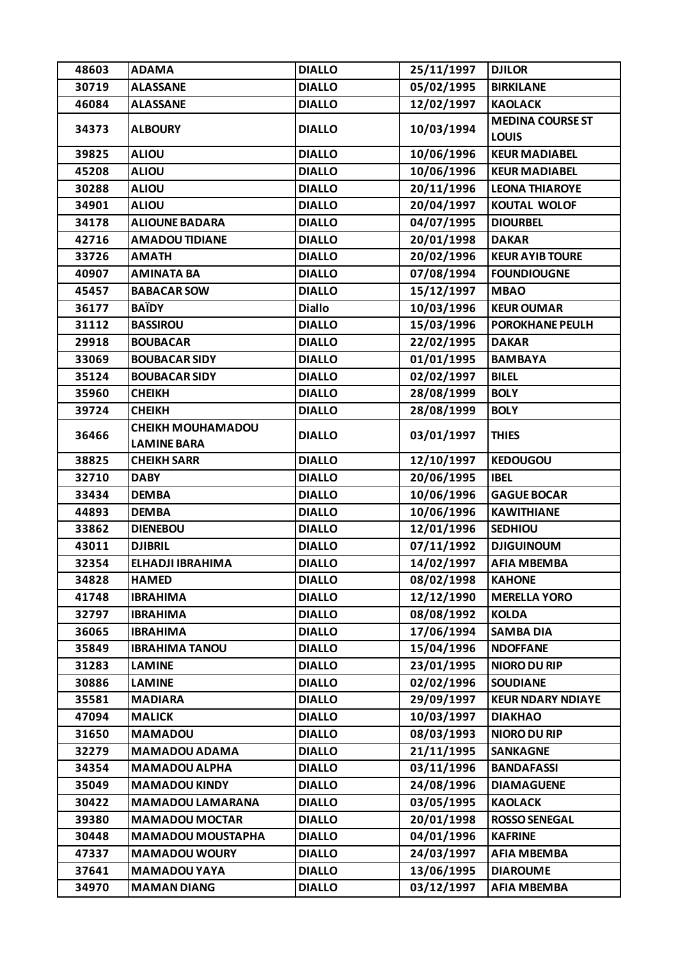| 48603 | <b>ADAMA</b>                                   | <b>DIALLO</b> | 25/11/1997 | <b>DJILOR</b>                           |
|-------|------------------------------------------------|---------------|------------|-----------------------------------------|
| 30719 | <b>ALASSANE</b>                                | <b>DIALLO</b> | 05/02/1995 | <b>BIRKILANE</b>                        |
| 46084 | <b>ALASSANE</b>                                | <b>DIALLO</b> | 12/02/1997 | <b>KAOLACK</b>                          |
| 34373 | <b>ALBOURY</b>                                 | <b>DIALLO</b> | 10/03/1994 | <b>MEDINA COURSE ST</b><br><b>LOUIS</b> |
| 39825 | <b>ALIOU</b>                                   | <b>DIALLO</b> | 10/06/1996 | <b>KEUR MADIABEL</b>                    |
| 45208 | <b>ALIOU</b>                                   | <b>DIALLO</b> | 10/06/1996 | <b>KEUR MADIABEL</b>                    |
| 30288 | <b>ALIOU</b>                                   | <b>DIALLO</b> | 20/11/1996 | <b>LEONA THIAROYE</b>                   |
| 34901 | <b>ALIOU</b>                                   | <b>DIALLO</b> | 20/04/1997 | <b>KOUTAL WOLOF</b>                     |
| 34178 | <b>ALIOUNE BADARA</b>                          | <b>DIALLO</b> | 04/07/1995 | <b>DIOURBEL</b>                         |
| 42716 | <b>AMADOU TIDIANE</b>                          | <b>DIALLO</b> | 20/01/1998 | <b>DAKAR</b>                            |
| 33726 | <b>AMATH</b>                                   | <b>DIALLO</b> | 20/02/1996 | <b>KEUR AYIB TOURE</b>                  |
| 40907 | <b>AMINATA BA</b>                              | <b>DIALLO</b> | 07/08/1994 | <b>FOUNDIOUGNE</b>                      |
| 45457 | <b>BABACAR SOW</b>                             | <b>DIALLO</b> | 15/12/1997 | <b>MBAO</b>                             |
| 36177 | <b>BAIDY</b>                                   | <b>Diallo</b> | 10/03/1996 | <b>KEUR OUMAR</b>                       |
| 31112 | <b>BASSIROU</b>                                | <b>DIALLO</b> | 15/03/1996 | <b>POROKHANE PEULH</b>                  |
| 29918 | <b>BOUBACAR</b>                                | <b>DIALLO</b> | 22/02/1995 | <b>DAKAR</b>                            |
| 33069 | <b>BOUBACAR SIDY</b>                           | <b>DIALLO</b> | 01/01/1995 | <b>BAMBAYA</b>                          |
| 35124 | <b>BOUBACAR SIDY</b>                           | <b>DIALLO</b> | 02/02/1997 | <b>BILEL</b>                            |
| 35960 | <b>CHEIKH</b>                                  | <b>DIALLO</b> | 28/08/1999 | <b>BOLY</b>                             |
| 39724 | <b>CHEIKH</b>                                  | <b>DIALLO</b> | 28/08/1999 | <b>BOLY</b>                             |
| 36466 | <b>CHEIKH MOUHAMADOU</b><br><b>LAMINE BARA</b> | <b>DIALLO</b> | 03/01/1997 | <b>THIES</b>                            |
| 38825 | <b>CHEIKH SARR</b>                             | <b>DIALLO</b> | 12/10/1997 | <b>KEDOUGOU</b>                         |
| 32710 | <b>DABY</b>                                    | <b>DIALLO</b> | 20/06/1995 | <b>IBEL</b>                             |
| 33434 | <b>DEMBA</b>                                   | <b>DIALLO</b> | 10/06/1996 | <b>GAGUE BOCAR</b>                      |
| 44893 | <b>DEMBA</b>                                   | <b>DIALLO</b> | 10/06/1996 | <b>KAWITHIANE</b>                       |
| 33862 | <b>DIENEBOU</b>                                | <b>DIALLO</b> | 12/01/1996 | <b>SEDHIOU</b>                          |
| 43011 | <b>DJIBRIL</b>                                 | <b>DIALLO</b> | 07/11/1992 | <b>DJIGUINOUM</b>                       |
| 32354 | <b>ELHADJI IBRAHIMA</b>                        | <b>DIALLO</b> | 14/02/1997 | <b>AFIA MBEMBA</b>                      |
| 34828 | <b>HAMED</b>                                   | <b>DIALLO</b> | 08/02/1998 | <b>KAHONE</b>                           |
| 41748 | <b>IBRAHIMA</b>                                | <b>DIALLO</b> | 12/12/1990 | <b>MERELLA YORO</b>                     |
| 32797 | <b>IBRAHIMA</b>                                | <b>DIALLO</b> | 08/08/1992 | <b>KOLDA</b>                            |
| 36065 | <b>IBRAHIMA</b>                                | <b>DIALLO</b> | 17/06/1994 | <b>SAMBA DIA</b>                        |
| 35849 | <b>IBRAHIMA TANOU</b>                          | <b>DIALLO</b> | 15/04/1996 | <b>NDOFFANE</b>                         |
| 31283 | <b>LAMINE</b>                                  | <b>DIALLO</b> | 23/01/1995 | <b>NIORO DU RIP</b>                     |
| 30886 | <b>LAMINE</b>                                  | <b>DIALLO</b> | 02/02/1996 | <b>SOUDIANE</b>                         |
| 35581 | <b>MADIARA</b>                                 | <b>DIALLO</b> | 29/09/1997 | <b>KEUR NDARY NDIAYE</b>                |
| 47094 | <b>MALICK</b>                                  | <b>DIALLO</b> | 10/03/1997 | <b>DIAKHAO</b>                          |
| 31650 | <b>MAMADOU</b>                                 | <b>DIALLO</b> | 08/03/1993 | <b>NIORO DU RIP</b>                     |
| 32279 | <b>MAMADOU ADAMA</b>                           | <b>DIALLO</b> | 21/11/1995 | <b>SANKAGNE</b>                         |
| 34354 | <b>MAMADOU ALPHA</b>                           | <b>DIALLO</b> | 03/11/1996 | <b>BANDAFASSI</b>                       |
| 35049 | <b>MAMADOU KINDY</b>                           | <b>DIALLO</b> | 24/08/1996 | <b>DIAMAGUENE</b>                       |
| 30422 | <b>MAMADOU LAMARANA</b>                        | <b>DIALLO</b> | 03/05/1995 | <b>KAOLACK</b>                          |
| 39380 | <b>MAMADOU MOCTAR</b>                          | <b>DIALLO</b> | 20/01/1998 | <b>ROSSO SENEGAL</b>                    |
| 30448 | <b>MAMADOU MOUSTAPHA</b>                       | <b>DIALLO</b> | 04/01/1996 | <b>KAFRINE</b>                          |
| 47337 | <b>MAMADOU WOURY</b>                           | <b>DIALLO</b> | 24/03/1997 | <b>AFIA MBEMBA</b>                      |
| 37641 | <b>MAMADOU YAYA</b>                            | <b>DIALLO</b> | 13/06/1995 | <b>DIAROUME</b>                         |
| 34970 | <b>MAMAN DIANG</b>                             | <b>DIALLO</b> | 03/12/1997 | <b>AFIA MBEMBA</b>                      |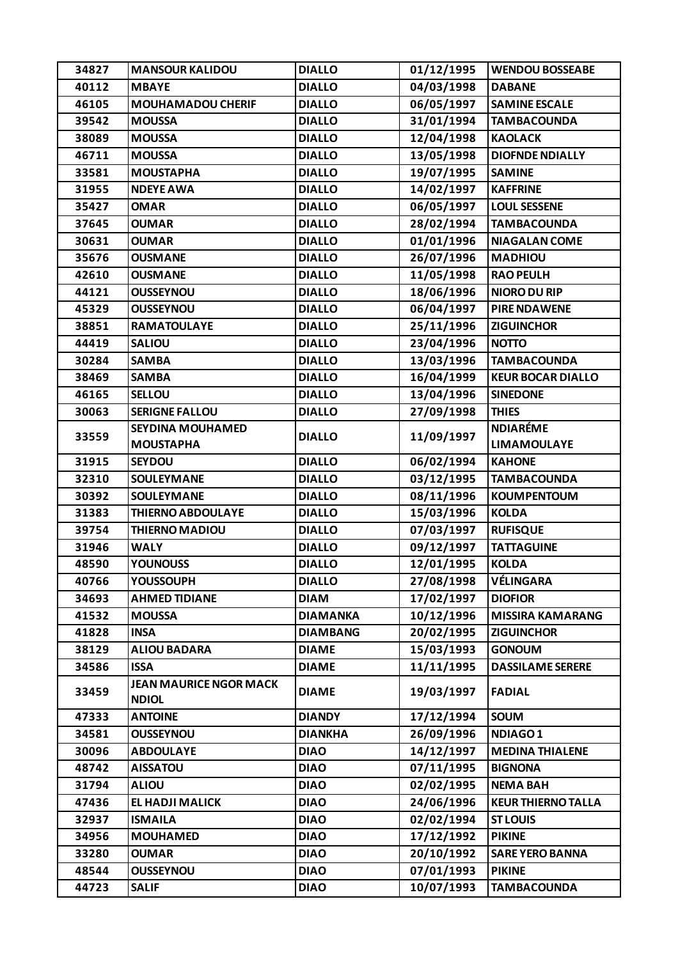| 34827 | <b>MANSOUR KALIDOU</b>                        | <b>DIALLO</b>   | 01/12/1995 | <b>WENDOU BOSSEABE</b>    |
|-------|-----------------------------------------------|-----------------|------------|---------------------------|
| 40112 | <b>MBAYE</b>                                  | <b>DIALLO</b>   | 04/03/1998 | <b>DABANE</b>             |
| 46105 | <b>MOUHAMADOU CHERIF</b>                      | <b>DIALLO</b>   | 06/05/1997 | <b>SAMINE ESCALE</b>      |
| 39542 | <b>MOUSSA</b>                                 | <b>DIALLO</b>   | 31/01/1994 | <b>TAMBACOUNDA</b>        |
| 38089 | <b>MOUSSA</b>                                 | <b>DIALLO</b>   | 12/04/1998 | <b>KAOLACK</b>            |
| 46711 | <b>MOUSSA</b>                                 | <b>DIALLO</b>   | 13/05/1998 | <b>DIOFNDE NDIALLY</b>    |
| 33581 | <b>MOUSTAPHA</b>                              | <b>DIALLO</b>   | 19/07/1995 | <b>SAMINE</b>             |
| 31955 | <b>NDEYE AWA</b>                              | <b>DIALLO</b>   | 14/02/1997 | <b>KAFFRINE</b>           |
| 35427 | <b>OMAR</b>                                   | <b>DIALLO</b>   | 06/05/1997 | <b>LOUL SESSENE</b>       |
| 37645 | <b>OUMAR</b>                                  | <b>DIALLO</b>   | 28/02/1994 | <b>TAMBACOUNDA</b>        |
| 30631 | <b>OUMAR</b>                                  | <b>DIALLO</b>   | 01/01/1996 | <b>NIAGALAN COME</b>      |
| 35676 | <b>OUSMANE</b>                                | <b>DIALLO</b>   | 26/07/1996 | <b>MADHIOU</b>            |
| 42610 | <b>OUSMANE</b>                                | <b>DIALLO</b>   | 11/05/1998 | <b>RAO PEULH</b>          |
| 44121 | <b>OUSSEYNOU</b>                              | <b>DIALLO</b>   | 18/06/1996 | <b>NIORO DU RIP</b>       |
| 45329 | <b>OUSSEYNOU</b>                              | <b>DIALLO</b>   | 06/04/1997 | <b>PIRE NDAWENE</b>       |
| 38851 | <b>RAMATOULAYE</b>                            | <b>DIALLO</b>   | 25/11/1996 | <b>ZIGUINCHOR</b>         |
| 44419 | <b>SALIOU</b>                                 | <b>DIALLO</b>   | 23/04/1996 | <b>NOTTO</b>              |
| 30284 | <b>SAMBA</b>                                  | <b>DIALLO</b>   | 13/03/1996 | <b>TAMBACOUNDA</b>        |
| 38469 | <b>SAMBA</b>                                  | <b>DIALLO</b>   | 16/04/1999 | <b>KEUR BOCAR DIALLO</b>  |
| 46165 | <b>SELLOU</b>                                 | <b>DIALLO</b>   | 13/04/1996 | <b>SINEDONE</b>           |
| 30063 | <b>SERIGNE FALLOU</b>                         | <b>DIALLO</b>   | 27/09/1998 | <b>THIES</b>              |
| 33559 | <b>SEYDINA MOUHAMED</b>                       | <b>DIALLO</b>   | 11/09/1997 | <b>NDIARÉME</b>           |
|       | <b>MOUSTAPHA</b>                              |                 |            | <b>LIMAMOULAYE</b>        |
| 31915 | <b>SEYDOU</b>                                 | <b>DIALLO</b>   | 06/02/1994 | <b>KAHONE</b>             |
| 32310 | <b>SOULEYMANE</b>                             | <b>DIALLO</b>   | 03/12/1995 | <b>TAMBACOUNDA</b>        |
| 30392 | <b>SOULEYMANE</b>                             | <b>DIALLO</b>   | 08/11/1996 | <b>KOUMPENTOUM</b>        |
| 31383 | <b>THIERNO ABDOULAYE</b>                      | <b>DIALLO</b>   | 15/03/1996 | <b>KOLDA</b>              |
| 39754 | <b>THIERNO MADIOU</b>                         | <b>DIALLO</b>   | 07/03/1997 | <b>RUFISQUE</b>           |
| 31946 | <b>WALY</b>                                   | <b>DIALLO</b>   | 09/12/1997 | <b>TATTAGUINE</b>         |
| 48590 | <b>YOUNOUSS</b>                               | <b>DIALLO</b>   | 12/01/1995 | <b>KOLDA</b>              |
| 40766 | <b>YOUSSOUPH</b>                              | <b>DIALLO</b>   | 27/08/1998 | <b>VÉLINGARA</b>          |
| 34693 | <b>AHMED TIDIANE</b>                          | <b>DIAM</b>     | 17/02/1997 | <b>DIOFIOR</b>            |
| 41532 | <b>MOUSSA</b>                                 | <b>DIAMANKA</b> | 10/12/1996 | <b>MISSIRA KAMARANG</b>   |
| 41828 | <b>INSA</b>                                   | <b>DIAMBANG</b> | 20/02/1995 | <b>ZIGUINCHOR</b>         |
| 38129 | <b>ALIOU BADARA</b>                           | <b>DIAME</b>    | 15/03/1993 | <b>GONOUM</b>             |
| 34586 | <b>ISSA</b>                                   | <b>DIAME</b>    | 11/11/1995 | <b>DASSILAME SERERE</b>   |
| 33459 | <b>JEAN MAURICE NGOR MACK</b><br><b>NDIOL</b> | <b>DIAME</b>    | 19/03/1997 | <b>FADIAL</b>             |
| 47333 | <b>ANTOINE</b>                                | <b>DIANDY</b>   | 17/12/1994 | <b>SOUM</b>               |
| 34581 | <b>OUSSEYNOU</b>                              | <b>DIANKHA</b>  | 26/09/1996 | <b>NDIAGO1</b>            |
| 30096 | <b>ABDOULAYE</b>                              | <b>DIAO</b>     | 14/12/1997 | <b>MEDINA THIALENE</b>    |
| 48742 | <b>AISSATOU</b>                               | <b>DIAO</b>     | 07/11/1995 | <b>BIGNONA</b>            |
| 31794 | <b>ALIOU</b>                                  | <b>DIAO</b>     | 02/02/1995 | <b>NEMA BAH</b>           |
| 47436 | EL HADJI MALICK                               | <b>DIAO</b>     | 24/06/1996 | <b>KEUR THIERNO TALLA</b> |
| 32937 | <b>ISMAILA</b>                                | <b>DIAO</b>     | 02/02/1994 | <b>ST LOUIS</b>           |
| 34956 | <b>MOUHAMED</b>                               | <b>DIAO</b>     | 17/12/1992 | <b>PIKINE</b>             |
| 33280 | <b>OUMAR</b>                                  | <b>DIAO</b>     | 20/10/1992 | <b>SARE YERO BANNA</b>    |
| 48544 | <b>OUSSEYNOU</b>                              | <b>DIAO</b>     | 07/01/1993 | <b>PIKINE</b>             |
| 44723 | <b>SALIF</b>                                  | <b>DIAO</b>     | 10/07/1993 | <b>TAMBACOUNDA</b>        |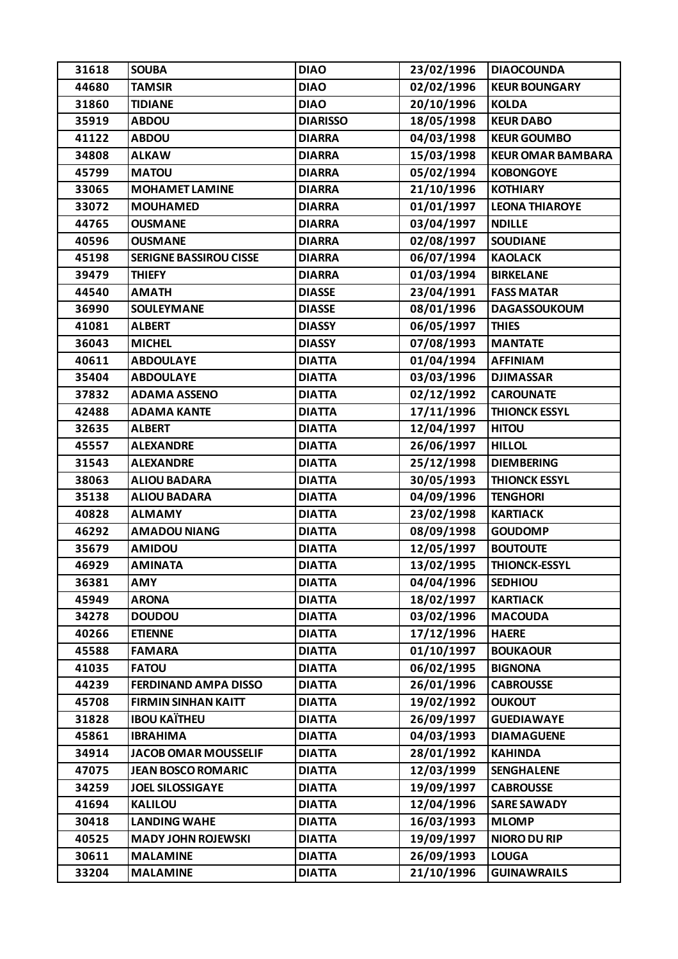| 31618 | <b>SOUBA</b>                  | <b>DIAO</b>     | 23/02/1996              | <b>DIAOCOUNDA</b>        |
|-------|-------------------------------|-----------------|-------------------------|--------------------------|
| 44680 | <b>TAMSIR</b>                 | <b>DIAO</b>     | 02/02/1996              | <b>KEUR BOUNGARY</b>     |
| 31860 | <b>TIDIANE</b>                | <b>DIAO</b>     | 20/10/1996              | <b>KOLDA</b>             |
| 35919 | <b>ABDOU</b>                  | <b>DIARISSO</b> | 18/05/1998              | <b>KEUR DABO</b>         |
| 41122 | <b>ABDOU</b>                  | <b>DIARRA</b>   | 04/03/1998              | <b>KEUR GOUMBO</b>       |
| 34808 | <b>ALKAW</b>                  | <b>DIARRA</b>   | 15/03/1998              | <b>KEUR OMAR BAMBARA</b> |
| 45799 | <b>MATOU</b>                  | <b>DIARRA</b>   | 05/02/1994              | <b>KOBONGOYE</b>         |
| 33065 | <b>MOHAMET LAMINE</b>         | <b>DIARRA</b>   | 21/10/1996              | <b>KOTHIARY</b>          |
| 33072 | <b>MOUHAMED</b>               | <b>DIARRA</b>   | $\overline{01/01/1997}$ | <b>LEONA THIAROYE</b>    |
| 44765 | <b>OUSMANE</b>                | <b>DIARRA</b>   | 03/04/1997              | <b>NDILLE</b>            |
| 40596 | <b>OUSMANE</b>                | <b>DIARRA</b>   | 02/08/1997              | <b>SOUDIANE</b>          |
| 45198 | <b>SERIGNE BASSIROU CISSE</b> | <b>DIARRA</b>   | 06/07/1994              | <b>KAOLACK</b>           |
| 39479 | <b>THIEFY</b>                 | <b>DIARRA</b>   | 01/03/1994              | <b>BIRKELANE</b>         |
| 44540 | <b>AMATH</b>                  | <b>DIASSE</b>   | 23/04/1991              | <b>FASS MATAR</b>        |
| 36990 | <b>SOULEYMANE</b>             | <b>DIASSE</b>   | 08/01/1996              | <b>DAGASSOUKOUM</b>      |
| 41081 | <b>ALBERT</b>                 | <b>DIASSY</b>   | 06/05/1997              | <b>THIES</b>             |
| 36043 | <b>MICHEL</b>                 | <b>DIASSY</b>   | 07/08/1993              | <b>MANTATE</b>           |
| 40611 | <b>ABDOULAYE</b>              | <b>DIATTA</b>   | 01/04/1994              | <b>AFFINIAM</b>          |
| 35404 | <b>ABDOULAYE</b>              | <b>DIATTA</b>   | 03/03/1996              | <b>DJIMASSAR</b>         |
| 37832 | <b>ADAMA ASSENO</b>           | <b>DIATTA</b>   | 02/12/1992              | <b>CAROUNATE</b>         |
| 42488 | <b>ADAMA KANTE</b>            | <b>DIATTA</b>   | 17/11/1996              | <b>THIONCK ESSYL</b>     |
| 32635 | <b>ALBERT</b>                 | <b>DIATTA</b>   | 12/04/1997              | <b>HITOU</b>             |
| 45557 | <b>ALEXANDRE</b>              | <b>DIATTA</b>   | 26/06/1997              | <b>HILLOL</b>            |
| 31543 | <b>ALEXANDRE</b>              | <b>DIATTA</b>   | 25/12/1998              | <b>DIEMBERING</b>        |
| 38063 | <b>ALIOU BADARA</b>           | <b>DIATTA</b>   | 30/05/1993              | <b>THIONCK ESSYL</b>     |
| 35138 | <b>ALIOU BADARA</b>           | <b>DIATTA</b>   | 04/09/1996              | <b>TENGHORI</b>          |
| 40828 | <b>ALMAMY</b>                 | <b>DIATTA</b>   | 23/02/1998              | <b>KARTIACK</b>          |
| 46292 | <b>AMADOU NIANG</b>           | <b>DIATTA</b>   | 08/09/1998              | <b>GOUDOMP</b>           |
| 35679 | <b>AMIDOU</b>                 | <b>DIATTA</b>   | 12/05/1997              | <b>BOUTOUTE</b>          |
| 46929 | <b>AMINATA</b>                | <b>DIATTA</b>   | 13/02/1995              | <b>THIONCK-ESSYL</b>     |
| 36381 | <b>AMY</b>                    | <b>DIATTA</b>   | 04/04/1996              | <b>SEDHIOU</b>           |
| 45949 | <b>ARONA</b>                  | <b>DIATTA</b>   | 18/02/1997              | <b>KARTIACK</b>          |
| 34278 | <b>DOUDOU</b>                 | <b>DIATTA</b>   | 03/02/1996              | <b>MACOUDA</b>           |
| 40266 | <b>ETIENNE</b>                | <b>DIATTA</b>   | 17/12/1996              | <b>HAERE</b>             |
| 45588 | <b>FAMARA</b>                 | <b>DIATTA</b>   | 01/10/1997              | <b>BOUKAOUR</b>          |
| 41035 | <b>FATOU</b>                  | <b>DIATTA</b>   | 06/02/1995              | <b>BIGNONA</b>           |
| 44239 | <b>FERDINAND AMPA DISSO</b>   | <b>DIATTA</b>   | 26/01/1996              | <b>CABROUSSE</b>         |
| 45708 | <b>FIRMIN SINHAN KAITT</b>    | <b>DIATTA</b>   | 19/02/1992              | <b>OUKOUT</b>            |
| 31828 | <b>IBOU KAÏTHEU</b>           | <b>DIATTA</b>   | 26/09/1997              | <b>GUEDIAWAYE</b>        |
| 45861 | <b>IBRAHIMA</b>               | <b>DIATTA</b>   | 04/03/1993              | <b>DIAMAGUENE</b>        |
| 34914 | <b>JACOB OMAR MOUSSELIF</b>   | <b>DIATTA</b>   | 28/01/1992              | <b>KAHINDA</b>           |
| 47075 | <b>JEAN BOSCO ROMARIC</b>     | <b>DIATTA</b>   | 12/03/1999              | <b>SENGHALENE</b>        |
| 34259 | <b>JOEL SILOSSIGAYE</b>       | <b>DIATTA</b>   | 19/09/1997              | <b>CABROUSSE</b>         |
| 41694 | <b>KALILOU</b>                | <b>DIATTA</b>   | 12/04/1996              | <b>SARE SAWADY</b>       |
| 30418 | <b>LANDING WAHE</b>           | <b>DIATTA</b>   | 16/03/1993              | <b>MLOMP</b>             |
| 40525 | <b>MADY JOHN ROJEWSKI</b>     | <b>DIATTA</b>   | 19/09/1997              | <b>NIORO DU RIP</b>      |
| 30611 | <b>MALAMINE</b>               | <b>DIATTA</b>   | 26/09/1993              | <b>LOUGA</b>             |
| 33204 | <b>MALAMINE</b>               | <b>DIATTA</b>   | 21/10/1996              | <b>GUINAWRAILS</b>       |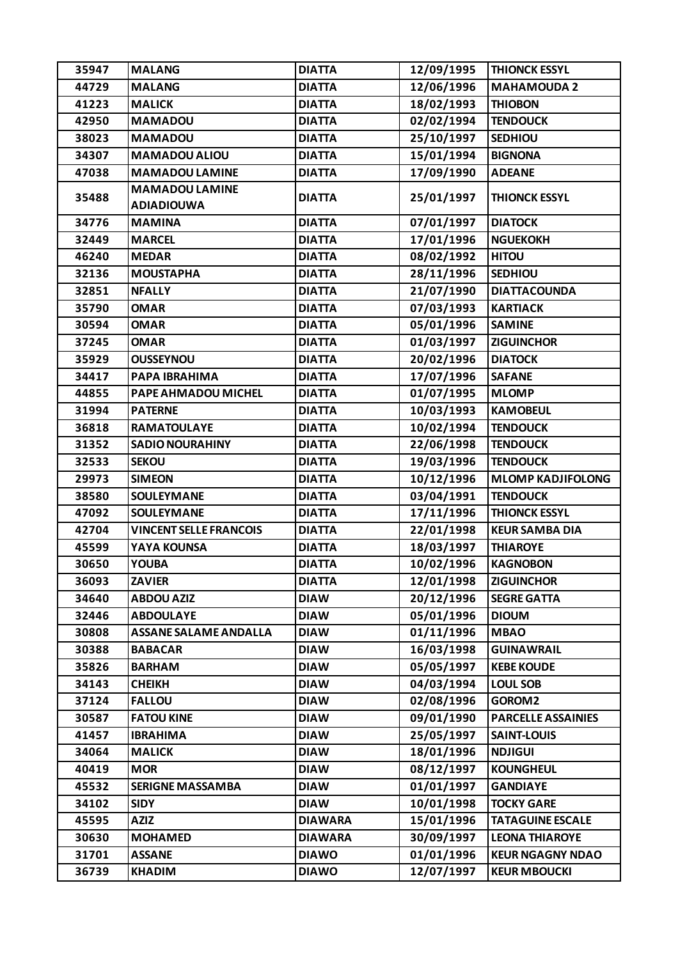| 35947 | <b>MALANG</b>                              | <b>DIATTA</b>  | 12/09/1995              | <b>THIONCK ESSYL</b>      |
|-------|--------------------------------------------|----------------|-------------------------|---------------------------|
| 44729 | <b>MALANG</b>                              | <b>DIATTA</b>  | 12/06/1996              | <b>MAHAMOUDA 2</b>        |
| 41223 | <b>MALICK</b>                              | <b>DIATTA</b>  | 18/02/1993              | <b>THIOBON</b>            |
| 42950 | <b>MAMADOU</b>                             | <b>DIATTA</b>  | 02/02/1994              | <b>TENDOUCK</b>           |
| 38023 | <b>MAMADOU</b>                             | <b>DIATTA</b>  | 25/10/1997              | <b>SEDHIOU</b>            |
| 34307 | <b>MAMADOU ALIOU</b>                       | <b>DIATTA</b>  | 15/01/1994              | <b>BIGNONA</b>            |
| 47038 | <b>MAMADOU LAMINE</b>                      | <b>DIATTA</b>  | 17/09/1990              | <b>ADEANE</b>             |
| 35488 | <b>MAMADOU LAMINE</b><br><b>ADIADIOUWA</b> | <b>DIATTA</b>  | 25/01/1997              | <b>THIONCK ESSYL</b>      |
| 34776 | <b>MAMINA</b>                              | <b>DIATTA</b>  | 07/01/1997              | <b>DIATOCK</b>            |
| 32449 | <b>MARCEL</b>                              | <b>DIATTA</b>  | 17/01/1996              | <b>NGUEKOKH</b>           |
| 46240 | <b>MEDAR</b>                               | <b>DIATTA</b>  | 08/02/1992              | <b>HITOU</b>              |
| 32136 | <b>MOUSTAPHA</b>                           | <b>DIATTA</b>  | 28/11/1996              | <b>SEDHIOU</b>            |
| 32851 | <b>NFALLY</b>                              | <b>DIATTA</b>  | 21/07/1990              | <b>DIATTACOUNDA</b>       |
| 35790 | <b>OMAR</b>                                | <b>DIATTA</b>  | 07/03/1993              | <b>KARTIACK</b>           |
| 30594 | <b>OMAR</b>                                | <b>DIATTA</b>  | 05/01/1996              | <b>SAMINE</b>             |
| 37245 | <b>OMAR</b>                                | <b>DIATTA</b>  | 01/03/1997              | <b>ZIGUINCHOR</b>         |
| 35929 | <b>OUSSEYNOU</b>                           | <b>DIATTA</b>  | 20/02/1996              | <b>DIATOCK</b>            |
| 34417 | PAPA IBRAHIMA                              | <b>DIATTA</b>  | 17/07/1996              | <b>SAFANE</b>             |
| 44855 | PAPE AHMADOU MICHEL                        | <b>DIATTA</b>  | 01/07/1995              | <b>MLOMP</b>              |
| 31994 | <b>PATERNE</b>                             | <b>DIATTA</b>  | 10/03/1993              | <b>KAMOBEUL</b>           |
| 36818 | <b>RAMATOULAYE</b>                         | <b>DIATTA</b>  | 10/02/1994              | <b>TENDOUCK</b>           |
| 31352 | <b>SADIO NOURAHINY</b>                     | <b>DIATTA</b>  | 22/06/1998              | <b>TENDOUCK</b>           |
| 32533 | <b>SEKOU</b>                               | <b>DIATTA</b>  | 19/03/1996              | <b>TENDOUCK</b>           |
| 29973 | <b>SIMEON</b>                              | <b>DIATTA</b>  | 10/12/1996              | <b>MLOMP KADJIFOLONG</b>  |
| 38580 | SOULEYMANE                                 | <b>DIATTA</b>  | 03/04/1991              | <b>TENDOUCK</b>           |
| 47092 | SOULEYMANE                                 | <b>DIATTA</b>  | $\frac{17}{11/1996}$    | <b>THIONCK ESSYL</b>      |
| 42704 | <b>VINCENT SELLE FRANCOIS</b>              | <b>DIATTA</b>  | 22/01/1998              | <b>KEUR SAMBA DIA</b>     |
| 45599 | YAYA KOUNSA                                | <b>DIATTA</b>  | 18/03/1997              | <b>THIAROYE</b>           |
| 30650 | <b>YOUBA</b>                               | <b>DIATTA</b>  | 10/02/1996              | <b>KAGNOBON</b>           |
| 36093 | <b>ZAVIER</b>                              | <b>DIATTA</b>  | 12/01/1998              | <b>ZIGUINCHOR</b>         |
| 34640 | <b>ABDOU AZIZ</b>                          | <b>DIAW</b>    | 20/12/1996              | <b>SEGRE GATTA</b>        |
| 32446 | <b>ABDOULAYE</b>                           | <b>DIAW</b>    | 05/01/1996              | <b>DIOUM</b>              |
| 30808 | <b>ASSANE SALAME ANDALLA</b>               | <b>DIAW</b>    | $\overline{01/11/1996}$ | <b>MBAO</b>               |
| 30388 | <b>BABACAR</b>                             | <b>DIAW</b>    | 16/03/1998              | <b>GUINAWRAIL</b>         |
| 35826 | <b>BARHAM</b>                              | <b>DIAW</b>    | 05/05/1997              | <b>KEBE KOUDE</b>         |
| 34143 | <b>CHEIKH</b>                              | <b>DIAW</b>    | 04/03/1994              | <b>LOUL SOB</b>           |
| 37124 | <b>FALLOU</b>                              | <b>DIAW</b>    | 02/08/1996              | GOROM2                    |
| 30587 | <b>FATOU KINE</b>                          | <b>DIAW</b>    | 09/01/1990              | <b>PARCELLE ASSAINIES</b> |
| 41457 | <b>IBRAHIMA</b>                            | <b>DIAW</b>    | 25/05/1997              | <b>SAINT-LOUIS</b>        |
| 34064 | <b>MALICK</b>                              | <b>DIAW</b>    | 18/01/1996              | <b>NDJIGUI</b>            |
| 40419 | <b>MOR</b>                                 | <b>DIAW</b>    | 08/12/1997              | <b>KOUNGHEUL</b>          |
| 45532 | <b>SERIGNE MASSAMBA</b>                    | <b>DIAW</b>    | 01/01/1997              | <b>GANDIAYE</b>           |
| 34102 | <b>SIDY</b>                                | <b>DIAW</b>    | 10/01/1998              | <b>TOCKY GARE</b>         |
| 45595 | <b>AZIZ</b>                                | <b>DIAWARA</b> | 15/01/1996              | <b>TATAGUINE ESCALE</b>   |
| 30630 | <b>MOHAMED</b>                             | <b>DIAWARA</b> | 30/09/1997              | <b>LEONA THIAROYE</b>     |
| 31701 | <b>ASSANE</b>                              | <b>DIAWO</b>   | 01/01/1996              | <b>KEUR NGAGNY NDAO</b>   |
| 36739 | <b>KHADIM</b>                              | <b>DIAWO</b>   | 12/07/1997              | <b>KEUR MBOUCKI</b>       |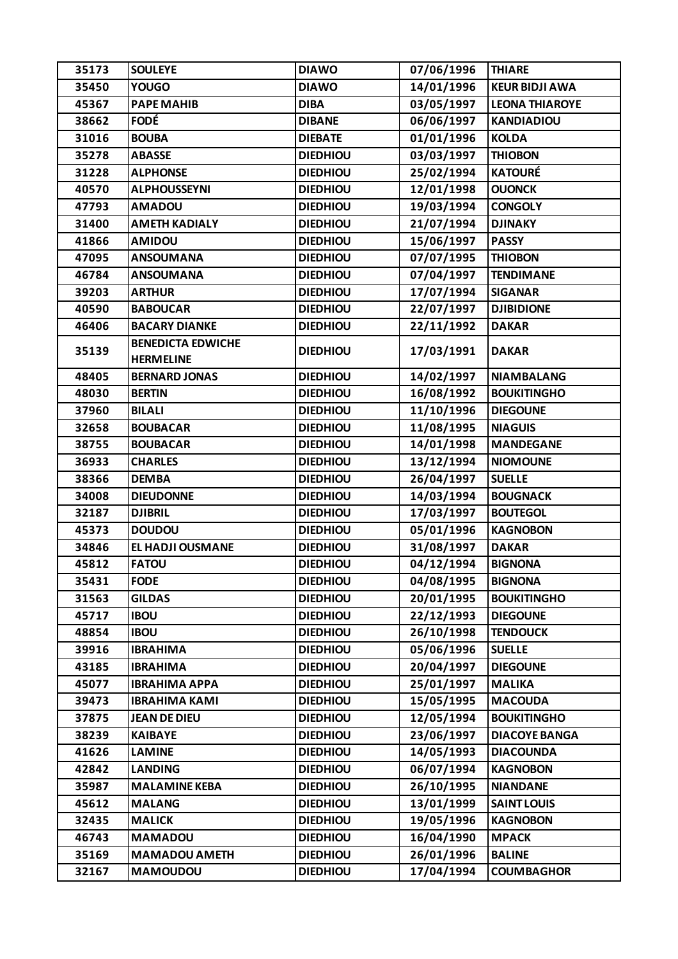| 35173 | <b>SOULEYE</b>                               | <b>DIAWO</b>    | 07/06/1996 | <b>THIARE</b>         |
|-------|----------------------------------------------|-----------------|------------|-----------------------|
| 35450 | <b>YOUGO</b>                                 | <b>DIAWO</b>    | 14/01/1996 | <b>KEUR BIDJI AWA</b> |
| 45367 | <b>PAPE MAHIB</b>                            | <b>DIBA</b>     | 03/05/1997 | <b>LEONA THIAROYE</b> |
| 38662 | <b>FODÉ</b>                                  | <b>DIBANE</b>   | 06/06/1997 | <b>KANDIADIOU</b>     |
| 31016 | <b>BOUBA</b>                                 | <b>DIEBATE</b>  | 01/01/1996 | <b>KOLDA</b>          |
| 35278 | <b>ABASSE</b>                                | <b>DIEDHIOU</b> | 03/03/1997 | <b>THIOBON</b>        |
| 31228 | <b>ALPHONSE</b>                              | <b>DIEDHIOU</b> | 25/02/1994 | <b>KATOURÉ</b>        |
| 40570 | <b>ALPHOUSSEYNI</b>                          | <b>DIEDHIOU</b> | 12/01/1998 | <b>OUONCK</b>         |
| 47793 | <b>AMADOU</b>                                | <b>DIEDHIOU</b> | 19/03/1994 | <b>CONGOLY</b>        |
| 31400 | <b>AMETH KADIALY</b>                         | <b>DIEDHIOU</b> | 21/07/1994 | <b>DJINAKY</b>        |
| 41866 | <b>AMIDOU</b>                                | <b>DIEDHIOU</b> | 15/06/1997 | <b>PASSY</b>          |
| 47095 | <b>ANSOUMANA</b>                             | <b>DIEDHIOU</b> | 07/07/1995 | <b>THIOBON</b>        |
| 46784 | <b>ANSOUMANA</b>                             | <b>DIEDHIOU</b> | 07/04/1997 | <b>TENDIMANE</b>      |
| 39203 | <b>ARTHUR</b>                                | <b>DIEDHIOU</b> | 17/07/1994 | <b>SIGANAR</b>        |
| 40590 | <b>BABOUCAR</b>                              | <b>DIEDHIOU</b> | 22/07/1997 | <b>DJIBIDIONE</b>     |
| 46406 | <b>BACARY DIANKE</b>                         | <b>DIEDHIOU</b> | 22/11/1992 | <b>DAKAR</b>          |
| 35139 | <b>BENEDICTA EDWICHE</b><br><b>HERMELINE</b> | <b>DIEDHIOU</b> | 17/03/1991 | <b>DAKAR</b>          |
| 48405 | <b>BERNARD JONAS</b>                         | <b>DIEDHIOU</b> | 14/02/1997 | <b>NIAMBALANG</b>     |
| 48030 | <b>BERTIN</b>                                | <b>DIEDHIOU</b> | 16/08/1992 | <b>BOUKITINGHO</b>    |
| 37960 | <b>BILALI</b>                                | <b>DIEDHIOU</b> | 11/10/1996 | <b>DIEGOUNE</b>       |
| 32658 | <b>BOUBACAR</b>                              | <b>DIEDHIOU</b> | 11/08/1995 | <b>NIAGUIS</b>        |
| 38755 | <b>BOUBACAR</b>                              | <b>DIEDHIOU</b> | 14/01/1998 | <b>MANDEGANE</b>      |
| 36933 | <b>CHARLES</b>                               | <b>DIEDHIOU</b> | 13/12/1994 | <b>NIOMOUNE</b>       |
| 38366 | <b>DEMBA</b>                                 | <b>DIEDHIOU</b> | 26/04/1997 | <b>SUELLE</b>         |
| 34008 | <b>DIEUDONNE</b>                             | <b>DIEDHIOU</b> | 14/03/1994 | <b>BOUGNACK</b>       |
| 32187 | <b>DJIBRIL</b>                               | <b>DIEDHIOU</b> | 17/03/1997 | <b>BOUTEGOL</b>       |
| 45373 | <b>DOUDOU</b>                                | <b>DIEDHIOU</b> | 05/01/1996 | <b>KAGNOBON</b>       |
| 34846 | EL HADJI OUSMANE                             | <b>DIEDHIOU</b> | 31/08/1997 | <b>DAKAR</b>          |
| 45812 | <b>FATOU</b>                                 | <b>DIEDHIOU</b> | 04/12/1994 | <b>BIGNONA</b>        |
| 35431 | <b>FODE</b>                                  | <b>DIEDHIOU</b> | 04/08/1995 | <b>BIGNONA</b>        |
| 31563 | <b>GILDAS</b>                                | <b>DIEDHIOU</b> | 20/01/1995 | <b>BOUKITINGHO</b>    |
| 45717 | <b>IBOU</b>                                  | <b>DIEDHIOU</b> | 22/12/1993 | <b>DIEGOUNE</b>       |
| 48854 | <b>IBOU</b>                                  | <b>DIEDHIOU</b> | 26/10/1998 | <b>TENDOUCK</b>       |
| 39916 | <b>IBRAHIMA</b>                              | <b>DIEDHIOU</b> | 05/06/1996 | <b>SUELLE</b>         |
| 43185 | <b>IBRAHIMA</b>                              | <b>DIEDHIOU</b> | 20/04/1997 | <b>DIEGOUNE</b>       |
| 45077 | <b>IBRAHIMA APPA</b>                         | <b>DIEDHIOU</b> | 25/01/1997 | <b>MALIKA</b>         |
| 39473 | <b>IBRAHIMA KAMI</b>                         | <b>DIEDHIOU</b> | 15/05/1995 | <b>MACOUDA</b>        |
| 37875 | <b>JEAN DE DIEU</b>                          | <b>DIEDHIOU</b> | 12/05/1994 | <b>BOUKITINGHO</b>    |
| 38239 | <b>KAIBAYE</b>                               | <b>DIEDHIOU</b> | 23/06/1997 | <b>DIACOYE BANGA</b>  |
| 41626 | <b>LAMINE</b>                                | <b>DIEDHIOU</b> | 14/05/1993 | <b>DIACOUNDA</b>      |
| 42842 | <b>LANDING</b>                               | <b>DIEDHIOU</b> | 06/07/1994 | <b>KAGNOBON</b>       |
| 35987 | <b>MALAMINE KEBA</b>                         | <b>DIEDHIOU</b> | 26/10/1995 | <b>NIANDANE</b>       |
| 45612 | <b>MALANG</b>                                | <b>DIEDHIOU</b> | 13/01/1999 | <b>SAINT LOUIS</b>    |
| 32435 | <b>MALICK</b>                                | <b>DIEDHIOU</b> | 19/05/1996 | <b>KAGNOBON</b>       |
| 46743 | <b>MAMADOU</b>                               | <b>DIEDHIOU</b> | 16/04/1990 | <b>MPACK</b>          |
| 35169 | <b>MAMADOU AMETH</b>                         | <b>DIEDHIOU</b> | 26/01/1996 | <b>BALINE</b>         |
| 32167 | <b>MAMOUDOU</b>                              | <b>DIEDHIOU</b> | 17/04/1994 | <b>COUMBAGHOR</b>     |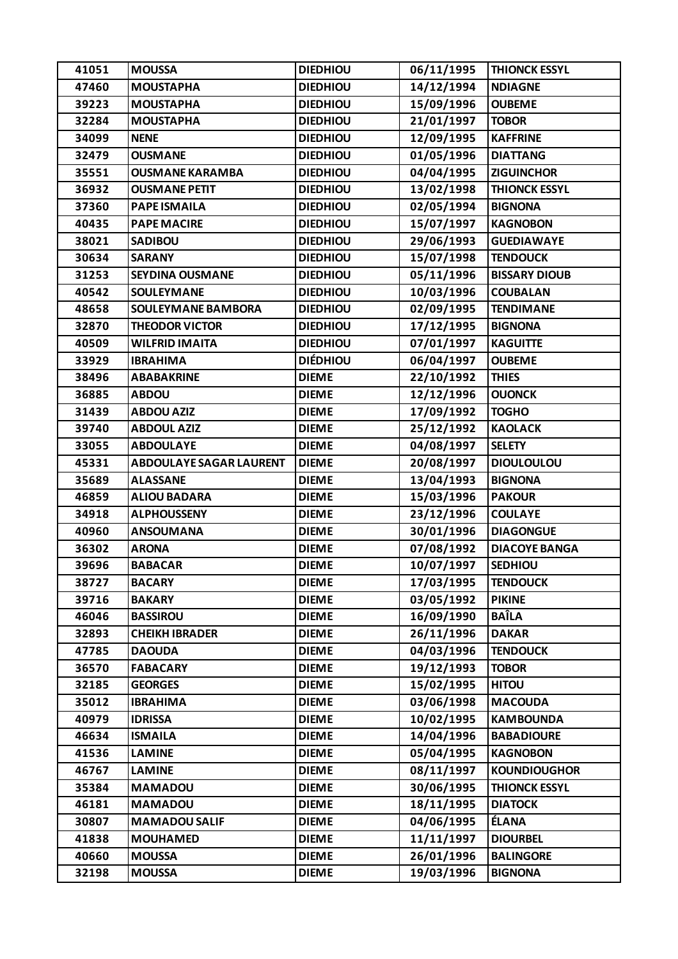| 41051 | <b>MOUSSA</b>                  | <b>DIEDHIOU</b> | 06/11/1995 | <b>THIONCK ESSYL</b> |
|-------|--------------------------------|-----------------|------------|----------------------|
| 47460 | <b>MOUSTAPHA</b>               | <b>DIEDHIOU</b> | 14/12/1994 | <b>NDIAGNE</b>       |
| 39223 | <b>MOUSTAPHA</b>               | <b>DIEDHIOU</b> | 15/09/1996 | <b>OUBEME</b>        |
| 32284 | <b>MOUSTAPHA</b>               | <b>DIEDHIOU</b> | 21/01/1997 | <b>TOBOR</b>         |
| 34099 | <b>NENE</b>                    | <b>DIEDHIOU</b> | 12/09/1995 | <b>KAFFRINE</b>      |
| 32479 | <b>OUSMANE</b>                 | <b>DIEDHIOU</b> | 01/05/1996 | <b>DIATTANG</b>      |
| 35551 | <b>OUSMANE KARAMBA</b>         | <b>DIEDHIOU</b> | 04/04/1995 | <b>ZIGUINCHOR</b>    |
| 36932 | <b>OUSMANE PETIT</b>           | <b>DIEDHIOU</b> | 13/02/1998 | <b>THIONCK ESSYL</b> |
| 37360 | <b>PAPE ISMAILA</b>            | <b>DIEDHIOU</b> | 02/05/1994 | <b>BIGNONA</b>       |
| 40435 | <b>PAPE MACIRE</b>             | <b>DIEDHIOU</b> | 15/07/1997 | <b>KAGNOBON</b>      |
| 38021 | <b>SADIBOU</b>                 | <b>DIEDHIOU</b> | 29/06/1993 | <b>GUEDIAWAYE</b>    |
| 30634 | <b>SARANY</b>                  | <b>DIEDHIOU</b> | 15/07/1998 | <b>TENDOUCK</b>      |
| 31253 | <b>SEYDINA OUSMANE</b>         | <b>DIEDHIOU</b> | 05/11/1996 | <b>BISSARY DIOUB</b> |
| 40542 | <b>SOULEYMANE</b>              | <b>DIEDHIOU</b> | 10/03/1996 | <b>COUBALAN</b>      |
| 48658 | <b>SOULEYMANE BAMBORA</b>      | <b>DIEDHIOU</b> | 02/09/1995 | <b>TENDIMANE</b>     |
| 32870 | <b>THEODOR VICTOR</b>          | <b>DIEDHIOU</b> | 17/12/1995 | <b>BIGNONA</b>       |
| 40509 | <b>WILFRID IMAITA</b>          | <b>DIEDHIOU</b> | 07/01/1997 | <b>KAGUITTE</b>      |
| 33929 | <b>IBRAHIMA</b>                | <b>DIÉDHIOU</b> | 06/04/1997 | <b>OUBEME</b>        |
| 38496 | <b>ABABAKRINE</b>              | <b>DIEME</b>    | 22/10/1992 | <b>THIES</b>         |
| 36885 | <b>ABDOU</b>                   | <b>DIEME</b>    | 12/12/1996 | <b>OUONCK</b>        |
| 31439 | <b>ABDOU AZIZ</b>              | <b>DIEME</b>    | 17/09/1992 | <b>TOGHO</b>         |
| 39740 | <b>ABDOUL AZIZ</b>             | <b>DIEME</b>    | 25/12/1992 | <b>KAOLACK</b>       |
| 33055 | <b>ABDOULAYE</b>               | <b>DIEME</b>    | 04/08/1997 | <b>SELETY</b>        |
| 45331 | <b>ABDOULAYE SAGAR LAURENT</b> | <b>DIEME</b>    | 20/08/1997 | <b>DIOULOULOU</b>    |
| 35689 | <b>ALASSANE</b>                | <b>DIEME</b>    | 13/04/1993 | <b>BIGNONA</b>       |
| 46859 | <b>ALIOU BADARA</b>            | <b>DIEME</b>    | 15/03/1996 | <b>PAKOUR</b>        |
| 34918 | <b>ALPHOUSSENY</b>             | <b>DIEME</b>    | 23/12/1996 | <b>COULAYE</b>       |
| 40960 | <b>ANSOUMANA</b>               | <b>DIEME</b>    | 30/01/1996 | <b>DIAGONGUE</b>     |
| 36302 | <b>ARONA</b>                   | <b>DIEME</b>    | 07/08/1992 | <b>DIACOYE BANGA</b> |
| 39696 | <b>BABACAR</b>                 | <b>DIEME</b>    | 10/07/1997 | <b>SEDHIOU</b>       |
| 38727 | <b>BACARY</b>                  | <b>DIEME</b>    | 17/03/1995 | <b>TENDOUCK</b>      |
| 39716 | <b>BAKARY</b>                  | <b>DIEME</b>    | 03/05/1992 | <b>PIKINE</b>        |
| 46046 | <b>BASSIROU</b>                | <b>DIEME</b>    | 16/09/1990 | <b>BAÎLA</b>         |
| 32893 | <b>CHEIKH IBRADER</b>          | <b>DIEME</b>    | 26/11/1996 | <b>DAKAR</b>         |
| 47785 | <b>DAOUDA</b>                  | <b>DIEME</b>    | 04/03/1996 | <b>TENDOUCK</b>      |
| 36570 | <b>FABACARY</b>                | <b>DIEME</b>    | 19/12/1993 | <b>TOBOR</b>         |
| 32185 | <b>GEORGES</b>                 | <b>DIEME</b>    | 15/02/1995 | <b>HITOU</b>         |
| 35012 | <b>IBRAHIMA</b>                | <b>DIEME</b>    | 03/06/1998 | <b>MACOUDA</b>       |
| 40979 | <b>IDRISSA</b>                 | <b>DIEME</b>    | 10/02/1995 | <b>KAMBOUNDA</b>     |
| 46634 | <b>ISMAILA</b>                 | <b>DIEME</b>    | 14/04/1996 | <b>BABADIOURE</b>    |
| 41536 | <b>LAMINE</b>                  | <b>DIEME</b>    | 05/04/1995 | <b>KAGNOBON</b>      |
| 46767 | <b>LAMINE</b>                  | <b>DIEME</b>    | 08/11/1997 | <b>KOUNDIOUGHOR</b>  |
| 35384 | <b>MAMADOU</b>                 | <b>DIEME</b>    | 30/06/1995 | <b>THIONCK ESSYL</b> |
| 46181 | <b>MAMADOU</b>                 | <b>DIEME</b>    | 18/11/1995 | <b>DIATOCK</b>       |
| 30807 | <b>MAMADOU SALIF</b>           | <b>DIEME</b>    | 04/06/1995 | <b>ÉLANA</b>         |
| 41838 | <b>MOUHAMED</b>                | <b>DIEME</b>    | 11/11/1997 | <b>DIOURBEL</b>      |
| 40660 | <b>MOUSSA</b>                  | <b>DIEME</b>    | 26/01/1996 | <b>BALINGORE</b>     |
| 32198 | <b>MOUSSA</b>                  | <b>DIEME</b>    | 19/03/1996 | <b>BIGNONA</b>       |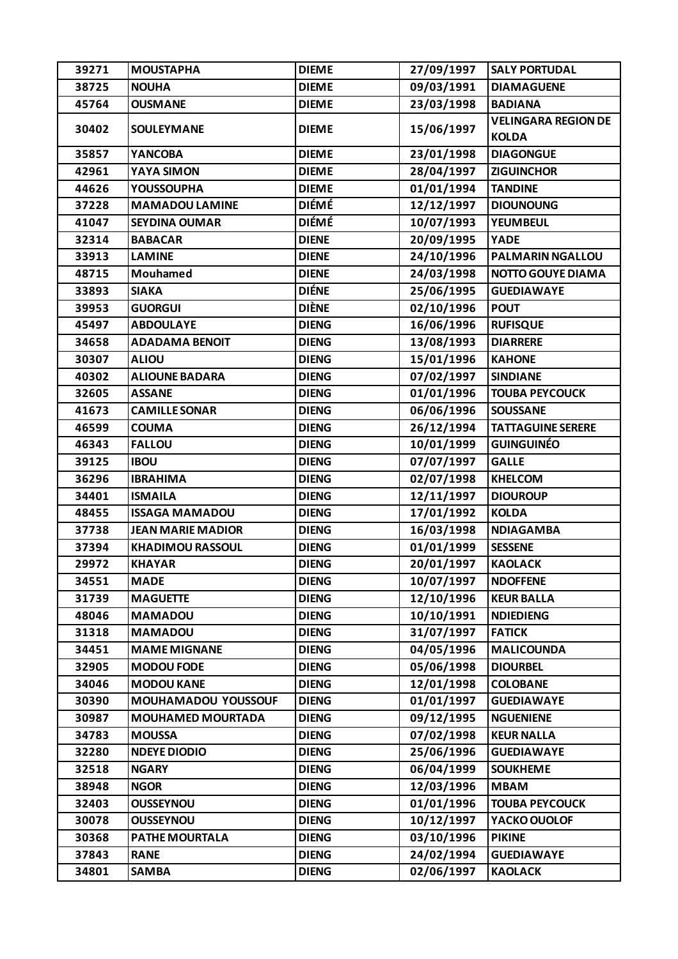| 39271 | <b>MOUSTAPHA</b>         | <b>DIEME</b> | 27/09/1997 | <b>SALY PORTUDAL</b>                       |
|-------|--------------------------|--------------|------------|--------------------------------------------|
| 38725 | <b>NOUHA</b>             | <b>DIEME</b> | 09/03/1991 | <b>DIAMAGUENE</b>                          |
| 45764 | <b>OUSMANE</b>           | <b>DIEME</b> | 23/03/1998 | <b>BADIANA</b>                             |
| 30402 | SOULEYMANE               | <b>DIEME</b> | 15/06/1997 | <b>VELINGARA REGION DE</b><br><b>KOLDA</b> |
| 35857 | <b>YANCOBA</b>           | <b>DIEME</b> | 23/01/1998 | <b>DIAGONGUE</b>                           |
| 42961 | YAYA SIMON               | <b>DIEME</b> | 28/04/1997 | <b>ZIGUINCHOR</b>                          |
| 44626 | <b>YOUSSOUPHA</b>        | <b>DIEME</b> | 01/01/1994 | <b>TANDINE</b>                             |
| 37228 | <b>MAMADOU LAMINE</b>    | <b>DIÉMÉ</b> | 12/12/1997 | <b>DIOUNOUNG</b>                           |
| 41047 | <b>SEYDINA OUMAR</b>     | <b>DIÉMÉ</b> | 10/07/1993 | <b>YEUMBEUL</b>                            |
| 32314 | <b>BABACAR</b>           | <b>DIENE</b> | 20/09/1995 | <b>YADE</b>                                |
| 33913 | <b>LAMINE</b>            | <b>DIENE</b> | 24/10/1996 | <b>PALMARIN NGALLOU</b>                    |
| 48715 | Mouhamed                 | <b>DIENE</b> | 24/03/1998 | <b>NOTTO GOUYE DIAMA</b>                   |
| 33893 | <b>SIAKA</b>             | <b>DIÉNE</b> | 25/06/1995 | <b>GUEDIAWAYE</b>                          |
| 39953 | <b>GUORGUI</b>           | <b>DIÈNE</b> | 02/10/1996 | <b>POUT</b>                                |
| 45497 | <b>ABDOULAYE</b>         | <b>DIENG</b> | 16/06/1996 | <b>RUFISQUE</b>                            |
| 34658 | <b>ADADAMA BENOIT</b>    | <b>DIENG</b> | 13/08/1993 | <b>DIARRERE</b>                            |
| 30307 | <b>ALIOU</b>             | <b>DIENG</b> | 15/01/1996 | <b>KAHONE</b>                              |
| 40302 | <b>ALIOUNE BADARA</b>    | <b>DIENG</b> | 07/02/1997 | <b>SINDIANE</b>                            |
| 32605 | <b>ASSANE</b>            | <b>DIENG</b> | 01/01/1996 | <b>TOUBA PEYCOUCK</b>                      |
| 41673 | <b>CAMILLE SONAR</b>     | <b>DIENG</b> | 06/06/1996 | <b>SOUSSANE</b>                            |
| 46599 | <b>COUMA</b>             | <b>DIENG</b> | 26/12/1994 | <b>TATTAGUINE SERERE</b>                   |
| 46343 | <b>FALLOU</b>            | <b>DIENG</b> | 10/01/1999 | <b>GUINGUINÉO</b>                          |
| 39125 | <b>IBOU</b>              | <b>DIENG</b> | 07/07/1997 | <b>GALLE</b>                               |
| 36296 | <b>IBRAHIMA</b>          | <b>DIENG</b> | 02/07/1998 | <b>KHELCOM</b>                             |
| 34401 | <b>ISMAILA</b>           | <b>DIENG</b> | 12/11/1997 | <b>DIOUROUP</b>                            |
| 48455 | <b>ISSAGA MAMADOU</b>    | <b>DIENG</b> | 17/01/1992 | <b>KOLDA</b>                               |
| 37738 | <b>JEAN MARIE MADIOR</b> | <b>DIENG</b> | 16/03/1998 | <b>NDIAGAMBA</b>                           |
| 37394 | <b>KHADIMOU RASSOUL</b>  | <b>DIENG</b> | 01/01/1999 | <b>SESSENE</b>                             |
| 29972 | <b>KHAYAR</b>            | <b>DIENG</b> | 20/01/1997 | <b>KAOLACK</b>                             |
| 34551 | <b>MADE</b>              | <b>DIENG</b> | 10/07/1997 | <b>NDOFFENE</b>                            |
| 31739 | <b>MAGUETTE</b>          | <b>DIENG</b> | 12/10/1996 | <b>KEUR BALLA</b>                          |
| 48046 | <b>MAMADOU</b>           | <b>DIENG</b> | 10/10/1991 | <b>NDIEDIENG</b>                           |
| 31318 | <b>MAMADOU</b>           | <b>DIENG</b> | 31/07/1997 | <b>FATICK</b>                              |
| 34451 | <b>MAME MIGNANE</b>      | <b>DIENG</b> | 04/05/1996 | <b>MALICOUNDA</b>                          |
| 32905 | <b>MODOU FODE</b>        | <b>DIENG</b> | 05/06/1998 | <b>DIOURBEL</b>                            |
| 34046 | <b>MODOU KANE</b>        | <b>DIENG</b> | 12/01/1998 | <b>COLOBANE</b>                            |
| 30390 | MOUHAMADOU YOUSSOUF      | <b>DIENG</b> | 01/01/1997 | <b>GUEDIAWAYE</b>                          |
| 30987 | <b>MOUHAMED MOURTADA</b> | <b>DIENG</b> | 09/12/1995 | <b>NGUENIENE</b>                           |
| 34783 | <b>MOUSSA</b>            | <b>DIENG</b> | 07/02/1998 | <b>KEUR NALLA</b>                          |
| 32280 | <b>NDEYE DIODIO</b>      | <b>DIENG</b> | 25/06/1996 | <b>GUEDIAWAYE</b>                          |
| 32518 | <b>NGARY</b>             | <b>DIENG</b> | 06/04/1999 | <b>SOUKHEME</b>                            |
| 38948 | <b>NGOR</b>              | <b>DIENG</b> | 12/03/1996 | <b>MBAM</b>                                |
| 32403 | <b>OUSSEYNOU</b>         | <b>DIENG</b> | 01/01/1996 | <b>TOUBA PEYCOUCK</b>                      |
| 30078 | <b>OUSSEYNOU</b>         | <b>DIENG</b> | 10/12/1997 | YACKO OUOLOF                               |
| 30368 | PATHE MOURTALA           | <b>DIENG</b> | 03/10/1996 | <b>PIKINE</b>                              |
| 37843 | <b>RANE</b>              | <b>DIENG</b> | 24/02/1994 | <b>GUEDIAWAYE</b>                          |
| 34801 | <b>SAMBA</b>             | <b>DIENG</b> | 02/06/1997 | <b>KAOLACK</b>                             |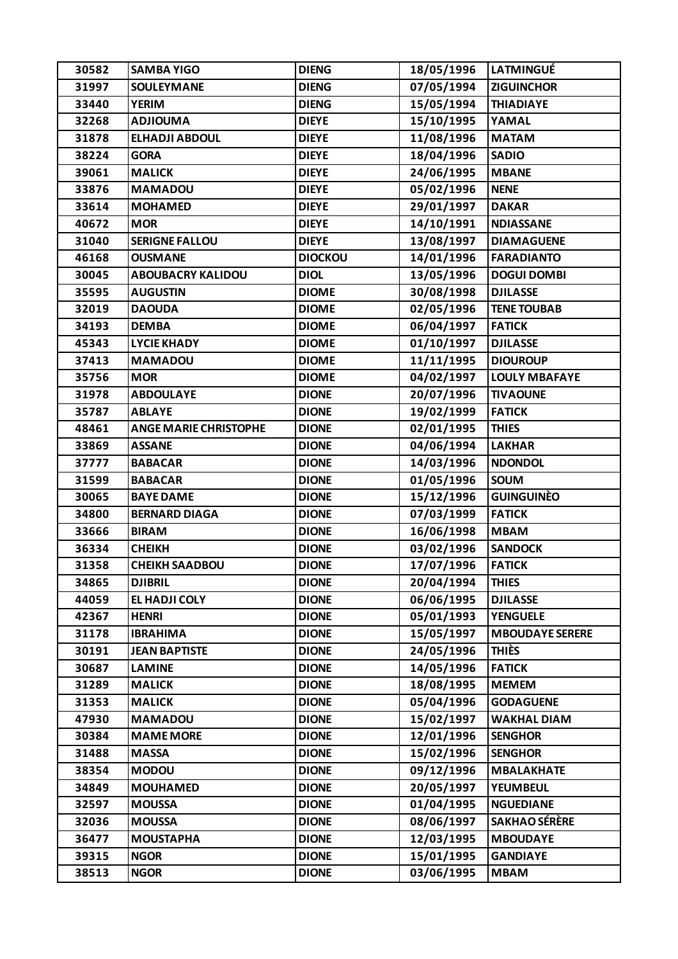| 30582 | <b>SAMBA YIGO</b>            | <b>DIENG</b>   | 18/05/1996 | <b>LATMINGUÉ</b>       |
|-------|------------------------------|----------------|------------|------------------------|
| 31997 | SOULEYMANE                   | <b>DIENG</b>   | 07/05/1994 | <b>ZIGUINCHOR</b>      |
| 33440 | <b>YERIM</b>                 | <b>DIENG</b>   | 15/05/1994 | <b>THIADIAYE</b>       |
| 32268 | <b>ADJIOUMA</b>              | <b>DIEYE</b>   | 15/10/1995 | YAMAL                  |
| 31878 | <b>ELHADJI ABDOUL</b>        | <b>DIEYE</b>   | 11/08/1996 | <b>MATAM</b>           |
| 38224 | <b>GORA</b>                  | <b>DIEYE</b>   | 18/04/1996 | <b>SADIO</b>           |
| 39061 | <b>MALICK</b>                | <b>DIEYE</b>   | 24/06/1995 | <b>MBANE</b>           |
| 33876 | <b>MAMADOU</b>               | <b>DIEYE</b>   | 05/02/1996 | <b>NENE</b>            |
| 33614 | <b>MOHAMED</b>               | <b>DIEYE</b>   | 29/01/1997 | <b>DAKAR</b>           |
| 40672 | <b>MOR</b>                   | <b>DIEYE</b>   | 14/10/1991 | <b>NDIASSANE</b>       |
| 31040 | <b>SERIGNE FALLOU</b>        | <b>DIEYE</b>   | 13/08/1997 | <b>DIAMAGUENE</b>      |
| 46168 | <b>OUSMANE</b>               | <b>DIOCKOU</b> | 14/01/1996 | <b>FARADIANTO</b>      |
| 30045 | <b>ABOUBACRY KALIDOU</b>     | <b>DIOL</b>    | 13/05/1996 | <b>DOGUI DOMBI</b>     |
| 35595 | <b>AUGUSTIN</b>              | <b>DIOME</b>   | 30/08/1998 | <b>DJILASSE</b>        |
| 32019 | <b>DAOUDA</b>                | <b>DIOME</b>   | 02/05/1996 | <b>TENE TOUBAB</b>     |
| 34193 | <b>DEMBA</b>                 | <b>DIOME</b>   | 06/04/1997 | <b>FATICK</b>          |
| 45343 | <b>LYCIE KHADY</b>           | <b>DIOME</b>   | 01/10/1997 | <b>DJILASSE</b>        |
| 37413 | <b>MAMADOU</b>               | <b>DIOME</b>   | 11/11/1995 | <b>DIOUROUP</b>        |
| 35756 | <b>MOR</b>                   | <b>DIOME</b>   | 04/02/1997 | <b>LOULY MBAFAYE</b>   |
| 31978 | <b>ABDOULAYE</b>             | <b>DIONE</b>   | 20/07/1996 | <b>TIVAOUNE</b>        |
| 35787 | <b>ABLAYE</b>                | <b>DIONE</b>   | 19/02/1999 | <b>FATICK</b>          |
| 48461 | <b>ANGE MARIE CHRISTOPHE</b> | <b>DIONE</b>   | 02/01/1995 | <b>THIES</b>           |
| 33869 | <b>ASSANE</b>                | <b>DIONE</b>   | 04/06/1994 | <b>LAKHAR</b>          |
| 37777 | <b>BABACAR</b>               | <b>DIONE</b>   | 14/03/1996 | <b>NDONDOL</b>         |
| 31599 | <b>BABACAR</b>               | <b>DIONE</b>   | 01/05/1996 | <b>SOUM</b>            |
| 30065 | <b>BAYE DAME</b>             | <b>DIONE</b>   | 15/12/1996 | <b>GUINGUINÈO</b>      |
| 34800 | <b>BERNARD DIAGA</b>         | <b>DIONE</b>   | 07/03/1999 | <b>FATICK</b>          |
| 33666 | <b>BIRAM</b>                 | <b>DIONE</b>   | 16/06/1998 | <b>MBAM</b>            |
| 36334 | <b>CHEIKH</b>                | <b>DIONE</b>   | 03/02/1996 | <b>SANDOCK</b>         |
| 31358 | <b>CHEIKH SAADBOU</b>        | <b>DIONE</b>   | 17/07/1996 | <b>FATICK</b>          |
| 34865 | <b>DJIBRIL</b>               | <b>DIONE</b>   | 20/04/1994 | <b>THIES</b>           |
| 44059 | EL HADJI COLY                | <b>DIONE</b>   | 06/06/1995 | <b>DJILASSE</b>        |
| 42367 | <b>HENRI</b>                 | <b>DIONE</b>   | 05/01/1993 | <b>YENGUELE</b>        |
| 31178 | <b>IBRAHIMA</b>              | <b>DIONE</b>   | 15/05/1997 | <b>MBOUDAYE SERERE</b> |
| 30191 | <b>JEAN BAPTISTE</b>         | <b>DIONE</b>   | 24/05/1996 | <b>THIÈS</b>           |
| 30687 | <b>LAMINE</b>                | <b>DIONE</b>   | 14/05/1996 | <b>FATICK</b>          |
| 31289 | <b>MALICK</b>                | <b>DIONE</b>   | 18/08/1995 | <b>MEMEM</b>           |
| 31353 | <b>MALICK</b>                | <b>DIONE</b>   | 05/04/1996 | <b>GODAGUENE</b>       |
| 47930 | <b>MAMADOU</b>               | <b>DIONE</b>   | 15/02/1997 | <b>WAKHAL DIAM</b>     |
| 30384 | <b>MAME MORE</b>             | <b>DIONE</b>   | 12/01/1996 | <b>SENGHOR</b>         |
| 31488 | <b>MASSA</b>                 | <b>DIONE</b>   | 15/02/1996 | <b>SENGHOR</b>         |
| 38354 | <b>MODOU</b>                 | <b>DIONE</b>   | 09/12/1996 | <b>MBALAKHATE</b>      |
| 34849 | <b>MOUHAMED</b>              | <b>DIONE</b>   | 20/05/1997 | <b>YEUMBEUL</b>        |
| 32597 | <b>MOUSSA</b>                | <b>DIONE</b>   | 01/04/1995 | <b>NGUEDIANE</b>       |
| 32036 | <b>MOUSSA</b>                | <b>DIONE</b>   | 08/06/1997 | <b>SAKHAO SÉRÈRE</b>   |
| 36477 | <b>MOUSTAPHA</b>             | <b>DIONE</b>   | 12/03/1995 | <b>MBOUDAYE</b>        |
| 39315 | <b>NGOR</b>                  | <b>DIONE</b>   | 15/01/1995 | <b>GANDIAYE</b>        |
| 38513 | <b>NGOR</b>                  | <b>DIONE</b>   | 03/06/1995 | <b>MBAM</b>            |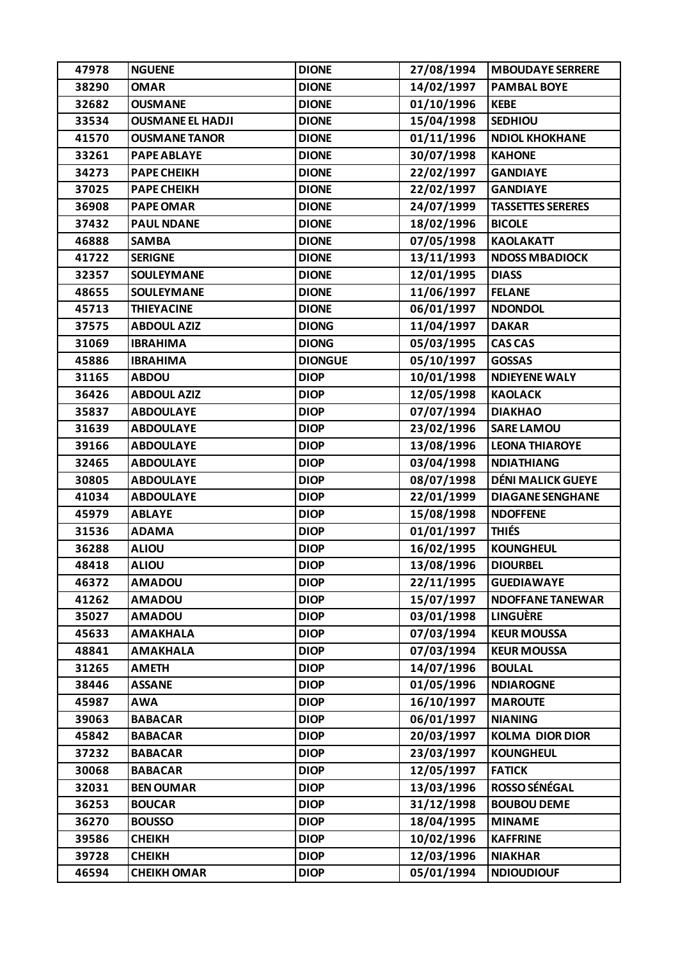| 47978 | <b>NGUENE</b>           | <b>DIONE</b>   | 27/08/1994 | <b>MBOUDAYE SERRERE</b>  |
|-------|-------------------------|----------------|------------|--------------------------|
| 38290 | <b>OMAR</b>             | <b>DIONE</b>   | 14/02/1997 | <b>PAMBAL BOYE</b>       |
| 32682 | <b>OUSMANE</b>          | <b>DIONE</b>   | 01/10/1996 | <b>KEBE</b>              |
| 33534 | <b>OUSMANE EL HADJI</b> | <b>DIONE</b>   | 15/04/1998 | <b>SEDHIOU</b>           |
| 41570 | <b>OUSMANE TANOR</b>    | <b>DIONE</b>   | 01/11/1996 | <b>NDIOL KHOKHANE</b>    |
| 33261 | <b>PAPE ABLAYE</b>      | <b>DIONE</b>   | 30/07/1998 | <b>KAHONE</b>            |
| 34273 | <b>PAPE CHEIKH</b>      | <b>DIONE</b>   | 22/02/1997 | <b>GANDIAYE</b>          |
| 37025 | <b>PAPE CHEIKH</b>      | <b>DIONE</b>   | 22/02/1997 | <b>GANDIAYE</b>          |
| 36908 | <b>PAPE OMAR</b>        | <b>DIONE</b>   | 24/07/1999 | <b>TASSETTES SERERES</b> |
| 37432 | <b>PAUL NDANE</b>       | <b>DIONE</b>   | 18/02/1996 | <b>BICOLE</b>            |
| 46888 | <b>SAMBA</b>            | <b>DIONE</b>   | 07/05/1998 | <b>KAOLAKATT</b>         |
| 41722 | <b>SERIGNE</b>          | <b>DIONE</b>   | 13/11/1993 | <b>NDOSS MBADIOCK</b>    |
| 32357 | SOULEYMANE              | <b>DIONE</b>   | 12/01/1995 | <b>DIASS</b>             |
| 48655 | <b>SOULEYMANE</b>       | <b>DIONE</b>   | 11/06/1997 | <b>FELANE</b>            |
| 45713 | <b>THIEYACINE</b>       | <b>DIONE</b>   | 06/01/1997 | <b>NDONDOL</b>           |
| 37575 | <b>ABDOUL AZIZ</b>      | <b>DIONG</b>   | 11/04/1997 | <b>DAKAR</b>             |
| 31069 | <b>IBRAHIMA</b>         | <b>DIONG</b>   | 05/03/1995 | <b>CAS CAS</b>           |
| 45886 | <b>IBRAHIMA</b>         | <b>DIONGUE</b> | 05/10/1997 | <b>GOSSAS</b>            |
| 31165 | <b>ABDOU</b>            | <b>DIOP</b>    | 10/01/1998 | <b>NDIEYENE WALY</b>     |
| 36426 | <b>ABDOUL AZIZ</b>      | <b>DIOP</b>    | 12/05/1998 | <b>KAOLACK</b>           |
| 35837 | <b>ABDOULAYE</b>        | <b>DIOP</b>    | 07/07/1994 | <b>DIAKHAO</b>           |
| 31639 | <b>ABDOULAYE</b>        | <b>DIOP</b>    | 23/02/1996 | <b>SARE LAMOU</b>        |
| 39166 | <b>ABDOULAYE</b>        | <b>DIOP</b>    | 13/08/1996 | <b>LEONA THIAROYE</b>    |
| 32465 | <b>ABDOULAYE</b>        | <b>DIOP</b>    | 03/04/1998 | <b>NDIATHIANG</b>        |
| 30805 | <b>ABDOULAYE</b>        | <b>DIOP</b>    | 08/07/1998 | <b>DÉNI MALICK GUEYE</b> |
| 41034 | <b>ABDOULAYE</b>        | <b>DIOP</b>    | 22/01/1999 | <b>DIAGANE SENGHANE</b>  |
| 45979 | <b>ABLAYE</b>           | <b>DIOP</b>    | 15/08/1998 | <b>NDOFFENE</b>          |
| 31536 | <b>ADAMA</b>            | <b>DIOP</b>    | 01/01/1997 | <b>THIÉS</b>             |
| 36288 | <b>ALIOU</b>            | <b>DIOP</b>    | 16/02/1995 | <b>KOUNGHEUL</b>         |
| 48418 | <b>ALIOU</b>            | <b>DIOP</b>    | 13/08/1996 | <b>DIOURBEL</b>          |
| 46372 | <b>AMADOU</b>           | <b>DIOP</b>    | 22/11/1995 | <b>GUEDIAWAYE</b>        |
| 41262 | <b>AMADOU</b>           | <b>DIOP</b>    | 15/07/1997 | <b>NDOFFANE TANEWAR</b>  |
| 35027 | <b>AMADOU</b>           | <b>DIOP</b>    | 03/01/1998 | <b>LINGUÈRE</b>          |
| 45633 | <b>AMAKHALA</b>         | <b>DIOP</b>    | 07/03/1994 | <b>KEUR MOUSSA</b>       |
| 48841 | <b>AMAKHALA</b>         | <b>DIOP</b>    | 07/03/1994 | <b>KEUR MOUSSA</b>       |
| 31265 | <b>AMETH</b>            | <b>DIOP</b>    | 14/07/1996 | <b>BOULAL</b>            |
| 38446 | <b>ASSANE</b>           | <b>DIOP</b>    | 01/05/1996 | <b>NDIAROGNE</b>         |
| 45987 | <b>AWA</b>              | <b>DIOP</b>    | 16/10/1997 | <b>MAROUTE</b>           |
| 39063 | <b>BABACAR</b>          | <b>DIOP</b>    | 06/01/1997 | <b>NIANING</b>           |
| 45842 | <b>BABACAR</b>          | <b>DIOP</b>    | 20/03/1997 | <b>KOLMA DIOR DIOR</b>   |
| 37232 | <b>BABACAR</b>          | <b>DIOP</b>    | 23/03/1997 | <b>KOUNGHEUL</b>         |
| 30068 | <b>BABACAR</b>          | <b>DIOP</b>    | 12/05/1997 | <b>FATICK</b>            |
| 32031 | <b>BEN OUMAR</b>        | <b>DIOP</b>    | 13/03/1996 | <b>ROSSO SÉNÉGAL</b>     |
| 36253 | <b>BOUCAR</b>           | <b>DIOP</b>    | 31/12/1998 | <b>BOUBOU DEME</b>       |
| 36270 | <b>BOUSSO</b>           | <b>DIOP</b>    | 18/04/1995 | <b>MINAME</b>            |
| 39586 | <b>CHEIKH</b>           | <b>DIOP</b>    | 10/02/1996 | <b>KAFFRINE</b>          |
| 39728 | <b>CHEIKH</b>           | <b>DIOP</b>    | 12/03/1996 | <b>NIAKHAR</b>           |
| 46594 | <b>CHEIKH OMAR</b>      | <b>DIOP</b>    | 05/01/1994 | <b>NDIOUDIOUF</b>        |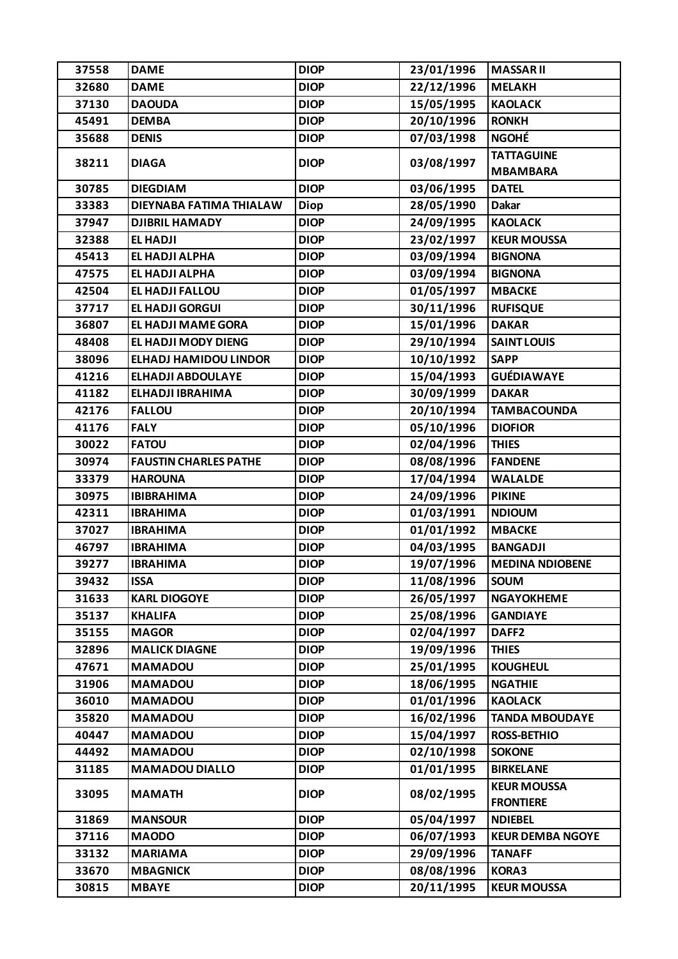| 37558 | <b>DAME</b>                  | <b>DIOP</b> | 23/01/1996              | <b>MASSARII</b>                        |
|-------|------------------------------|-------------|-------------------------|----------------------------------------|
| 32680 | <b>DAME</b>                  | <b>DIOP</b> | 22/12/1996              | <b>MELAKH</b>                          |
| 37130 | <b>DAOUDA</b>                | <b>DIOP</b> | 15/05/1995              | <b>KAOLACK</b>                         |
| 45491 | <b>DEMBA</b>                 | <b>DIOP</b> | $\frac{1}{20/10}$ /1996 | <b>RONKH</b>                           |
| 35688 | <b>DENIS</b>                 | <b>DIOP</b> | 07/03/1998              | <b>NGOHÉ</b>                           |
| 38211 | <b>DIAGA</b>                 | <b>DIOP</b> | 03/08/1997              | <b>TATTAGUINE</b><br><b>MBAMBARA</b>   |
| 30785 | <b>DIEGDIAM</b>              | <b>DIOP</b> | 03/06/1995              | <b>DATEL</b>                           |
| 33383 | DIEYNABA FATIMA THIALAW      | <b>Diop</b> | 28/05/1990              | <b>Dakar</b>                           |
| 37947 | <b>DJIBRIL HAMADY</b>        | <b>DIOP</b> | 24/09/1995              | <b>KAOLACK</b>                         |
| 32388 | <b>EL HADJI</b>              | <b>DIOP</b> | 23/02/1997              | <b>KEUR MOUSSA</b>                     |
| 45413 | EL HADJI ALPHA               | <b>DIOP</b> | 03/09/1994              | <b>BIGNONA</b>                         |
| 47575 | EL HADJI ALPHA               | <b>DIOP</b> | 03/09/1994              | <b>BIGNONA</b>                         |
| 42504 | EL HADJI FALLOU              | <b>DIOP</b> | 01/05/1997              | <b>MBACKE</b>                          |
| 37717 | <b>EL HADJI GORGUI</b>       | <b>DIOP</b> | 30/11/1996              | <b>RUFISQUE</b>                        |
| 36807 | EL HADJI MAME GORA           | <b>DIOP</b> | 15/01/1996              | <b>DAKAR</b>                           |
| 48408 | EL HADJI MODY DIENG          | <b>DIOP</b> | 29/10/1994              | <b>SAINT LOUIS</b>                     |
| 38096 | <b>ELHADJ HAMIDOU LINDOR</b> | <b>DIOP</b> | 10/10/1992              | <b>SAPP</b>                            |
| 41216 | <b>ELHADJI ABDOULAYE</b>     | <b>DIOP</b> | 15/04/1993              | <b>GUÉDIAWAYE</b>                      |
| 41182 | <b>ELHADJI IBRAHIMA</b>      | <b>DIOP</b> | 30/09/1999              | <b>DAKAR</b>                           |
| 42176 | <b>FALLOU</b>                | <b>DIOP</b> | 20/10/1994              | <b>TAMBACOUNDA</b>                     |
| 41176 | <b>FALY</b>                  | <b>DIOP</b> | 05/10/1996              | <b>DIOFIOR</b>                         |
| 30022 | <b>FATOU</b>                 | <b>DIOP</b> | 02/04/1996              | <b>THIES</b>                           |
| 30974 | <b>FAUSTIN CHARLES PATHE</b> | <b>DIOP</b> | 08/08/1996              | <b>FANDENE</b>                         |
| 33379 | <b>HAROUNA</b>               | <b>DIOP</b> | 17/04/1994              | <b>WALALDE</b>                         |
| 30975 | <b>IBIBRAHIMA</b>            | <b>DIOP</b> | 24/09/1996              | <b>PIKINE</b>                          |
| 42311 | <b>IBRAHIMA</b>              | <b>DIOP</b> | 01/03/1991              | <b>NDIOUM</b>                          |
| 37027 | <b>IBRAHIMA</b>              | <b>DIOP</b> | 01/01/1992              | <b>MBACKE</b>                          |
| 46797 | <b>IBRAHIMA</b>              | <b>DIOP</b> | 04/03/1995              | <b>BANGADJI</b>                        |
| 39277 | <b>IBRAHIMA</b>              | <b>DIOP</b> | 19/07/1996              | <b>MEDINA NDIOBENE</b>                 |
| 39432 | <b>ISSA</b>                  | <b>DIOP</b> | 11/08/1996              | <b>SOUM</b>                            |
| 31633 | <b>KARL DIOGOYE</b>          | <b>DIOP</b> | 26/05/1997              | <b>NGAYOKHEME</b>                      |
| 35137 | <b>KHALIFA</b>               | <b>DIOP</b> | 25/08/1996              | <b>GANDIAYE</b>                        |
| 35155 | <b>MAGOR</b>                 | <b>DIOP</b> | 02/04/1997              | DAFF <sub>2</sub>                      |
| 32896 | <b>MALICK DIAGNE</b>         | <b>DIOP</b> | 19/09/1996              | <b>THIES</b>                           |
| 47671 | <b>MAMADOU</b>               | <b>DIOP</b> | 25/01/1995              | <b>KOUGHEUL</b>                        |
| 31906 | <b>MAMADOU</b>               | <b>DIOP</b> | 18/06/1995              | <b>NGATHIE</b>                         |
| 36010 | <b>MAMADOU</b>               | <b>DIOP</b> | 01/01/1996              | <b>KAOLACK</b>                         |
| 35820 | <b>MAMADOU</b>               | <b>DIOP</b> | 16/02/1996              | <b>TANDA MBOUDAYE</b>                  |
| 40447 | <b>MAMADOU</b>               | <b>DIOP</b> | 15/04/1997              | <b>ROSS-BETHIO</b>                     |
| 44492 | <b>MAMADOU</b>               | <b>DIOP</b> | 02/10/1998              | <b>SOKONE</b>                          |
| 31185 | <b>MAMADOU DIALLO</b>        | <b>DIOP</b> | 01/01/1995              | <b>BIRKELANE</b>                       |
| 33095 | <b>MAMATH</b>                | <b>DIOP</b> | 08/02/1995              | <b>KEUR MOUSSA</b><br><b>FRONTIERE</b> |
| 31869 | <b>MANSOUR</b>               | <b>DIOP</b> | 05/04/1997              | <b>NDIEBEL</b>                         |
| 37116 | <b>MAODO</b>                 | <b>DIOP</b> | 06/07/1993              | <b>KEUR DEMBA NGOYE</b>                |
| 33132 | <b>MARIAMA</b>               | <b>DIOP</b> | 29/09/1996              | <b>TANAFF</b>                          |
| 33670 | <b>MBAGNICK</b>              | <b>DIOP</b> | 08/08/1996              | <b>KORA3</b>                           |
| 30815 | <b>MBAYE</b>                 | <b>DIOP</b> | 20/11/1995              | <b>KEUR MOUSSA</b>                     |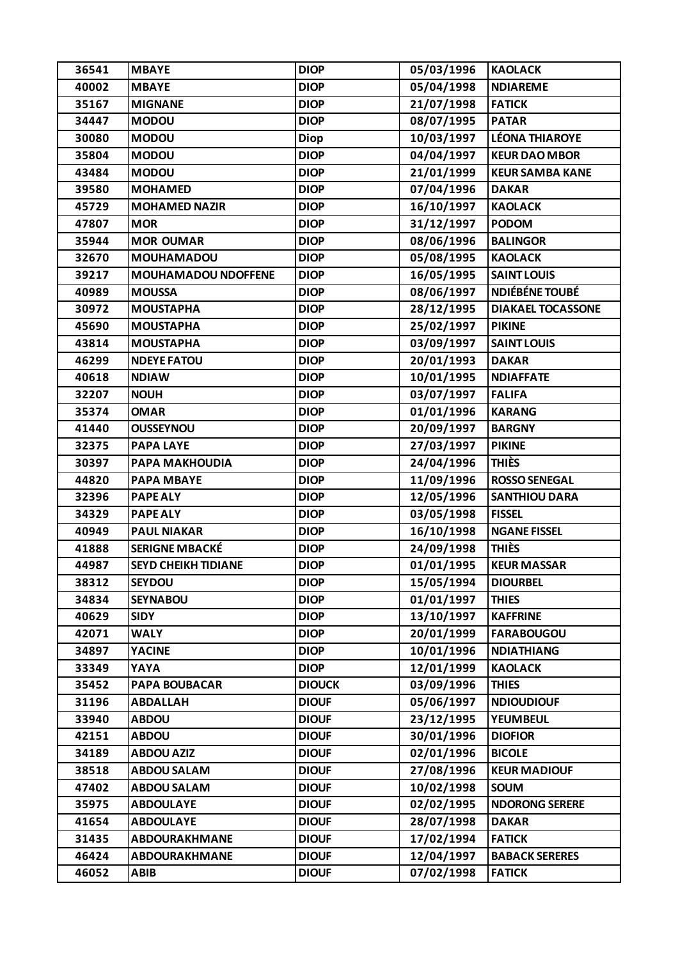| 36541 | <b>MBAYE</b>               | <b>DIOP</b>   | 05/03/1996 | <b>KAOLACK</b>           |
|-------|----------------------------|---------------|------------|--------------------------|
| 40002 | <b>MBAYE</b>               | <b>DIOP</b>   | 05/04/1998 | <b>NDIAREME</b>          |
| 35167 | <b>MIGNANE</b>             | <b>DIOP</b>   | 21/07/1998 | <b>FATICK</b>            |
| 34447 | <b>MODOU</b>               | <b>DIOP</b>   | 08/07/1995 | <b>PATAR</b>             |
| 30080 | <b>MODOU</b>               | <b>Diop</b>   | 10/03/1997 | <b>LÉONA THIAROYE</b>    |
| 35804 | <b>MODOU</b>               | <b>DIOP</b>   | 04/04/1997 | <b>KEUR DAO MBOR</b>     |
| 43484 | <b>MODOU</b>               | <b>DIOP</b>   | 21/01/1999 | <b>KEUR SAMBA KANE</b>   |
| 39580 | <b>MOHAMED</b>             | <b>DIOP</b>   | 07/04/1996 | <b>DAKAR</b>             |
| 45729 | <b>MOHAMED NAZIR</b>       | <b>DIOP</b>   | 16/10/1997 | <b>KAOLACK</b>           |
| 47807 | <b>MOR</b>                 | <b>DIOP</b>   | 31/12/1997 | <b>PODOM</b>             |
| 35944 | <b>MOR OUMAR</b>           | <b>DIOP</b>   | 08/06/1996 | <b>BALINGOR</b>          |
| 32670 | <b>MOUHAMADOU</b>          | <b>DIOP</b>   | 05/08/1995 | <b>KAOLACK</b>           |
| 39217 | <b>MOUHAMADOU NDOFFENE</b> | <b>DIOP</b>   | 16/05/1995 | <b>SAINT LOUIS</b>       |
| 40989 | <b>MOUSSA</b>              | <b>DIOP</b>   | 08/06/1997 | NDIÉBÉNE TOUBÉ           |
| 30972 | <b>MOUSTAPHA</b>           | <b>DIOP</b>   | 28/12/1995 | <b>DIAKAEL TOCASSONE</b> |
| 45690 | <b>MOUSTAPHA</b>           | <b>DIOP</b>   | 25/02/1997 | <b>PIKINE</b>            |
| 43814 | <b>MOUSTAPHA</b>           | <b>DIOP</b>   | 03/09/1997 | <b>SAINT LOUIS</b>       |
| 46299 | <b>NDEYE FATOU</b>         | <b>DIOP</b>   | 20/01/1993 | <b>DAKAR</b>             |
| 40618 | <b>NDIAW</b>               | <b>DIOP</b>   | 10/01/1995 | <b>NDIAFFATE</b>         |
| 32207 | <b>NOUH</b>                | <b>DIOP</b>   | 03/07/1997 | <b>FALIFA</b>            |
| 35374 | <b>OMAR</b>                | <b>DIOP</b>   | 01/01/1996 | <b>KARANG</b>            |
| 41440 | <b>OUSSEYNOU</b>           | <b>DIOP</b>   | 20/09/1997 | <b>BARGNY</b>            |
| 32375 | <b>PAPA LAYE</b>           | <b>DIOP</b>   | 27/03/1997 | <b>PIKINE</b>            |
| 30397 | <b>PAPA MAKHOUDIA</b>      | <b>DIOP</b>   | 24/04/1996 | <b>THIÈS</b>             |
| 44820 | <b>PAPA MBAYE</b>          | <b>DIOP</b>   | 11/09/1996 | <b>ROSSO SENEGAL</b>     |
| 32396 | <b>PAPE ALY</b>            | <b>DIOP</b>   | 12/05/1996 | <b>SANTHIOU DARA</b>     |
| 34329 | <b>PAPE ALY</b>            | <b>DIOP</b>   | 03/05/1998 | <b>FISSEL</b>            |
| 40949 | <b>PAUL NIAKAR</b>         | <b>DIOP</b>   | 16/10/1998 | <b>NGANE FISSEL</b>      |
| 41888 | <b>SERIGNE MBACKÉ</b>      | <b>DIOP</b>   | 24/09/1998 | <b>THIÈS</b>             |
| 44987 | <b>SEYD CHEIKH TIDIANE</b> | <b>DIOP</b>   | 01/01/1995 | <b>KEUR MASSAR</b>       |
| 38312 | <b>SEYDOU</b>              | <b>DIOP</b>   | 15/05/1994 | <b>DIOURBEL</b>          |
| 34834 | <b>SEYNABOU</b>            | <b>DIOP</b>   | 01/01/1997 | <b>THIES</b>             |
| 40629 | <b>SIDY</b>                | <b>DIOP</b>   | 13/10/1997 | <b>KAFFRINE</b>          |
| 42071 | <b>WALY</b>                | <b>DIOP</b>   | 20/01/1999 | <b>FARABOUGOU</b>        |
| 34897 | <b>YACINE</b>              | <b>DIOP</b>   | 10/01/1996 | <b>NDIATHIANG</b>        |
| 33349 | YAYA                       | <b>DIOP</b>   | 12/01/1999 | <b>KAOLACK</b>           |
| 35452 | <b>PAPA BOUBACAR</b>       | <b>DIOUCK</b> | 03/09/1996 | <b>THIES</b>             |
| 31196 | <b>ABDALLAH</b>            | <b>DIOUF</b>  | 05/06/1997 | <b>NDIOUDIOUF</b>        |
| 33940 | <b>ABDOU</b>               | <b>DIOUF</b>  | 23/12/1995 | <b>YEUMBEUL</b>          |
| 42151 | <b>ABDOU</b>               | <b>DIOUF</b>  | 30/01/1996 | <b>DIOFIOR</b>           |
| 34189 | <b>ABDOU AZIZ</b>          | <b>DIOUF</b>  | 02/01/1996 | <b>BICOLE</b>            |
| 38518 | <b>ABDOU SALAM</b>         | <b>DIOUF</b>  | 27/08/1996 | <b>KEUR MADIOUF</b>      |
| 47402 | <b>ABDOU SALAM</b>         | <b>DIOUF</b>  | 10/02/1998 | <b>SOUM</b>              |
| 35975 | <b>ABDOULAYE</b>           | <b>DIOUF</b>  | 02/02/1995 | <b>NDORONG SERERE</b>    |
| 41654 | <b>ABDOULAYE</b>           | <b>DIOUF</b>  | 28/07/1998 | <b>DAKAR</b>             |
| 31435 | <b>ABDOURAKHMANE</b>       | <b>DIOUF</b>  | 17/02/1994 | <b>FATICK</b>            |
| 46424 | <b>ABDOURAKHMANE</b>       | <b>DIOUF</b>  | 12/04/1997 | <b>BABACK SERERES</b>    |
| 46052 | <b>ABIB</b>                | <b>DIOUF</b>  | 07/02/1998 | <b>FATICK</b>            |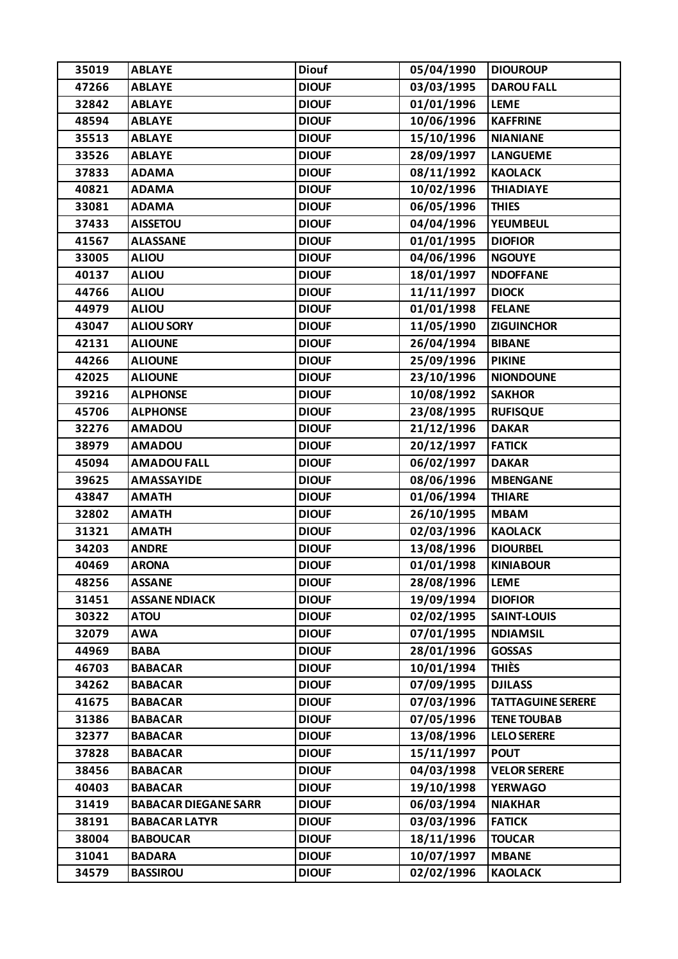| 35019 | <b>ABLAYE</b>               | <b>Diouf</b> | 05/04/1990 | <b>DIOUROUP</b>          |
|-------|-----------------------------|--------------|------------|--------------------------|
| 47266 | <b>ABLAYE</b>               | <b>DIOUF</b> | 03/03/1995 | <b>DAROU FALL</b>        |
| 32842 | <b>ABLAYE</b>               | <b>DIOUF</b> | 01/01/1996 | <b>LEME</b>              |
| 48594 | <b>ABLAYE</b>               | <b>DIOUF</b> | 10/06/1996 | <b>KAFFRINE</b>          |
| 35513 | <b>ABLAYE</b>               | <b>DIOUF</b> | 15/10/1996 | <b>NIANIANE</b>          |
| 33526 | <b>ABLAYE</b>               | <b>DIOUF</b> | 28/09/1997 | <b>LANGUEME</b>          |
| 37833 | <b>ADAMA</b>                | <b>DIOUF</b> | 08/11/1992 | <b>KAOLACK</b>           |
| 40821 | <b>ADAMA</b>                | <b>DIOUF</b> | 10/02/1996 | <b>THIADIAYE</b>         |
| 33081 | <b>ADAMA</b>                | <b>DIOUF</b> | 06/05/1996 | <b>THIES</b>             |
| 37433 | <b>AISSETOU</b>             | <b>DIOUF</b> | 04/04/1996 | <b>YEUMBEUL</b>          |
| 41567 | <b>ALASSANE</b>             | <b>DIOUF</b> | 01/01/1995 | <b>DIOFIOR</b>           |
| 33005 | <b>ALIOU</b>                | <b>DIOUF</b> | 04/06/1996 | <b>NGOUYE</b>            |
| 40137 | <b>ALIOU</b>                | <b>DIOUF</b> | 18/01/1997 | <b>NDOFFANE</b>          |
| 44766 | <b>ALIOU</b>                | <b>DIOUF</b> | 11/11/1997 | <b>DIOCK</b>             |
| 44979 | <b>ALIOU</b>                | <b>DIOUF</b> | 01/01/1998 | <b>FELANE</b>            |
| 43047 | <b>ALIOU SORY</b>           | <b>DIOUF</b> | 11/05/1990 | <b>ZIGUINCHOR</b>        |
| 42131 | <b>ALIOUNE</b>              | <b>DIOUF</b> | 26/04/1994 | <b>BIBANE</b>            |
| 44266 | <b>ALIOUNE</b>              | <b>DIOUF</b> | 25/09/1996 | <b>PIKINE</b>            |
| 42025 | <b>ALIOUNE</b>              | <b>DIOUF</b> | 23/10/1996 | <b>NIONDOUNE</b>         |
| 39216 | <b>ALPHONSE</b>             | <b>DIOUF</b> | 10/08/1992 | <b>SAKHOR</b>            |
| 45706 | <b>ALPHONSE</b>             | <b>DIOUF</b> | 23/08/1995 | <b>RUFISQUE</b>          |
| 32276 | <b>AMADOU</b>               | <b>DIOUF</b> | 21/12/1996 | <b>DAKAR</b>             |
| 38979 | <b>AMADOU</b>               | <b>DIOUF</b> | 20/12/1997 | <b>FATICK</b>            |
| 45094 | <b>AMADOU FALL</b>          | <b>DIOUF</b> | 06/02/1997 | <b>DAKAR</b>             |
| 39625 | <b>AMASSAYIDE</b>           | <b>DIOUF</b> | 08/06/1996 | <b>MBENGANE</b>          |
| 43847 | <b>AMATH</b>                | <b>DIOUF</b> | 01/06/1994 | <b>THIARE</b>            |
| 32802 | <b>AMATH</b>                | <b>DIOUF</b> | 26/10/1995 | <b>MBAM</b>              |
| 31321 | <b>AMATH</b>                | <b>DIOUF</b> | 02/03/1996 | <b>KAOLACK</b>           |
| 34203 | <b>ANDRE</b>                | <b>DIOUF</b> | 13/08/1996 | <b>DIOURBEL</b>          |
| 40469 | <b>ARONA</b>                | <b>DIOUF</b> | 01/01/1998 | <b>KINIABOUR</b>         |
| 48256 | <b>ASSANE</b>               | <b>DIOUF</b> | 28/08/1996 | <b>LEME</b>              |
| 31451 | <b>ASSANE NDIACK</b>        | <b>DIOUF</b> | 19/09/1994 | <b>DIOFIOR</b>           |
| 30322 | <b>ATOU</b>                 | <b>DIOUF</b> | 02/02/1995 | <b>SAINT-LOUIS</b>       |
| 32079 | <b>AWA</b>                  | <b>DIOUF</b> | 07/01/1995 | <b>NDIAMSIL</b>          |
| 44969 | <b>BABA</b>                 | <b>DIOUF</b> | 28/01/1996 | <b>GOSSAS</b>            |
| 46703 | <b>BABACAR</b>              | <b>DIOUF</b> | 10/01/1994 | <b>THIÈS</b>             |
| 34262 | <b>BABACAR</b>              | <b>DIOUF</b> | 07/09/1995 | <b>DJILASS</b>           |
| 41675 | <b>BABACAR</b>              | <b>DIOUF</b> | 07/03/1996 | <b>TATTAGUINE SERERE</b> |
| 31386 | <b>BABACAR</b>              | <b>DIOUF</b> | 07/05/1996 | <b>TENE TOUBAB</b>       |
| 32377 | <b>BABACAR</b>              | <b>DIOUF</b> | 13/08/1996 | <b>LELO SERERE</b>       |
| 37828 | <b>BABACAR</b>              | <b>DIOUF</b> | 15/11/1997 | <b>POUT</b>              |
| 38456 | <b>BABACAR</b>              | <b>DIOUF</b> | 04/03/1998 | <b>VELOR SERERE</b>      |
| 40403 | <b>BABACAR</b>              | <b>DIOUF</b> | 19/10/1998 | <b>YERWAGO</b>           |
| 31419 | <b>BABACAR DIEGANE SARR</b> | <b>DIOUF</b> | 06/03/1994 | <b>NIAKHAR</b>           |
| 38191 | <b>BABACAR LATYR</b>        | <b>DIOUF</b> | 03/03/1996 | <b>FATICK</b>            |
| 38004 | <b>BABOUCAR</b>             | <b>DIOUF</b> | 18/11/1996 | <b>TOUCAR</b>            |
| 31041 | <b>BADARA</b>               | <b>DIOUF</b> | 10/07/1997 | <b>MBANE</b>             |
| 34579 | <b>BASSIROU</b>             | <b>DIOUF</b> | 02/02/1996 | <b>KAOLACK</b>           |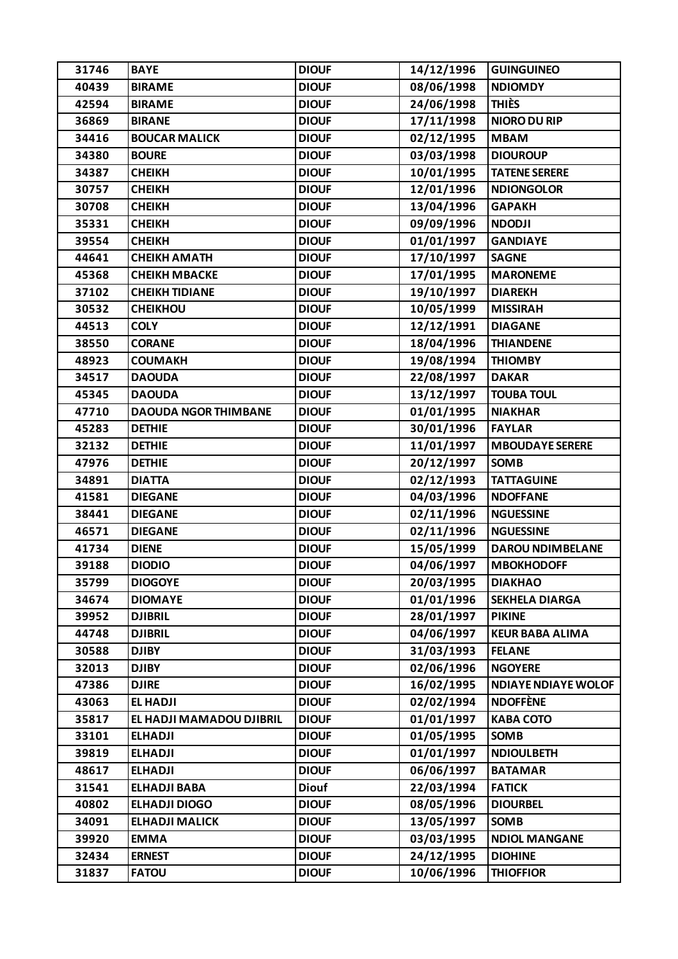| 31746 | <b>BAYE</b>                 | <b>DIOUF</b> | 14/12/1996 | <b>GUINGUINEO</b>          |
|-------|-----------------------------|--------------|------------|----------------------------|
| 40439 | <b>BIRAME</b>               | <b>DIOUF</b> | 08/06/1998 | <b>NDIOMDY</b>             |
| 42594 | <b>BIRAME</b>               | <b>DIOUF</b> | 24/06/1998 | <b>THIÈS</b>               |
| 36869 | <b>BIRANE</b>               | <b>DIOUF</b> | 17/11/1998 | <b>NIORO DU RIP</b>        |
| 34416 | <b>BOUCAR MALICK</b>        | <b>DIOUF</b> | 02/12/1995 | <b>MBAM</b>                |
| 34380 | <b>BOURE</b>                | <b>DIOUF</b> | 03/03/1998 | <b>DIOUROUP</b>            |
| 34387 | <b>CHEIKH</b>               | <b>DIOUF</b> | 10/01/1995 | <b>TATENE SERERE</b>       |
| 30757 | <b>CHEIKH</b>               | <b>DIOUF</b> | 12/01/1996 | <b>NDIONGOLOR</b>          |
| 30708 | <b>CHEIKH</b>               | <b>DIOUF</b> | 13/04/1996 | <b>GAPAKH</b>              |
| 35331 | <b>CHEIKH</b>               | <b>DIOUF</b> | 09/09/1996 | <b>NDODJI</b>              |
| 39554 | <b>CHEIKH</b>               | <b>DIOUF</b> | 01/01/1997 | <b>GANDIAYE</b>            |
| 44641 | <b>CHEIKH AMATH</b>         | <b>DIOUF</b> | 17/10/1997 | <b>SAGNE</b>               |
| 45368 | <b>CHEIKH MBACKE</b>        | <b>DIOUF</b> | 17/01/1995 | <b>MARONEME</b>            |
| 37102 | <b>CHEIKH TIDIANE</b>       | <b>DIOUF</b> | 19/10/1997 | <b>DIAREKH</b>             |
| 30532 | <b>CHEIKHOU</b>             | <b>DIOUF</b> | 10/05/1999 | <b>MISSIRAH</b>            |
| 44513 | <b>COLY</b>                 | <b>DIOUF</b> | 12/12/1991 | <b>DIAGANE</b>             |
| 38550 | <b>CORANE</b>               | <b>DIOUF</b> | 18/04/1996 | <b>THIANDENE</b>           |
| 48923 | <b>COUMAKH</b>              | <b>DIOUF</b> | 19/08/1994 | <b>THIOMBY</b>             |
| 34517 | <b>DAOUDA</b>               | <b>DIOUF</b> | 22/08/1997 | <b>DAKAR</b>               |
| 45345 | <b>DAOUDA</b>               | <b>DIOUF</b> | 13/12/1997 | <b>TOUBA TOUL</b>          |
| 47710 | <b>DAOUDA NGOR THIMBANE</b> | <b>DIOUF</b> | 01/01/1995 | <b>NIAKHAR</b>             |
| 45283 | <b>DETHIE</b>               | <b>DIOUF</b> | 30/01/1996 | <b>FAYLAR</b>              |
| 32132 | <b>DETHIE</b>               | <b>DIOUF</b> | 11/01/1997 | <b>MBOUDAYE SERERE</b>     |
| 47976 | <b>DETHIE</b>               | <b>DIOUF</b> | 20/12/1997 | <b>SOMB</b>                |
| 34891 | <b>DIATTA</b>               | <b>DIOUF</b> | 02/12/1993 | <b>TATTAGUINE</b>          |
| 41581 | <b>DIEGANE</b>              | <b>DIOUF</b> | 04/03/1996 | <b>NDOFFANE</b>            |
| 38441 | <b>DIEGANE</b>              | <b>DIOUF</b> | 02/11/1996 | <b>NGUESSINE</b>           |
| 46571 | <b>DIEGANE</b>              | <b>DIOUF</b> | 02/11/1996 | <b>NGUESSINE</b>           |
| 41734 | <b>DIENE</b>                | <b>DIOUF</b> | 15/05/1999 | <b>DAROU NDIMBELANE</b>    |
| 39188 | <b>DIODIO</b>               | <b>DIOUF</b> | 04/06/1997 | <b>MBOKHODOFF</b>          |
| 35799 | <b>DIOGOYE</b>              | <b>DIOUF</b> | 20/03/1995 | <b>DIAKHAO</b>             |
| 34674 | <b>DIOMAYE</b>              | <b>DIOUF</b> | 01/01/1996 | <b>SEKHELA DIARGA</b>      |
| 39952 | <b>DJIBRIL</b>              | <b>DIOUF</b> | 28/01/1997 | <b>PIKINE</b>              |
| 44748 | <b>DJIBRIL</b>              | <b>DIOUF</b> | 04/06/1997 | <b>KEUR BABA ALIMA</b>     |
| 30588 | <b>DJIBY</b>                | <b>DIOUF</b> | 31/03/1993 | <b>FELANE</b>              |
| 32013 | <b>DJIBY</b>                | <b>DIOUF</b> | 02/06/1996 | <b>NGOYERE</b>             |
| 47386 | <b>DJIRE</b>                | <b>DIOUF</b> | 16/02/1995 | <b>NDIAYE NDIAYE WOLOF</b> |
| 43063 | <b>EL HADJI</b>             | <b>DIOUF</b> | 02/02/1994 | <b>NDOFFÈNE</b>            |
| 35817 | EL HADJI MAMADOU DJIBRIL    | <b>DIOUF</b> | 01/01/1997 | <b>KABA COTO</b>           |
| 33101 | <b>ELHADJI</b>              | <b>DIOUF</b> | 01/05/1995 | <b>SOMB</b>                |
| 39819 | <b>ELHADJI</b>              | <b>DIOUF</b> | 01/01/1997 | <b>NDIOULBETH</b>          |
| 48617 | <b>ELHADJI</b>              | <b>DIOUF</b> | 06/06/1997 | <b>BATAMAR</b>             |
| 31541 | <b>ELHADJI BABA</b>         | <b>Diouf</b> | 22/03/1994 | <b>FATICK</b>              |
| 40802 | <b>ELHADJI DIOGO</b>        | <b>DIOUF</b> | 08/05/1996 | <b>DIOURBEL</b>            |
| 34091 | <b>ELHADJI MALICK</b>       | <b>DIOUF</b> | 13/05/1997 | <b>SOMB</b>                |
| 39920 | <b>EMMA</b>                 | <b>DIOUF</b> | 03/03/1995 | <b>NDIOL MANGANE</b>       |
| 32434 | <b>ERNEST</b>               | <b>DIOUF</b> | 24/12/1995 | <b>DIOHINE</b>             |
| 31837 | <b>FATOU</b>                | <b>DIOUF</b> | 10/06/1996 | <b>THIOFFIOR</b>           |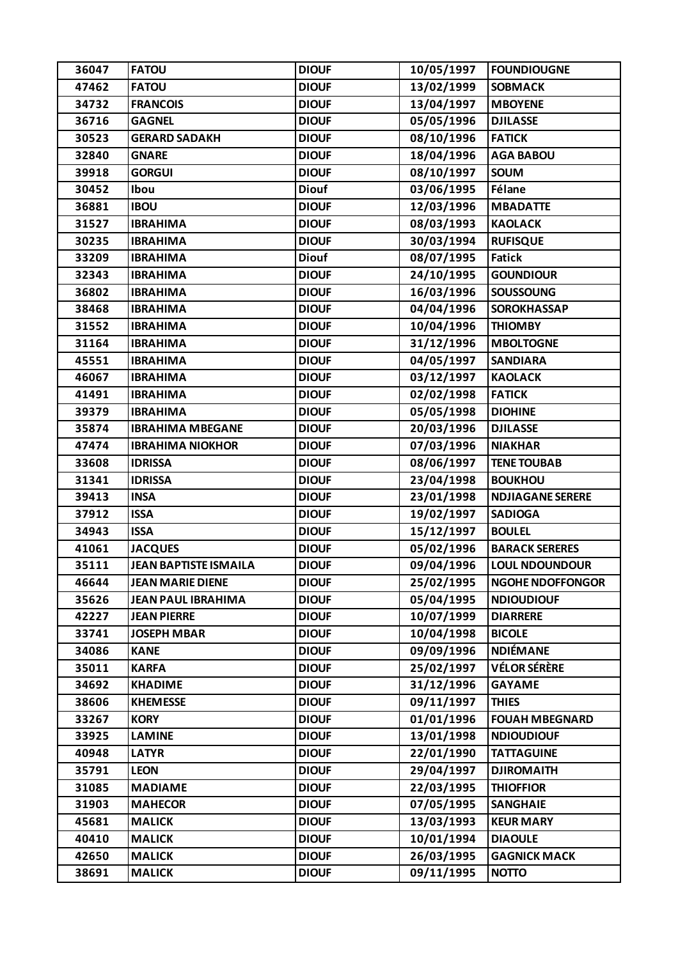| 36047 | <b>FATOU</b>                 | <b>DIOUF</b> | 10/05/1997 | <b>FOUNDIOUGNE</b>      |
|-------|------------------------------|--------------|------------|-------------------------|
| 47462 | <b>FATOU</b>                 | <b>DIOUF</b> | 13/02/1999 | <b>SOBMACK</b>          |
| 34732 | <b>FRANCOIS</b>              | <b>DIOUF</b> | 13/04/1997 | <b>MBOYENE</b>          |
| 36716 | <b>GAGNEL</b>                | <b>DIOUF</b> | 05/05/1996 | <b>DJILASSE</b>         |
| 30523 | <b>GERARD SADAKH</b>         | <b>DIOUF</b> | 08/10/1996 | <b>FATICK</b>           |
| 32840 | <b>GNARE</b>                 | <b>DIOUF</b> | 18/04/1996 | <b>AGA BABOU</b>        |
| 39918 | <b>GORGUI</b>                | <b>DIOUF</b> | 08/10/1997 | <b>SOUM</b>             |
| 30452 | Ibou                         | <b>Diouf</b> | 03/06/1995 | Félane                  |
| 36881 | <b>IBOU</b>                  | <b>DIOUF</b> | 12/03/1996 | <b>MBADATTE</b>         |
| 31527 | <b>IBRAHIMA</b>              | <b>DIOUF</b> | 08/03/1993 | <b>KAOLACK</b>          |
| 30235 | <b>IBRAHIMA</b>              | <b>DIOUF</b> | 30/03/1994 | <b>RUFISQUE</b>         |
| 33209 | <b>IBRAHIMA</b>              | <b>Diouf</b> | 08/07/1995 | <b>Fatick</b>           |
| 32343 | <b>IBRAHIMA</b>              | <b>DIOUF</b> | 24/10/1995 | <b>GOUNDIOUR</b>        |
| 36802 | <b>IBRAHIMA</b>              | <b>DIOUF</b> | 16/03/1996 | <b>SOUSSOUNG</b>        |
| 38468 | <b>IBRAHIMA</b>              | <b>DIOUF</b> | 04/04/1996 | <b>SOROKHASSAP</b>      |
| 31552 | <b>IBRAHIMA</b>              | <b>DIOUF</b> | 10/04/1996 | <b>THIOMBY</b>          |
| 31164 | <b>IBRAHIMA</b>              | <b>DIOUF</b> | 31/12/1996 | <b>MBOLTOGNE</b>        |
| 45551 | <b>IBRAHIMA</b>              | <b>DIOUF</b> | 04/05/1997 | <b>SANDIARA</b>         |
| 46067 | <b>IBRAHIMA</b>              | <b>DIOUF</b> | 03/12/1997 | <b>KAOLACK</b>          |
| 41491 | <b>IBRAHIMA</b>              | <b>DIOUF</b> | 02/02/1998 | <b>FATICK</b>           |
| 39379 | <b>IBRAHIMA</b>              | <b>DIOUF</b> | 05/05/1998 | <b>DIOHINE</b>          |
| 35874 | <b>IBRAHIMA MBEGANE</b>      | <b>DIOUF</b> | 20/03/1996 | <b>DJILASSE</b>         |
| 47474 | <b>IBRAHIMA NIOKHOR</b>      | <b>DIOUF</b> | 07/03/1996 | <b>NIAKHAR</b>          |
| 33608 | <b>IDRISSA</b>               | <b>DIOUF</b> | 08/06/1997 | <b>TENE TOUBAB</b>      |
| 31341 | <b>IDRISSA</b>               | <b>DIOUF</b> | 23/04/1998 | <b>BOUKHOU</b>          |
| 39413 | <b>INSA</b>                  | <b>DIOUF</b> | 23/01/1998 | <b>NDJIAGANE SERERE</b> |
| 37912 | <b>ISSA</b>                  | <b>DIOUF</b> | 19/02/1997 | <b>SADIOGA</b>          |
| 34943 | <b>ISSA</b>                  | <b>DIOUF</b> | 15/12/1997 | <b>BOULEL</b>           |
| 41061 | <b>JACQUES</b>               | <b>DIOUF</b> | 05/02/1996 | <b>BARACK SERERES</b>   |
| 35111 | <b>JEAN BAPTISTE ISMAILA</b> | <b>DIOUF</b> | 09/04/1996 | <b>LOUL NDOUNDOUR</b>   |
| 46644 | <b>JEAN MARIE DIENE</b>      | <b>DIOUF</b> | 25/02/1995 | <b>NGOHE NDOFFONGOR</b> |
| 35626 | <b>JEAN PAUL IBRAHIMA</b>    | <b>DIOUF</b> | 05/04/1995 | <b>NDIOUDIOUF</b>       |
| 42227 | <b>JEAN PIERRE</b>           | <b>DIOUF</b> | 10/07/1999 | <b>DIARRERE</b>         |
| 33741 | <b>JOSEPH MBAR</b>           | <b>DIOUF</b> | 10/04/1998 | <b>BICOLE</b>           |
| 34086 | <b>KANE</b>                  | <b>DIOUF</b> | 09/09/1996 | <b>NDIÉMANE</b>         |
| 35011 | <b>KARFA</b>                 | <b>DIOUF</b> | 25/02/1997 | <b>VÉLOR SÉRÈRE</b>     |
| 34692 | <b>KHADIME</b>               | <b>DIOUF</b> | 31/12/1996 | <b>GAYAME</b>           |
| 38606 | <b>KHEMESSE</b>              | <b>DIOUF</b> | 09/11/1997 | <b>THIES</b>            |
| 33267 | <b>KORY</b>                  | <b>DIOUF</b> | 01/01/1996 | <b>FOUAH MBEGNARD</b>   |
| 33925 | <b>LAMINE</b>                | <b>DIOUF</b> | 13/01/1998 | <b>NDIOUDIOUF</b>       |
| 40948 | <b>LATYR</b>                 | <b>DIOUF</b> | 22/01/1990 | <b>TATTAGUINE</b>       |
| 35791 | <b>LEON</b>                  | <b>DIOUF</b> | 29/04/1997 | <b>DJIROMAITH</b>       |
| 31085 | <b>MADIAME</b>               | <b>DIOUF</b> | 22/03/1995 | <b>THIOFFIOR</b>        |
| 31903 | <b>MAHECOR</b>               | <b>DIOUF</b> | 07/05/1995 | <b>SANGHAIE</b>         |
| 45681 | <b>MALICK</b>                | <b>DIOUF</b> | 13/03/1993 | <b>KEUR MARY</b>        |
| 40410 | <b>MALICK</b>                | <b>DIOUF</b> | 10/01/1994 | <b>DIAOULE</b>          |
| 42650 | <b>MALICK</b>                | <b>DIOUF</b> | 26/03/1995 | <b>GAGNICK MACK</b>     |
| 38691 | <b>MALICK</b>                | <b>DIOUF</b> | 09/11/1995 | <b>NOTTO</b>            |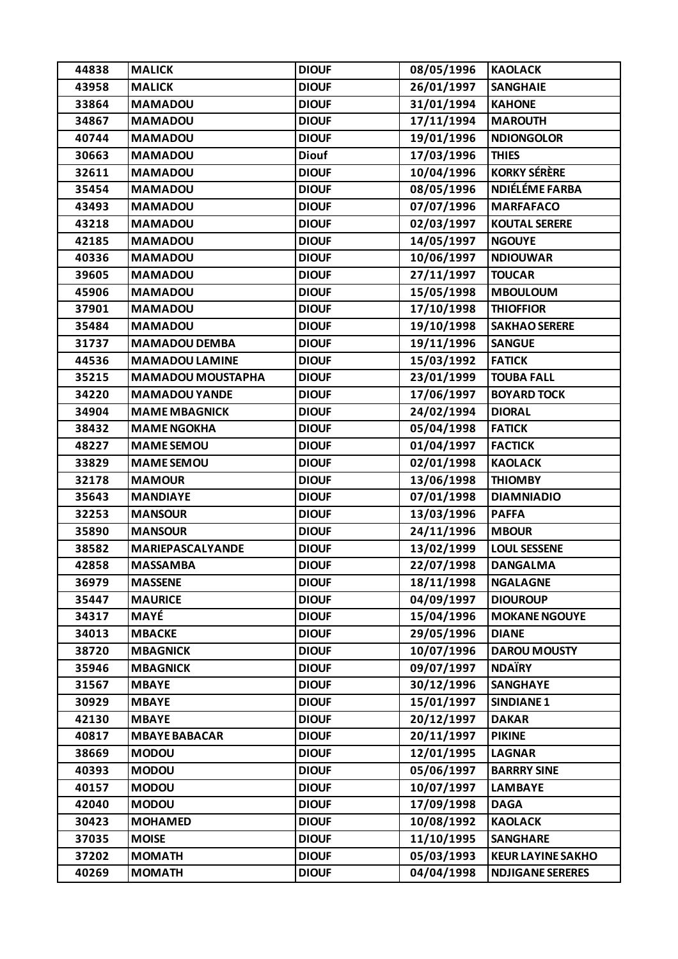| 44838 | <b>MALICK</b>            | <b>DIOUF</b> | 08/05/1996 | <b>KAOLACK</b>           |
|-------|--------------------------|--------------|------------|--------------------------|
| 43958 | <b>MALICK</b>            | <b>DIOUF</b> | 26/01/1997 | <b>SANGHAIE</b>          |
| 33864 | <b>MAMADOU</b>           | <b>DIOUF</b> | 31/01/1994 | <b>KAHONE</b>            |
| 34867 | <b>MAMADOU</b>           | <b>DIOUF</b> | 17/11/1994 | <b>MAROUTH</b>           |
| 40744 | <b>MAMADOU</b>           | <b>DIOUF</b> | 19/01/1996 | <b>NDIONGOLOR</b>        |
| 30663 | <b>MAMADOU</b>           | <b>Diouf</b> | 17/03/1996 | <b>THIES</b>             |
| 32611 | <b>MAMADOU</b>           | <b>DIOUF</b> | 10/04/1996 | <b>KORKY SÉRÈRE</b>      |
| 35454 | <b>MAMADOU</b>           | <b>DIOUF</b> | 08/05/1996 | NDIÉLÉME FARBA           |
| 43493 | <b>MAMADOU</b>           | <b>DIOUF</b> | 07/07/1996 | <b>MARFAFACO</b>         |
| 43218 | <b>MAMADOU</b>           | <b>DIOUF</b> | 02/03/1997 | <b>KOUTAL SERERE</b>     |
| 42185 | <b>MAMADOU</b>           | <b>DIOUF</b> | 14/05/1997 | <b>NGOUYE</b>            |
| 40336 | <b>MAMADOU</b>           | <b>DIOUF</b> | 10/06/1997 | <b>NDIOUWAR</b>          |
| 39605 | <b>MAMADOU</b>           | <b>DIOUF</b> | 27/11/1997 | <b>TOUCAR</b>            |
| 45906 | <b>MAMADOU</b>           | <b>DIOUF</b> | 15/05/1998 | <b>MBOULOUM</b>          |
| 37901 | <b>MAMADOU</b>           | <b>DIOUF</b> | 17/10/1998 | <b>THIOFFIOR</b>         |
| 35484 | <b>MAMADOU</b>           | <b>DIOUF</b> | 19/10/1998 | <b>SAKHAO SERERE</b>     |
| 31737 | <b>MAMADOU DEMBA</b>     | <b>DIOUF</b> | 19/11/1996 | <b>SANGUE</b>            |
| 44536 | <b>MAMADOU LAMINE</b>    | <b>DIOUF</b> | 15/03/1992 | <b>FATICK</b>            |
| 35215 | <b>MAMADOU MOUSTAPHA</b> | <b>DIOUF</b> | 23/01/1999 | <b>TOUBA FALL</b>        |
| 34220 | <b>MAMADOU YANDE</b>     | <b>DIOUF</b> | 17/06/1997 | <b>BOYARD TOCK</b>       |
| 34904 | <b>MAME MBAGNICK</b>     | <b>DIOUF</b> | 24/02/1994 | <b>DIORAL</b>            |
| 38432 | <b>MAME NGOKHA</b>       | <b>DIOUF</b> | 05/04/1998 | <b>FATICK</b>            |
| 48227 | <b>MAME SEMOU</b>        | <b>DIOUF</b> | 01/04/1997 | <b>FACTICK</b>           |
| 33829 | <b>MAME SEMOU</b>        | <b>DIOUF</b> | 02/01/1998 | <b>KAOLACK</b>           |
| 32178 | <b>MAMOUR</b>            | <b>DIOUF</b> | 13/06/1998 | <b>THIOMBY</b>           |
| 35643 | <b>MANDIAYE</b>          | <b>DIOUF</b> | 07/01/1998 | <b>DIAMNIADIO</b>        |
| 32253 | <b>MANSOUR</b>           | <b>DIOUF</b> | 13/03/1996 | <b>PAFFA</b>             |
| 35890 | <b>MANSOUR</b>           | <b>DIOUF</b> | 24/11/1996 | <b>MBOUR</b>             |
| 38582 | <b>MARIEPASCALYANDE</b>  | <b>DIOUF</b> | 13/02/1999 | <b>LOUL SESSENE</b>      |
| 42858 | <b>MASSAMBA</b>          | <b>DIOUF</b> | 22/07/1998 | <b>DANGALMA</b>          |
| 36979 | <b>MASSENE</b>           | <b>DIOUF</b> | 18/11/1998 | <b>NGALAGNE</b>          |
| 35447 | <b>MAURICE</b>           | <b>DIOUF</b> | 04/09/1997 | <b>DIOUROUP</b>          |
| 34317 | MAYÉ                     | <b>DIOUF</b> | 15/04/1996 | <b>MOKANE NGOUYE</b>     |
| 34013 | <b>MBACKE</b>            | <b>DIOUF</b> | 29/05/1996 | <b>DIANE</b>             |
| 38720 | <b>MBAGNICK</b>          | <b>DIOUF</b> | 10/07/1996 | <b>DAROU MOUSTY</b>      |
| 35946 | <b>MBAGNICK</b>          | <b>DIOUF</b> | 09/07/1997 | <b>NDAÏRY</b>            |
| 31567 | <b>MBAYE</b>             | <b>DIOUF</b> | 30/12/1996 | <b>SANGHAYE</b>          |
| 30929 | <b>MBAYE</b>             | <b>DIOUF</b> | 15/01/1997 | <b>SINDIANE 1</b>        |
| 42130 | <b>MBAYE</b>             | <b>DIOUF</b> | 20/12/1997 | <b>DAKAR</b>             |
| 40817 | <b>MBAYE BABACAR</b>     | <b>DIOUF</b> | 20/11/1997 | <b>PIKINE</b>            |
| 38669 | <b>MODOU</b>             | <b>DIOUF</b> | 12/01/1995 | <b>LAGNAR</b>            |
| 40393 | <b>MODOU</b>             | <b>DIOUF</b> | 05/06/1997 | <b>BARRRY SINE</b>       |
| 40157 | <b>MODOU</b>             | <b>DIOUF</b> | 10/07/1997 | <b>LAMBAYE</b>           |
| 42040 | <b>MODOU</b>             | <b>DIOUF</b> | 17/09/1998 | <b>DAGA</b>              |
| 30423 | <b>MOHAMED</b>           | <b>DIOUF</b> | 10/08/1992 | <b>KAOLACK</b>           |
| 37035 | <b>MOISE</b>             | <b>DIOUF</b> | 11/10/1995 | <b>SANGHARE</b>          |
| 37202 | <b>MOMATH</b>            | <b>DIOUF</b> | 05/03/1993 | <b>KEUR LAYINE SAKHO</b> |
| 40269 | <b>MOMATH</b>            | <b>DIOUF</b> | 04/04/1998 | <b>NDJIGANE SERERES</b>  |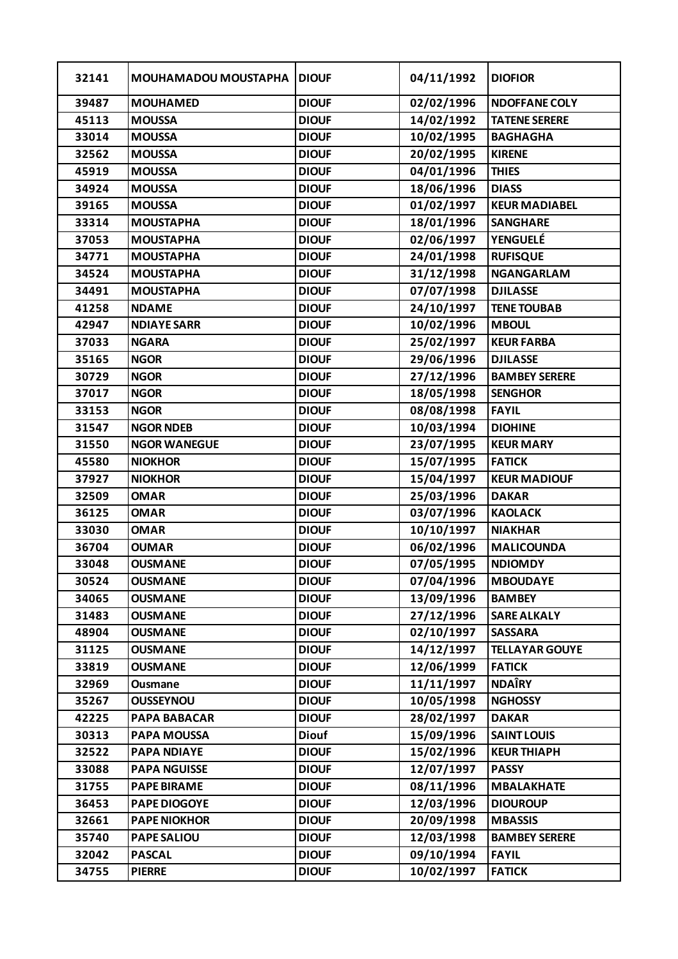| 32141 | MOUHAMADOU MOUSTAPHA | <b>DIOUF</b> | 04/11/1992 | <b>DIOFIOR</b>        |
|-------|----------------------|--------------|------------|-----------------------|
| 39487 | <b>MOUHAMED</b>      | <b>DIOUF</b> | 02/02/1996 | <b>NDOFFANE COLY</b>  |
| 45113 | <b>MOUSSA</b>        | <b>DIOUF</b> | 14/02/1992 | <b>TATENE SERERE</b>  |
| 33014 | <b>MOUSSA</b>        | <b>DIOUF</b> | 10/02/1995 | <b>BAGHAGHA</b>       |
| 32562 | <b>MOUSSA</b>        | <b>DIOUF</b> | 20/02/1995 | <b>KIRENE</b>         |
| 45919 | <b>MOUSSA</b>        | <b>DIOUF</b> | 04/01/1996 | <b>THIES</b>          |
| 34924 | <b>MOUSSA</b>        | <b>DIOUF</b> | 18/06/1996 | <b>DIASS</b>          |
| 39165 | <b>MOUSSA</b>        | <b>DIOUF</b> | 01/02/1997 | <b>KEUR MADIABEL</b>  |
| 33314 | <b>MOUSTAPHA</b>     | <b>DIOUF</b> | 18/01/1996 | <b>SANGHARE</b>       |
| 37053 | <b>MOUSTAPHA</b>     | <b>DIOUF</b> | 02/06/1997 | <b>YENGUELÉ</b>       |
| 34771 | <b>MOUSTAPHA</b>     | <b>DIOUF</b> | 24/01/1998 | <b>RUFISQUE</b>       |
| 34524 | <b>MOUSTAPHA</b>     | <b>DIOUF</b> | 31/12/1998 | <b>NGANGARLAM</b>     |
| 34491 | <b>MOUSTAPHA</b>     | <b>DIOUF</b> | 07/07/1998 | <b>DJILASSE</b>       |
| 41258 | <b>NDAME</b>         | <b>DIOUF</b> | 24/10/1997 | <b>TENE TOUBAB</b>    |
| 42947 | <b>NDIAYE SARR</b>   | <b>DIOUF</b> | 10/02/1996 | <b>MBOUL</b>          |
| 37033 | <b>NGARA</b>         | <b>DIOUF</b> | 25/02/1997 | <b>KEUR FARBA</b>     |
| 35165 | <b>NGOR</b>          | <b>DIOUF</b> | 29/06/1996 | <b>DJILASSE</b>       |
| 30729 | <b>NGOR</b>          | <b>DIOUF</b> | 27/12/1996 | <b>BAMBEY SERERE</b>  |
| 37017 | <b>NGOR</b>          | <b>DIOUF</b> | 18/05/1998 | <b>SENGHOR</b>        |
| 33153 | <b>NGOR</b>          | <b>DIOUF</b> | 08/08/1998 | <b>FAYIL</b>          |
| 31547 | <b>NGOR NDEB</b>     | <b>DIOUF</b> | 10/03/1994 | <b>DIOHINE</b>        |
| 31550 | <b>NGOR WANEGUE</b>  | <b>DIOUF</b> | 23/07/1995 | <b>KEUR MARY</b>      |
| 45580 | <b>NIOKHOR</b>       | <b>DIOUF</b> | 15/07/1995 | <b>FATICK</b>         |
| 37927 | <b>NIOKHOR</b>       | <b>DIOUF</b> | 15/04/1997 | <b>KEUR MADIOUF</b>   |
| 32509 | <b>OMAR</b>          | <b>DIOUF</b> | 25/03/1996 | <b>DAKAR</b>          |
| 36125 | <b>OMAR</b>          | <b>DIOUF</b> | 03/07/1996 | <b>KAOLACK</b>        |
| 33030 | <b>OMAR</b>          | <b>DIOUF</b> | 10/10/1997 | <b>NIAKHAR</b>        |
| 36704 | <b>OUMAR</b>         | <b>DIOUF</b> | 06/02/1996 | <b>MALICOUNDA</b>     |
| 33048 | <b>OUSMANE</b>       | <b>DIOUF</b> | 07/05/1995 | <b>NDIOMDY</b>        |
| 30524 | <b>OUSMANE</b>       | <b>DIOUF</b> | 07/04/1996 | <b>MBOUDAYE</b>       |
| 34065 | <b>OUSMANE</b>       | <b>DIOUF</b> | 13/09/1996 | <b>BAMBEY</b>         |
| 31483 | <b>OUSMANE</b>       | <b>DIOUF</b> | 27/12/1996 | <b>SARE ALKALY</b>    |
| 48904 | <b>OUSMANE</b>       | <b>DIOUF</b> | 02/10/1997 | <b>SASSARA</b>        |
| 31125 | <b>OUSMANE</b>       | <b>DIOUF</b> | 14/12/1997 | <b>TELLAYAR GOUYE</b> |
| 33819 | <b>OUSMANE</b>       | <b>DIOUF</b> | 12/06/1999 | <b>FATICK</b>         |
| 32969 | Ousmane              | <b>DIOUF</b> | 11/11/1997 | <b>NDAÎRY</b>         |
| 35267 | <b>OUSSEYNOU</b>     | <b>DIOUF</b> | 10/05/1998 | <b>NGHOSSY</b>        |
| 42225 | <b>PAPA BABACAR</b>  | <b>DIOUF</b> | 28/02/1997 | <b>DAKAR</b>          |
| 30313 | <b>PAPA MOUSSA</b>   | <b>Diouf</b> | 15/09/1996 | <b>SAINT LOUIS</b>    |
| 32522 | <b>PAPA NDIAYE</b>   | <b>DIOUF</b> | 15/02/1996 | <b>KEUR THIAPH</b>    |
| 33088 | <b>PAPA NGUISSE</b>  | <b>DIOUF</b> | 12/07/1997 | <b>PASSY</b>          |
| 31755 | <b>PAPE BIRAME</b>   | <b>DIOUF</b> | 08/11/1996 | <b>MBALAKHATE</b>     |
| 36453 | PAPE DIOGOYE         | <b>DIOUF</b> | 12/03/1996 | <b>DIOUROUP</b>       |
| 32661 | <b>PAPE NIOKHOR</b>  | <b>DIOUF</b> | 20/09/1998 | <b>MBASSIS</b>        |
| 35740 | <b>PAPE SALIOU</b>   | <b>DIOUF</b> | 12/03/1998 | <b>BAMBEY SERERE</b>  |
| 32042 | <b>PASCAL</b>        | <b>DIOUF</b> | 09/10/1994 | <b>FAYIL</b>          |
| 34755 | <b>PIERRE</b>        | <b>DIOUF</b> | 10/02/1997 | <b>FATICK</b>         |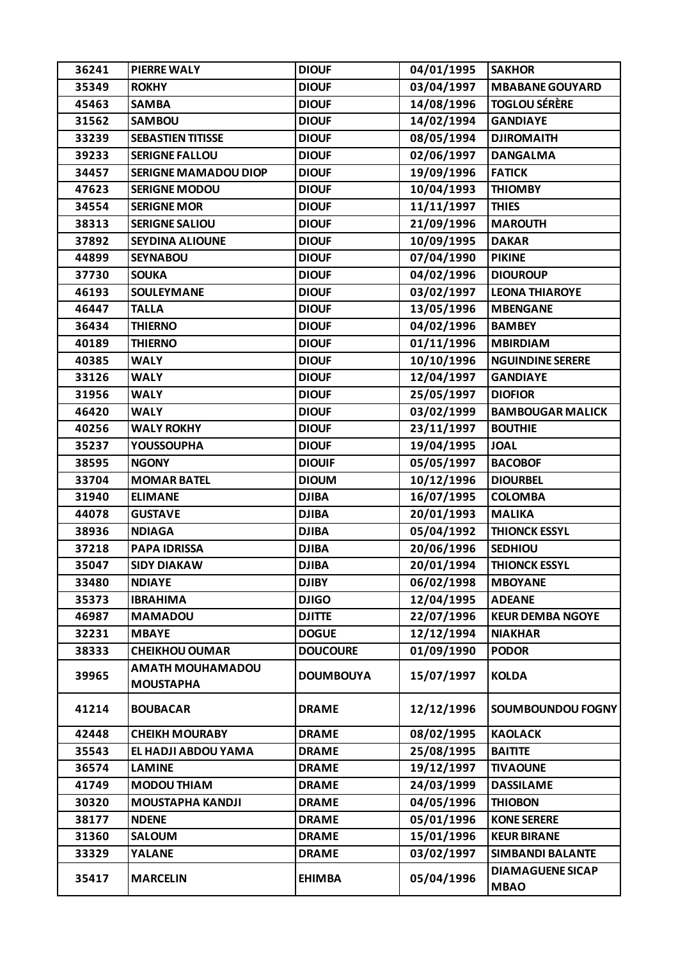| 36241 | <b>PIERRE WALY</b>          | <b>DIOUF</b>     | 04/01/1995 | <b>SAKHOR</b>                          |
|-------|-----------------------------|------------------|------------|----------------------------------------|
| 35349 | <b>ROKHY</b>                | <b>DIOUF</b>     | 03/04/1997 | <b>MBABANE GOUYARD</b>                 |
| 45463 | <b>SAMBA</b>                | <b>DIOUF</b>     | 14/08/1996 | <b>TOGLOU SÉRÈRE</b>                   |
| 31562 | <b>SAMBOU</b>               | <b>DIOUF</b>     | 14/02/1994 | <b>GANDIAYE</b>                        |
| 33239 | <b>SEBASTIEN TITISSE</b>    | <b>DIOUF</b>     | 08/05/1994 | <b>DJIROMAITH</b>                      |
| 39233 | <b>SERIGNE FALLOU</b>       | <b>DIOUF</b>     | 02/06/1997 | <b>DANGALMA</b>                        |
| 34457 | <b>SERIGNE MAMADOU DIOP</b> | <b>DIOUF</b>     | 19/09/1996 | <b>FATICK</b>                          |
| 47623 | <b>SERIGNE MODOU</b>        | <b>DIOUF</b>     | 10/04/1993 | <b>THIOMBY</b>                         |
| 34554 | <b>SERIGNE MOR</b>          | <b>DIOUF</b>     | 11/11/1997 | <b>THIES</b>                           |
| 38313 | <b>SERIGNE SALIOU</b>       | <b>DIOUF</b>     | 21/09/1996 | <b>MAROUTH</b>                         |
| 37892 | <b>SEYDINA ALIOUNE</b>      | <b>DIOUF</b>     | 10/09/1995 | <b>DAKAR</b>                           |
| 44899 | <b>SEYNABOU</b>             | <b>DIOUF</b>     | 07/04/1990 | <b>PIKINE</b>                          |
| 37730 | <b>SOUKA</b>                | <b>DIOUF</b>     | 04/02/1996 | <b>DIOUROUP</b>                        |
| 46193 | SOULEYMANE                  | <b>DIOUF</b>     | 03/02/1997 | <b>LEONA THIAROYE</b>                  |
| 46447 | <b>TALLA</b>                | <b>DIOUF</b>     | 13/05/1996 | <b>MBENGANE</b>                        |
| 36434 | <b>THIERNO</b>              | <b>DIOUF</b>     | 04/02/1996 | <b>BAMBEY</b>                          |
| 40189 | <b>THIERNO</b>              | <b>DIOUF</b>     | 01/11/1996 | <b>MBIRDIAM</b>                        |
| 40385 | <b>WALY</b>                 | <b>DIOUF</b>     | 10/10/1996 | <b>NGUINDINE SERERE</b>                |
| 33126 | <b>WALY</b>                 | <b>DIOUF</b>     | 12/04/1997 | <b>GANDIAYE</b>                        |
| 31956 | <b>WALY</b>                 | <b>DIOUF</b>     | 25/05/1997 | <b>DIOFIOR</b>                         |
| 46420 | <b>WALY</b>                 | <b>DIOUF</b>     | 03/02/1999 | <b>BAMBOUGAR MALICK</b>                |
| 40256 | <b>WALY ROKHY</b>           | <b>DIOUF</b>     | 23/11/1997 | <b>BOUTHIE</b>                         |
| 35237 | <b>YOUSSOUPHA</b>           | <b>DIOUF</b>     | 19/04/1995 | <b>JOAL</b>                            |
| 38595 | <b>NGONY</b>                | <b>DIOUIF</b>    | 05/05/1997 | <b>BACOBOF</b>                         |
| 33704 | <b>MOMAR BATEL</b>          | <b>DIOUM</b>     | 10/12/1996 | <b>DIOURBEL</b>                        |
| 31940 | <b>ELIMANE</b>              | <b>DJIBA</b>     | 16/07/1995 | <b>COLOMBA</b>                         |
| 44078 | <b>GUSTAVE</b>              | <b>DJIBA</b>     | 20/01/1993 | <b>MALIKA</b>                          |
| 38936 | <b>NDIAGA</b>               | <b>DJIBA</b>     | 05/04/1992 | <b>THIONCK ESSYL</b>                   |
| 37218 | <b>PAPA IDRISSA</b>         | <b>DJIBA</b>     | 20/06/1996 | <b>SEDHIOU</b>                         |
| 35047 | <b>SIDY DIAKAW</b>          | <b>DJIBA</b>     | 20/01/1994 | <b>THIONCK ESSYL</b>                   |
| 33480 | <b>NDIAYE</b>               | <b>DJIBY</b>     | 06/02/1998 | <b>MBOYANE</b>                         |
| 35373 | <b>IBRAHIMA</b>             | <b>DJIGO</b>     | 12/04/1995 | <b>ADEANE</b>                          |
| 46987 | <b>MAMADOU</b>              | <b>DJITTE</b>    | 22/07/1996 | <b>KEUR DEMBA NGOYE</b>                |
| 32231 | <b>MBAYE</b>                | <b>DOGUE</b>     | 12/12/1994 | <b>NIAKHAR</b>                         |
| 38333 | <b>CHEIKHOU OUMAR</b>       | <b>DOUCOURE</b>  | 01/09/1990 | <b>PODOR</b>                           |
| 39965 | <b>AMATH MOUHAMADOU</b>     | <b>DOUMBOUYA</b> | 15/07/1997 | <b>KOLDA</b>                           |
|       | <b>MOUSTAPHA</b>            |                  |            |                                        |
| 41214 | <b>BOUBACAR</b>             | <b>DRAME</b>     | 12/12/1996 | <b>SOUMBOUNDOU FOGNY</b>               |
| 42448 | <b>CHEIKH MOURABY</b>       | <b>DRAME</b>     | 08/02/1995 | <b>KAOLACK</b>                         |
| 35543 | EL HADJI ABDOU YAMA         | <b>DRAME</b>     | 25/08/1995 | <b>BAITITE</b>                         |
| 36574 | <b>LAMINE</b>               | <b>DRAME</b>     | 19/12/1997 | <b>TIVAOUNE</b>                        |
| 41749 | <b>MODOU THIAM</b>          | <b>DRAME</b>     | 24/03/1999 | <b>DASSILAME</b>                       |
| 30320 | <b>MOUSTAPHA KANDJI</b>     | <b>DRAME</b>     | 04/05/1996 | <b>THIOBON</b>                         |
| 38177 | <b>NDENE</b>                | <b>DRAME</b>     | 05/01/1996 | <b>KONE SERERE</b>                     |
| 31360 | <b>SALOUM</b>               | <b>DRAME</b>     | 15/01/1996 | <b>KEUR BIRANE</b>                     |
| 33329 | <b>YALANE</b>               | <b>DRAME</b>     | 03/02/1997 | <b>SIMBANDI BALANTE</b>                |
| 35417 | <b>MARCELIN</b>             | <b>EHIMBA</b>    | 05/04/1996 | <b>DIAMAGUENE SICAP</b><br><b>MBAO</b> |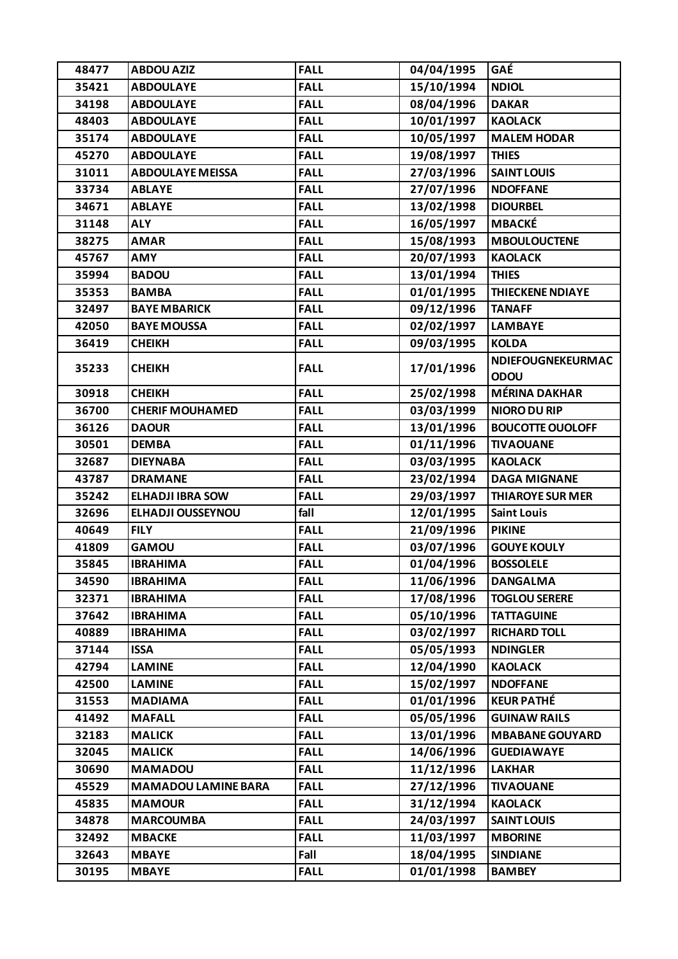| 48477 | <b>ABDOU AZIZ</b>          | <b>FALL</b> | 04/04/1995              | GAÉ                              |
|-------|----------------------------|-------------|-------------------------|----------------------------------|
| 35421 | <b>ABDOULAYE</b>           | <b>FALL</b> | 15/10/1994              | <b>NDIOL</b>                     |
| 34198 | <b>ABDOULAYE</b>           | <b>FALL</b> | 08/04/1996              | <b>DAKAR</b>                     |
| 48403 | <b>ABDOULAYE</b>           | <b>FALL</b> | 10/01/1997              | <b>KAOLACK</b>                   |
| 35174 | <b>ABDOULAYE</b>           | <b>FALL</b> | 10/05/1997              | <b>MALEM HODAR</b>               |
| 45270 | <b>ABDOULAYE</b>           | <b>FALL</b> | 19/08/1997              | <b>THIES</b>                     |
| 31011 | <b>ABDOULAYE MEISSA</b>    | <b>FALL</b> | 27/03/1996              | <b>SAINT LOUIS</b>               |
| 33734 | <b>ABLAYE</b>              | <b>FALL</b> | 27/07/1996              | <b>NDOFFANE</b>                  |
| 34671 | <b>ABLAYE</b>              | <b>FALL</b> | 13/02/1998              | <b>DIOURBEL</b>                  |
| 31148 | <b>ALY</b>                 | <b>FALL</b> | 16/05/1997              | <b>MBACKÉ</b>                    |
| 38275 | <b>AMAR</b>                | <b>FALL</b> | 15/08/1993              | <b>MBOULOUCTENE</b>              |
| 45767 | <b>AMY</b>                 | <b>FALL</b> | 20/07/1993              | <b>KAOLACK</b>                   |
| 35994 | <b>BADOU</b>               | <b>FALL</b> | 13/01/1994              | <b>THIES</b>                     |
| 35353 | <b>BAMBA</b>               | <b>FALL</b> | 01/01/1995              | <b>THIECKENE NDIAYE</b>          |
| 32497 | <b>BAYE MBARICK</b>        | <b>FALL</b> | 09/12/1996              | <b>TANAFF</b>                    |
| 42050 | <b>BAYE MOUSSA</b>         | <b>FALL</b> | 02/02/1997              | <b>LAMBAYE</b>                   |
| 36419 | <b>CHEIKH</b>              | <b>FALL</b> | 09/03/1995              | <b>KOLDA</b>                     |
| 35233 | <b>CHEIKH</b>              | <b>FALL</b> | 17/01/1996              | NDIEFOUGNEKEURMAC<br><b>ODOU</b> |
| 30918 | <b>CHEIKH</b>              | <b>FALL</b> | 25/02/1998              | <b>MÉRINA DAKHAR</b>             |
| 36700 | <b>CHERIF MOUHAMED</b>     | <b>FALL</b> | 03/03/1999              | <b>NIORO DU RIP</b>              |
| 36126 | <b>DAOUR</b>               | <b>FALL</b> | 13/01/1996              | <b>BOUCOTTE OUOLOFF</b>          |
| 30501 | <b>DEMBA</b>               | <b>FALL</b> | 01/11/1996              | <b>TIVAOUANE</b>                 |
| 32687 | <b>DIEYNABA</b>            | <b>FALL</b> | 03/03/1995              | <b>KAOLACK</b>                   |
| 43787 | <b>DRAMANE</b>             | <b>FALL</b> | 23/02/1994              | <b>DAGA MIGNANE</b>              |
| 35242 | <b>ELHADJI IBRA SOW</b>    | <b>FALL</b> | 29/03/1997              | <b>THIAROYE SUR MER</b>          |
| 32696 | <b>ELHADJI OUSSEYNOU</b>   | fall        | $\overline{12/01/1995}$ | <b>Saint Louis</b>               |
| 40649 | <b>FILY</b>                | <b>FALL</b> | 21/09/1996              | <b>PIKINE</b>                    |
| 41809 | <b>GAMOU</b>               | <b>FALL</b> | 03/07/1996              | <b>GOUYE KOULY</b>               |
| 35845 | <b>IBRAHIMA</b>            | <b>FALL</b> | 01/04/1996              | <b>BOSSOLELE</b>                 |
| 34590 | <b>IBRAHIMA</b>            | <b>FALL</b> | 11/06/1996              | <b>DANGALMA</b>                  |
| 32371 | <b>IBRAHIMA</b>            | <b>FALL</b> | 17/08/1996              | <b>TOGLOU SERERE</b>             |
| 37642 | <b>IBRAHIMA</b>            | <b>FALL</b> | 05/10/1996              | <b>TATTAGUINE</b>                |
| 40889 | <b>IBRAHIMA</b>            | <b>FALL</b> | 03/02/1997              | <b>RICHARD TOLL</b>              |
| 37144 | <b>ISSA</b>                | <b>FALL</b> | 05/05/1993              | <b>NDINGLER</b>                  |
| 42794 | <b>LAMINE</b>              | <b>FALL</b> | $\overline{12/04/1990}$ | <b>KAOLACK</b>                   |
| 42500 | <b>LAMINE</b>              | <b>FALL</b> | 15/02/1997              | <b>NDOFFANE</b>                  |
| 31553 | <b>MADIAMA</b>             | <b>FALL</b> | 01/01/1996              | <b>KEUR PATHÉ</b>                |
| 41492 | <b>MAFALL</b>              | <b>FALL</b> | 05/05/1996              | <b>GUINAW RAILS</b>              |
| 32183 | <b>MALICK</b>              | <b>FALL</b> | 13/01/1996              | <b>MBABANE GOUYARD</b>           |
| 32045 | <b>MALICK</b>              | <b>FALL</b> | 14/06/1996              | <b>GUEDIAWAYE</b>                |
| 30690 | <b>MAMADOU</b>             | <b>FALL</b> | 11/12/1996              | <b>LAKHAR</b>                    |
| 45529 | <b>MAMADOU LAMINE BARA</b> | <b>FALL</b> | 27/12/1996              | <b>TIVAOUANE</b>                 |
| 45835 | <b>MAMOUR</b>              | <b>FALL</b> | 31/12/1994              | <b>KAOLACK</b>                   |
| 34878 | <b>MARCOUMBA</b>           | <b>FALL</b> | 24/03/1997              | <b>SAINT LOUIS</b>               |
| 32492 | <b>MBACKE</b>              | <b>FALL</b> | 11/03/1997              | <b>MBORINE</b>                   |
| 32643 | <b>MBAYE</b>               | Fall        | 18/04/1995              | <b>SINDIANE</b>                  |
| 30195 | <b>MBAYE</b>               | <b>FALL</b> | 01/01/1998              | <b>BAMBEY</b>                    |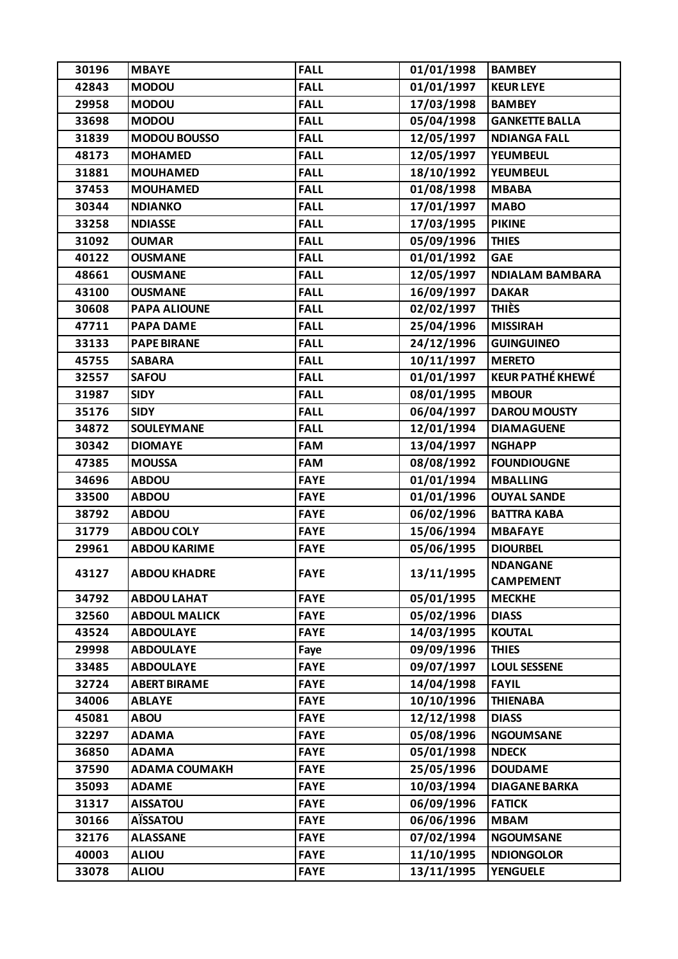| 30196 | <b>MBAYE</b>         | <b>FALL</b> | 01/01/1998 | <b>BAMBEY</b>                       |
|-------|----------------------|-------------|------------|-------------------------------------|
| 42843 | <b>MODOU</b>         | <b>FALL</b> | 01/01/1997 | <b>KEUR LEYE</b>                    |
| 29958 | <b>MODOU</b>         | <b>FALL</b> | 17/03/1998 | <b>BAMBEY</b>                       |
| 33698 | <b>MODOU</b>         | <b>FALL</b> | 05/04/1998 | <b>GANKETTE BALLA</b>               |
| 31839 | <b>MODOU BOUSSO</b>  | <b>FALL</b> | 12/05/1997 | <b>NDIANGA FALL</b>                 |
| 48173 | <b>MOHAMED</b>       | <b>FALL</b> | 12/05/1997 | <b>YEUMBEUL</b>                     |
| 31881 | <b>MOUHAMED</b>      | <b>FALL</b> | 18/10/1992 | <b>YEUMBEUL</b>                     |
| 37453 | <b>MOUHAMED</b>      | <b>FALL</b> | 01/08/1998 | <b>MBABA</b>                        |
| 30344 | <b>NDIANKO</b>       | <b>FALL</b> | 17/01/1997 | <b>MABO</b>                         |
| 33258 | <b>NDIASSE</b>       | <b>FALL</b> | 17/03/1995 | <b>PIKINE</b>                       |
| 31092 | <b>OUMAR</b>         | <b>FALL</b> | 05/09/1996 | <b>THIES</b>                        |
| 40122 | <b>OUSMANE</b>       | <b>FALL</b> | 01/01/1992 | <b>GAE</b>                          |
| 48661 | <b>OUSMANE</b>       | <b>FALL</b> | 12/05/1997 | <b>NDIALAM BAMBARA</b>              |
| 43100 | <b>OUSMANE</b>       | <b>FALL</b> | 16/09/1997 | <b>DAKAR</b>                        |
| 30608 | <b>PAPA ALIOUNE</b>  | <b>FALL</b> | 02/02/1997 | <b>THIÈS</b>                        |
| 47711 | <b>PAPA DAME</b>     | <b>FALL</b> | 25/04/1996 | <b>MISSIRAH</b>                     |
| 33133 | <b>PAPE BIRANE</b>   | <b>FALL</b> | 24/12/1996 | <b>GUINGUINEO</b>                   |
| 45755 | <b>SABARA</b>        | <b>FALL</b> | 10/11/1997 | <b>MERETO</b>                       |
| 32557 | <b>SAFOU</b>         | <b>FALL</b> | 01/01/1997 | <b>KEUR PATHÉ KHEWÉ</b>             |
| 31987 | <b>SIDY</b>          | <b>FALL</b> | 08/01/1995 | <b>MBOUR</b>                        |
| 35176 | <b>SIDY</b>          | <b>FALL</b> | 06/04/1997 | <b>DAROU MOUSTY</b>                 |
| 34872 | SOULEYMANE           | <b>FALL</b> | 12/01/1994 | <b>DIAMAGUENE</b>                   |
| 30342 | <b>DIOMAYE</b>       | <b>FAM</b>  | 13/04/1997 | <b>NGHAPP</b>                       |
| 47385 | <b>MOUSSA</b>        | <b>FAM</b>  | 08/08/1992 | <b>FOUNDIOUGNE</b>                  |
| 34696 | <b>ABDOU</b>         | <b>FAYE</b> | 01/01/1994 | <b>MBALLING</b>                     |
| 33500 | <b>ABDOU</b>         | <b>FAYE</b> | 01/01/1996 | <b>OUYAL SANDE</b>                  |
| 38792 | <b>ABDOU</b>         | <b>FAYE</b> | 06/02/1996 | <b>BATTRA KABA</b>                  |
| 31779 | <b>ABDOU COLY</b>    | <b>FAYE</b> | 15/06/1994 | <b>MBAFAYE</b>                      |
| 29961 | <b>ABDOU KARIME</b>  | <b>FAYE</b> | 05/06/1995 | <b>DIOURBEL</b>                     |
| 43127 | <b>ABDOU KHADRE</b>  | <b>FAYE</b> | 13/11/1995 | <b>NDANGANE</b><br><b>CAMPEMENT</b> |
| 34792 | <b>ABDOU LAHAT</b>   | <b>FAYE</b> | 05/01/1995 | <b>MECKHE</b>                       |
| 32560 | <b>ABDOUL MALICK</b> | <b>FAYE</b> | 05/02/1996 | <b>DIASS</b>                        |
| 43524 | <b>ABDOULAYE</b>     | <b>FAYE</b> | 14/03/1995 | <b>KOUTAL</b>                       |
| 29998 | <b>ABDOULAYE</b>     | Faye        | 09/09/1996 | <b>THIES</b>                        |
| 33485 | <b>ABDOULAYE</b>     | <b>FAYE</b> | 09/07/1997 | <b>LOUL SESSENE</b>                 |
| 32724 | <b>ABERT BIRAME</b>  | <b>FAYE</b> | 14/04/1998 | <b>FAYIL</b>                        |
| 34006 | <b>ABLAYE</b>        | <b>FAYE</b> | 10/10/1996 | <b>THIENABA</b>                     |
| 45081 | <b>ABOU</b>          | <b>FAYE</b> | 12/12/1998 | <b>DIASS</b>                        |
| 32297 | <b>ADAMA</b>         | <b>FAYE</b> | 05/08/1996 | <b>NGOUMSANE</b>                    |
| 36850 | <b>ADAMA</b>         | <b>FAYE</b> | 05/01/1998 | <b>NDECK</b>                        |
| 37590 | <b>ADAMA COUMAKH</b> | <b>FAYE</b> | 25/05/1996 | <b>DOUDAME</b>                      |
| 35093 | <b>ADAME</b>         | <b>FAYE</b> | 10/03/1994 | <b>DIAGANE BARKA</b>                |
| 31317 | <b>AISSATOU</b>      | <b>FAYE</b> | 06/09/1996 | <b>FATICK</b>                       |
| 30166 | <b>AÏSSATOU</b>      | <b>FAYE</b> | 06/06/1996 | <b>MBAM</b>                         |
| 32176 | <b>ALASSANE</b>      | <b>FAYE</b> | 07/02/1994 | <b>NGOUMSANE</b>                    |
| 40003 | <b>ALIOU</b>         | <b>FAYE</b> | 11/10/1995 | <b>NDIONGOLOR</b>                   |
| 33078 | <b>ALIOU</b>         | <b>FAYE</b> | 13/11/1995 | <b>YENGUELE</b>                     |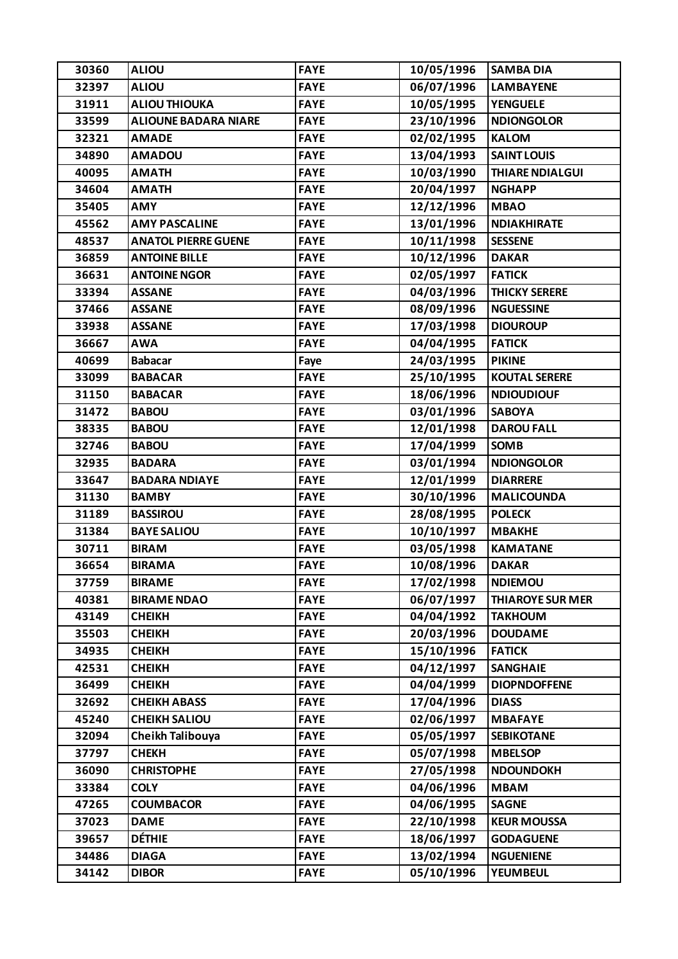| 30360 | <b>ALIOU</b>                | <b>FAYE</b> | 10/05/1996 | <b>SAMBA DIA</b>        |
|-------|-----------------------------|-------------|------------|-------------------------|
| 32397 | <b>ALIOU</b>                | <b>FAYE</b> | 06/07/1996 | <b>LAMBAYENE</b>        |
| 31911 | <b>ALIOU THIOUKA</b>        | <b>FAYE</b> | 10/05/1995 | <b>YENGUELE</b>         |
| 33599 | <b>ALIOUNE BADARA NIARE</b> | <b>FAYE</b> | 23/10/1996 | <b>NDIONGOLOR</b>       |
| 32321 | <b>AMADE</b>                | <b>FAYE</b> | 02/02/1995 | <b>KALOM</b>            |
| 34890 | <b>AMADOU</b>               | <b>FAYE</b> | 13/04/1993 | <b>SAINT LOUIS</b>      |
| 40095 | <b>AMATH</b>                | <b>FAYE</b> | 10/03/1990 | <b>THIARE NDIALGUI</b>  |
| 34604 | <b>AMATH</b>                | <b>FAYE</b> | 20/04/1997 | <b>NGHAPP</b>           |
| 35405 | <b>AMY</b>                  | <b>FAYE</b> | 12/12/1996 | <b>MBAO</b>             |
| 45562 | <b>AMY PASCALINE</b>        | <b>FAYE</b> | 13/01/1996 | <b>NDIAKHIRATE</b>      |
| 48537 | <b>ANATOL PIERRE GUENE</b>  | <b>FAYE</b> | 10/11/1998 | <b>SESSENE</b>          |
| 36859 | <b>ANTOINE BILLE</b>        | <b>FAYE</b> | 10/12/1996 | <b>DAKAR</b>            |
| 36631 | <b>ANTOINE NGOR</b>         | <b>FAYE</b> | 02/05/1997 | <b>FATICK</b>           |
| 33394 | <b>ASSANE</b>               | <b>FAYE</b> | 04/03/1996 | <b>THICKY SERERE</b>    |
| 37466 | <b>ASSANE</b>               | <b>FAYE</b> | 08/09/1996 | <b>NGUESSINE</b>        |
| 33938 | <b>ASSANE</b>               | <b>FAYE</b> | 17/03/1998 | <b>DIOUROUP</b>         |
| 36667 | AWA                         | <b>FAYE</b> | 04/04/1995 | <b>FATICK</b>           |
| 40699 | <b>Babacar</b>              | Faye        | 24/03/1995 | <b>PIKINE</b>           |
| 33099 | <b>BABACAR</b>              | <b>FAYE</b> | 25/10/1995 | <b>KOUTAL SERERE</b>    |
| 31150 | <b>BABACAR</b>              | <b>FAYE</b> | 18/06/1996 | <b>NDIOUDIOUF</b>       |
| 31472 | <b>BABOU</b>                | <b>FAYE</b> | 03/01/1996 | <b>SABOYA</b>           |
| 38335 | <b>BABOU</b>                | <b>FAYE</b> | 12/01/1998 | <b>DAROU FALL</b>       |
| 32746 | <b>BABOU</b>                | <b>FAYE</b> | 17/04/1999 | <b>SOMB</b>             |
| 32935 | <b>BADARA</b>               | <b>FAYE</b> | 03/01/1994 | <b>NDIONGOLOR</b>       |
| 33647 | <b>BADARA NDIAYE</b>        | <b>FAYE</b> | 12/01/1999 | <b>DIARRERE</b>         |
| 31130 | <b>BAMBY</b>                | <b>FAYE</b> | 30/10/1996 | <b>MALICOUNDA</b>       |
| 31189 | <b>BASSIROU</b>             | <b>FAYE</b> | 28/08/1995 | <b>POLECK</b>           |
| 31384 | <b>BAYE SALIOU</b>          | <b>FAYE</b> | 10/10/1997 | <b>MBAKHE</b>           |
| 30711 | <b>BIRAM</b>                | <b>FAYE</b> | 03/05/1998 | <b>KAMATANE</b>         |
| 36654 | <b>BIRAMA</b>               | <b>FAYE</b> | 10/08/1996 | <b>DAKAR</b>            |
| 37759 | <b>BIRAME</b>               | <b>FAYE</b> | 17/02/1998 | <b>NDIEMOU</b>          |
| 40381 | <b>BIRAME NDAO</b>          | <b>FAYE</b> | 06/07/1997 | <b>THIAROYE SUR MER</b> |
| 43149 | <b>CHEIKH</b>               | <b>FAYE</b> | 04/04/1992 | <b>TAKHOUM</b>          |
| 35503 | <b>CHEIKH</b>               | <b>FAYE</b> | 20/03/1996 | <b>DOUDAME</b>          |
| 34935 | <b>CHEIKH</b>               | <b>FAYE</b> | 15/10/1996 | <b>FATICK</b>           |
| 42531 | <b>CHEIKH</b>               | <b>FAYE</b> | 04/12/1997 | <b>SANGHAIE</b>         |
| 36499 | <b>CHEIKH</b>               | <b>FAYE</b> | 04/04/1999 | <b>DIOPNDOFFENE</b>     |
| 32692 | <b>CHEIKH ABASS</b>         | <b>FAYE</b> | 17/04/1996 | <b>DIASS</b>            |
| 45240 | <b>CHEIKH SALIOU</b>        | <b>FAYE</b> | 02/06/1997 | <b>MBAFAYE</b>          |
| 32094 | Cheikh Talibouya            | <b>FAYE</b> | 05/05/1997 | <b>SEBIKOTANE</b>       |
| 37797 | <b>CHEKH</b>                | <b>FAYE</b> | 05/07/1998 | <b>MBELSOP</b>          |
| 36090 | <b>CHRISTOPHE</b>           | <b>FAYE</b> | 27/05/1998 | <b>NDOUNDOKH</b>        |
| 33384 | <b>COLY</b>                 | <b>FAYE</b> | 04/06/1996 | <b>MBAM</b>             |
| 47265 | <b>COUMBACOR</b>            | <b>FAYE</b> | 04/06/1995 | <b>SAGNE</b>            |
| 37023 | <b>DAME</b>                 | <b>FAYE</b> | 22/10/1998 | <b>KEUR MOUSSA</b>      |
| 39657 | <b>DÉTHIE</b>               | <b>FAYE</b> | 18/06/1997 | <b>GODAGUENE</b>        |
| 34486 | <b>DIAGA</b>                | <b>FAYE</b> | 13/02/1994 | <b>NGUENIENE</b>        |
| 34142 | <b>DIBOR</b>                | <b>FAYE</b> | 05/10/1996 | <b>YEUMBEUL</b>         |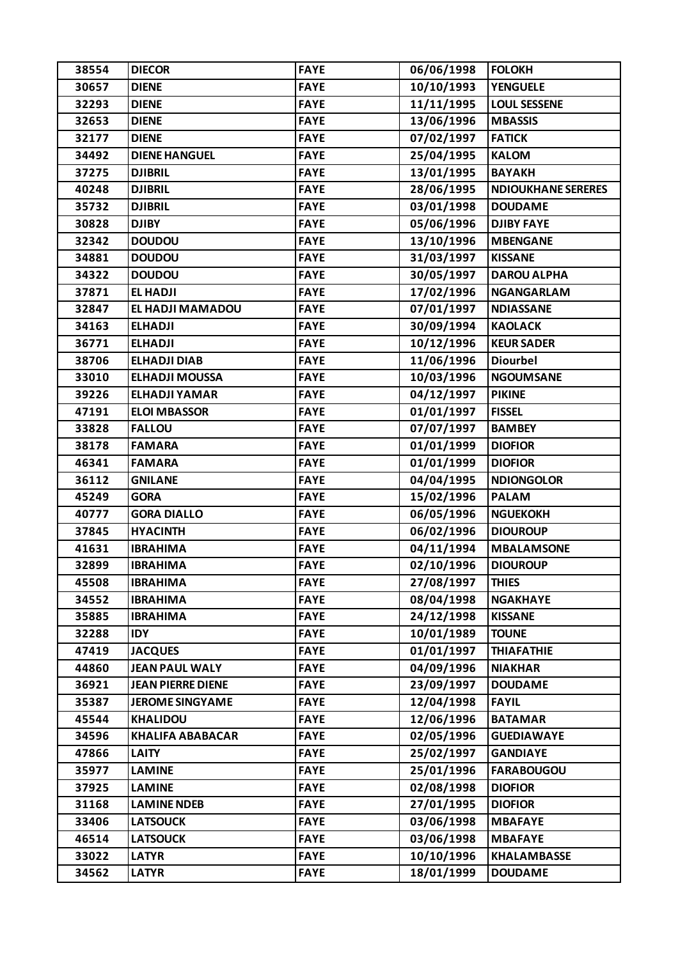| 38554 | <b>DIECOR</b>            | <b>FAYE</b> | 06/06/1998 | <b>FOLOKH</b>             |
|-------|--------------------------|-------------|------------|---------------------------|
| 30657 | <b>DIENE</b>             | <b>FAYE</b> | 10/10/1993 | <b>YENGUELE</b>           |
| 32293 | <b>DIENE</b>             | <b>FAYE</b> | 11/11/1995 | <b>LOUL SESSENE</b>       |
| 32653 | <b>DIENE</b>             | <b>FAYE</b> | 13/06/1996 | <b>MBASSIS</b>            |
| 32177 | <b>DIENE</b>             | <b>FAYE</b> | 07/02/1997 | <b>FATICK</b>             |
| 34492 | <b>DIENE HANGUEL</b>     | <b>FAYE</b> | 25/04/1995 | <b>KALOM</b>              |
| 37275 | <b>DJIBRIL</b>           | <b>FAYE</b> | 13/01/1995 | <b>BAYAKH</b>             |
| 40248 | <b>DJIBRIL</b>           | <b>FAYE</b> | 28/06/1995 | <b>NDIOUKHANE SERERES</b> |
| 35732 | <b>DJIBRIL</b>           | <b>FAYE</b> | 03/01/1998 | <b>DOUDAME</b>            |
| 30828 | <b>DJIBY</b>             | <b>FAYE</b> | 05/06/1996 | <b>DJIBY FAYE</b>         |
| 32342 | <b>DOUDOU</b>            | <b>FAYE</b> | 13/10/1996 | <b>MBENGANE</b>           |
| 34881 | <b>DOUDOU</b>            | <b>FAYE</b> | 31/03/1997 | <b>KISSANE</b>            |
| 34322 | <b>DOUDOU</b>            | <b>FAYE</b> | 30/05/1997 | <b>DAROU ALPHA</b>        |
| 37871 | <b>EL HADJI</b>          | <b>FAYE</b> | 17/02/1996 | <b>NGANGARLAM</b>         |
| 32847 | EL HADJI MAMADOU         | <b>FAYE</b> | 07/01/1997 | <b>NDIASSANE</b>          |
| 34163 | <b>ELHADJI</b>           | <b>FAYE</b> | 30/09/1994 | <b>KAOLACK</b>            |
| 36771 | <b>ELHADJI</b>           | <b>FAYE</b> | 10/12/1996 | <b>KEUR SADER</b>         |
| 38706 | <b>ELHADJI DIAB</b>      | <b>FAYE</b> | 11/06/1996 | <b>Diourbel</b>           |
| 33010 | <b>ELHADJI MOUSSA</b>    | <b>FAYE</b> | 10/03/1996 | <b>NGOUMSANE</b>          |
| 39226 | <b>ELHADJI YAMAR</b>     | <b>FAYE</b> | 04/12/1997 | <b>PIKINE</b>             |
| 47191 | <b>ELOI MBASSOR</b>      | <b>FAYE</b> | 01/01/1997 | <b>FISSEL</b>             |
| 33828 | <b>FALLOU</b>            | <b>FAYE</b> | 07/07/1997 | <b>BAMBEY</b>             |
| 38178 | <b>FAMARA</b>            | <b>FAYE</b> | 01/01/1999 | <b>DIOFIOR</b>            |
| 46341 | <b>FAMARA</b>            | <b>FAYE</b> | 01/01/1999 | <b>DIOFIOR</b>            |
| 36112 | <b>GNILANE</b>           | <b>FAYE</b> | 04/04/1995 | <b>NDIONGOLOR</b>         |
| 45249 | <b>GORA</b>              | <b>FAYE</b> | 15/02/1996 | <b>PALAM</b>              |
| 40777 | <b>GORA DIALLO</b>       | <b>FAYE</b> | 06/05/1996 | <b>NGUEKOKH</b>           |
| 37845 | <b>HYACINTH</b>          | <b>FAYE</b> | 06/02/1996 | <b>DIOUROUP</b>           |
| 41631 | <b>IBRAHIMA</b>          | <b>FAYE</b> | 04/11/1994 | <b>MBALAMSONE</b>         |
| 32899 | <b>IBRAHIMA</b>          | <b>FAYE</b> | 02/10/1996 | <b>DIOUROUP</b>           |
| 45508 | <b>IBRAHIMA</b>          | <b>FAYE</b> | 27/08/1997 | <b>THIES</b>              |
| 34552 | <b>IBRAHIMA</b>          | <b>FAYE</b> | 08/04/1998 | <b>NGAKHAYE</b>           |
| 35885 | <b>IBRAHIMA</b>          | <b>FAYE</b> | 24/12/1998 | <b>KISSANE</b>            |
| 32288 | <b>IDY</b>               | <b>FAYE</b> | 10/01/1989 | <b>TOUNE</b>              |
| 47419 | <b>JACQUES</b>           | <b>FAYE</b> | 01/01/1997 | <b>THIAFATHIE</b>         |
| 44860 | <b>JEAN PAUL WALY</b>    | <b>FAYE</b> | 04/09/1996 | <b>NIAKHAR</b>            |
| 36921 | <b>JEAN PIERRE DIENE</b> | <b>FAYE</b> | 23/09/1997 | <b>DOUDAME</b>            |
| 35387 | <b>JEROME SINGYAME</b>   | <b>FAYE</b> | 12/04/1998 | <b>FAYIL</b>              |
| 45544 | <b>KHALIDOU</b>          | <b>FAYE</b> | 12/06/1996 | <b>BATAMAR</b>            |
| 34596 | <b>KHALIFA ABABACAR</b>  | <b>FAYE</b> | 02/05/1996 | <b>GUEDIAWAYE</b>         |
| 47866 | <b>LAITY</b>             | <b>FAYE</b> | 25/02/1997 | <b>GANDIAYE</b>           |
| 35977 | <b>LAMINE</b>            | <b>FAYE</b> | 25/01/1996 | <b>FARABOUGOU</b>         |
| 37925 | <b>LAMINE</b>            | <b>FAYE</b> | 02/08/1998 | <b>DIOFIOR</b>            |
| 31168 | <b>LAMINE NDEB</b>       | <b>FAYE</b> | 27/01/1995 | <b>DIOFIOR</b>            |
| 33406 | <b>LATSOUCK</b>          | <b>FAYE</b> | 03/06/1998 | <b>MBAFAYE</b>            |
| 46514 | <b>LATSOUCK</b>          | <b>FAYE</b> | 03/06/1998 | <b>MBAFAYE</b>            |
| 33022 | <b>LATYR</b>             | <b>FAYE</b> | 10/10/1996 | <b>KHALAMBASSE</b>        |
| 34562 | <b>LATYR</b>             | <b>FAYE</b> | 18/01/1999 | <b>DOUDAME</b>            |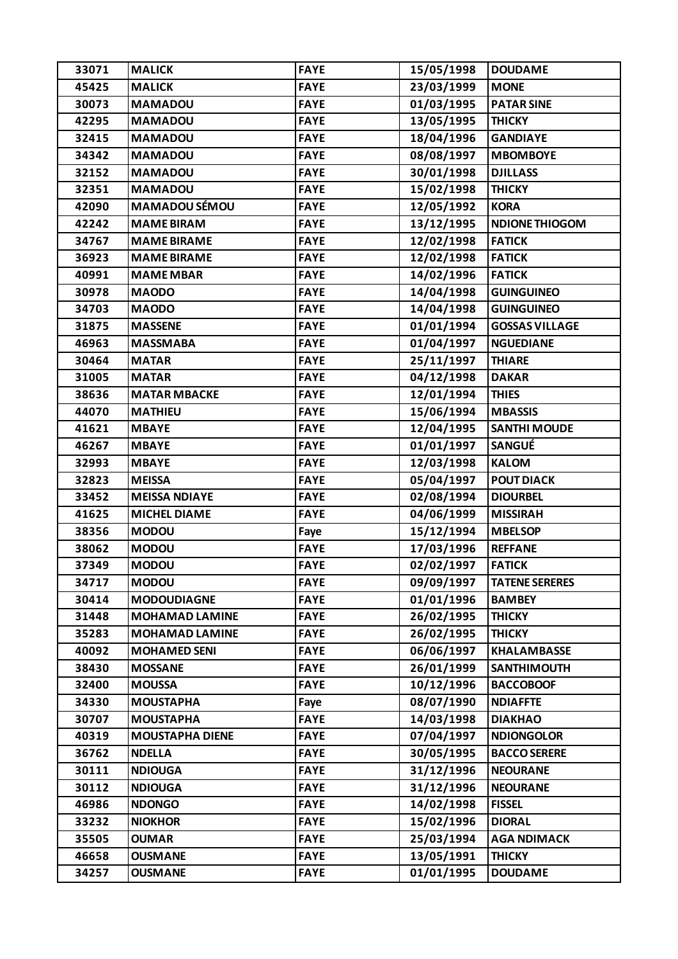| 33071 | <b>MALICK</b>          | <b>FAYE</b> | 15/05/1998 | <b>DOUDAME</b>        |
|-------|------------------------|-------------|------------|-----------------------|
| 45425 | <b>MALICK</b>          | <b>FAYE</b> | 23/03/1999 | <b>MONE</b>           |
| 30073 | <b>MAMADOU</b>         | <b>FAYE</b> | 01/03/1995 | <b>PATAR SINE</b>     |
| 42295 | <b>MAMADOU</b>         | <b>FAYE</b> | 13/05/1995 | <b>THICKY</b>         |
| 32415 | <b>MAMADOU</b>         | <b>FAYE</b> | 18/04/1996 | <b>GANDIAYE</b>       |
| 34342 | <b>MAMADOU</b>         | <b>FAYE</b> | 08/08/1997 | <b>MBOMBOYE</b>       |
| 32152 | <b>MAMADOU</b>         | <b>FAYE</b> | 30/01/1998 | <b>DJILLASS</b>       |
| 32351 | <b>MAMADOU</b>         | <b>FAYE</b> | 15/02/1998 | <b>THICKY</b>         |
| 42090 | <b>MAMADOU SÉMOU</b>   | <b>FAYE</b> | 12/05/1992 | <b>KORA</b>           |
| 42242 | <b>MAME BIRAM</b>      | <b>FAYE</b> | 13/12/1995 | <b>NDIONE THIOGOM</b> |
| 34767 | <b>MAME BIRAME</b>     | <b>FAYE</b> | 12/02/1998 | <b>FATICK</b>         |
| 36923 | <b>MAME BIRAME</b>     | <b>FAYE</b> | 12/02/1998 | <b>FATICK</b>         |
| 40991 | <b>MAME MBAR</b>       | <b>FAYE</b> | 14/02/1996 | <b>FATICK</b>         |
| 30978 | <b>MAODO</b>           | <b>FAYE</b> | 14/04/1998 | <b>GUINGUINEO</b>     |
| 34703 | <b>MAODO</b>           | <b>FAYE</b> | 14/04/1998 | <b>GUINGUINEO</b>     |
| 31875 | <b>MASSENE</b>         | <b>FAYE</b> | 01/01/1994 | <b>GOSSAS VILLAGE</b> |
| 46963 | <b>MASSMABA</b>        | <b>FAYE</b> | 01/04/1997 | <b>NGUEDIANE</b>      |
| 30464 | <b>MATAR</b>           | <b>FAYE</b> | 25/11/1997 | <b>THIARE</b>         |
| 31005 | <b>MATAR</b>           | <b>FAYE</b> | 04/12/1998 | <b>DAKAR</b>          |
| 38636 | <b>MATAR MBACKE</b>    | <b>FAYE</b> | 12/01/1994 | <b>THIES</b>          |
| 44070 | <b>MATHIEU</b>         | <b>FAYE</b> | 15/06/1994 | <b>MBASSIS</b>        |
| 41621 | <b>MBAYE</b>           | <b>FAYE</b> | 12/04/1995 | <b>SANTHI MOUDE</b>   |
| 46267 | <b>MBAYE</b>           | <b>FAYE</b> | 01/01/1997 | <b>SANGUÉ</b>         |
| 32993 | <b>MBAYE</b>           | <b>FAYE</b> | 12/03/1998 | <b>KALOM</b>          |
| 32823 | <b>MEISSA</b>          | <b>FAYE</b> | 05/04/1997 | <b>POUT DIACK</b>     |
| 33452 | <b>MEISSA NDIAYE</b>   | <b>FAYE</b> | 02/08/1994 | <b>DIOURBEL</b>       |
| 41625 | <b>MICHEL DIAME</b>    | <b>FAYE</b> | 04/06/1999 | <b>MISSIRAH</b>       |
| 38356 | <b>MODOU</b>           | Faye        | 15/12/1994 | <b>MBELSOP</b>        |
| 38062 | <b>MODOU</b>           | <b>FAYE</b> | 17/03/1996 | <b>REFFANE</b>        |
| 37349 | <b>MODOU</b>           | <b>FAYE</b> | 02/02/1997 | <b>FATICK</b>         |
| 34717 | <b>MODOU</b>           | <b>FAYE</b> | 09/09/1997 | <b>TATENE SERERES</b> |
| 30414 | <b>MODOUDIAGNE</b>     | <b>FAYE</b> | 01/01/1996 | <b>BAMBEY</b>         |
| 31448 | <b>MOHAMAD LAMINE</b>  | <b>FAYE</b> | 26/02/1995 | <b>THICKY</b>         |
| 35283 | <b>MOHAMAD LAMINE</b>  | <b>FAYE</b> | 26/02/1995 | <b>THICKY</b>         |
| 40092 | <b>MOHAMED SENI</b>    | <b>FAYE</b> | 06/06/1997 | <b>KHALAMBASSE</b>    |
| 38430 | <b>MOSSANE</b>         | <b>FAYE</b> | 26/01/1999 | <b>SANTHIMOUTH</b>    |
| 32400 | <b>MOUSSA</b>          | <b>FAYE</b> | 10/12/1996 | <b>BACCOBOOF</b>      |
| 34330 | <b>MOUSTAPHA</b>       | Faye        | 08/07/1990 | <b>NDIAFFTE</b>       |
| 30707 | <b>MOUSTAPHA</b>       | <b>FAYE</b> | 14/03/1998 | <b>DIAKHAO</b>        |
| 40319 | <b>MOUSTAPHA DIENE</b> | <b>FAYE</b> | 07/04/1997 | <b>NDIONGOLOR</b>     |
| 36762 | <b>NDELLA</b>          | <b>FAYE</b> | 30/05/1995 | <b>BACCO SERERE</b>   |
| 30111 | <b>NDIOUGA</b>         | <b>FAYE</b> | 31/12/1996 | <b>NEOURANE</b>       |
| 30112 | <b>NDIOUGA</b>         | <b>FAYE</b> | 31/12/1996 | <b>NEOURANE</b>       |
| 46986 | <b>NDONGO</b>          | <b>FAYE</b> | 14/02/1998 | <b>FISSEL</b>         |
| 33232 | <b>NIOKHOR</b>         | <b>FAYE</b> | 15/02/1996 | <b>DIORAL</b>         |
| 35505 | <b>OUMAR</b>           | <b>FAYE</b> | 25/03/1994 | <b>AGA NDIMACK</b>    |
| 46658 | <b>OUSMANE</b>         | <b>FAYE</b> | 13/05/1991 | <b>THICKY</b>         |
| 34257 | <b>OUSMANE</b>         | <b>FAYE</b> | 01/01/1995 | <b>DOUDAME</b>        |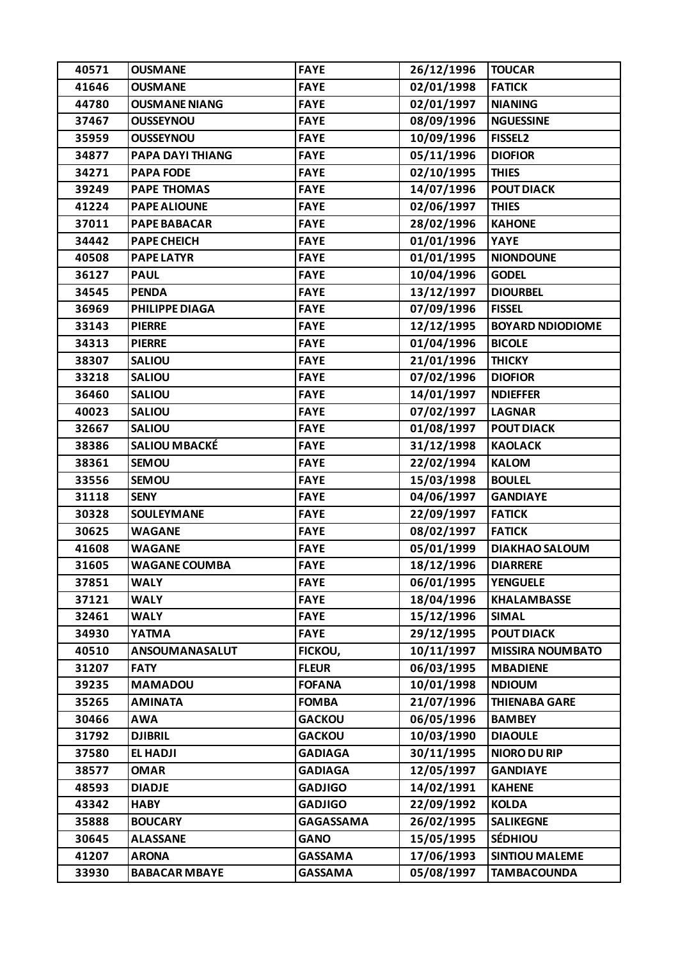| 40571 | <b>OUSMANE</b>       | <b>FAYE</b>      | 26/12/1996 | <b>TOUCAR</b>           |
|-------|----------------------|------------------|------------|-------------------------|
| 41646 | <b>OUSMANE</b>       | <b>FAYE</b>      | 02/01/1998 | <b>FATICK</b>           |
| 44780 | <b>OUSMANE NIANG</b> | <b>FAYE</b>      | 02/01/1997 | <b>NIANING</b>          |
| 37467 | <b>OUSSEYNOU</b>     | <b>FAYE</b>      | 08/09/1996 | <b>NGUESSINE</b>        |
| 35959 | <b>OUSSEYNOU</b>     | <b>FAYE</b>      | 10/09/1996 | <b>FISSEL2</b>          |
| 34877 | PAPA DAYI THIANG     | <b>FAYE</b>      | 05/11/1996 | <b>DIOFIOR</b>          |
| 34271 | <b>PAPA FODE</b>     | <b>FAYE</b>      | 02/10/1995 | <b>THIES</b>            |
| 39249 | <b>PAPE THOMAS</b>   | <b>FAYE</b>      | 14/07/1996 | <b>POUT DIACK</b>       |
| 41224 | <b>PAPE ALIOUNE</b>  | <b>FAYE</b>      | 02/06/1997 | <b>THIES</b>            |
| 37011 | <b>PAPE BABACAR</b>  | <b>FAYE</b>      | 28/02/1996 | <b>KAHONE</b>           |
| 34442 | <b>PAPE CHEICH</b>   | <b>FAYE</b>      | 01/01/1996 | YAYE                    |
| 40508 | <b>PAPE LATYR</b>    | <b>FAYE</b>      | 01/01/1995 | <b>NIONDOUNE</b>        |
| 36127 | <b>PAUL</b>          | <b>FAYE</b>      | 10/04/1996 | <b>GODEL</b>            |
| 34545 | <b>PENDA</b>         | <b>FAYE</b>      | 13/12/1997 | <b>DIOURBEL</b>         |
| 36969 | PHILIPPE DIAGA       | <b>FAYE</b>      | 07/09/1996 | <b>FISSEL</b>           |
| 33143 | <b>PIERRE</b>        | <b>FAYE</b>      | 12/12/1995 | <b>BOYARD NDIODIOME</b> |
| 34313 | <b>PIERRE</b>        | <b>FAYE</b>      | 01/04/1996 | <b>BICOLE</b>           |
| 38307 | <b>SALIOU</b>        | <b>FAYE</b>      | 21/01/1996 | <b>THICKY</b>           |
| 33218 | <b>SALIOU</b>        | <b>FAYE</b>      | 07/02/1996 | <b>DIOFIOR</b>          |
| 36460 | <b>SALIOU</b>        | <b>FAYE</b>      | 14/01/1997 | <b>NDIEFFER</b>         |
| 40023 | <b>SALIOU</b>        | <b>FAYE</b>      | 07/02/1997 | <b>LAGNAR</b>           |
| 32667 | <b>SALIOU</b>        | <b>FAYE</b>      | 01/08/1997 | <b>POUT DIACK</b>       |
| 38386 | <b>SALIOU MBACKÉ</b> | <b>FAYE</b>      | 31/12/1998 | <b>KAOLACK</b>          |
| 38361 | <b>SEMOU</b>         | <b>FAYE</b>      | 22/02/1994 | <b>KALOM</b>            |
| 33556 | <b>SEMOU</b>         | <b>FAYE</b>      | 15/03/1998 | <b>BOULEL</b>           |
| 31118 | <b>SENY</b>          | <b>FAYE</b>      | 04/06/1997 | <b>GANDIAYE</b>         |
| 30328 | <b>SOULEYMANE</b>    | <b>FAYE</b>      | 22/09/1997 | <b>FATICK</b>           |
| 30625 | <b>WAGANE</b>        | <b>FAYE</b>      | 08/02/1997 | <b>FATICK</b>           |
| 41608 | <b>WAGANE</b>        | <b>FAYE</b>      | 05/01/1999 | <b>DIAKHAO SALOUM</b>   |
| 31605 | <b>WAGANE COUMBA</b> | <b>FAYE</b>      | 18/12/1996 | <b>DIARRERE</b>         |
| 37851 | WALY                 | <b>FAYE</b>      | 06/01/1995 | <b>YENGUELE</b>         |
| 37121 | <b>WALY</b>          | <b>FAYE</b>      | 18/04/1996 | <b>KHALAMBASSE</b>      |
| 32461 | <b>WALY</b>          | <b>FAYE</b>      | 15/12/1996 | <b>SIMAL</b>            |
| 34930 | <b>YATMA</b>         | <b>FAYE</b>      | 29/12/1995 | <b>POUT DIACK</b>       |
| 40510 | ANSOUMANASALUT       | FICKOU,          | 10/11/1997 | <b>MISSIRA NOUMBATO</b> |
| 31207 | <b>FATY</b>          | <b>FLEUR</b>     | 06/03/1995 | <b>MBADIENE</b>         |
| 39235 | <b>MAMADOU</b>       | <b>FOFANA</b>    | 10/01/1998 | <b>NDIOUM</b>           |
| 35265 | <b>AMINATA</b>       | <b>FOMBA</b>     | 21/07/1996 | <b>THIENABA GARE</b>    |
| 30466 | AWA                  | <b>GACKOU</b>    | 06/05/1996 | <b>BAMBEY</b>           |
| 31792 | <b>DJIBRIL</b>       | <b>GACKOU</b>    | 10/03/1990 | <b>DIAOULE</b>          |
| 37580 | EL HADJI             | <b>GADIAGA</b>   | 30/11/1995 | <b>NIORO DU RIP</b>     |
| 38577 | <b>OMAR</b>          | <b>GADIAGA</b>   | 12/05/1997 | <b>GANDIAYE</b>         |
| 48593 | <b>DIADJE</b>        | <b>GADJIGO</b>   | 14/02/1991 | <b>KAHENE</b>           |
| 43342 | <b>HABY</b>          | <b>GADJIGO</b>   | 22/09/1992 | <b>KOLDA</b>            |
| 35888 | <b>BOUCARY</b>       | <b>GAGASSAMA</b> | 26/02/1995 | <b>SALIKEGNE</b>        |
| 30645 | <b>ALASSANE</b>      | <b>GANO</b>      | 15/05/1995 | <b>SÉDHIOU</b>          |
| 41207 | <b>ARONA</b>         | <b>GASSAMA</b>   | 17/06/1993 | <b>SINTIOU MALEME</b>   |
| 33930 | <b>BABACAR MBAYE</b> | <b>GASSAMA</b>   | 05/08/1997 | <b>TAMBACOUNDA</b>      |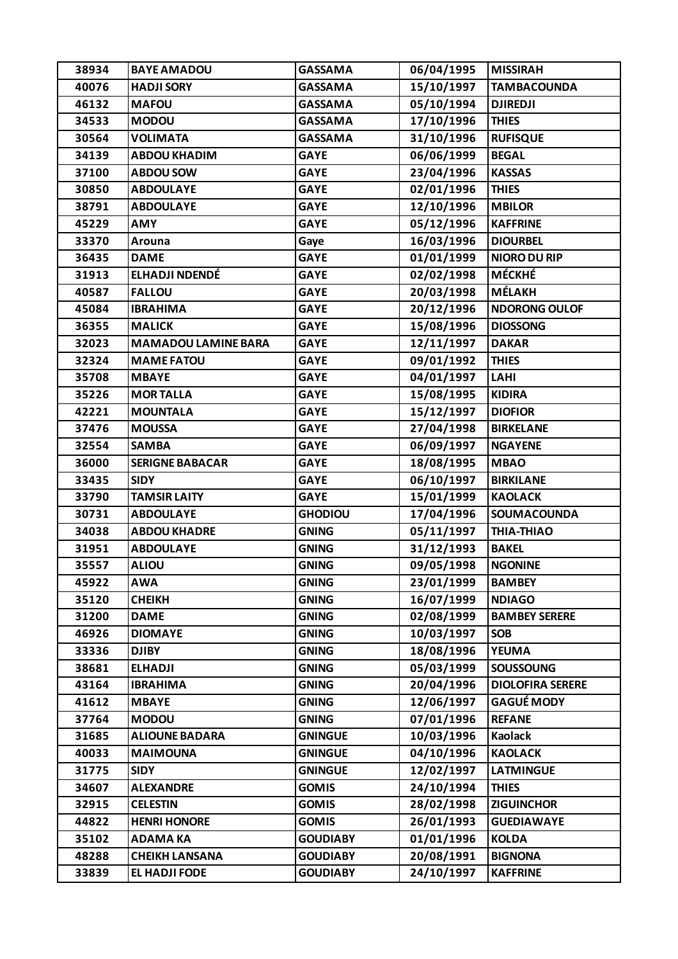| 38934 | <b>BAYE AMADOU</b>         | <b>GASSAMA</b>  | 06/04/1995 | <b>MISSIRAH</b>         |
|-------|----------------------------|-----------------|------------|-------------------------|
| 40076 | <b>HADJI SORY</b>          | <b>GASSAMA</b>  | 15/10/1997 | <b>TAMBACOUNDA</b>      |
| 46132 | <b>MAFOU</b>               | <b>GASSAMA</b>  | 05/10/1994 | <b>DJIREDJI</b>         |
| 34533 | <b>MODOU</b>               | <b>GASSAMA</b>  | 17/10/1996 | <b>THIES</b>            |
| 30564 | <b>VOLIMATA</b>            | <b>GASSAMA</b>  | 31/10/1996 | <b>RUFISQUE</b>         |
| 34139 | <b>ABDOU KHADIM</b>        | <b>GAYE</b>     | 06/06/1999 | <b>BEGAL</b>            |
| 37100 | <b>ABDOU SOW</b>           | <b>GAYE</b>     | 23/04/1996 | <b>KASSAS</b>           |
| 30850 | <b>ABDOULAYE</b>           | <b>GAYE</b>     | 02/01/1996 | <b>THIES</b>            |
| 38791 | <b>ABDOULAYE</b>           | <b>GAYE</b>     | 12/10/1996 | <b>MBILOR</b>           |
| 45229 | <b>AMY</b>                 | <b>GAYE</b>     | 05/12/1996 | <b>KAFFRINE</b>         |
| 33370 | Arouna                     | Gaye            | 16/03/1996 | <b>DIOURBEL</b>         |
| 36435 | <b>DAME</b>                | <b>GAYE</b>     | 01/01/1999 | <b>NIORO DU RIP</b>     |
| 31913 | <b>ELHADJI NDENDÉ</b>      | <b>GAYE</b>     | 02/02/1998 | <b>MÉCKHÉ</b>           |
| 40587 | <b>FALLOU</b>              | <b>GAYE</b>     | 20/03/1998 | <b>MÉLAKH</b>           |
| 45084 | <b>IBRAHIMA</b>            | <b>GAYE</b>     | 20/12/1996 | <b>NDORONG OULOF</b>    |
| 36355 | <b>MALICK</b>              | <b>GAYE</b>     | 15/08/1996 | <b>DIOSSONG</b>         |
| 32023 | <b>MAMADOU LAMINE BARA</b> | <b>GAYE</b>     | 12/11/1997 | <b>DAKAR</b>            |
| 32324 | <b>MAME FATOU</b>          | <b>GAYE</b>     | 09/01/1992 | <b>THIES</b>            |
| 35708 | <b>MBAYE</b>               | <b>GAYE</b>     | 04/01/1997 | <b>LAHI</b>             |
| 35226 | <b>MORTALLA</b>            | <b>GAYE</b>     | 15/08/1995 | <b>KIDIRA</b>           |
| 42221 | <b>MOUNTALA</b>            | <b>GAYE</b>     | 15/12/1997 | <b>DIOFIOR</b>          |
| 37476 | <b>MOUSSA</b>              | <b>GAYE</b>     | 27/04/1998 | <b>BIRKELANE</b>        |
| 32554 | <b>SAMBA</b>               | <b>GAYE</b>     | 06/09/1997 | <b>NGAYENE</b>          |
| 36000 | <b>SERIGNE BABACAR</b>     | <b>GAYE</b>     | 18/08/1995 | <b>MBAO</b>             |
| 33435 | <b>SIDY</b>                | <b>GAYE</b>     | 06/10/1997 | <b>BIRKILANE</b>        |
| 33790 | <b>TAMSIR LAITY</b>        | <b>GAYE</b>     | 15/01/1999 | <b>KAOLACK</b>          |
| 30731 | <b>ABDOULAYE</b>           | <b>GHODIOU</b>  | 17/04/1996 | <b>SOUMACOUNDA</b>      |
| 34038 | <b>ABDOU KHADRE</b>        | <b>GNING</b>    | 05/11/1997 | THIA-THIAO              |
| 31951 | <b>ABDOULAYE</b>           | <b>GNING</b>    | 31/12/1993 | <b>BAKEL</b>            |
| 35557 | <b>ALIOU</b>               | <b>GNING</b>    | 09/05/1998 | <b>NGONINE</b>          |
| 45922 | <b>AWA</b>                 | <b>GNING</b>    | 23/01/1999 | <b>BAMBEY</b>           |
| 35120 | <b>CHEIKH</b>              | <b>GNING</b>    | 16/07/1999 | <b>NDIAGO</b>           |
| 31200 | <b>DAME</b>                | <b>GNING</b>    | 02/08/1999 | <b>BAMBEY SERERE</b>    |
| 46926 | <b>DIOMAYE</b>             | <b>GNING</b>    | 10/03/1997 | <b>SOB</b>              |
| 33336 | <b>DJIBY</b>               | <b>GNING</b>    | 18/08/1996 | <b>YEUMA</b>            |
| 38681 | <b>ELHADJI</b>             | <b>GNING</b>    | 05/03/1999 | <b>SOUSSOUNG</b>        |
| 43164 | <b>IBRAHIMA</b>            | <b>GNING</b>    | 20/04/1996 | <b>DIOLOFIRA SERERE</b> |
| 41612 | <b>MBAYE</b>               | <b>GNING</b>    | 12/06/1997 | <b>GAGUÉ MODY</b>       |
| 37764 | <b>MODOU</b>               | <b>GNING</b>    | 07/01/1996 | <b>REFANE</b>           |
| 31685 | <b>ALIOUNE BADARA</b>      | <b>GNINGUE</b>  | 10/03/1996 | <b>Kaolack</b>          |
| 40033 | <b>MAIMOUNA</b>            | <b>GNINGUE</b>  | 04/10/1996 | <b>KAOLACK</b>          |
| 31775 | <b>SIDY</b>                | <b>GNINGUE</b>  | 12/02/1997 | <b>LATMINGUE</b>        |
| 34607 | <b>ALEXANDRE</b>           | <b>GOMIS</b>    | 24/10/1994 | <b>THIES</b>            |
| 32915 | <b>CELESTIN</b>            | <b>GOMIS</b>    | 28/02/1998 | <b>ZIGUINCHOR</b>       |
| 44822 | <b>HENRI HONORE</b>        | <b>GOMIS</b>    | 26/01/1993 | <b>GUEDIAWAYE</b>       |
| 35102 | <b>ADAMAKA</b>             | <b>GOUDIABY</b> | 01/01/1996 | <b>KOLDA</b>            |
| 48288 | <b>CHEIKH LANSANA</b>      | <b>GOUDIABY</b> | 20/08/1991 | <b>BIGNONA</b>          |
| 33839 | <b>EL HADJI FODE</b>       | <b>GOUDIABY</b> | 24/10/1997 | <b>KAFFRINE</b>         |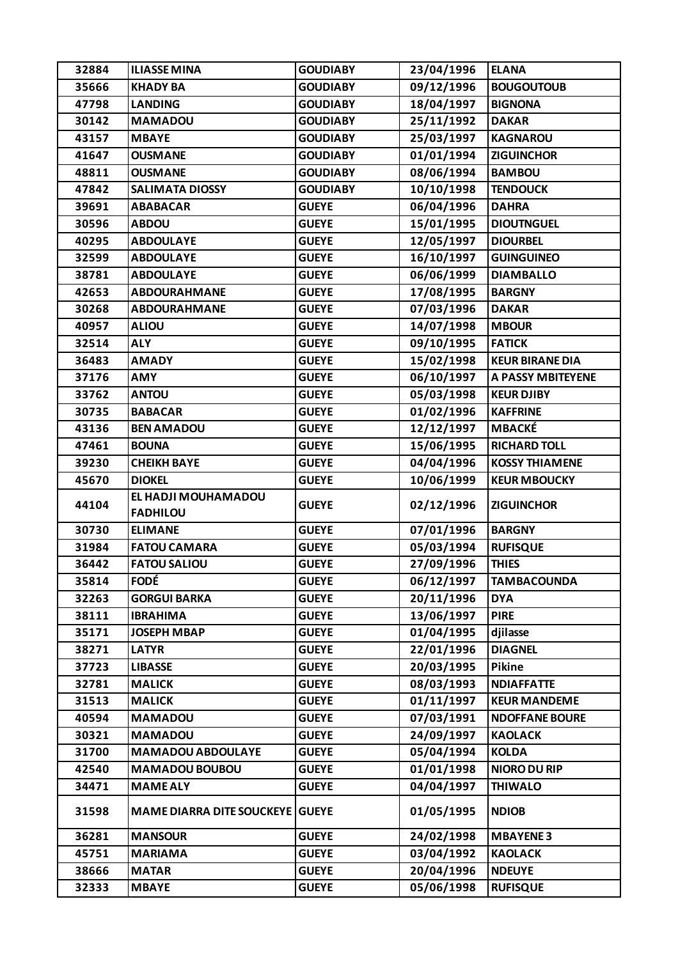| 32884 | <b>ILIASSE MINA</b>                    | <b>GOUDIABY</b> | 23/04/1996 | <b>ELANA</b>             |
|-------|----------------------------------------|-----------------|------------|--------------------------|
| 35666 | <b>KHADY BA</b>                        | <b>GOUDIABY</b> | 09/12/1996 | <b>BOUGOUTOUB</b>        |
| 47798 | <b>LANDING</b>                         | <b>GOUDIABY</b> | 18/04/1997 | <b>BIGNONA</b>           |
| 30142 | <b>MAMADOU</b>                         | <b>GOUDIABY</b> | 25/11/1992 | <b>DAKAR</b>             |
| 43157 | <b>MBAYE</b>                           | <b>GOUDIABY</b> | 25/03/1997 | <b>KAGNAROU</b>          |
| 41647 | <b>OUSMANE</b>                         | <b>GOUDIABY</b> | 01/01/1994 | <b>ZIGUINCHOR</b>        |
| 48811 | <b>OUSMANE</b>                         | <b>GOUDIABY</b> | 08/06/1994 | <b>BAMBOU</b>            |
| 47842 | <b>SALIMATA DIOSSY</b>                 | <b>GOUDIABY</b> | 10/10/1998 | <b>TENDOUCK</b>          |
| 39691 | <b>ABABACAR</b>                        | <b>GUEYE</b>    | 06/04/1996 | <b>DAHRA</b>             |
| 30596 | <b>ABDOU</b>                           | <b>GUEYE</b>    | 15/01/1995 | <b>DIOUTNGUEL</b>        |
| 40295 | <b>ABDOULAYE</b>                       | <b>GUEYE</b>    | 12/05/1997 | <b>DIOURBEL</b>          |
| 32599 | <b>ABDOULAYE</b>                       | <b>GUEYE</b>    | 16/10/1997 | <b>GUINGUINEO</b>        |
| 38781 | <b>ABDOULAYE</b>                       | <b>GUEYE</b>    | 06/06/1999 | <b>DIAMBALLO</b>         |
| 42653 | <b>ABDOURAHMANE</b>                    | <b>GUEYE</b>    | 17/08/1995 | <b>BARGNY</b>            |
| 30268 | <b>ABDOURAHMANE</b>                    | <b>GUEYE</b>    | 07/03/1996 | <b>DAKAR</b>             |
| 40957 | <b>ALIOU</b>                           | <b>GUEYE</b>    | 14/07/1998 | <b>MBOUR</b>             |
| 32514 | <b>ALY</b>                             | <b>GUEYE</b>    | 09/10/1995 | <b>FATICK</b>            |
| 36483 | <b>AMADY</b>                           | <b>GUEYE</b>    | 15/02/1998 | <b>KEUR BIRANE DIA</b>   |
| 37176 | <b>AMY</b>                             | <b>GUEYE</b>    | 06/10/1997 | <b>A PASSY MBITEYENE</b> |
| 33762 | <b>ANTOU</b>                           | <b>GUEYE</b>    | 05/03/1998 | <b>KEUR DJIBY</b>        |
| 30735 | <b>BABACAR</b>                         | <b>GUEYE</b>    | 01/02/1996 | <b>KAFFRINE</b>          |
| 43136 | <b>BEN AMADOU</b>                      | <b>GUEYE</b>    | 12/12/1997 | <b>MBACKÉ</b>            |
| 47461 | <b>BOUNA</b>                           | <b>GUEYE</b>    | 15/06/1995 | <b>RICHARD TOLL</b>      |
| 39230 | <b>CHEIKH BAYE</b>                     | <b>GUEYE</b>    | 04/04/1996 | <b>KOSSY THIAMENE</b>    |
| 45670 | <b>DIOKEL</b>                          | <b>GUEYE</b>    | 10/06/1999 | <b>KEUR MBOUCKY</b>      |
| 44104 | EL HADJI MOUHAMADOU                    | <b>GUEYE</b>    | 02/12/1996 | <b>ZIGUINCHOR</b>        |
|       | <b>FADHILOU</b>                        |                 |            |                          |
| 30730 | <b>ELIMANE</b>                         | <b>GUEYE</b>    | 07/01/1996 | <b>BARGNY</b>            |
| 31984 | <b>FATOU CAMARA</b>                    | <b>GUEYE</b>    | 05/03/1994 | <b>RUFISQUE</b>          |
| 36442 | <b>FATOU SALIOU</b>                    | <b>GUEYE</b>    | 27/09/1996 | <b>THIES</b>             |
| 35814 | <b>FODÉ</b>                            | <b>GUEYE</b>    | 06/12/1997 | <b>TAMBACOUNDA</b>       |
| 32263 | <b>GORGUI BARKA</b>                    | <b>GUEYE</b>    | 20/11/1996 | <b>DYA</b>               |
| 38111 | <b>IBRAHIMA</b>                        | <b>GUEYE</b>    | 13/06/1997 | <b>PIRE</b>              |
| 35171 | <b>JOSEPH MBAP</b>                     | <b>GUEYE</b>    | 01/04/1995 | djilasse                 |
| 38271 | <b>LATYR</b>                           | <b>GUEYE</b>    | 22/01/1996 | <b>DIAGNEL</b>           |
| 37723 | <b>LIBASSE</b>                         | <b>GUEYE</b>    | 20/03/1995 | Pikine                   |
| 32781 | <b>MALICK</b>                          | <b>GUEYE</b>    | 08/03/1993 | <b>NDIAFFATTE</b>        |
| 31513 | <b>MALICK</b>                          | <b>GUEYE</b>    | 01/11/1997 | <b>KEUR MANDEME</b>      |
| 40594 | <b>MAMADOU</b>                         | <b>GUEYE</b>    | 07/03/1991 | <b>NDOFFANE BOURE</b>    |
| 30321 | <b>MAMADOU</b>                         | <b>GUEYE</b>    | 24/09/1997 | <b>KAOLACK</b>           |
| 31700 | <b>MAMADOU ABDOULAYE</b>               | <b>GUEYE</b>    | 05/04/1994 | <b>KOLDA</b>             |
| 42540 | <b>MAMADOU BOUBOU</b>                  | <b>GUEYE</b>    | 01/01/1998 | <b>NIORO DU RIP</b>      |
| 34471 | <b>MAME ALY</b>                        | <b>GUEYE</b>    | 04/04/1997 | <b>THIWALO</b>           |
| 31598 | <b>MAME DIARRA DITE SOUCKEYE GUEYE</b> |                 | 01/05/1995 | <b>NDIOB</b>             |
| 36281 | <b>MANSOUR</b>                         | <b>GUEYE</b>    | 24/02/1998 | <b>MBAYENE 3</b>         |
| 45751 | <b>MARIAMA</b>                         | <b>GUEYE</b>    | 03/04/1992 | <b>KAOLACK</b>           |
| 38666 | <b>MATAR</b>                           | <b>GUEYE</b>    | 20/04/1996 | <b>NDEUYE</b>            |
| 32333 | <b>MBAYE</b>                           | <b>GUEYE</b>    | 05/06/1998 | <b>RUFISQUE</b>          |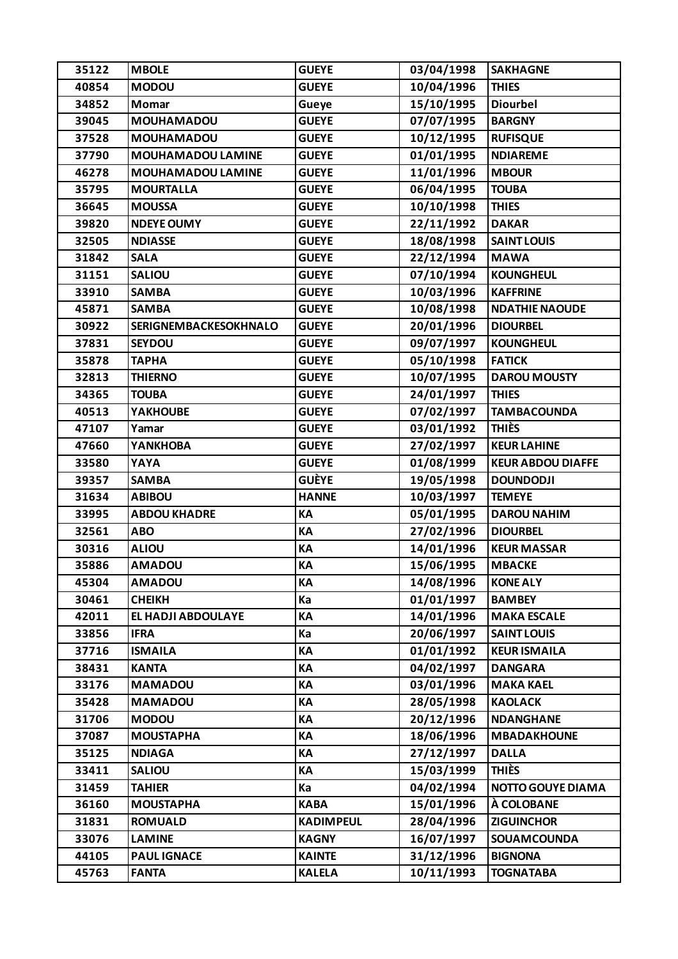| 35122 | <b>MBOLE</b>                 | <b>GUEYE</b>     | 03/04/1998 | <b>SAKHAGNE</b>          |
|-------|------------------------------|------------------|------------|--------------------------|
| 40854 | <b>MODOU</b>                 | <b>GUEYE</b>     | 10/04/1996 | <b>THIES</b>             |
| 34852 | Momar                        | Gueye            | 15/10/1995 | <b>Diourbel</b>          |
| 39045 | <b>MOUHAMADOU</b>            | <b>GUEYE</b>     | 07/07/1995 | <b>BARGNY</b>            |
| 37528 | <b>MOUHAMADOU</b>            | <b>GUEYE</b>     | 10/12/1995 | <b>RUFISQUE</b>          |
| 37790 | <b>MOUHAMADOU LAMINE</b>     | <b>GUEYE</b>     | 01/01/1995 | <b>NDIAREME</b>          |
| 46278 | <b>MOUHAMADOU LAMINE</b>     | <b>GUEYE</b>     | 11/01/1996 | <b>MBOUR</b>             |
| 35795 | <b>MOURTALLA</b>             | <b>GUEYE</b>     | 06/04/1995 | <b>TOUBA</b>             |
| 36645 | <b>MOUSSA</b>                | <b>GUEYE</b>     | 10/10/1998 | <b>THIES</b>             |
| 39820 | <b>NDEYE OUMY</b>            | <b>GUEYE</b>     | 22/11/1992 | <b>DAKAR</b>             |
| 32505 | <b>NDIASSE</b>               | <b>GUEYE</b>     | 18/08/1998 | <b>SAINT LOUIS</b>       |
| 31842 | <b>SALA</b>                  | <b>GUEYE</b>     | 22/12/1994 | <b>MAWA</b>              |
| 31151 | <b>SALIOU</b>                | <b>GUEYE</b>     | 07/10/1994 | <b>KOUNGHEUL</b>         |
| 33910 | <b>SAMBA</b>                 | <b>GUEYE</b>     | 10/03/1996 | <b>KAFFRINE</b>          |
| 45871 | <b>SAMBA</b>                 | <b>GUEYE</b>     | 10/08/1998 | <b>NDATHIE NAOUDE</b>    |
| 30922 | <b>SERIGNEMBACKESOKHNALO</b> | <b>GUEYE</b>     | 20/01/1996 | <b>DIOURBEL</b>          |
| 37831 | <b>SEYDOU</b>                | <b>GUEYE</b>     | 09/07/1997 | <b>KOUNGHEUL</b>         |
| 35878 | <b>TAPHA</b>                 | <b>GUEYE</b>     | 05/10/1998 | <b>FATICK</b>            |
| 32813 | <b>THIERNO</b>               | <b>GUEYE</b>     | 10/07/1995 | <b>DAROU MOUSTY</b>      |
| 34365 | <b>TOUBA</b>                 | <b>GUEYE</b>     | 24/01/1997 | <b>THIES</b>             |
| 40513 | <b>YAKHOUBE</b>              | <b>GUEYE</b>     | 07/02/1997 | <b>TAMBACOUNDA</b>       |
| 47107 | Yamar                        | <b>GUEYE</b>     | 03/01/1992 | <b>THIÈS</b>             |
| 47660 | YANKHOBA                     | <b>GUEYE</b>     | 27/02/1997 | <b>KEUR LAHINE</b>       |
| 33580 | YAYA                         | <b>GUEYE</b>     | 01/08/1999 | <b>KEUR ABDOU DIAFFE</b> |
| 39357 | <b>SAMBA</b>                 | <b>GUÈYE</b>     | 19/05/1998 | <b>DOUNDODJI</b>         |
| 31634 | <b>ABIBOU</b>                | <b>HANNE</b>     | 10/03/1997 | <b>TEMEYE</b>            |
| 33995 | <b>ABDOU KHADRE</b>          | KA               | 05/01/1995 | <b>DAROU NAHIM</b>       |
| 32561 | <b>ABO</b>                   | KA               | 27/02/1996 | <b>DIOURBEL</b>          |
| 30316 | <b>ALIOU</b>                 | КA               | 14/01/1996 | <b>KEUR MASSAR</b>       |
| 35886 | <b>AMADOU</b>                | KA               | 15/06/1995 | <b>MBACKE</b>            |
| 45304 | <b>AMADOU</b>                | КA               | 14/08/1996 | <b>KONE ALY</b>          |
| 30461 | <b>CHEIKH</b>                | Ka               | 01/01/1997 | <b>BAMBEY</b>            |
| 42011 | EL HADJI ABDOULAYE           | KА               | 14/01/1996 | <b>MAKA ESCALE</b>       |
| 33856 | <b>IFRA</b>                  | Ka               | 20/06/1997 | <b>SAINT LOUIS</b>       |
| 37716 | <b>ISMAILA</b>               | КA               | 01/01/1992 | <b>KEUR ISMAILA</b>      |
| 38431 | <b>KANTA</b>                 | КA               | 04/02/1997 | <b>DANGARA</b>           |
| 33176 | <b>MAMADOU</b>               | KА               | 03/01/1996 | <b>MAKA KAEL</b>         |
| 35428 | <b>MAMADOU</b>               | КA               | 28/05/1998 | <b>KAOLACK</b>           |
| 31706 | <b>MODOU</b>                 | KА               | 20/12/1996 | <b>NDANGHANE</b>         |
| 37087 | <b>MOUSTAPHA</b>             | КA               | 18/06/1996 | <b>MBADAKHOUNE</b>       |
| 35125 | <b>NDIAGA</b>                | KА               | 27/12/1997 | <b>DALLA</b>             |
| 33411 | <b>SALIOU</b>                | КA               | 15/03/1999 | <b>THIÈS</b>             |
| 31459 | <b>TAHIER</b>                | Ka               | 04/02/1994 | <b>NOTTO GOUYE DIAMA</b> |
| 36160 | <b>MOUSTAPHA</b>             | <b>KABA</b>      | 15/01/1996 | À COLOBANE               |
| 31831 | <b>ROMUALD</b>               | <b>KADIMPEUL</b> | 28/04/1996 | <b>ZIGUINCHOR</b>        |
| 33076 | <b>LAMINE</b>                | <b>KAGNY</b>     | 16/07/1997 | <b>SOUAMCOUNDA</b>       |
| 44105 | <b>PAUL IGNACE</b>           | <b>KAINTE</b>    | 31/12/1996 | <b>BIGNONA</b>           |
| 45763 | <b>FANTA</b>                 | <b>KALELA</b>    | 10/11/1993 | <b>TOGNATABA</b>         |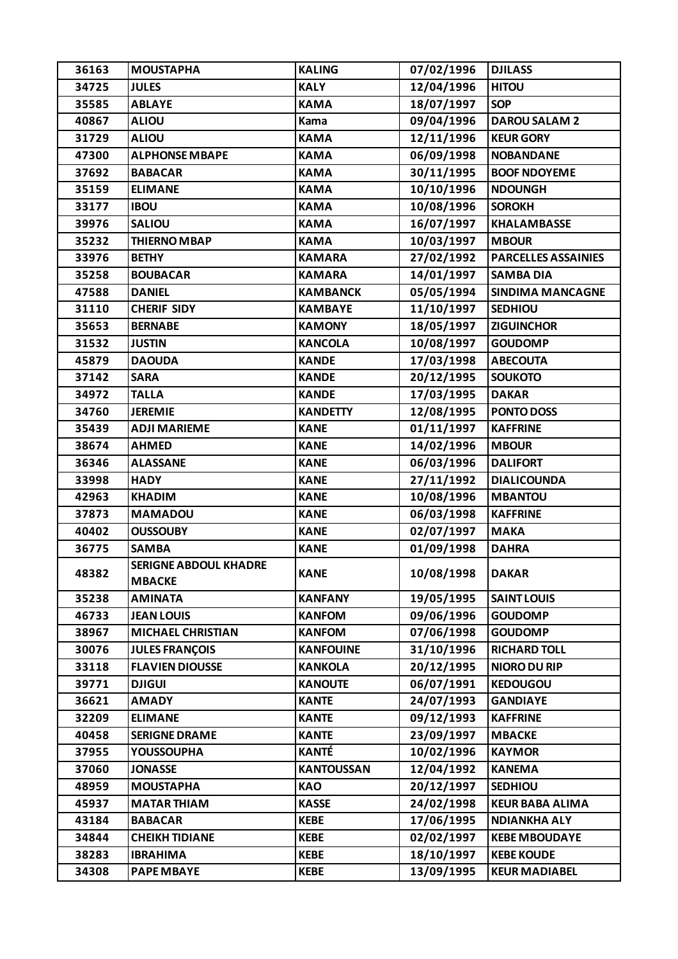| 36163 | <b>MOUSTAPHA</b>                              | <b>KALING</b>     | 07/02/1996              | <b>DJILASS</b>             |
|-------|-----------------------------------------------|-------------------|-------------------------|----------------------------|
| 34725 | <b>JULES</b>                                  | <b>KALY</b>       | $\overline{12/04/1996}$ | <b>HITOU</b>               |
| 35585 | <b>ABLAYE</b>                                 | <b>KAMA</b>       | 18/07/1997              | <b>SOP</b>                 |
| 40867 | <b>ALIOU</b>                                  | Kama              | 09/04/1996              | <b>DAROU SALAM 2</b>       |
| 31729 | <b>ALIOU</b>                                  | <b>KAMA</b>       | 12/11/1996              | <b>KEUR GORY</b>           |
| 47300 | <b>ALPHONSE MBAPE</b>                         | <b>KAMA</b>       | 06/09/1998              | <b>NOBANDANE</b>           |
| 37692 | <b>BABACAR</b>                                | <b>KAMA</b>       | 30/11/1995              | <b>BOOF NDOYEME</b>        |
| 35159 | <b>ELIMANE</b>                                | <b>KAMA</b>       | 10/10/1996              | <b>NDOUNGH</b>             |
| 33177 | <b>IBOU</b>                                   | <b>KAMA</b>       | 10/08/1996              | <b>SOROKH</b>              |
| 39976 | <b>SALIOU</b>                                 | <b>KAMA</b>       | 16/07/1997              | <b>KHALAMBASSE</b>         |
| 35232 | <b>THIERNO MBAP</b>                           | <b>KAMA</b>       | 10/03/1997              | <b>MBOUR</b>               |
| 33976 | <b>BETHY</b>                                  | <b>KAMARA</b>     | 27/02/1992              | <b>PARCELLES ASSAINIES</b> |
| 35258 | <b>BOUBACAR</b>                               | <b>KAMARA</b>     | 14/01/1997              | <b>SAMBA DIA</b>           |
| 47588 | <b>DANIEL</b>                                 | <b>KAMBANCK</b>   | 05/05/1994              | <b>SINDIMA MANCAGNE</b>    |
| 31110 | <b>CHERIF SIDY</b>                            | <b>KAMBAYE</b>    | 11/10/1997              | <b>SEDHIOU</b>             |
| 35653 | <b>BERNABE</b>                                | <b>KAMONY</b>     | 18/05/1997              | <b>ZIGUINCHOR</b>          |
| 31532 | <b>JUSTIN</b>                                 | <b>KANCOLA</b>    | 10/08/1997              | <b>GOUDOMP</b>             |
| 45879 | <b>DAOUDA</b>                                 | <b>KANDE</b>      | 17/03/1998              | <b>ABECOUTA</b>            |
| 37142 | <b>SARA</b>                                   | <b>KANDE</b>      | 20/12/1995              | <b>SOUKOTO</b>             |
| 34972 | <b>TALLA</b>                                  | <b>KANDE</b>      | 17/03/1995              | <b>DAKAR</b>               |
| 34760 | <b>JEREMIE</b>                                | <b>KANDETTY</b>   | 12/08/1995              | <b>PONTO DOSS</b>          |
| 35439 | <b>ADJI MARIEME</b>                           | <b>KANE</b>       | 01/11/1997              | <b>KAFFRINE</b>            |
| 38674 | <b>AHMED</b>                                  | <b>KANE</b>       | 14/02/1996              | <b>MBOUR</b>               |
| 36346 | <b>ALASSANE</b>                               | <b>KANE</b>       | 06/03/1996              | <b>DALIFORT</b>            |
| 33998 | <b>HADY</b>                                   | <b>KANE</b>       | 27/11/1992              | <b>DIALICOUNDA</b>         |
| 42963 | <b>KHADIM</b>                                 | <b>KANE</b>       | 10/08/1996              | <b>MBANTOU</b>             |
| 37873 | <b>MAMADOU</b>                                | <b>KANE</b>       | 06/03/1998              | <b>KAFFRINE</b>            |
| 40402 | <b>OUSSOUBY</b>                               | <b>KANE</b>       | 02/07/1997              | <b>MAKA</b>                |
| 36775 | <b>SAMBA</b>                                  | <b>KANE</b>       | 01/09/1998              | <b>DAHRA</b>               |
| 48382 | <b>SERIGNE ABDOUL KHADRE</b><br><b>MBACKE</b> | <b>KANE</b>       | 10/08/1998              | <b>DAKAR</b>               |
| 35238 | <b>AMINATA</b>                                | <b>KANFANY</b>    | 19/05/1995              | <b>SAINT LOUIS</b>         |
| 46733 | <b>JEAN LOUIS</b>                             | <b>KANFOM</b>     | 09/06/1996              | <b>GOUDOMP</b>             |
| 38967 | <b>MICHAEL CHRISTIAN</b>                      | <b>KANFOM</b>     | 07/06/1998              | <b>GOUDOMP</b>             |
| 30076 | <b>JULES FRANÇOIS</b>                         | <b>KANFOUINE</b>  | 31/10/1996              | <b>RICHARD TOLL</b>        |
| 33118 | <b>FLAVIEN DIOUSSE</b>                        | <b>KANKOLA</b>    | 20/12/1995              | <b>NIORO DU RIP</b>        |
| 39771 | <b>DJIGUI</b>                                 | <b>KANOUTE</b>    | 06/07/1991              | <b>KEDOUGOU</b>            |
| 36621 | <b>AMADY</b>                                  | <b>KANTE</b>      | 24/07/1993              | <b>GANDIAYE</b>            |
| 32209 | <b>ELIMANE</b>                                | <b>KANTE</b>      | 09/12/1993              | <b>KAFFRINE</b>            |
| 40458 | <b>SERIGNE DRAME</b>                          | <b>KANTE</b>      | 23/09/1997              | <b>MBACKE</b>              |
| 37955 | <b>YOUSSOUPHA</b>                             | <b>KANTÉ</b>      | 10/02/1996              | <b>KAYMOR</b>              |
| 37060 | <b>JONASSE</b>                                | <b>KANTOUSSAN</b> | 12/04/1992              | <b>KANEMA</b>              |
| 48959 | <b>MOUSTAPHA</b>                              | <b>KAO</b>        | 20/12/1997              | <b>SEDHIOU</b>             |
| 45937 | <b>MATAR THIAM</b>                            | <b>KASSE</b>      | 24/02/1998              | <b>KEUR BABA ALIMA</b>     |
| 43184 | <b>BABACAR</b>                                | <b>KEBE</b>       | 17/06/1995              | <b>NDIANKHA ALY</b>        |
| 34844 | <b>CHEIKH TIDIANE</b>                         | <b>KEBE</b>       | 02/02/1997              | <b>KEBE MBOUDAYE</b>       |
| 38283 | <b>IBRAHIMA</b>                               | <b>KEBE</b>       | 18/10/1997              | <b>KEBE KOUDE</b>          |
| 34308 | <b>PAPE MBAYE</b>                             | <b>KEBE</b>       | 13/09/1995              | <b>KEUR MADIABEL</b>       |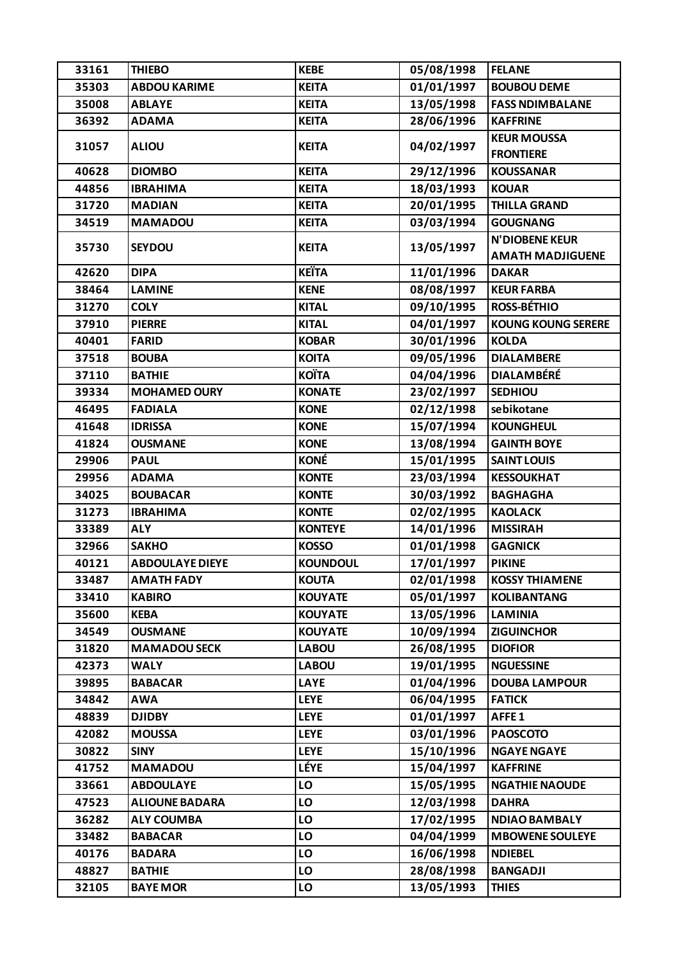| 33161 | <b>THIEBO</b>          | <b>KEBE</b>     | 05/08/1998 | <b>FELANE</b>                                    |
|-------|------------------------|-----------------|------------|--------------------------------------------------|
| 35303 | <b>ABDOU KARIME</b>    | <b>KEITA</b>    | 01/01/1997 | <b>BOUBOU DEME</b>                               |
| 35008 | <b>ABLAYE</b>          | <b>KEITA</b>    | 13/05/1998 | <b>FASS NDIMBALANE</b>                           |
| 36392 | <b>ADAMA</b>           | <b>KEITA</b>    | 28/06/1996 | <b>KAFFRINE</b>                                  |
| 31057 | <b>ALIOU</b>           | <b>KEITA</b>    | 04/02/1997 | <b>KEUR MOUSSA</b><br><b>FRONTIERE</b>           |
| 40628 | <b>DIOMBO</b>          | <b>KEITA</b>    | 29/12/1996 | <b>KOUSSANAR</b>                                 |
| 44856 | <b>IBRAHIMA</b>        | <b>KEITA</b>    | 18/03/1993 | <b>KOUAR</b>                                     |
| 31720 | <b>MADIAN</b>          | <b>KEITA</b>    | 20/01/1995 | <b>THILLA GRAND</b>                              |
| 34519 | <b>MAMADOU</b>         | <b>KEITA</b>    | 03/03/1994 | <b>GOUGNANG</b>                                  |
| 35730 | <b>SEYDOU</b>          | <b>KEITA</b>    | 13/05/1997 | <b>N'DIOBENE KEUR</b><br><b>AMATH MADJIGUENE</b> |
| 42620 | <b>DIPA</b>            | <b>KEÏTA</b>    | 11/01/1996 | <b>DAKAR</b>                                     |
| 38464 | <b>LAMINE</b>          | <b>KENE</b>     | 08/08/1997 | <b>KEUR FARBA</b>                                |
| 31270 | <b>COLY</b>            | <b>KITAL</b>    | 09/10/1995 | <b>ROSS-BÉTHIO</b>                               |
| 37910 | <b>PIERRE</b>          | <b>KITAL</b>    | 04/01/1997 | <b>KOUNG KOUNG SERERE</b>                        |
| 40401 | <b>FARID</b>           | <b>KOBAR</b>    | 30/01/1996 | <b>KOLDA</b>                                     |
| 37518 | <b>BOUBA</b>           | <b>KOITA</b>    | 09/05/1996 | <b>DIALAMBERE</b>                                |
| 37110 | <b>BATHIE</b>          | <b>KOÏTA</b>    | 04/04/1996 | <b>DIALAMBÉRÉ</b>                                |
| 39334 | <b>MOHAMED OURY</b>    | <b>KONATE</b>   | 23/02/1997 | <b>SEDHIOU</b>                                   |
| 46495 | <b>FADIALA</b>         | <b>KONE</b>     | 02/12/1998 | sebikotane                                       |
| 41648 | <b>IDRISSA</b>         | <b>KONE</b>     | 15/07/1994 | <b>KOUNGHEUL</b>                                 |
| 41824 | <b>OUSMANE</b>         | <b>KONE</b>     | 13/08/1994 | <b>GAINTH BOYE</b>                               |
| 29906 | <b>PAUL</b>            | <b>KONÉ</b>     | 15/01/1995 | <b>SAINT LOUIS</b>                               |
| 29956 | <b>ADAMA</b>           | <b>KONTE</b>    | 23/03/1994 | <b>KESSOUKHAT</b>                                |
| 34025 | <b>BOUBACAR</b>        | <b>KONTE</b>    | 30/03/1992 | <b>BAGHAGHA</b>                                  |
| 31273 | <b>IBRAHIMA</b>        | <b>KONTE</b>    | 02/02/1995 | <b>KAOLACK</b>                                   |
| 33389 | <b>ALY</b>             | <b>KONTEYE</b>  | 14/01/1996 | <b>MISSIRAH</b>                                  |
| 32966 | <b>SAKHO</b>           | <b>KOSSO</b>    | 01/01/1998 | <b>GAGNICK</b>                                   |
| 40121 | <b>ABDOULAYE DIEYE</b> | <b>KOUNDOUL</b> | 17/01/1997 | <b>PIKINE</b>                                    |
| 33487 | <b>AMATH FADY</b>      | <b>KOUTA</b>    | 02/01/1998 | <b>KOSSY THIAMENE</b>                            |
| 33410 | <b>KABIRO</b>          | <b>KOUYATE</b>  | 05/01/1997 | <b>KOLIBANTANG</b>                               |
| 35600 | <b>KEBA</b>            | <b>KOUYATE</b>  | 13/05/1996 | <b>LAMINIA</b>                                   |
| 34549 | <b>OUSMANE</b>         | <b>KOUYATE</b>  | 10/09/1994 | <b>ZIGUINCHOR</b>                                |
| 31820 | <b>MAMADOU SECK</b>    | <b>LABOU</b>    | 26/08/1995 | <b>DIOFIOR</b>                                   |
| 42373 | <b>WALY</b>            | <b>LABOU</b>    | 19/01/1995 | <b>NGUESSINE</b>                                 |
| 39895 | <b>BABACAR</b>         | <b>LAYE</b>     | 01/04/1996 | <b>DOUBA LAMPOUR</b>                             |
| 34842 | <b>AWA</b>             | <b>LEYE</b>     | 06/04/1995 | <b>FATICK</b>                                    |
| 48839 | <b>DJIDBY</b>          | <b>LEYE</b>     | 01/01/1997 | AFFE <sub>1</sub>                                |
| 42082 | <b>MOUSSA</b>          | <b>LEYE</b>     | 03/01/1996 | <b>PAOSCOTO</b>                                  |
| 30822 | <b>SINY</b>            | <b>LEYE</b>     | 15/10/1996 | <b>NGAYE NGAYE</b>                               |
| 41752 | <b>MAMADOU</b>         | <b>LÉYE</b>     | 15/04/1997 | <b>KAFFRINE</b>                                  |
| 33661 | <b>ABDOULAYE</b>       | LO              | 15/05/1995 | <b>NGATHIE NAOUDE</b>                            |
| 47523 | <b>ALIOUNE BADARA</b>  | LO              | 12/03/1998 | <b>DAHRA</b>                                     |
| 36282 | <b>ALY COUMBA</b>      | LO              | 17/02/1995 | <b>NDIAO BAMBALY</b>                             |
| 33482 | <b>BABACAR</b>         | LO              | 04/04/1999 | <b>MBOWENE SOULEYE</b>                           |
| 40176 | <b>BADARA</b>          | LO              | 16/06/1998 | <b>NDIEBEL</b>                                   |
| 48827 | <b>BATHIE</b>          | LO              | 28/08/1998 | <b>BANGADJI</b>                                  |
| 32105 | <b>BAYE MOR</b>        | LO              | 13/05/1993 | <b>THIES</b>                                     |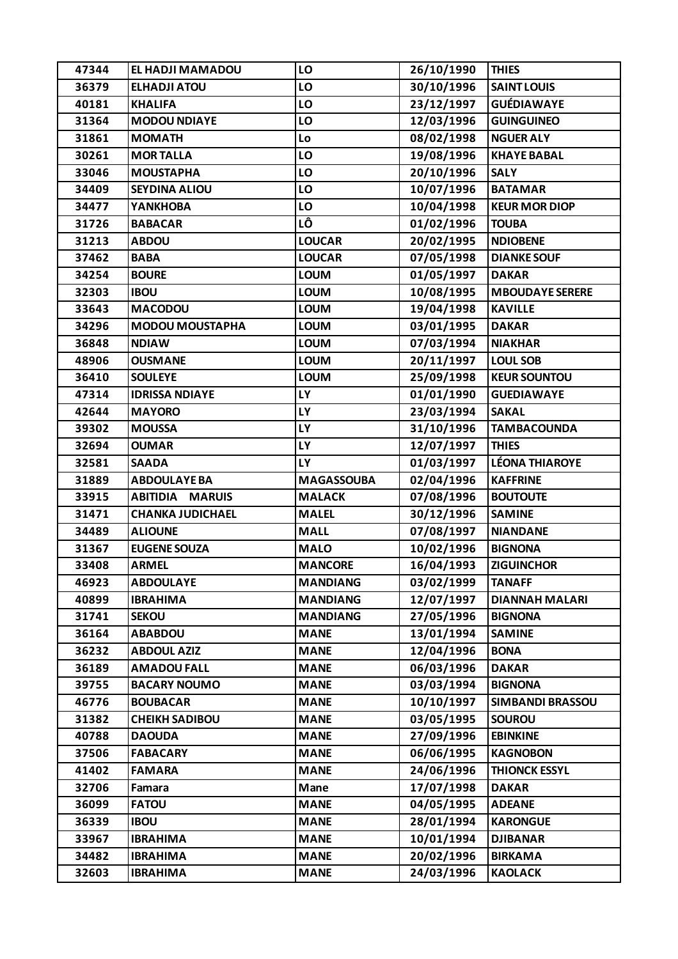| 47344 | EL HADJI MAMADOU        | LO                | 26/10/1990 | <b>THIES</b>            |
|-------|-------------------------|-------------------|------------|-------------------------|
| 36379 | <b>ELHADJI ATOU</b>     | LO                | 30/10/1996 | <b>SAINT LOUIS</b>      |
| 40181 | <b>KHALIFA</b>          | LO                | 23/12/1997 | <b>GUÉDIAWAYE</b>       |
| 31364 | <b>MODOU NDIAYE</b>     | LO                | 12/03/1996 | <b>GUINGUINEO</b>       |
| 31861 | <b>MOMATH</b>           | Lo                | 08/02/1998 | <b>NGUER ALY</b>        |
| 30261 | <b>MORTALLA</b>         | LO                | 19/08/1996 | <b>KHAYE BABAL</b>      |
| 33046 | <b>MOUSTAPHA</b>        | LO                | 20/10/1996 | <b>SALY</b>             |
| 34409 | <b>SEYDINA ALIOU</b>    | LO                | 10/07/1996 | <b>BATAMAR</b>          |
| 34477 | <b>YANKHOBA</b>         | LO                | 10/04/1998 | <b>KEUR MOR DIOP</b>    |
| 31726 | <b>BABACAR</b>          | LÔ                | 01/02/1996 | <b>TOUBA</b>            |
| 31213 | <b>ABDOU</b>            | <b>LOUCAR</b>     | 20/02/1995 | <b>NDIOBENE</b>         |
| 37462 | <b>BABA</b>             | <b>LOUCAR</b>     | 07/05/1998 | <b>DIANKE SOUF</b>      |
| 34254 | <b>BOURE</b>            | <b>LOUM</b>       | 01/05/1997 | <b>DAKAR</b>            |
| 32303 | <b>IBOU</b>             | <b>LOUM</b>       | 10/08/1995 | <b>MBOUDAYE SERERE</b>  |
| 33643 | <b>MACODOU</b>          | <b>LOUM</b>       | 19/04/1998 | <b>KAVILLE</b>          |
| 34296 | <b>MODOU MOUSTAPHA</b>  | <b>LOUM</b>       | 03/01/1995 | <b>DAKAR</b>            |
| 36848 | <b>NDIAW</b>            | <b>LOUM</b>       | 07/03/1994 | <b>NIAKHAR</b>          |
| 48906 | <b>OUSMANE</b>          | <b>LOUM</b>       | 20/11/1997 | <b>LOUL SOB</b>         |
| 36410 | <b>SOULEYE</b>          | <b>LOUM</b>       | 25/09/1998 | <b>KEUR SOUNTOU</b>     |
| 47314 | <b>IDRISSA NDIAYE</b>   | <b>LY</b>         | 01/01/1990 | <b>GUEDIAWAYE</b>       |
| 42644 | <b>MAYORO</b>           | <b>LY</b>         | 23/03/1994 | <b>SAKAL</b>            |
| 39302 | <b>MOUSSA</b>           | <b>LY</b>         | 31/10/1996 | <b>TAMBACOUNDA</b>      |
| 32694 | <b>OUMAR</b>            | <b>LY</b>         | 12/07/1997 | <b>THIES</b>            |
| 32581 | <b>SAADA</b>            | <b>LY</b>         | 01/03/1997 | <b>LÉONA THIAROYE</b>   |
| 31889 | <b>ABDOULAYE BA</b>     | <b>MAGASSOUBA</b> | 02/04/1996 | <b>KAFFRINE</b>         |
| 33915 | <b>ABITIDIA MARUIS</b>  | <b>MALACK</b>     | 07/08/1996 | <b>BOUTOUTE</b>         |
| 31471 | <b>CHANKA JUDICHAEL</b> | <b>MALEL</b>      | 30/12/1996 | <b>SAMINE</b>           |
| 34489 | <b>ALIOUNE</b>          | <b>MALL</b>       | 07/08/1997 | <b>NIANDANE</b>         |
| 31367 | <b>EUGENE SOUZA</b>     | <b>MALO</b>       | 10/02/1996 | <b>BIGNONA</b>          |
| 33408 | <b>ARMEL</b>            | <b>MANCORE</b>    | 16/04/1993 | <b>ZIGUINCHOR</b>       |
| 46923 | <b>ABDOULAYE</b>        | <b>MANDIANG</b>   | 03/02/1999 | <b>TANAFF</b>           |
| 40899 | <b>IBRAHIMA</b>         | <b>MANDIANG</b>   | 12/07/1997 | <b>DIANNAH MALARI</b>   |
| 31741 | <b>SEKOU</b>            | <b>MANDIANG</b>   | 27/05/1996 | <b>BIGNONA</b>          |
| 36164 | <b>ABABDOU</b>          | <b>MANE</b>       | 13/01/1994 | <b>SAMINE</b>           |
| 36232 | <b>ABDOUL AZIZ</b>      | <b>MANE</b>       | 12/04/1996 | <b>BONA</b>             |
| 36189 | <b>AMADOU FALL</b>      | <b>MANE</b>       | 06/03/1996 | <b>DAKAR</b>            |
| 39755 | <b>BACARY NOUMO</b>     | <b>MANE</b>       | 03/03/1994 | <b>BIGNONA</b>          |
| 46776 | <b>BOUBACAR</b>         | <b>MANE</b>       | 10/10/1997 | <b>SIMBANDI BRASSOU</b> |
| 31382 | <b>CHEIKH SADIBOU</b>   | <b>MANE</b>       | 03/05/1995 | <b>SOUROU</b>           |
| 40788 | <b>DAOUDA</b>           | <b>MANE</b>       | 27/09/1996 | <b>EBINKINE</b>         |
| 37506 | <b>FABACARY</b>         | <b>MANE</b>       | 06/06/1995 | <b>KAGNOBON</b>         |
| 41402 | <b>FAMARA</b>           | <b>MANE</b>       | 24/06/1996 | <b>THIONCK ESSYL</b>    |
| 32706 | Famara                  | Mane              | 17/07/1998 | <b>DAKAR</b>            |
| 36099 | <b>FATOU</b>            | <b>MANE</b>       | 04/05/1995 | <b>ADEANE</b>           |
| 36339 | <b>IBOU</b>             | <b>MANE</b>       | 28/01/1994 | <b>KARONGUE</b>         |
| 33967 | <b>IBRAHIMA</b>         | <b>MANE</b>       | 10/01/1994 | <b>DJIBANAR</b>         |
| 34482 | <b>IBRAHIMA</b>         | <b>MANE</b>       | 20/02/1996 | <b>BIRKAMA</b>          |
| 32603 | <b>IBRAHIMA</b>         | <b>MANE</b>       | 24/03/1996 | <b>KAOLACK</b>          |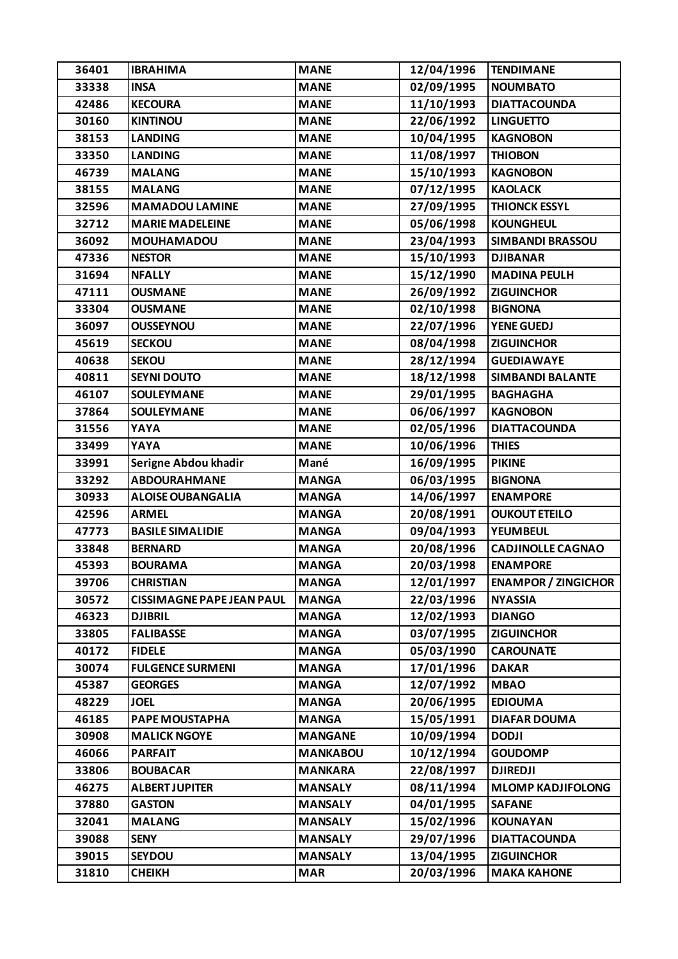| 36401 | <b>IBRAHIMA</b>                  | <b>MANE</b>     | 12/04/1996              | <b>TENDIMANE</b>           |
|-------|----------------------------------|-----------------|-------------------------|----------------------------|
| 33338 | <b>INSA</b>                      | <b>MANE</b>     | 02/09/1995              | <b>NOUMBATO</b>            |
| 42486 | <b>KECOURA</b>                   | <b>MANE</b>     | 11/10/1993              | <b>DIATTACOUNDA</b>        |
| 30160 | <b>KINTINOU</b>                  | <b>MANE</b>     | 22/06/1992              | <b>LINGUETTO</b>           |
| 38153 | <b>LANDING</b>                   | <b>MANE</b>     | 10/04/1995              | <b>KAGNOBON</b>            |
| 33350 | <b>LANDING</b>                   | <b>MANE</b>     | 11/08/1997              | <b>THIOBON</b>             |
| 46739 | <b>MALANG</b>                    | <b>MANE</b>     | 15/10/1993              | <b>KAGNOBON</b>            |
| 38155 | <b>MALANG</b>                    | <b>MANE</b>     | $\overline{07}/12/1995$ | <b>KAOLACK</b>             |
| 32596 | <b>MAMADOU LAMINE</b>            | <b>MANE</b>     | 27/09/1995              | <b>THIONCK ESSYL</b>       |
| 32712 | <b>MARIE MADELEINE</b>           | <b>MANE</b>     | 05/06/1998              | <b>KOUNGHEUL</b>           |
| 36092 | <b>MOUHAMADOU</b>                | <b>MANE</b>     | 23/04/1993              | <b>SIMBANDI BRASSOU</b>    |
| 47336 | <b>NESTOR</b>                    | <b>MANE</b>     | 15/10/1993              | <b>DJIBANAR</b>            |
| 31694 | <b>NFALLY</b>                    | <b>MANE</b>     | 15/12/1990              | <b>MADINA PEULH</b>        |
| 47111 | <b>OUSMANE</b>                   | <b>MANE</b>     | 26/09/1992              | <b>ZIGUINCHOR</b>          |
| 33304 | <b>OUSMANE</b>                   | <b>MANE</b>     | 02/10/1998              | <b>BIGNONA</b>             |
| 36097 | <b>OUSSEYNOU</b>                 | <b>MANE</b>     | 22/07/1996              | <b>YENE GUEDJ</b>          |
| 45619 | <b>SECKOU</b>                    | <b>MANE</b>     | 08/04/1998              | <b>ZIGUINCHOR</b>          |
| 40638 | <b>SEKOU</b>                     | <b>MANE</b>     | 28/12/1994              | <b>GUEDIAWAYE</b>          |
| 40811 | <b>SEYNI DOUTO</b>               | <b>MANE</b>     | 18/12/1998              | <b>SIMBANDI BALANTE</b>    |
| 46107 | <b>SOULEYMANE</b>                | <b>MANE</b>     | 29/01/1995              | <b>BAGHAGHA</b>            |
| 37864 | <b>SOULEYMANE</b>                | <b>MANE</b>     | 06/06/1997              | <b>KAGNOBON</b>            |
| 31556 | YAYA                             | <b>MANE</b>     | 02/05/1996              | <b>DIATTACOUNDA</b>        |
| 33499 | YAYA                             | <b>MANE</b>     | 10/06/1996              | <b>THIES</b>               |
| 33991 | Serigne Abdou khadir             | Mané            | 16/09/1995              | <b>PIKINE</b>              |
| 33292 | <b>ABDOURAHMANE</b>              | <b>MANGA</b>    | 06/03/1995              | <b>BIGNONA</b>             |
| 30933 | <b>ALOISE OUBANGALIA</b>         | <b>MANGA</b>    | 14/06/1997              | <b>ENAMPORE</b>            |
| 42596 | <b>ARMEL</b>                     | <b>MANGA</b>    | 20/08/1991              | <b>OUKOUT ETEILO</b>       |
| 47773 | <b>BASILE SIMALIDIE</b>          | <b>MANGA</b>    | 09/04/1993              | <b>YEUMBEUL</b>            |
| 33848 | <b>BERNARD</b>                   | <b>MANGA</b>    | 20/08/1996              | <b>CADJINOLLE CAGNAO</b>   |
| 45393 | <b>BOURAMA</b>                   | <b>MANGA</b>    | 20/03/1998              | <b>ENAMPORE</b>            |
| 39706 | <b>CHRISTIAN</b>                 | <b>MANGA</b>    | 12/01/1997              | <b>ENAMPOR / ZINGICHOR</b> |
| 30572 | <b>CISSIMAGNE PAPE JEAN PAUL</b> | <b>MANGA</b>    | 22/03/1996              | <b>NYASSIA</b>             |
| 46323 | <b>DJIBRIL</b>                   | <b>MANGA</b>    | 12/02/1993              | <b>DIANGO</b>              |
| 33805 | <b>FALIBASSE</b>                 | <b>MANGA</b>    | 03/07/1995              | <b>ZIGUINCHOR</b>          |
| 40172 | <b>FIDELE</b>                    | <b>MANGA</b>    | 05/03/1990              | <b>CAROUNATE</b>           |
| 30074 | <b>FULGENCE SURMENI</b>          | <b>MANGA</b>    | 17/01/1996              | <b>DAKAR</b>               |
| 45387 | <b>GEORGES</b>                   | <b>MANGA</b>    | 12/07/1992              | <b>MBAO</b>                |
| 48229 | <b>JOEL</b>                      | <b>MANGA</b>    | 20/06/1995              | <b>EDIOUMA</b>             |
| 46185 | PAPE MOUSTAPHA                   | <b>MANGA</b>    | 15/05/1991              | <b>DIAFAR DOUMA</b>        |
| 30908 | <b>MALICK NGOYE</b>              | <b>MANGANE</b>  | 10/09/1994              | <b>DODJI</b>               |
| 46066 | <b>PARFAIT</b>                   | <b>MANKABOU</b> | 10/12/1994              | <b>GOUDOMP</b>             |
| 33806 | <b>BOUBACAR</b>                  | <b>MANKARA</b>  | 22/08/1997              | <b>DJIREDJI</b>            |
| 46275 | <b>ALBERT JUPITER</b>            | <b>MANSALY</b>  | 08/11/1994              | <b>MLOMP KADJIFOLONG</b>   |
| 37880 | <b>GASTON</b>                    | <b>MANSALY</b>  | 04/01/1995              | <b>SAFANE</b>              |
| 32041 | <b>MALANG</b>                    | <b>MANSALY</b>  | 15/02/1996              | <b>KOUNAYAN</b>            |
| 39088 | <b>SENY</b>                      | <b>MANSALY</b>  | 29/07/1996              | <b>DIATTACOUNDA</b>        |
| 39015 | <b>SEYDOU</b>                    | <b>MANSALY</b>  | 13/04/1995              | <b>ZIGUINCHOR</b>          |
| 31810 | <b>CHEIKH</b>                    | <b>MAR</b>      | 20/03/1996              | <b>MAKA KAHONE</b>         |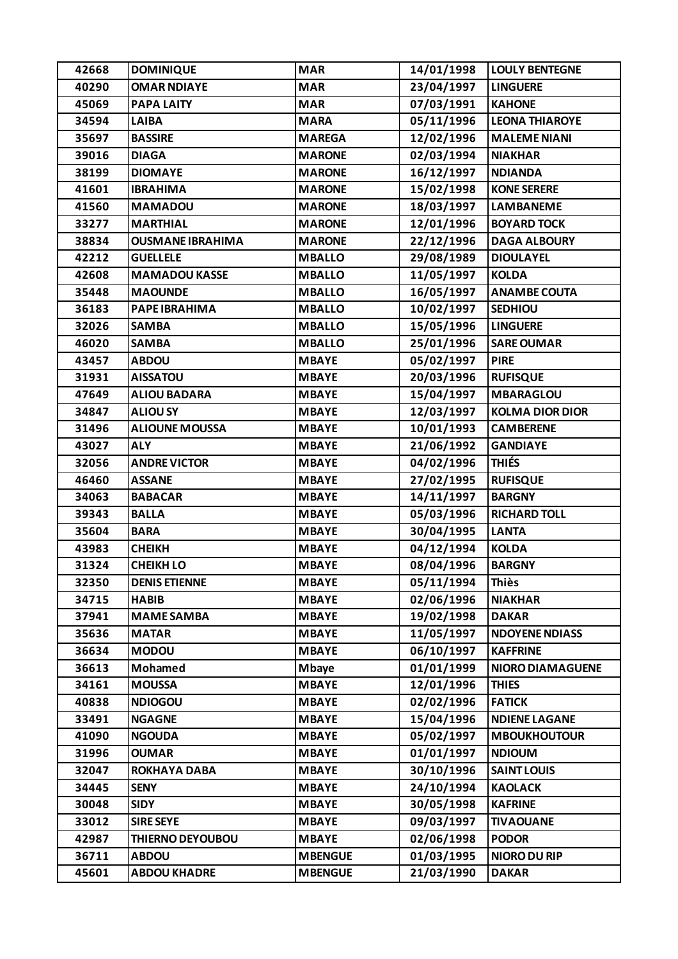| 42668 | <b>DOMINIQUE</b>        | <b>MAR</b>     | 14/01/1998 | <b>LOULY BENTEGNE</b>   |
|-------|-------------------------|----------------|------------|-------------------------|
| 40290 | <b>OMAR NDIAYE</b>      | <b>MAR</b>     | 23/04/1997 | <b>LINGUERE</b>         |
| 45069 | <b>PAPA LAITY</b>       | <b>MAR</b>     | 07/03/1991 | <b>KAHONE</b>           |
| 34594 | <b>LAIBA</b>            | <b>MARA</b>    | 05/11/1996 | <b>LEONA THIAROYE</b>   |
| 35697 | <b>BASSIRE</b>          | <b>MAREGA</b>  | 12/02/1996 | <b>MALEME NIANI</b>     |
| 39016 | <b>DIAGA</b>            | <b>MARONE</b>  | 02/03/1994 | <b>NIAKHAR</b>          |
| 38199 | <b>DIOMAYE</b>          | <b>MARONE</b>  | 16/12/1997 | <b>NDIANDA</b>          |
| 41601 | <b>IBRAHIMA</b>         | <b>MARONE</b>  | 15/02/1998 | <b>KONE SERERE</b>      |
| 41560 | <b>MAMADOU</b>          | <b>MARONE</b>  | 18/03/1997 | <b>LAMBANEME</b>        |
| 33277 | <b>MARTHIAL</b>         | <b>MARONE</b>  | 12/01/1996 | <b>BOYARD TOCK</b>      |
| 38834 | <b>OUSMANE IBRAHIMA</b> | <b>MARONE</b>  | 22/12/1996 | <b>DAGA ALBOURY</b>     |
| 42212 | <b>GUELLELE</b>         | <b>MBALLO</b>  | 29/08/1989 | <b>DIOULAYEL</b>        |
| 42608 | <b>MAMADOU KASSE</b>    | <b>MBALLO</b>  | 11/05/1997 | <b>KOLDA</b>            |
| 35448 | <b>MAOUNDE</b>          | <b>MBALLO</b>  | 16/05/1997 | <b>ANAMBE COUTA</b>     |
| 36183 | <b>PAPE IBRAHIMA</b>    | <b>MBALLO</b>  | 10/02/1997 | <b>SEDHIOU</b>          |
| 32026 | <b>SAMBA</b>            | <b>MBALLO</b>  | 15/05/1996 | <b>LINGUERE</b>         |
| 46020 | <b>SAMBA</b>            | <b>MBALLO</b>  | 25/01/1996 | <b>SARE OUMAR</b>       |
| 43457 | <b>ABDOU</b>            | <b>MBAYE</b>   | 05/02/1997 | <b>PIRE</b>             |
| 31931 | <b>AISSATOU</b>         | <b>MBAYE</b>   | 20/03/1996 | <b>RUFISQUE</b>         |
| 47649 | <b>ALIOU BADARA</b>     | <b>MBAYE</b>   | 15/04/1997 | <b>MBARAGLOU</b>        |
| 34847 | <b>ALIOU SY</b>         | <b>MBAYE</b>   | 12/03/1997 | <b>KOLMA DIOR DIOR</b>  |
| 31496 | <b>ALIOUNE MOUSSA</b>   | <b>MBAYE</b>   | 10/01/1993 | <b>CAMBERENE</b>        |
| 43027 | <b>ALY</b>              | <b>MBAYE</b>   | 21/06/1992 | <b>GANDIAYE</b>         |
| 32056 | <b>ANDRE VICTOR</b>     | <b>MBAYE</b>   | 04/02/1996 | <b>THIÉS</b>            |
| 46460 | <b>ASSANE</b>           | <b>MBAYE</b>   | 27/02/1995 | <b>RUFISQUE</b>         |
| 34063 | <b>BABACAR</b>          | <b>MBAYE</b>   | 14/11/1997 | <b>BARGNY</b>           |
| 39343 | <b>BALLA</b>            | <b>MBAYE</b>   | 05/03/1996 | <b>RICHARD TOLL</b>     |
| 35604 | <b>BARA</b>             | <b>MBAYE</b>   | 30/04/1995 | <b>LANTA</b>            |
| 43983 | <b>CHEIKH</b>           | <b>MBAYE</b>   | 04/12/1994 | <b>KOLDA</b>            |
| 31324 | <b>CHEIKH LO</b>        | <b>MBAYE</b>   | 08/04/1996 | <b>BARGNY</b>           |
| 32350 | <b>DENIS ETIENNE</b>    | <b>MBAYE</b>   | 05/11/1994 | <b>Thiès</b>            |
| 34715 | <b>HABIB</b>            | <b>MBAYE</b>   | 02/06/1996 | <b>NIAKHAR</b>          |
| 37941 | <b>MAME SAMBA</b>       | <b>MBAYE</b>   | 19/02/1998 | <b>DAKAR</b>            |
| 35636 | <b>MATAR</b>            | <b>MBAYE</b>   | 11/05/1997 | <b>NDOYENE NDIASS</b>   |
| 36634 | <b>MODOU</b>            | <b>MBAYE</b>   | 06/10/1997 | <b>KAFFRINE</b>         |
| 36613 | Mohamed                 | <b>Mbaye</b>   | 01/01/1999 | <b>NIORO DIAMAGUENE</b> |
| 34161 | <b>MOUSSA</b>           | <b>MBAYE</b>   | 12/01/1996 | <b>THIES</b>            |
| 40838 | <b>NDIOGOU</b>          | <b>MBAYE</b>   | 02/02/1996 | <b>FATICK</b>           |
| 33491 | <b>NGAGNE</b>           | <b>MBAYE</b>   | 15/04/1996 | <b>NDIENE LAGANE</b>    |
| 41090 | <b>NGOUDA</b>           | <b>MBAYE</b>   | 05/02/1997 | <b>MBOUKHOUTOUR</b>     |
| 31996 | <b>OUMAR</b>            | <b>MBAYE</b>   | 01/01/1997 | <b>NDIOUM</b>           |
| 32047 | <b>ROKHAYA DABA</b>     | <b>MBAYE</b>   | 30/10/1996 | <b>SAINT LOUIS</b>      |
| 34445 | <b>SENY</b>             | <b>MBAYE</b>   | 24/10/1994 | <b>KAOLACK</b>          |
| 30048 | <b>SIDY</b>             | <b>MBAYE</b>   | 30/05/1998 | <b>KAFRINE</b>          |
| 33012 | <b>SIRE SEYE</b>        | <b>MBAYE</b>   | 09/03/1997 | <b>TIVAOUANE</b>        |
| 42987 | <b>THIERNO DEYOUBOU</b> | <b>MBAYE</b>   | 02/06/1998 | <b>PODOR</b>            |
| 36711 | <b>ABDOU</b>            | <b>MBENGUE</b> | 01/03/1995 | <b>NIORO DU RIP</b>     |
| 45601 | <b>ABDOU KHADRE</b>     | <b>MBENGUE</b> | 21/03/1990 | <b>DAKAR</b>            |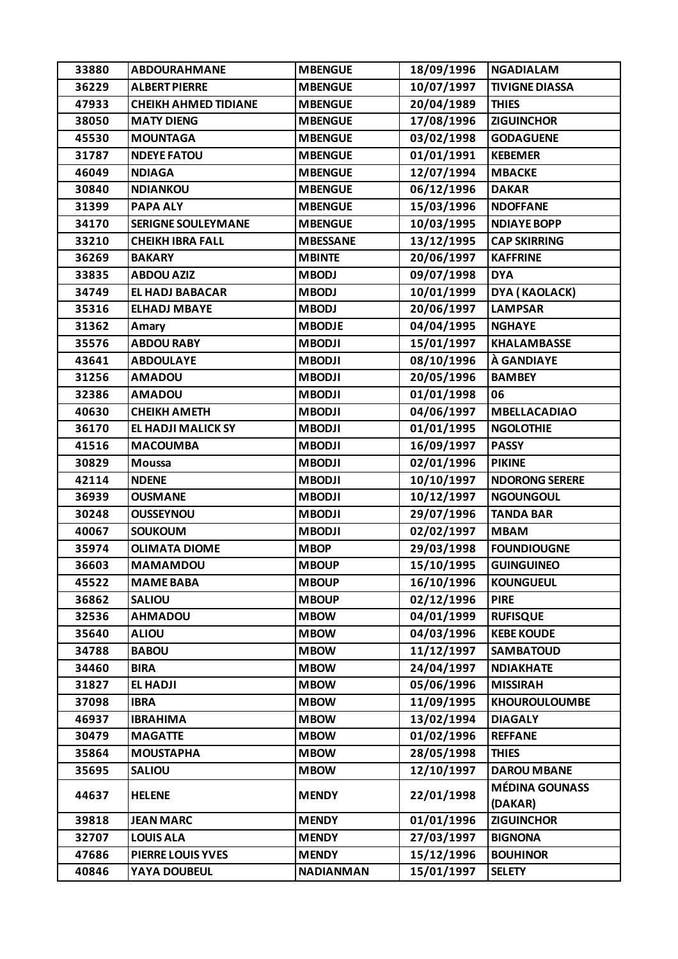| 33880 | <b>ABDOURAHMANE</b>         | <b>MBENGUE</b>   | 18/09/1996 | <b>NGADIALAM</b>                 |
|-------|-----------------------------|------------------|------------|----------------------------------|
| 36229 | <b>ALBERT PIERRE</b>        | <b>MBENGUE</b>   | 10/07/1997 | <b>TIVIGNE DIASSA</b>            |
| 47933 | <b>CHEIKH AHMED TIDIANE</b> | <b>MBENGUE</b>   | 20/04/1989 | <b>THIES</b>                     |
| 38050 | <b>MATY DIENG</b>           | <b>MBENGUE</b>   | 17/08/1996 | <b>ZIGUINCHOR</b>                |
| 45530 | <b>MOUNTAGA</b>             | <b>MBENGUE</b>   | 03/02/1998 | <b>GODAGUENE</b>                 |
| 31787 | <b>NDEYE FATOU</b>          | <b>MBENGUE</b>   | 01/01/1991 | <b>KEBEMER</b>                   |
| 46049 | <b>NDIAGA</b>               | <b>MBENGUE</b>   | 12/07/1994 | <b>MBACKE</b>                    |
| 30840 | <b>NDIANKOU</b>             | <b>MBENGUE</b>   | 06/12/1996 | <b>DAKAR</b>                     |
| 31399 | <b>PAPA ALY</b>             | <b>MBENGUE</b>   | 15/03/1996 | <b>NDOFFANE</b>                  |
| 34170 | <b>SERIGNE SOULEYMANE</b>   | <b>MBENGUE</b>   | 10/03/1995 | <b>NDIAYE BOPP</b>               |
| 33210 | <b>CHEIKH IBRA FALL</b>     | <b>MBESSANE</b>  | 13/12/1995 | <b>CAP SKIRRING</b>              |
| 36269 | <b>BAKARY</b>               | <b>MBINTE</b>    | 20/06/1997 | <b>KAFFRINE</b>                  |
| 33835 | <b>ABDOU AZIZ</b>           | <b>MBODJ</b>     | 09/07/1998 | <b>DYA</b>                       |
| 34749 | <b>EL HADJ BABACAR</b>      | <b>MBODJ</b>     | 10/01/1999 | DYA (KAOLACK)                    |
| 35316 | <b>ELHADJ MBAYE</b>         | <b>MBODJ</b>     | 20/06/1997 | <b>LAMPSAR</b>                   |
| 31362 | Amary                       | <b>MBODJE</b>    | 04/04/1995 | <b>NGHAYE</b>                    |
| 35576 | <b>ABDOU RABY</b>           | <b>MBODJI</b>    | 15/01/1997 | <b>KHALAMBASSE</b>               |
| 43641 | <b>ABDOULAYE</b>            | <b>MBODJI</b>    | 08/10/1996 | À GANDIAYE                       |
| 31256 | <b>AMADOU</b>               | <b>MBODJI</b>    | 20/05/1996 | <b>BAMBEY</b>                    |
| 32386 | <b>AMADOU</b>               | <b>MBODJI</b>    | 01/01/1998 | 06                               |
| 40630 | <b>CHEIKH AMETH</b>         | <b>MBODJI</b>    | 04/06/1997 | <b>MBELLACADIAO</b>              |
| 36170 | <b>EL HADJI MALICK SY</b>   | <b>MBODJI</b>    | 01/01/1995 | <b>NGOLOTHIE</b>                 |
| 41516 | <b>MACOUMBA</b>             | <b>MBODJI</b>    | 16/09/1997 | <b>PASSY</b>                     |
| 30829 | <b>Moussa</b>               | <b>MBODJI</b>    | 02/01/1996 | <b>PIKINE</b>                    |
| 42114 | <b>NDENE</b>                | <b>MBODJI</b>    | 10/10/1997 | <b>NDORONG SERERE</b>            |
| 36939 | <b>OUSMANE</b>              | <b>MBODJI</b>    | 10/12/1997 | <b>NGOUNGOUL</b>                 |
| 30248 | <b>OUSSEYNOU</b>            | <b>MBODJI</b>    | 29/07/1996 | <b>TANDA BAR</b>                 |
| 40067 | <b>SOUKOUM</b>              | <b>MBODJI</b>    | 02/02/1997 | <b>MBAM</b>                      |
| 35974 | <b>OLIMATA DIOME</b>        | <b>MBOP</b>      | 29/03/1998 | <b>FOUNDIOUGNE</b>               |
| 36603 | <b>MAMAMDOU</b>             | <b>MBOUP</b>     | 15/10/1995 | <b>GUINGUINEO</b>                |
| 45522 | <b>MAME BABA</b>            | <b>MBOUP</b>     | 16/10/1996 | <b>KOUNGUEUL</b>                 |
| 36862 | <b>SALIOU</b>               | <b>MBOUP</b>     | 02/12/1996 | <b>PIRE</b>                      |
| 32536 | <b>AHMADOU</b>              | <b>MBOW</b>      | 04/01/1999 | <b>RUFISQUE</b>                  |
| 35640 | <b>ALIOU</b>                | <b>MBOW</b>      | 04/03/1996 | <b>KEBE KOUDE</b>                |
| 34788 | <b>BABOU</b>                | <b>MBOW</b>      | 11/12/1997 | <b>SAMBATOUD</b>                 |
| 34460 | <b>BIRA</b>                 | <b>MBOW</b>      | 24/04/1997 | <b>NDIAKHATE</b>                 |
| 31827 | <b>EL HADJI</b>             | <b>MBOW</b>      | 05/06/1996 | <b>MISSIRAH</b>                  |
| 37098 | <b>IBRA</b>                 | <b>MBOW</b>      | 11/09/1995 | <b>KHOUROULOUMBE</b>             |
| 46937 | <b>IBRAHIMA</b>             | <b>MBOW</b>      | 13/02/1994 | <b>DIAGALY</b>                   |
| 30479 | <b>MAGATTE</b>              | <b>MBOW</b>      | 01/02/1996 | <b>REFFANE</b>                   |
| 35864 | <b>MOUSTAPHA</b>            | <b>MBOW</b>      | 28/05/1998 | <b>THIES</b>                     |
| 35695 | <b>SALIOU</b>               | <b>MBOW</b>      | 12/10/1997 | <b>DAROU MBANE</b>               |
| 44637 | <b>HELENE</b>               | <b>MENDY</b>     | 22/01/1998 | <b>MÉDINA GOUNASS</b><br>(DAKAR) |
| 39818 | <b>JEAN MARC</b>            | <b>MENDY</b>     | 01/01/1996 | <b>ZIGUINCHOR</b>                |
| 32707 | <b>LOUIS ALA</b>            | <b>MENDY</b>     | 27/03/1997 | <b>BIGNONA</b>                   |
| 47686 | PIERRE LOUIS YVES           | <b>MENDY</b>     | 15/12/1996 | <b>BOUHINOR</b>                  |
| 40846 | YAYA DOUBEUL                | <b>NADIANMAN</b> | 15/01/1997 | <b>SELETY</b>                    |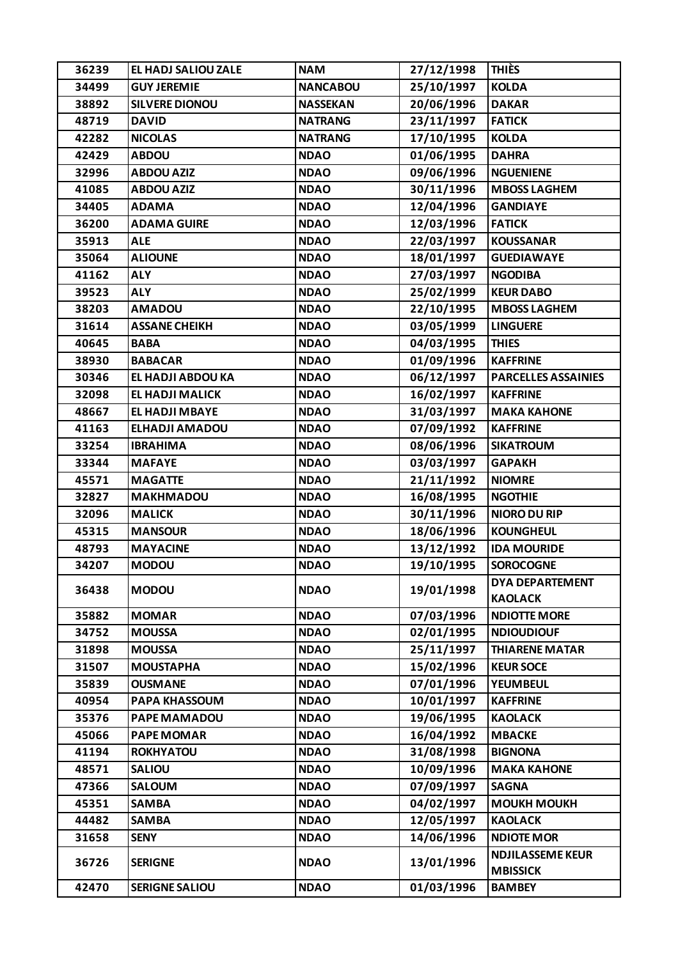| 36239 | EL HADJ SALIOU ZALE    | <b>NAM</b>      | 27/12/1998 | <b>THIÈS</b>                               |
|-------|------------------------|-----------------|------------|--------------------------------------------|
| 34499 | <b>GUY JEREMIE</b>     | <b>NANCABOU</b> | 25/10/1997 | <b>KOLDA</b>                               |
| 38892 | <b>SILVERE DIONOU</b>  | <b>NASSEKAN</b> | 20/06/1996 | <b>DAKAR</b>                               |
| 48719 | <b>DAVID</b>           | <b>NATRANG</b>  | 23/11/1997 | <b>FATICK</b>                              |
| 42282 | <b>NICOLAS</b>         | <b>NATRANG</b>  | 17/10/1995 | <b>KOLDA</b>                               |
| 42429 | <b>ABDOU</b>           | <b>NDAO</b>     | 01/06/1995 | <b>DAHRA</b>                               |
| 32996 | <b>ABDOU AZIZ</b>      | <b>NDAO</b>     | 09/06/1996 | <b>NGUENIENE</b>                           |
| 41085 | <b>ABDOU AZIZ</b>      | <b>NDAO</b>     | 30/11/1996 | <b>MBOSS LAGHEM</b>                        |
| 34405 | <b>ADAMA</b>           | <b>NDAO</b>     | 12/04/1996 | <b>GANDIAYE</b>                            |
| 36200 | <b>ADAMA GUIRE</b>     | <b>NDAO</b>     | 12/03/1996 | <b>FATICK</b>                              |
| 35913 | <b>ALE</b>             | <b>NDAO</b>     | 22/03/1997 | <b>KOUSSANAR</b>                           |
| 35064 | <b>ALIOUNE</b>         | <b>NDAO</b>     | 18/01/1997 | <b>GUEDIAWAYE</b>                          |
| 41162 | <b>ALY</b>             | <b>NDAO</b>     | 27/03/1997 | <b>NGODIBA</b>                             |
| 39523 | <b>ALY</b>             | <b>NDAO</b>     | 25/02/1999 | <b>KEUR DABO</b>                           |
| 38203 | <b>AMADOU</b>          | <b>NDAO</b>     | 22/10/1995 | <b>MBOSS LAGHEM</b>                        |
| 31614 | <b>ASSANE CHEIKH</b>   | <b>NDAO</b>     | 03/05/1999 | <b>LINGUERE</b>                            |
| 40645 | <b>BABA</b>            | <b>NDAO</b>     | 04/03/1995 | <b>THIES</b>                               |
| 38930 | <b>BABACAR</b>         | <b>NDAO</b>     | 01/09/1996 | <b>KAFFRINE</b>                            |
| 30346 | EL HADJI ABDOU KA      | <b>NDAO</b>     | 06/12/1997 | <b>PARCELLES ASSAINIES</b>                 |
| 32098 | <b>EL HADJI MALICK</b> | <b>NDAO</b>     | 16/02/1997 | <b>KAFFRINE</b>                            |
| 48667 | EL HADJI MBAYE         | <b>NDAO</b>     | 31/03/1997 | <b>MAKA KAHONE</b>                         |
| 41163 | ELHADJI AMADOU         | <b>NDAO</b>     | 07/09/1992 | <b>KAFFRINE</b>                            |
| 33254 | <b>IBRAHIMA</b>        | <b>NDAO</b>     | 08/06/1996 | <b>SIKATROUM</b>                           |
| 33344 | <b>MAFAYE</b>          | <b>NDAO</b>     | 03/03/1997 | <b>GAPAKH</b>                              |
| 45571 | <b>MAGATTE</b>         | <b>NDAO</b>     | 21/11/1992 | <b>NIOMRE</b>                              |
| 32827 | <b>MAKHMADOU</b>       | <b>NDAO</b>     | 16/08/1995 | <b>NGOTHIE</b>                             |
| 32096 | <b>MALICK</b>          | <b>NDAO</b>     | 30/11/1996 | <b>NIORO DU RIP</b>                        |
| 45315 | <b>MANSOUR</b>         | <b>NDAO</b>     | 18/06/1996 | <b>KOUNGHEUL</b>                           |
| 48793 | <b>MAYACINE</b>        | <b>NDAO</b>     | 13/12/1992 | <b>IDA MOURIDE</b>                         |
| 34207 | <b>MODOU</b>           | <b>NDAO</b>     | 19/10/1995 | <b>SOROCOGNE</b>                           |
| 36438 | <b>MODOU</b>           | <b>NDAO</b>     | 19/01/1998 | <b>DYA DEPARTEMENT</b>                     |
|       |                        |                 |            | <b>KAOLACK</b>                             |
| 35882 | <b>MOMAR</b>           | <b>NDAO</b>     | 07/03/1996 | <b>NDIOTTE MORE</b>                        |
| 34752 | <b>MOUSSA</b>          | <b>NDAO</b>     | 02/01/1995 | <b>NDIOUDIOUF</b>                          |
| 31898 | <b>MOUSSA</b>          | <b>NDAO</b>     | 25/11/1997 | <b>THIARENE MATAR</b>                      |
| 31507 | <b>MOUSTAPHA</b>       | <b>NDAO</b>     | 15/02/1996 | <b>KEUR SOCE</b>                           |
| 35839 | <b>OUSMANE</b>         | <b>NDAO</b>     | 07/01/1996 | <b>YEUMBEUL</b>                            |
| 40954 | <b>PAPA KHASSOUM</b>   | <b>NDAO</b>     | 10/01/1997 | <b>KAFFRINE</b>                            |
| 35376 | PAPE MAMADOU           | <b>NDAO</b>     | 19/06/1995 | <b>KAOLACK</b>                             |
| 45066 | <b>PAPE MOMAR</b>      | <b>NDAO</b>     | 16/04/1992 | <b>MBACKE</b>                              |
| 41194 | <b>ROKHYATOU</b>       | <b>NDAO</b>     | 31/08/1998 | <b>BIGNONA</b>                             |
| 48571 | <b>SALIOU</b>          | <b>NDAO</b>     | 10/09/1996 | <b>MAKA KAHONE</b>                         |
| 47366 | <b>SALOUM</b>          | <b>NDAO</b>     | 07/09/1997 | <b>SAGNA</b>                               |
| 45351 | <b>SAMBA</b>           | <b>NDAO</b>     | 04/02/1997 | <b>MOUKH MOUKH</b>                         |
| 44482 | <b>SAMBA</b>           | <b>NDAO</b>     | 12/05/1997 | <b>KAOLACK</b>                             |
| 31658 | <b>SENY</b>            | <b>NDAO</b>     | 14/06/1996 | <b>NDIOTE MOR</b>                          |
| 36726 | <b>SERIGNE</b>         | <b>NDAO</b>     | 13/01/1996 | <b>NDJILASSEME KEUR</b><br><b>MBISSICK</b> |
| 42470 | <b>SERIGNE SALIOU</b>  | <b>NDAO</b>     | 01/03/1996 | <b>BAMBEY</b>                              |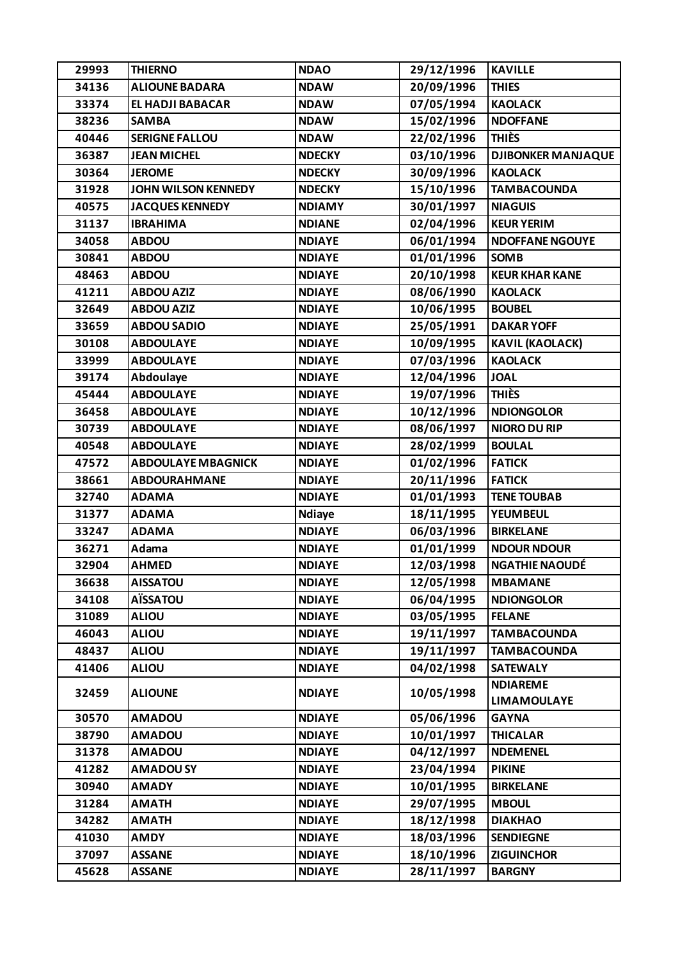| 29993 | <b>THIERNO</b>             | <b>NDAO</b>   | 29/12/1996 | <b>KAVILLE</b>            |
|-------|----------------------------|---------------|------------|---------------------------|
| 34136 | <b>ALIOUNE BADARA</b>      | <b>NDAW</b>   | 20/09/1996 | <b>THIES</b>              |
| 33374 | EL HADJI BABACAR           | <b>NDAW</b>   | 07/05/1994 | <b>KAOLACK</b>            |
| 38236 | <b>SAMBA</b>               | <b>NDAW</b>   | 15/02/1996 | <b>NDOFFANE</b>           |
| 40446 | <b>SERIGNE FALLOU</b>      | <b>NDAW</b>   | 22/02/1996 | <b>THIÈS</b>              |
| 36387 | <b>JEAN MICHEL</b>         | <b>NDECKY</b> | 03/10/1996 | <b>DJIBONKER MANJAQUE</b> |
| 30364 | <b>JEROME</b>              | <b>NDECKY</b> | 30/09/1996 | <b>KAOLACK</b>            |
| 31928 | <b>JOHN WILSON KENNEDY</b> | <b>NDECKY</b> | 15/10/1996 | <b>TAMBACOUNDA</b>        |
| 40575 | <b>JACQUES KENNEDY</b>     | <b>NDIAMY</b> | 30/01/1997 | <b>NIAGUIS</b>            |
| 31137 | <b>IBRAHIMA</b>            | <b>NDIANE</b> | 02/04/1996 | <b>KEUR YERIM</b>         |
| 34058 | <b>ABDOU</b>               | <b>NDIAYE</b> | 06/01/1994 | <b>NDOFFANE NGOUYE</b>    |
| 30841 | <b>ABDOU</b>               | <b>NDIAYE</b> | 01/01/1996 | <b>SOMB</b>               |
| 48463 | <b>ABDOU</b>               | <b>NDIAYE</b> | 20/10/1998 | <b>KEUR KHAR KANE</b>     |
| 41211 | <b>ABDOU AZIZ</b>          | <b>NDIAYE</b> | 08/06/1990 | <b>KAOLACK</b>            |
| 32649 | <b>ABDOU AZIZ</b>          | <b>NDIAYE</b> | 10/06/1995 | <b>BOUBEL</b>             |
| 33659 | <b>ABDOU SADIO</b>         | <b>NDIAYE</b> | 25/05/1991 | <b>DAKAR YOFF</b>         |
| 30108 | <b>ABDOULAYE</b>           | <b>NDIAYE</b> | 10/09/1995 | <b>KAVIL (KAOLACK)</b>    |
| 33999 | <b>ABDOULAYE</b>           | <b>NDIAYE</b> | 07/03/1996 | <b>KAOLACK</b>            |
| 39174 | Abdoulaye                  | <b>NDIAYE</b> | 12/04/1996 | <b>JOAL</b>               |
| 45444 | <b>ABDOULAYE</b>           | <b>NDIAYE</b> | 19/07/1996 | <b>THIÈS</b>              |
| 36458 | <b>ABDOULAYE</b>           | <b>NDIAYE</b> | 10/12/1996 | <b>NDIONGOLOR</b>         |
| 30739 | <b>ABDOULAYE</b>           | <b>NDIAYE</b> | 08/06/1997 | <b>NIORO DU RIP</b>       |
| 40548 | <b>ABDOULAYE</b>           | <b>NDIAYE</b> | 28/02/1999 | <b>BOULAL</b>             |
| 47572 | <b>ABDOULAYE MBAGNICK</b>  | <b>NDIAYE</b> | 01/02/1996 | <b>FATICK</b>             |
| 38661 | <b>ABDOURAHMANE</b>        | <b>NDIAYE</b> | 20/11/1996 | <b>FATICK</b>             |
| 32740 | <b>ADAMA</b>               | <b>NDIAYE</b> | 01/01/1993 | <b>TENE TOUBAB</b>        |
| 31377 | <b>ADAMA</b>               | <b>Ndiaye</b> | 18/11/1995 | <b>YEUMBEUL</b>           |
| 33247 | <b>ADAMA</b>               | <b>NDIAYE</b> | 06/03/1996 | <b>BIRKELANE</b>          |
| 36271 | Adama                      | <b>NDIAYE</b> | 01/01/1999 | <b>NDOUR NDOUR</b>        |
| 32904 | <b>AHMED</b>               | <b>NDIAYE</b> | 12/03/1998 | <b>NGATHIE NAOUDÉ</b>     |
| 36638 | <b>AISSATOU</b>            | <b>NDIAYE</b> | 12/05/1998 | <b>MBAMANE</b>            |
| 34108 | <b>AÏSSATOU</b>            | <b>NDIAYE</b> | 06/04/1995 | <b>NDIONGOLOR</b>         |
| 31089 | <b>ALIOU</b>               | <b>NDIAYE</b> | 03/05/1995 | <b>FELANE</b>             |
| 46043 | <b>ALIOU</b>               | <b>NDIAYE</b> | 19/11/1997 | <b>TAMBACOUNDA</b>        |
| 48437 | <b>ALIOU</b>               | <b>NDIAYE</b> | 19/11/1997 | <b>TAMBACOUNDA</b>        |
| 41406 | <b>ALIOU</b>               | <b>NDIAYE</b> | 04/02/1998 | <b>SATEWALY</b>           |
| 32459 | <b>ALIOUNE</b>             | <b>NDIAYE</b> | 10/05/1998 | <b>NDIAREME</b>           |
|       |                            |               |            | <b>LIMAMOULAYE</b>        |
| 30570 | <b>AMADOU</b>              | <b>NDIAYE</b> | 05/06/1996 | <b>GAYNA</b>              |
| 38790 | <b>AMADOU</b>              | <b>NDIAYE</b> | 10/01/1997 | <b>THICALAR</b>           |
| 31378 | <b>AMADOU</b>              | <b>NDIAYE</b> | 04/12/1997 | <b>NDEMENEL</b>           |
| 41282 | <b>AMADOU SY</b>           | <b>NDIAYE</b> | 23/04/1994 | <b>PIKINE</b>             |
| 30940 | <b>AMADY</b>               | <b>NDIAYE</b> | 10/01/1995 | <b>BIRKELANE</b>          |
| 31284 | <b>AMATH</b>               | <b>NDIAYE</b> | 29/07/1995 | <b>MBOUL</b>              |
| 34282 | <b>AMATH</b>               | <b>NDIAYE</b> | 18/12/1998 | <b>DIAKHAO</b>            |
| 41030 | <b>AMDY</b>                | <b>NDIAYE</b> | 18/03/1996 | <b>SENDIEGNE</b>          |
| 37097 | <b>ASSANE</b>              | <b>NDIAYE</b> | 18/10/1996 | <b>ZIGUINCHOR</b>         |
| 45628 | <b>ASSANE</b>              | <b>NDIAYE</b> | 28/11/1997 | <b>BARGNY</b>             |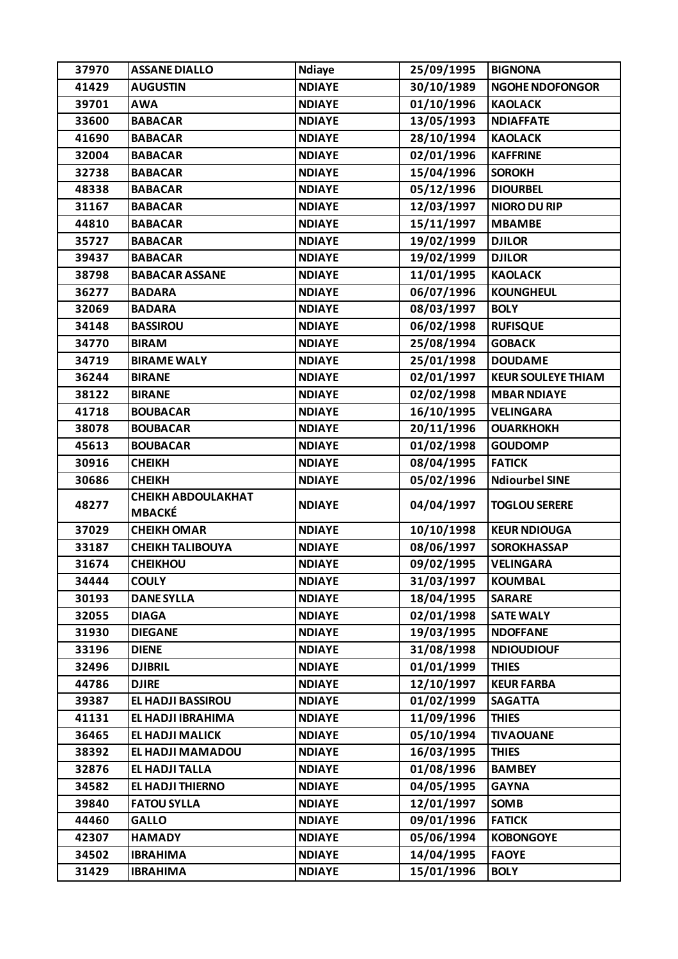| 37970 | <b>ASSANE DIALLO</b>                       | <b>Ndiaye</b> | 25/09/1995               | <b>BIGNONA</b>            |
|-------|--------------------------------------------|---------------|--------------------------|---------------------------|
| 41429 | <b>AUGUSTIN</b>                            | <b>NDIAYE</b> | 30/10/1989               | <b>NGOHE NDOFONGOR</b>    |
| 39701 | <b>AWA</b>                                 | <b>NDIAYE</b> | 01/10/1996               | <b>KAOLACK</b>            |
| 33600 | <b>BABACAR</b>                             | <b>NDIAYE</b> | 13/05/1993               | <b>NDIAFFATE</b>          |
| 41690 | <b>BABACAR</b>                             | <b>NDIAYE</b> | 28/10/1994               | <b>KAOLACK</b>            |
| 32004 | <b>BABACAR</b>                             | <b>NDIAYE</b> | 02/01/1996               | <b>KAFFRINE</b>           |
| 32738 | <b>BABACAR</b>                             | <b>NDIAYE</b> | 15/04/1996               | <b>SOROKH</b>             |
| 48338 | <b>BABACAR</b>                             | <b>NDIAYE</b> | 05/12/1996               | <b>DIOURBEL</b>           |
| 31167 | <b>BABACAR</b>                             | <b>NDIAYE</b> | 12/03/1997               | <b>NIORO DU RIP</b>       |
| 44810 | <b>BABACAR</b>                             | <b>NDIAYE</b> | 15/11/1997               | <b>MBAMBE</b>             |
| 35727 | <b>BABACAR</b>                             | <b>NDIAYE</b> | 19/02/1999               | <b>DJILOR</b>             |
| 39437 | <b>BABACAR</b>                             | <b>NDIAYE</b> | 19/02/1999               | <b>DJILOR</b>             |
| 38798 | <b>BABACAR ASSANE</b>                      | <b>NDIAYE</b> | 11/01/1995               | <b>KAOLACK</b>            |
| 36277 | <b>BADARA</b>                              | <b>NDIAYE</b> | 06/07/1996               | <b>KOUNGHEUL</b>          |
| 32069 | <b>BADARA</b>                              | <b>NDIAYE</b> | 08/03/1997               | <b>BOLY</b>               |
| 34148 | <b>BASSIROU</b>                            | <b>NDIAYE</b> | 06/02/1998               | <b>RUFISQUE</b>           |
| 34770 | <b>BIRAM</b>                               | <b>NDIAYE</b> | 25/08/1994               | <b>GOBACK</b>             |
| 34719 | <b>BIRAME WALY</b>                         | <b>NDIAYE</b> | 25/01/1998               | <b>DOUDAME</b>            |
| 36244 | <b>BIRANE</b>                              | <b>NDIAYE</b> | 02/01/1997               | <b>KEUR SOULEYE THIAM</b> |
| 38122 | <b>BIRANE</b>                              | <b>NDIAYE</b> | 02/02/1998               | <b>MBAR NDIAYE</b>        |
| 41718 | <b>BOUBACAR</b>                            | <b>NDIAYE</b> | 16/10/1995               | <b>VELINGARA</b>          |
| 38078 | <b>BOUBACAR</b>                            | <b>NDIAYE</b> | 20/11/1996               | <b>OUARKHOKH</b>          |
| 45613 | <b>BOUBACAR</b>                            | <b>NDIAYE</b> | 01/02/1998               | <b>GOUDOMP</b>            |
| 30916 | <b>CHEIKH</b>                              | <b>NDIAYE</b> | 08/04/1995               | <b>FATICK</b>             |
| 30686 | <b>CHEIKH</b>                              | <b>NDIAYE</b> | 05/02/1996               | <b>Ndiourbel SINE</b>     |
| 48277 | <b>CHEIKH ABDOULAKHAT</b><br><b>MBACKÉ</b> | <b>NDIAYE</b> | 04/04/1997               | <b>TOGLOU SERERE</b>      |
| 37029 | <b>CHEIKH OMAR</b>                         | <b>NDIAYE</b> | 10/10/1998               | <b>KEUR NDIOUGA</b>       |
| 33187 | <b>CHEIKH TALIBOUYA</b>                    | <b>NDIAYE</b> | 08/06/1997               | <b>SOROKHASSAP</b>        |
| 31674 | <b>CHEIKHOU</b>                            | <b>NDIAYE</b> | 09/02/1995               | <b>VELINGARA</b>          |
| 34444 | <b>COULY</b>                               | <b>NDIAYE</b> | 31/03/1997               | <b>KOUMBAL</b>            |
| 30193 | <b>DANE SYLLA</b>                          | <b>NDIAYE</b> | 18/04/1995               | <b>SARARE</b>             |
| 32055 |                                            |               |                          |                           |
|       | <b>DIAGA</b>                               | <b>NDIAYE</b> | 02/01/1998               | <b>SATE WALY</b>          |
| 31930 | <b>DIEGANE</b>                             | <b>NDIAYE</b> | 19/03/1995               | <b>NDOFFANE</b>           |
| 33196 | <b>DIENE</b>                               | <b>NDIAYE</b> | 31/08/1998               | <b>NDIOUDIOUF</b>         |
| 32496 | <b>DJIBRIL</b>                             | <b>NDIAYE</b> | 01/01/1999               | <b>THIES</b>              |
| 44786 | <b>DJIRE</b>                               | <b>NDIAYE</b> | 12/10/1997               | <b>KEUR FARBA</b>         |
| 39387 | EL HADJI BASSIROU                          | <b>NDIAYE</b> | 01/02/1999               | <b>SAGATTA</b>            |
| 41131 | EL HADJI IBRAHIMA                          | <b>NDIAYE</b> | 11/09/1996               | <b>THIES</b>              |
| 36465 | EL HADJI MALICK                            | <b>NDIAYE</b> | 05/10/1994               | <b>TIVAOUANE</b>          |
| 38392 | EL HADJI MAMADOU                           | <b>NDIAYE</b> | 16/03/1995               | <b>THIES</b>              |
| 32876 | EL HADJI TALLA                             | <b>NDIAYE</b> | 01/08/1996               | <b>BAMBEY</b>             |
| 34582 | EL HADJI THIERNO                           | <b>NDIAYE</b> | 04/05/1995               | <b>GAYNA</b>              |
| 39840 | <b>FATOU SYLLA</b>                         | <b>NDIAYE</b> | 12/01/1997               | <b>SOMB</b>               |
| 44460 | <b>GALLO</b>                               | <b>NDIAYE</b> | 09/01/1996               | <b>FATICK</b>             |
| 42307 | <b>HAMADY</b>                              | <b>NDIAYE</b> | 05/06/1994               | <b>KOBONGOYE</b>          |
| 34502 | <b>IBRAHIMA</b>                            | <b>NDIAYE</b> | 14/04/1995<br>15/01/1996 | <b>FAOYE</b>              |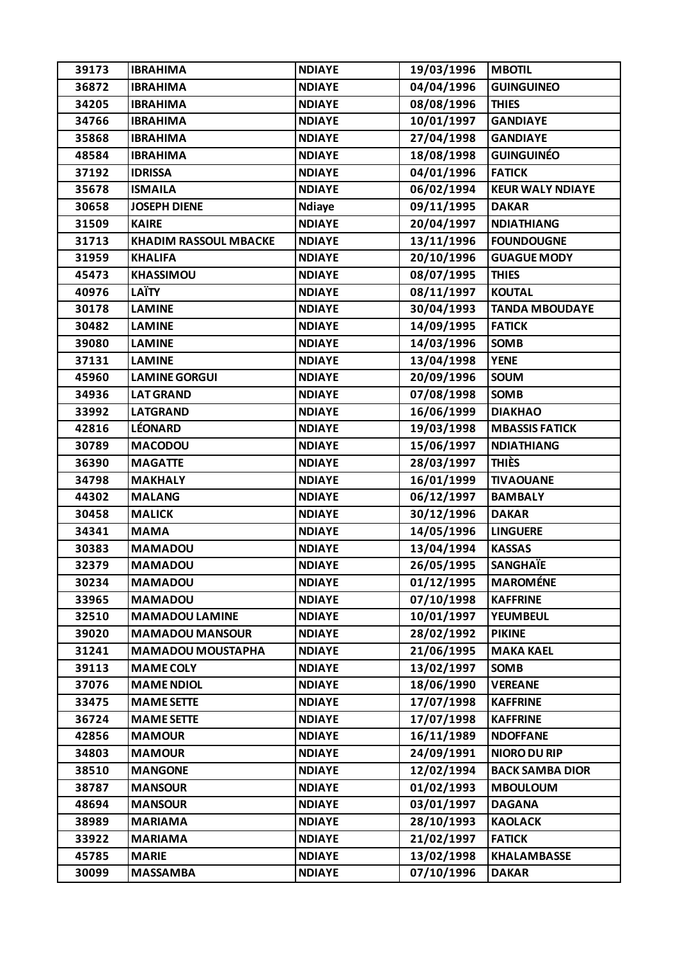| 39173 | <b>IBRAHIMA</b>              | <b>NDIAYE</b> | 19/03/1996 | <b>MBOTIL</b>           |
|-------|------------------------------|---------------|------------|-------------------------|
| 36872 | <b>IBRAHIMA</b>              | <b>NDIAYE</b> | 04/04/1996 | <b>GUINGUINEO</b>       |
| 34205 | <b>IBRAHIMA</b>              | <b>NDIAYE</b> | 08/08/1996 | <b>THIES</b>            |
| 34766 | <b>IBRAHIMA</b>              | <b>NDIAYE</b> | 10/01/1997 | <b>GANDIAYE</b>         |
| 35868 | <b>IBRAHIMA</b>              | <b>NDIAYE</b> | 27/04/1998 | <b>GANDIAYE</b>         |
| 48584 | <b>IBRAHIMA</b>              | <b>NDIAYE</b> | 18/08/1998 | <b>GUINGUINÉO</b>       |
| 37192 | <b>IDRISSA</b>               | <b>NDIAYE</b> | 04/01/1996 | <b>FATICK</b>           |
| 35678 | <b>ISMAILA</b>               | <b>NDIAYE</b> | 06/02/1994 | <b>KEUR WALY NDIAYE</b> |
| 30658 | <b>JOSEPH DIENE</b>          | <b>Ndiaye</b> | 09/11/1995 | <b>DAKAR</b>            |
| 31509 | <b>KAIRE</b>                 | <b>NDIAYE</b> | 20/04/1997 | <b>NDIATHIANG</b>       |
| 31713 | <b>KHADIM RASSOUL MBACKE</b> | <b>NDIAYE</b> | 13/11/1996 | <b>FOUNDOUGNE</b>       |
| 31959 | <b>KHALIFA</b>               | <b>NDIAYE</b> | 20/10/1996 | <b>GUAGUE MODY</b>      |
| 45473 | <b>KHASSIMOU</b>             | <b>NDIAYE</b> | 08/07/1995 | <b>THIES</b>            |
| 40976 | <b>LAÏTY</b>                 | <b>NDIAYE</b> | 08/11/1997 | <b>KOUTAL</b>           |
| 30178 | <b>LAMINE</b>                | <b>NDIAYE</b> | 30/04/1993 | <b>TANDA MBOUDAYE</b>   |
| 30482 | <b>LAMINE</b>                | <b>NDIAYE</b> | 14/09/1995 | <b>FATICK</b>           |
| 39080 | <b>LAMINE</b>                | <b>NDIAYE</b> | 14/03/1996 | <b>SOMB</b>             |
| 37131 | <b>LAMINE</b>                | <b>NDIAYE</b> | 13/04/1998 | <b>YENE</b>             |
| 45960 | <b>LAMINE GORGUI</b>         | <b>NDIAYE</b> | 20/09/1996 | <b>SOUM</b>             |
| 34936 | <b>LAT GRAND</b>             | <b>NDIAYE</b> | 07/08/1998 | <b>SOMB</b>             |
| 33992 | <b>LATGRAND</b>              | <b>NDIAYE</b> | 16/06/1999 | <b>DIAKHAO</b>          |
| 42816 | <b>LÉONARD</b>               | <b>NDIAYE</b> | 19/03/1998 | <b>MBASSIS FATICK</b>   |
| 30789 | <b>MACODOU</b>               | <b>NDIAYE</b> | 15/06/1997 | <b>NDIATHIANG</b>       |
| 36390 | <b>MAGATTE</b>               | <b>NDIAYE</b> | 28/03/1997 | <b>THIÈS</b>            |
| 34798 | <b>MAKHALY</b>               | <b>NDIAYE</b> | 16/01/1999 | <b>TIVAOUANE</b>        |
| 44302 | <b>MALANG</b>                | <b>NDIAYE</b> | 06/12/1997 | <b>BAMBALY</b>          |
| 30458 | <b>MALICK</b>                | <b>NDIAYE</b> | 30/12/1996 | <b>DAKAR</b>            |
| 34341 | <b>MAMA</b>                  | <b>NDIAYE</b> | 14/05/1996 | <b>LINGUERE</b>         |
| 30383 | <b>MAMADOU</b>               | <b>NDIAYE</b> | 13/04/1994 | <b>KASSAS</b>           |
| 32379 | <b>MAMADOU</b>               | <b>NDIAYE</b> | 26/05/1995 | <b>SANGHAÏE</b>         |
| 30234 | <b>MAMADOU</b>               | <b>NDIAYE</b> | 01/12/1995 | <b>MAROMÉNE</b>         |
| 33965 | <b>MAMADOU</b>               | <b>NDIAYE</b> | 07/10/1998 | <b>KAFFRINE</b>         |
| 32510 | <b>MAMADOU LAMINE</b>        | <b>NDIAYE</b> | 10/01/1997 | <b>YEUMBEUL</b>         |
| 39020 | <b>MAMADOU MANSOUR</b>       | <b>NDIAYE</b> | 28/02/1992 | <b>PIKINE</b>           |
| 31241 | <b>MAMADOU MOUSTAPHA</b>     | <b>NDIAYE</b> | 21/06/1995 | <b>MAKA KAEL</b>        |
| 39113 | <b>MAME COLY</b>             | <b>NDIAYE</b> | 13/02/1997 | <b>SOMB</b>             |
| 37076 | <b>MAME NDIOL</b>            | <b>NDIAYE</b> | 18/06/1990 | <b>VEREANE</b>          |
| 33475 | <b>MAME SETTE</b>            | <b>NDIAYE</b> | 17/07/1998 | <b>KAFFRINE</b>         |
| 36724 | <b>MAME SETTE</b>            | <b>NDIAYE</b> | 17/07/1998 | <b>KAFFRINE</b>         |
| 42856 | <b>MAMOUR</b>                | <b>NDIAYE</b> | 16/11/1989 | <b>NDOFFANE</b>         |
| 34803 | <b>MAMOUR</b>                | <b>NDIAYE</b> | 24/09/1991 | <b>NIORO DU RIP</b>     |
| 38510 | <b>MANGONE</b>               | <b>NDIAYE</b> | 12/02/1994 | <b>BACK SAMBA DIOR</b>  |
| 38787 | <b>MANSOUR</b>               | <b>NDIAYE</b> | 01/02/1993 | <b>MBOULOUM</b>         |
| 48694 | <b>MANSOUR</b>               | <b>NDIAYE</b> | 03/01/1997 | <b>DAGANA</b>           |
| 38989 | <b>MARIAMA</b>               | <b>NDIAYE</b> | 28/10/1993 | <b>KAOLACK</b>          |
| 33922 | <b>MARIAMA</b>               | <b>NDIAYE</b> | 21/02/1997 | <b>FATICK</b>           |
| 45785 | <b>MARIE</b>                 | <b>NDIAYE</b> | 13/02/1998 | <b>KHALAMBASSE</b>      |
| 30099 | <b>MASSAMBA</b>              | <b>NDIAYE</b> | 07/10/1996 | <b>DAKAR</b>            |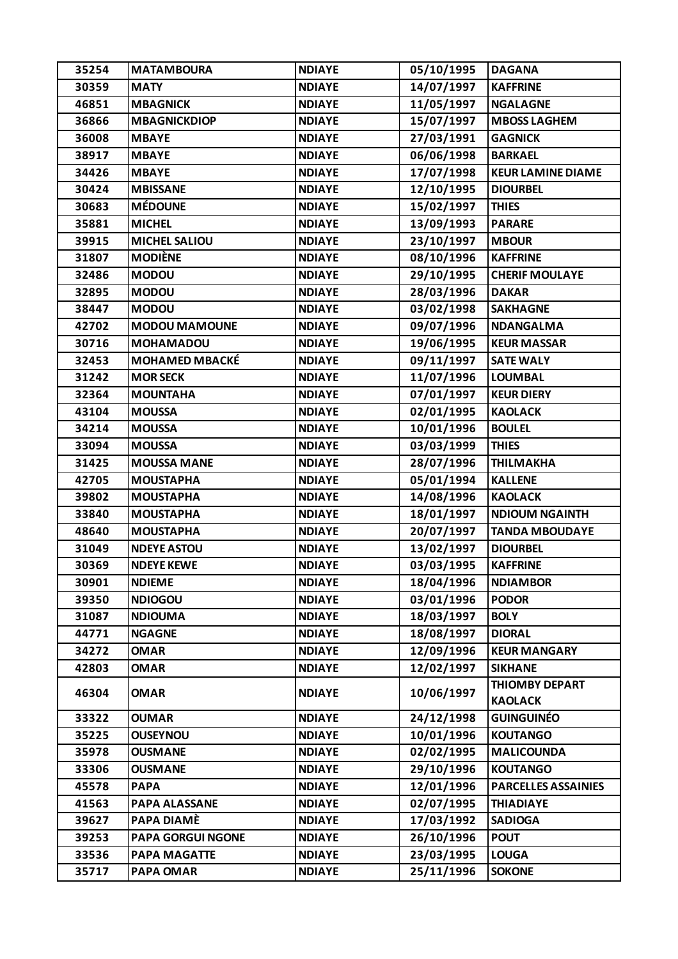| 35254 | <b>MATAMBOURA</b>        | <b>NDIAYE</b> | 05/10/1995 | <b>DAGANA</b>              |
|-------|--------------------------|---------------|------------|----------------------------|
| 30359 | <b>MATY</b>              | <b>NDIAYE</b> | 14/07/1997 | <b>KAFFRINE</b>            |
| 46851 | <b>MBAGNICK</b>          | <b>NDIAYE</b> | 11/05/1997 | <b>NGALAGNE</b>            |
| 36866 | <b>MBAGNICKDIOP</b>      | <b>NDIAYE</b> | 15/07/1997 | <b>MBOSS LAGHEM</b>        |
| 36008 | <b>MBAYE</b>             | <b>NDIAYE</b> | 27/03/1991 | <b>GAGNICK</b>             |
| 38917 | <b>MBAYE</b>             | <b>NDIAYE</b> | 06/06/1998 | <b>BARKAEL</b>             |
| 34426 | <b>MBAYE</b>             | <b>NDIAYE</b> | 17/07/1998 | <b>KEUR LAMINE DIAME</b>   |
| 30424 | <b>MBISSANE</b>          | <b>NDIAYE</b> | 12/10/1995 | <b>DIOURBEL</b>            |
| 30683 | <b>MÉDOUNE</b>           | <b>NDIAYE</b> | 15/02/1997 | <b>THIES</b>               |
| 35881 | <b>MICHEL</b>            | <b>NDIAYE</b> | 13/09/1993 | <b>PARARE</b>              |
| 39915 | <b>MICHEL SALIOU</b>     | <b>NDIAYE</b> | 23/10/1997 | <b>MBOUR</b>               |
| 31807 | <b>MODIÈNE</b>           | <b>NDIAYE</b> | 08/10/1996 | <b>KAFFRINE</b>            |
| 32486 | <b>MODOU</b>             | <b>NDIAYE</b> | 29/10/1995 | <b>CHERIF MOULAYE</b>      |
| 32895 | <b>MODOU</b>             | <b>NDIAYE</b> | 28/03/1996 | <b>DAKAR</b>               |
| 38447 | <b>MODOU</b>             | <b>NDIAYE</b> | 03/02/1998 | <b>SAKHAGNE</b>            |
| 42702 | <b>MODOU MAMOUNE</b>     | <b>NDIAYE</b> | 09/07/1996 | <b>NDANGALMA</b>           |
| 30716 | <b>MOHAMADOU</b>         | <b>NDIAYE</b> | 19/06/1995 | <b>KEUR MASSAR</b>         |
| 32453 | <b>MOHAMED MBACKÉ</b>    | <b>NDIAYE</b> | 09/11/1997 | <b>SATE WALY</b>           |
| 31242 | <b>MOR SECK</b>          | <b>NDIAYE</b> | 11/07/1996 | <b>LOUMBAL</b>             |
| 32364 | <b>MOUNTAHA</b>          | <b>NDIAYE</b> | 07/01/1997 | <b>KEUR DIERY</b>          |
| 43104 | <b>MOUSSA</b>            | <b>NDIAYE</b> | 02/01/1995 | <b>KAOLACK</b>             |
| 34214 | <b>MOUSSA</b>            | <b>NDIAYE</b> | 10/01/1996 | <b>BOULEL</b>              |
| 33094 | <b>MOUSSA</b>            | <b>NDIAYE</b> | 03/03/1999 | <b>THIES</b>               |
| 31425 | <b>MOUSSA MANE</b>       | <b>NDIAYE</b> | 28/07/1996 | <b>THILMAKHA</b>           |
| 42705 | <b>MOUSTAPHA</b>         | <b>NDIAYE</b> | 05/01/1994 | <b>KALLENE</b>             |
| 39802 | <b>MOUSTAPHA</b>         | <b>NDIAYE</b> | 14/08/1996 | <b>KAOLACK</b>             |
| 33840 | <b>MOUSTAPHA</b>         | <b>NDIAYE</b> | 18/01/1997 | <b>NDIOUM NGAINTH</b>      |
| 48640 | <b>MOUSTAPHA</b>         | <b>NDIAYE</b> | 20/07/1997 | <b>TANDA MBOUDAYE</b>      |
| 31049 | <b>NDEYE ASTOU</b>       | <b>NDIAYE</b> | 13/02/1997 | <b>DIOURBEL</b>            |
| 30369 | <b>NDEYE KEWE</b>        | <b>NDIAYE</b> | 03/03/1995 | <b>KAFFRINE</b>            |
| 30901 | <b>NDIEME</b>            | <b>NDIAYE</b> | 18/04/1996 | <b>NDIAMBOR</b>            |
| 39350 | <b>NDIOGOU</b>           | <b>NDIAYE</b> | 03/01/1996 | <b>PODOR</b>               |
| 31087 | <b>NDIOUMA</b>           | <b>NDIAYE</b> | 18/03/1997 | <b>BOLY</b>                |
| 44771 | <b>NGAGNE</b>            | <b>NDIAYE</b> | 18/08/1997 | <b>DIORAL</b>              |
| 34272 | <b>OMAR</b>              | <b>NDIAYE</b> | 12/09/1996 | <b>KEUR MANGARY</b>        |
| 42803 | <b>OMAR</b>              | <b>NDIAYE</b> | 12/02/1997 | <b>SIKHANE</b>             |
| 46304 | <b>OMAR</b>              | <b>NDIAYE</b> | 10/06/1997 | <b>THIOMBY DEPART</b>      |
|       |                          |               |            | <b>KAOLACK</b>             |
| 33322 | <b>OUMAR</b>             | <b>NDIAYE</b> | 24/12/1998 | <b>GUINGUINÉO</b>          |
| 35225 | <b>OUSEYNOU</b>          | <b>NDIAYE</b> | 10/01/1996 | <b>KOUTANGO</b>            |
| 35978 | <b>OUSMANE</b>           | <b>NDIAYE</b> | 02/02/1995 | <b>MALICOUNDA</b>          |
| 33306 | <b>OUSMANE</b>           | <b>NDIAYE</b> | 29/10/1996 | <b>KOUTANGO</b>            |
| 45578 | <b>PAPA</b>              | <b>NDIAYE</b> | 12/01/1996 | <b>PARCELLES ASSAINIES</b> |
| 41563 | PAPA ALASSANE            | <b>NDIAYE</b> | 02/07/1995 | <b>THIADIAYE</b>           |
| 39627 | PAPA DIAMÈ               | <b>NDIAYE</b> | 17/03/1992 | <b>SADIOGA</b>             |
| 39253 | <b>PAPA GORGUI NGONE</b> | <b>NDIAYE</b> | 26/10/1996 | <b>POUT</b>                |
| 33536 | <b>PAPA MAGATTE</b>      | <b>NDIAYE</b> | 23/03/1995 | <b>LOUGA</b>               |
| 35717 | <b>PAPA OMAR</b>         | <b>NDIAYE</b> | 25/11/1996 | <b>SOKONE</b>              |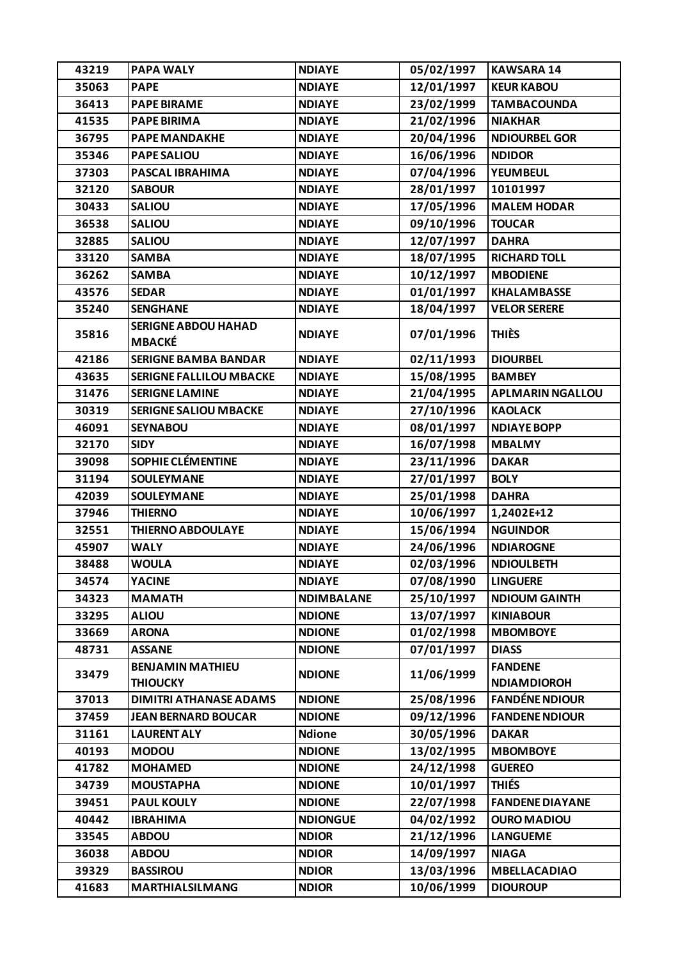| 43219 | <b>PAPA WALY</b>                            | <b>NDIAYE</b>     | 05/02/1997 | <b>KAWSARA 14</b>                    |
|-------|---------------------------------------------|-------------------|------------|--------------------------------------|
| 35063 | <b>PAPE</b>                                 | <b>NDIAYE</b>     | 12/01/1997 | <b>KEUR KABOU</b>                    |
| 36413 | <b>PAPE BIRAME</b>                          | <b>NDIAYE</b>     | 23/02/1999 | <b>TAMBACOUNDA</b>                   |
| 41535 | <b>PAPE BIRIMA</b>                          | <b>NDIAYE</b>     | 21/02/1996 | <b>NIAKHAR</b>                       |
| 36795 | <b>PAPE MANDAKHE</b>                        | <b>NDIAYE</b>     | 20/04/1996 | <b>NDIOURBEL GOR</b>                 |
| 35346 | <b>PAPE SALIOU</b>                          | <b>NDIAYE</b>     | 16/06/1996 | <b>NDIDOR</b>                        |
| 37303 | <b>PASCAL IBRAHIMA</b>                      | <b>NDIAYE</b>     | 07/04/1996 | <b>YEUMBEUL</b>                      |
| 32120 | <b>SABOUR</b>                               | <b>NDIAYE</b>     | 28/01/1997 | 10101997                             |
| 30433 | <b>SALIOU</b>                               | <b>NDIAYE</b>     | 17/05/1996 | <b>MALEM HODAR</b>                   |
| 36538 | <b>SALIOU</b>                               | <b>NDIAYE</b>     | 09/10/1996 | <b>TOUCAR</b>                        |
| 32885 | <b>SALIOU</b>                               | <b>NDIAYE</b>     | 12/07/1997 | <b>DAHRA</b>                         |
| 33120 | <b>SAMBA</b>                                | <b>NDIAYE</b>     | 18/07/1995 | <b>RICHARD TOLL</b>                  |
| 36262 | <b>SAMBA</b>                                | <b>NDIAYE</b>     | 10/12/1997 | <b>MBODIENE</b>                      |
| 43576 | <b>SEDAR</b>                                | <b>NDIAYE</b>     | 01/01/1997 | <b>KHALAMBASSE</b>                   |
| 35240 | <b>SENGHANE</b>                             | <b>NDIAYE</b>     | 18/04/1997 | <b>VELOR SERERE</b>                  |
| 35816 | <b>SERIGNE ABDOU HAHAD</b><br><b>MBACKÉ</b> | <b>NDIAYE</b>     | 07/01/1996 | <b>THIÈS</b>                         |
| 42186 | <b>SERIGNE BAMBA BANDAR</b>                 | <b>NDIAYE</b>     | 02/11/1993 | <b>DIOURBEL</b>                      |
| 43635 | <b>SERIGNE FALLILOU MBACKE</b>              | <b>NDIAYE</b>     | 15/08/1995 | <b>BAMBEY</b>                        |
| 31476 | <b>SERIGNE LAMINE</b>                       | <b>NDIAYE</b>     | 21/04/1995 | <b>APLMARIN NGALLOU</b>              |
| 30319 | <b>SERIGNE SALIOU MBACKE</b>                | <b>NDIAYE</b>     | 27/10/1996 | <b>KAOLACK</b>                       |
| 46091 | <b>SEYNABOU</b>                             | <b>NDIAYE</b>     | 08/01/1997 | <b>NDIAYE BOPP</b>                   |
| 32170 | <b>SIDY</b>                                 | <b>NDIAYE</b>     | 16/07/1998 | <b>MBALMY</b>                        |
| 39098 | SOPHIE CLÉMENTINE                           | <b>NDIAYE</b>     | 23/11/1996 | <b>DAKAR</b>                         |
| 31194 | SOULEYMANE                                  | <b>NDIAYE</b>     | 27/01/1997 | <b>BOLY</b>                          |
| 42039 | SOULEYMANE                                  | <b>NDIAYE</b>     | 25/01/1998 | <b>DAHRA</b>                         |
| 37946 | <b>THIERNO</b>                              | <b>NDIAYE</b>     | 10/06/1997 | 1,2402E+12                           |
| 32551 | <b>THIERNO ABDOULAYE</b>                    | <b>NDIAYE</b>     | 15/06/1994 | <b>NGUINDOR</b>                      |
| 45907 | <b>WALY</b>                                 | <b>NDIAYE</b>     | 24/06/1996 | <b>NDIAROGNE</b>                     |
| 38488 | <b>WOULA</b>                                | <b>NDIAYE</b>     | 02/03/1996 | <b>NDIOULBETH</b>                    |
| 34574 | <b>YACINE</b>                               | <b>NDIAYE</b>     | 07/08/1990 | <b>LINGUERE</b>                      |
| 34323 | <b>MAMATH</b>                               | <b>NDIMBALANE</b> | 25/10/1997 | <b>NDIOUM GAINTH</b>                 |
| 33295 | <b>ALIOU</b>                                | <b>NDIONE</b>     | 13/07/1997 | <b>KINIABOUR</b>                     |
| 33669 | <b>ARONA</b>                                | <b>NDIONE</b>     | 01/02/1998 | <b>MBOMBOYE</b>                      |
| 48731 | <b>ASSANE</b>                               | <b>NDIONE</b>     | 07/01/1997 | <b>DIASS</b>                         |
| 33479 | <b>BENJAMIN MATHIEU</b><br><b>THIOUCKY</b>  | <b>NDIONE</b>     | 11/06/1999 | <b>FANDENE</b><br><b>NDIAMDIOROH</b> |
| 37013 | <b>DIMITRI ATHANASE ADAMS</b>               | <b>NDIONE</b>     | 25/08/1996 | <b>FANDÉNE NDIOUR</b>                |
| 37459 | <b>JEAN BERNARD BOUCAR</b>                  | <b>NDIONE</b>     | 09/12/1996 | <b>FANDENE NDIOUR</b>                |
| 31161 | <b>LAURENT ALY</b>                          | <b>Ndione</b>     | 30/05/1996 | <b>DAKAR</b>                         |
| 40193 | <b>MODOU</b>                                | <b>NDIONE</b>     | 13/02/1995 | <b>MBOMBOYE</b>                      |
| 41782 | <b>MOHAMED</b>                              | <b>NDIONE</b>     | 24/12/1998 | <b>GUEREO</b>                        |
| 34739 | <b>MOUSTAPHA</b>                            | <b>NDIONE</b>     | 10/01/1997 | <b>THIÉS</b>                         |
| 39451 | <b>PAUL KOULY</b>                           | <b>NDIONE</b>     | 22/07/1998 | <b>FANDENE DIAYANE</b>               |
| 40442 | <b>IBRAHIMA</b>                             | <b>NDIONGUE</b>   | 04/02/1992 | <b>OURO MADIOU</b>                   |
| 33545 | <b>ABDOU</b>                                | <b>NDIOR</b>      | 21/12/1996 | <b>LANGUEME</b>                      |
| 36038 | <b>ABDOU</b>                                | <b>NDIOR</b>      | 14/09/1997 | <b>NIAGA</b>                         |
| 39329 | <b>BASSIROU</b>                             | <b>NDIOR</b>      | 13/03/1996 | <b>MBELLACADIAO</b>                  |
| 41683 | <b>MARTHIALSILMANG</b>                      | <b>NDIOR</b>      | 10/06/1999 | <b>DIOUROUP</b>                      |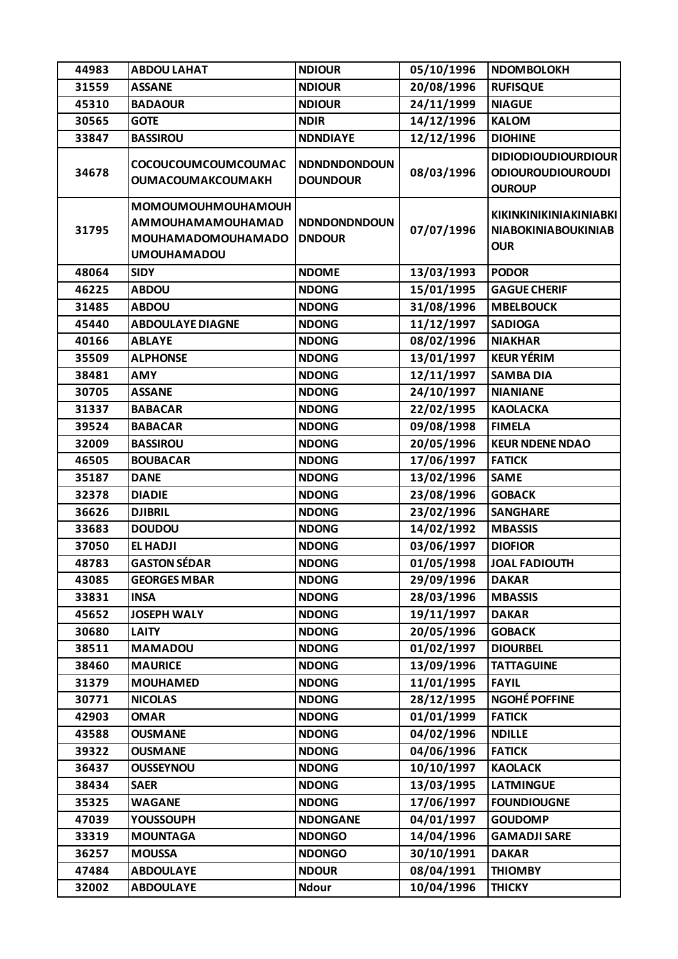| 44983 | <b>ABDOU LAHAT</b>                                                                                       | <b>NDIOUR</b>                          | 05/10/1996 | <b>NDOMBOLOKH</b>                                                  |
|-------|----------------------------------------------------------------------------------------------------------|----------------------------------------|------------|--------------------------------------------------------------------|
| 31559 | <b>ASSANE</b>                                                                                            | <b>NDIOUR</b>                          | 20/08/1996 | <b>RUFISQUE</b>                                                    |
| 45310 | <b>BADAOUR</b>                                                                                           | <b>NDIOUR</b>                          | 24/11/1999 | <b>NIAGUE</b>                                                      |
| 30565 | <b>GOTE</b>                                                                                              | <b>NDIR</b>                            | 14/12/1996 | <b>KALOM</b>                                                       |
| 33847 | <b>BASSIROU</b>                                                                                          | <b>NDNDIAYE</b>                        | 12/12/1996 | <b>DIOHINE</b>                                                     |
| 34678 | COCOUCOUMCOUMCOUMAC<br><b>OUMACOUMAKCOUMAKH</b>                                                          | <b>NDNDNDONDOUN</b><br><b>DOUNDOUR</b> | 08/03/1996 | DIDIODIOUDIOURDIOUR<br><b>ODIOUROUDIOUROUDI</b><br><b>OUROUP</b>   |
| 31795 | <b>MOMOUMOUHMOUHAMOUH</b><br><b>AMMOUHAMAMOUHAMAD</b><br><b>MOUHAMADOMOUHAMADO</b><br><b>UMOUHAMADOU</b> | <b>NDNDONDNDOUN</b><br><b>DNDOUR</b>   | 07/07/1996 | KIKINKINIKINIAKINIABKI<br><b>NIABOKINIABOUKINIAB</b><br><b>OUR</b> |
| 48064 | <b>SIDY</b>                                                                                              | <b>NDOME</b>                           | 13/03/1993 | <b>PODOR</b>                                                       |
| 46225 | <b>ABDOU</b>                                                                                             | <b>NDONG</b>                           | 15/01/1995 | <b>GAGUE CHERIF</b>                                                |
| 31485 | <b>ABDOU</b>                                                                                             | <b>NDONG</b>                           | 31/08/1996 | <b>MBELBOUCK</b>                                                   |
| 45440 | <b>ABDOULAYE DIAGNE</b>                                                                                  | <b>NDONG</b>                           | 11/12/1997 | <b>SADIOGA</b>                                                     |
| 40166 | <b>ABLAYE</b>                                                                                            | <b>NDONG</b>                           | 08/02/1996 | <b>NIAKHAR</b>                                                     |
| 35509 | <b>ALPHONSE</b>                                                                                          | <b>NDONG</b>                           | 13/01/1997 | <b>KEUR YÉRIM</b>                                                  |
| 38481 | <b>AMY</b>                                                                                               | <b>NDONG</b>                           | 12/11/1997 | <b>SAMBA DIA</b>                                                   |
| 30705 | <b>ASSANE</b>                                                                                            | <b>NDONG</b>                           | 24/10/1997 | <b>NIANIANE</b>                                                    |
| 31337 | <b>BABACAR</b>                                                                                           | <b>NDONG</b>                           | 22/02/1995 | <b>KAOLACKA</b>                                                    |
| 39524 | <b>BABACAR</b>                                                                                           | <b>NDONG</b>                           | 09/08/1998 | <b>FIMELA</b>                                                      |
| 32009 | <b>BASSIROU</b>                                                                                          | <b>NDONG</b>                           | 20/05/1996 | <b>KEUR NDENE NDAO</b>                                             |
| 46505 | <b>BOUBACAR</b>                                                                                          | <b>NDONG</b>                           | 17/06/1997 | <b>FATICK</b>                                                      |
| 35187 | <b>DANE</b>                                                                                              | <b>NDONG</b>                           | 13/02/1996 | <b>SAME</b>                                                        |
| 32378 | <b>DIADIE</b>                                                                                            | <b>NDONG</b>                           | 23/08/1996 | <b>GOBACK</b>                                                      |
| 36626 | <b>DJIBRIL</b>                                                                                           | <b>NDONG</b>                           | 23/02/1996 | <b>SANGHARE</b>                                                    |
| 33683 | <b>DOUDOU</b>                                                                                            | <b>NDONG</b>                           | 14/02/1992 | <b>MBASSIS</b>                                                     |
| 37050 | <b>EL HADJI</b>                                                                                          | <b>NDONG</b>                           | 03/06/1997 | <b>DIOFIOR</b>                                                     |
| 48783 | <b>GASTON SÉDAR</b>                                                                                      | <b>NDONG</b>                           | 01/05/1998 | <b>JOAL FADIOUTH</b>                                               |
| 43085 | <b>GEORGES MBAR</b>                                                                                      | <b>NDONG</b>                           | 29/09/1996 | <b>DAKAR</b>                                                       |
| 33831 | <b>INSA</b>                                                                                              | <b>NDONG</b>                           | 28/03/1996 | <b>MBASSIS</b>                                                     |
| 45652 | <b>JOSEPH WALY</b>                                                                                       | <b>NDONG</b>                           | 19/11/1997 | <b>DAKAR</b>                                                       |
| 30680 | <b>LAITY</b>                                                                                             | <b>NDONG</b>                           | 20/05/1996 | <b>GOBACK</b>                                                      |
| 38511 | <b>MAMADOU</b>                                                                                           | <b>NDONG</b>                           | 01/02/1997 | <b>DIOURBEL</b>                                                    |
| 38460 | <b>MAURICE</b>                                                                                           | <b>NDONG</b>                           | 13/09/1996 | <b>TATTAGUINE</b>                                                  |
| 31379 | <b>MOUHAMED</b>                                                                                          | <b>NDONG</b>                           | 11/01/1995 | <b>FAYIL</b>                                                       |
| 30771 | <b>NICOLAS</b>                                                                                           | <b>NDONG</b>                           | 28/12/1995 | <b>NGOHÉ POFFINE</b>                                               |
| 42903 | <b>OMAR</b>                                                                                              | <b>NDONG</b>                           | 01/01/1999 | <b>FATICK</b>                                                      |
| 43588 | <b>OUSMANE</b>                                                                                           | <b>NDONG</b>                           | 04/02/1996 | <b>NDILLE</b>                                                      |
| 39322 | <b>OUSMANE</b>                                                                                           | <b>NDONG</b>                           | 04/06/1996 | <b>FATICK</b>                                                      |
| 36437 | <b>OUSSEYNOU</b>                                                                                         | <b>NDONG</b>                           | 10/10/1997 | <b>KAOLACK</b>                                                     |
| 38434 | <b>SAER</b>                                                                                              | <b>NDONG</b>                           | 13/03/1995 | <b>LATMINGUE</b>                                                   |
| 35325 | <b>WAGANE</b>                                                                                            | <b>NDONG</b>                           | 17/06/1997 | <b>FOUNDIOUGNE</b>                                                 |
| 47039 | <b>YOUSSOUPH</b>                                                                                         | <b>NDONGANE</b>                        | 04/01/1997 | <b>GOUDOMP</b>                                                     |
| 33319 | <b>MOUNTAGA</b>                                                                                          | <b>NDONGO</b>                          | 14/04/1996 | <b>GAMADJI SARE</b>                                                |
| 36257 | <b>MOUSSA</b>                                                                                            | <b>NDONGO</b>                          | 30/10/1991 | <b>DAKAR</b>                                                       |
| 47484 | <b>ABDOULAYE</b>                                                                                         | <b>NDOUR</b>                           | 08/04/1991 | <b>THIOMBY</b>                                                     |
| 32002 | <b>ABDOULAYE</b>                                                                                         | <b>Ndour</b>                           | 10/04/1996 | <b>THICKY</b>                                                      |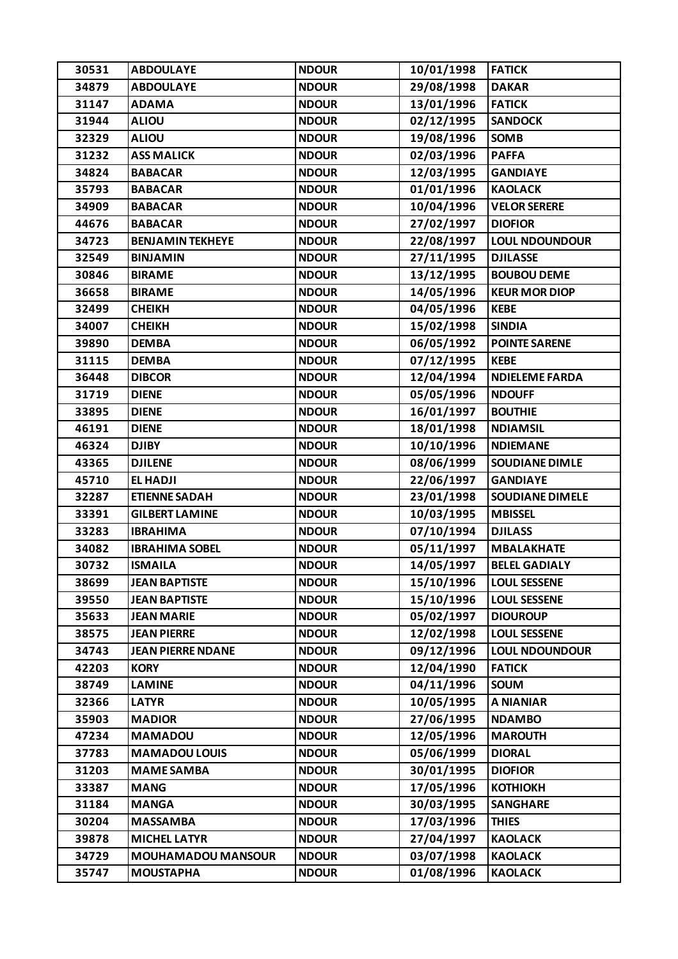| 30531 | <b>ABDOULAYE</b>          | <b>NDOUR</b> | 10/01/1998              | <b>FATICK</b>          |
|-------|---------------------------|--------------|-------------------------|------------------------|
| 34879 | <b>ABDOULAYE</b>          | <b>NDOUR</b> | 29/08/1998              | <b>DAKAR</b>           |
| 31147 | <b>ADAMA</b>              | <b>NDOUR</b> | 13/01/1996              | <b>FATICK</b>          |
| 31944 | <b>ALIOU</b>              | <b>NDOUR</b> | 02/12/1995              | <b>SANDOCK</b>         |
| 32329 | <b>ALIOU</b>              | <b>NDOUR</b> | 19/08/1996              | <b>SOMB</b>            |
| 31232 | <b>ASS MALICK</b>         | <b>NDOUR</b> | 02/03/1996              | <b>PAFFA</b>           |
| 34824 | <b>BABACAR</b>            | <b>NDOUR</b> | 12/03/1995              | <b>GANDIAYE</b>        |
| 35793 | <b>BABACAR</b>            | <b>NDOUR</b> | $\overline{01/01/1996}$ | <b>KAOLACK</b>         |
| 34909 | <b>BABACAR</b>            | <b>NDOUR</b> | 10/04/1996              | <b>VELOR SERERE</b>    |
| 44676 | <b>BABACAR</b>            | <b>NDOUR</b> | 27/02/1997              | <b>DIOFIOR</b>         |
| 34723 | <b>BENJAMIN TEKHEYE</b>   | <b>NDOUR</b> | 22/08/1997              | <b>LOUL NDOUNDOUR</b>  |
| 32549 | <b>BINJAMIN</b>           | <b>NDOUR</b> | 27/11/1995              | <b>DJILASSE</b>        |
| 30846 | <b>BIRAME</b>             | <b>NDOUR</b> | 13/12/1995              | <b>BOUBOU DEME</b>     |
| 36658 | <b>BIRAME</b>             | <b>NDOUR</b> | 14/05/1996              | <b>KEUR MOR DIOP</b>   |
| 32499 | <b>CHEIKH</b>             | <b>NDOUR</b> | 04/05/1996              | <b>KEBE</b>            |
| 34007 | <b>CHEIKH</b>             | <b>NDOUR</b> | 15/02/1998              | <b>SINDIA</b>          |
| 39890 | <b>DEMBA</b>              | <b>NDOUR</b> | 06/05/1992              | <b>POINTE SARENE</b>   |
| 31115 | <b>DEMBA</b>              | <b>NDOUR</b> | 07/12/1995              | <b>KEBE</b>            |
| 36448 | <b>DIBCOR</b>             | <b>NDOUR</b> | 12/04/1994              | <b>NDIELEME FARDA</b>  |
| 31719 | <b>DIENE</b>              | <b>NDOUR</b> | 05/05/1996              | <b>NDOUFF</b>          |
| 33895 | <b>DIENE</b>              | <b>NDOUR</b> | 16/01/1997              | <b>BOUTHIE</b>         |
| 46191 | <b>DIENE</b>              | <b>NDOUR</b> | 18/01/1998              | <b>NDIAMSIL</b>        |
| 46324 | <b>DJIBY</b>              | <b>NDOUR</b> | 10/10/1996              | <b>NDIEMANE</b>        |
| 43365 | <b>DJILENE</b>            | <b>NDOUR</b> | 08/06/1999              | <b>SOUDIANE DIMLE</b>  |
| 45710 | <b>EL HADJI</b>           | <b>NDOUR</b> | 22/06/1997              | <b>GANDIAYE</b>        |
| 32287 | <b>ETIENNE SADAH</b>      | <b>NDOUR</b> | 23/01/1998              | <b>SOUDIANE DIMELE</b> |
| 33391 | <b>GILBERT LAMINE</b>     | <b>NDOUR</b> | 10/03/1995              | <b>MBISSEL</b>         |
| 33283 | <b>IBRAHIMA</b>           | <b>NDOUR</b> | 07/10/1994              | <b>DJILASS</b>         |
| 34082 | <b>IBRAHIMA SOBEL</b>     | <b>NDOUR</b> | 05/11/1997              | <b>MBALAKHATE</b>      |
| 30732 | <b>ISMAILA</b>            | <b>NDOUR</b> | 14/05/1997              | <b>BELEL GADIALY</b>   |
| 38699 | <b>JEAN BAPTISTE</b>      | <b>NDOUR</b> | 15/10/1996              | <b>LOUL SESSENE</b>    |
| 39550 | <b>JEAN BAPTISTE</b>      | <b>NDOUR</b> | 15/10/1996              | <b>LOUL SESSENE</b>    |
| 35633 | <b>JEAN MARIE</b>         | <b>NDOUR</b> | 05/02/1997              | <b>DIOUROUP</b>        |
| 38575 | <b>JEAN PIERRE</b>        | <b>NDOUR</b> | 12/02/1998              | <b>LOUL SESSENE</b>    |
| 34743 | <b>JEAN PIERRE NDANE</b>  | <b>NDOUR</b> | 09/12/1996              | <b>LOUL NDOUNDOUR</b>  |
| 42203 | <b>KORY</b>               | <b>NDOUR</b> | 12/04/1990              | <b>FATICK</b>          |
| 38749 | <b>LAMINE</b>             | <b>NDOUR</b> | 04/11/1996              | <b>SOUM</b>            |
| 32366 | <b>LATYR</b>              | <b>NDOUR</b> | 10/05/1995              | <b>A NIANIAR</b>       |
| 35903 | <b>MADIOR</b>             | <b>NDOUR</b> | 27/06/1995              | <b>NDAMBO</b>          |
| 47234 | <b>MAMADOU</b>            | <b>NDOUR</b> | 12/05/1996              | <b>MAROUTH</b>         |
| 37783 | <b>MAMADOU LOUIS</b>      | <b>NDOUR</b> | 05/06/1999              | <b>DIORAL</b>          |
| 31203 | <b>MAME SAMBA</b>         | <b>NDOUR</b> | 30/01/1995              | <b>DIOFIOR</b>         |
| 33387 | <b>MANG</b>               | <b>NDOUR</b> | 17/05/1996              | <b>КОТНІОКН</b>        |
| 31184 | <b>MANGA</b>              | <b>NDOUR</b> | 30/03/1995              | <b>SANGHARE</b>        |
| 30204 | <b>MASSAMBA</b>           | <b>NDOUR</b> | 17/03/1996              | <b>THIES</b>           |
| 39878 | <b>MICHEL LATYR</b>       | <b>NDOUR</b> | 27/04/1997              | <b>KAOLACK</b>         |
| 34729 | <b>MOUHAMADOU MANSOUR</b> | <b>NDOUR</b> | 03/07/1998              | <b>KAOLACK</b>         |
| 35747 | <b>MOUSTAPHA</b>          | <b>NDOUR</b> | 01/08/1996              | <b>KAOLACK</b>         |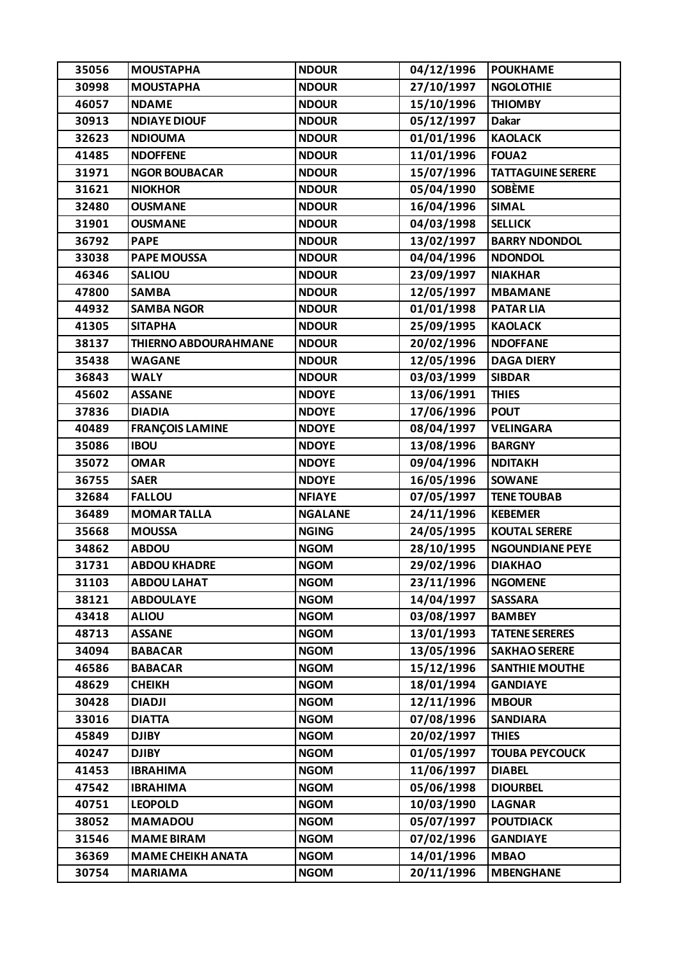| 35056 | <b>MOUSTAPHA</b>            | <b>NDOUR</b>   | 04/12/1996 | <b>POUKHAME</b>          |
|-------|-----------------------------|----------------|------------|--------------------------|
| 30998 | <b>MOUSTAPHA</b>            | <b>NDOUR</b>   | 27/10/1997 | <b>NGOLOTHIE</b>         |
| 46057 | <b>NDAME</b>                | <b>NDOUR</b>   | 15/10/1996 | <b>THIOMBY</b>           |
| 30913 | <b>NDIAYE DIOUF</b>         | <b>NDOUR</b>   | 05/12/1997 | <b>Dakar</b>             |
| 32623 | <b>NDIOUMA</b>              | <b>NDOUR</b>   | 01/01/1996 | <b>KAOLACK</b>           |
| 41485 | <b>NDOFFENE</b>             | <b>NDOUR</b>   | 11/01/1996 | <b>FOUA2</b>             |
| 31971 | <b>NGOR BOUBACAR</b>        | <b>NDOUR</b>   | 15/07/1996 | <b>TATTAGUINE SERERE</b> |
| 31621 | <b>NIOKHOR</b>              | <b>NDOUR</b>   | 05/04/1990 | <b>SOBÈME</b>            |
| 32480 | <b>OUSMANE</b>              | <b>NDOUR</b>   | 16/04/1996 | <b>SIMAL</b>             |
| 31901 | <b>OUSMANE</b>              | <b>NDOUR</b>   | 04/03/1998 | <b>SELLICK</b>           |
| 36792 | <b>PAPE</b>                 | <b>NDOUR</b>   | 13/02/1997 | <b>BARRY NDONDOL</b>     |
| 33038 | <b>PAPE MOUSSA</b>          | <b>NDOUR</b>   | 04/04/1996 | <b>NDONDOL</b>           |
| 46346 | <b>SALIOU</b>               | <b>NDOUR</b>   | 23/09/1997 | <b>NIAKHAR</b>           |
| 47800 | <b>SAMBA</b>                | <b>NDOUR</b>   | 12/05/1997 | <b>MBAMANE</b>           |
| 44932 | <b>SAMBA NGOR</b>           | <b>NDOUR</b>   | 01/01/1998 | <b>PATARLIA</b>          |
| 41305 | <b>SITAPHA</b>              | <b>NDOUR</b>   | 25/09/1995 | <b>KAOLACK</b>           |
| 38137 | <b>THIERNO ABDOURAHMANE</b> | <b>NDOUR</b>   | 20/02/1996 | <b>NDOFFANE</b>          |
| 35438 | <b>WAGANE</b>               | <b>NDOUR</b>   | 12/05/1996 | <b>DAGA DIERY</b>        |
| 36843 | <b>WALY</b>                 | <b>NDOUR</b>   | 03/03/1999 | <b>SIBDAR</b>            |
| 45602 | <b>ASSANE</b>               | <b>NDOYE</b>   | 13/06/1991 | <b>THIES</b>             |
| 37836 | <b>DIADIA</b>               | <b>NDOYE</b>   | 17/06/1996 | <b>POUT</b>              |
| 40489 | <b>FRANÇOIS LAMINE</b>      | <b>NDOYE</b>   | 08/04/1997 | <b>VELINGARA</b>         |
| 35086 | <b>IBOU</b>                 | <b>NDOYE</b>   | 13/08/1996 | <b>BARGNY</b>            |
| 35072 | <b>OMAR</b>                 | <b>NDOYE</b>   | 09/04/1996 | <b>NDITAKH</b>           |
| 36755 | <b>SAER</b>                 | <b>NDOYE</b>   | 16/05/1996 | <b>SOWANE</b>            |
| 32684 | <b>FALLOU</b>               | <b>NFIAYE</b>  | 07/05/1997 | <b>TENE TOUBAB</b>       |
| 36489 | <b>MOMARTALLA</b>           | <b>NGALANE</b> | 24/11/1996 | <b>KEBEMER</b>           |
| 35668 | <b>MOUSSA</b>               | <b>NGING</b>   | 24/05/1995 | <b>KOUTAL SERERE</b>     |
| 34862 | <b>ABDOU</b>                | <b>NGOM</b>    | 28/10/1995 | <b>NGOUNDIANE PEYE</b>   |
| 31731 | <b>ABDOU KHADRE</b>         | <b>NGOM</b>    | 29/02/1996 | <b>DIAKHAO</b>           |
| 31103 | <b>ABDOU LAHAT</b>          | <b>NGOM</b>    | 23/11/1996 | <b>NGOMENE</b>           |
| 38121 | <b>ABDOULAYE</b>            | <b>NGOM</b>    | 14/04/1997 | <b>SASSARA</b>           |
| 43418 | <b>ALIOU</b>                | <b>NGOM</b>    | 03/08/1997 | <b>BAMBEY</b>            |
| 48713 | <b>ASSANE</b>               | <b>NGOM</b>    | 13/01/1993 | <b>TATENE SERERES</b>    |
| 34094 | <b>BABACAR</b>              | <b>NGOM</b>    | 13/05/1996 | <b>SAKHAO SERERE</b>     |
| 46586 | <b>BABACAR</b>              | <b>NGOM</b>    | 15/12/1996 | <b>SANTHIE MOUTHE</b>    |
| 48629 | <b>CHEIKH</b>               | <b>NGOM</b>    | 18/01/1994 | <b>GANDIAYE</b>          |
| 30428 | <b>DIADJI</b>               | <b>NGOM</b>    | 12/11/1996 | <b>MBOUR</b>             |
| 33016 | <b>DIATTA</b>               | <b>NGOM</b>    | 07/08/1996 | <b>SANDIARA</b>          |
| 45849 | <b>DJIBY</b>                | <b>NGOM</b>    | 20/02/1997 | <b>THIES</b>             |
| 40247 | <b>DJIBY</b>                | <b>NGOM</b>    | 01/05/1997 | <b>TOUBA PEYCOUCK</b>    |
| 41453 | <b>IBRAHIMA</b>             | <b>NGOM</b>    | 11/06/1997 | <b>DIABEL</b>            |
| 47542 | <b>IBRAHIMA</b>             | <b>NGOM</b>    | 05/06/1998 | <b>DIOURBEL</b>          |
| 40751 | <b>LEOPOLD</b>              | <b>NGOM</b>    | 10/03/1990 | <b>LAGNAR</b>            |
| 38052 | <b>MAMADOU</b>              | <b>NGOM</b>    | 05/07/1997 | <b>POUTDIACK</b>         |
| 31546 | <b>MAME BIRAM</b>           | <b>NGOM</b>    | 07/02/1996 | <b>GANDIAYE</b>          |
| 36369 | <b>MAME CHEIKH ANATA</b>    | <b>NGOM</b>    | 14/01/1996 | <b>MBAO</b>              |
| 30754 | <b>MARIAMA</b>              | <b>NGOM</b>    | 20/11/1996 | <b>MBENGHANE</b>         |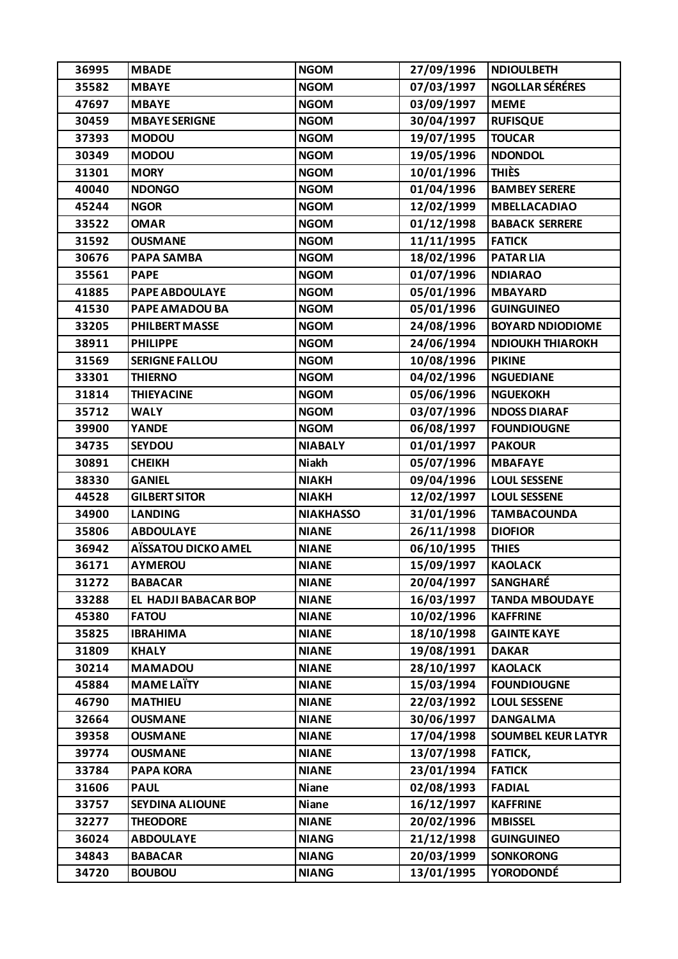| 36995 | <b>MBADE</b>               | <b>NGOM</b>      | 27/09/1996              | <b>NDIOULBETH</b>         |
|-------|----------------------------|------------------|-------------------------|---------------------------|
| 35582 | <b>MBAYE</b>               | <b>NGOM</b>      | 07/03/1997              | <b>NGOLLAR SÉRÉRES</b>    |
| 47697 | <b>MBAYE</b>               | <b>NGOM</b>      | 03/09/1997              | <b>MEME</b>               |
| 30459 | <b>MBAYE SERIGNE</b>       | <b>NGOM</b>      | 30/04/1997              | <b>RUFISQUE</b>           |
| 37393 | <b>MODOU</b>               | <b>NGOM</b>      | 19/07/1995              | <b>TOUCAR</b>             |
| 30349 | <b>MODOU</b>               | <b>NGOM</b>      | 19/05/1996              | <b>NDONDOL</b>            |
| 31301 | <b>MORY</b>                | <b>NGOM</b>      | 10/01/1996              | <b>THIÈS</b>              |
| 40040 | <b>NDONGO</b>              | <b>NGOM</b>      | 01/04/1996              | <b>BAMBEY SERERE</b>      |
| 45244 | <b>NGOR</b>                | <b>NGOM</b>      | 12/02/1999              | <b>MBELLACADIAO</b>       |
| 33522 | <b>OMAR</b>                | <b>NGOM</b>      | $\overline{01/12/1998}$ | <b>BABACK SERRERE</b>     |
| 31592 | <b>OUSMANE</b>             | <b>NGOM</b>      | 11/11/1995              | <b>FATICK</b>             |
| 30676 | <b>PAPA SAMBA</b>          | <b>NGOM</b>      | 18/02/1996              | <b>PATARLIA</b>           |
| 35561 | <b>PAPE</b>                | <b>NGOM</b>      | 01/07/1996              | <b>NDIARAO</b>            |
| 41885 | PAPE ABDOULAYE             | <b>NGOM</b>      | 05/01/1996              | <b>MBAYARD</b>            |
| 41530 | PAPE AMADOU BA             | <b>NGOM</b>      | 05/01/1996              | <b>GUINGUINEO</b>         |
| 33205 | <b>PHILBERT MASSE</b>      | <b>NGOM</b>      | 24/08/1996              | <b>BOYARD NDIODIOME</b>   |
| 38911 | <b>PHILIPPE</b>            | <b>NGOM</b>      | 24/06/1994              | <b>NDIOUKH THIAROKH</b>   |
| 31569 | <b>SERIGNE FALLOU</b>      | <b>NGOM</b>      | 10/08/1996              | <b>PIKINE</b>             |
| 33301 | <b>THIERNO</b>             | <b>NGOM</b>      | 04/02/1996              | <b>NGUEDIANE</b>          |
| 31814 | <b>THIEYACINE</b>          | <b>NGOM</b>      | 05/06/1996              | <b>NGUEKOKH</b>           |
| 35712 | <b>WALY</b>                | <b>NGOM</b>      | 03/07/1996              | <b>NDOSS DIARAF</b>       |
| 39900 | <b>YANDE</b>               | <b>NGOM</b>      | 06/08/1997              | <b>FOUNDIOUGNE</b>        |
| 34735 | <b>SEYDOU</b>              | <b>NIABALY</b>   | 01/01/1997              | <b>PAKOUR</b>             |
| 30891 | <b>CHEIKH</b>              | <b>Niakh</b>     | 05/07/1996              | <b>MBAFAYE</b>            |
| 38330 | <b>GANIEL</b>              | <b>NIAKH</b>     | 09/04/1996              | <b>LOUL SESSENE</b>       |
| 44528 | <b>GILBERT SITOR</b>       | <b>NIAKH</b>     | 12/02/1997              | <b>LOUL SESSENE</b>       |
| 34900 | <b>LANDING</b>             | <b>NIAKHASSO</b> | 31/01/1996              | <b>TAMBACOUNDA</b>        |
| 35806 | <b>ABDOULAYE</b>           | <b>NIANE</b>     | 26/11/1998              | <b>DIOFIOR</b>            |
| 36942 | <b>AÏSSATOU DICKO AMEL</b> | <b>NIANE</b>     | 06/10/1995              | <b>THIES</b>              |
| 36171 | <b>AYMEROU</b>             | <b>NIANE</b>     | 15/09/1997              | <b>KAOLACK</b>            |
| 31272 | <b>BABACAR</b>             | <b>NIANE</b>     | 20/04/1997              | <b>SANGHARÉ</b>           |
| 33288 | EL HADJI BABACAR BOP       | <b>NIANE</b>     | 16/03/1997              | <b>TANDA MBOUDAYE</b>     |
| 45380 | <b>FATOU</b>               | <b>NIANE</b>     | 10/02/1996              | <b>KAFFRINE</b>           |
| 35825 | <b>IBRAHIMA</b>            | <b>NIANE</b>     | 18/10/1998              | <b>GAINTE KAYE</b>        |
| 31809 | <b>KHALY</b>               | <b>NIANE</b>     | 19/08/1991              | <b>DAKAR</b>              |
| 30214 | <b>MAMADOU</b>             | <b>NIANE</b>     | 28/10/1997              | <b>KAOLACK</b>            |
| 45884 | <b>MAME LAITY</b>          | <b>NIANE</b>     | 15/03/1994              | <b>FOUNDIOUGNE</b>        |
| 46790 | <b>MATHIEU</b>             | <b>NIANE</b>     | 22/03/1992              | <b>LOUL SESSENE</b>       |
| 32664 | <b>OUSMANE</b>             | <b>NIANE</b>     | 30/06/1997              | <b>DANGALMA</b>           |
| 39358 | <b>OUSMANE</b>             | <b>NIANE</b>     | 17/04/1998              | <b>SOUMBEL KEUR LATYR</b> |
| 39774 | <b>OUSMANE</b>             | <b>NIANE</b>     | 13/07/1998              | <b>FATICK,</b>            |
| 33784 | <b>PAPA KORA</b>           | <b>NIANE</b>     | 23/01/1994              | <b>FATICK</b>             |
| 31606 | <b>PAUL</b>                | <b>Niane</b>     | 02/08/1993              | <b>FADIAL</b>             |
| 33757 | <b>SEYDINA ALIOUNE</b>     | <b>Niane</b>     | 16/12/1997              | <b>KAFFRINE</b>           |
| 32277 | <b>THEODORE</b>            | <b>NIANE</b>     | 20/02/1996              | <b>MBISSEL</b>            |
| 36024 | <b>ABDOULAYE</b>           | <b>NIANG</b>     | 21/12/1998              | <b>GUINGUINEO</b>         |
| 34843 | <b>BABACAR</b>             | <b>NIANG</b>     | 20/03/1999              | <b>SONKORONG</b>          |
| 34720 | <b>BOUBOU</b>              | <b>NIANG</b>     | 13/01/1995              | <b>YORODONDÉ</b>          |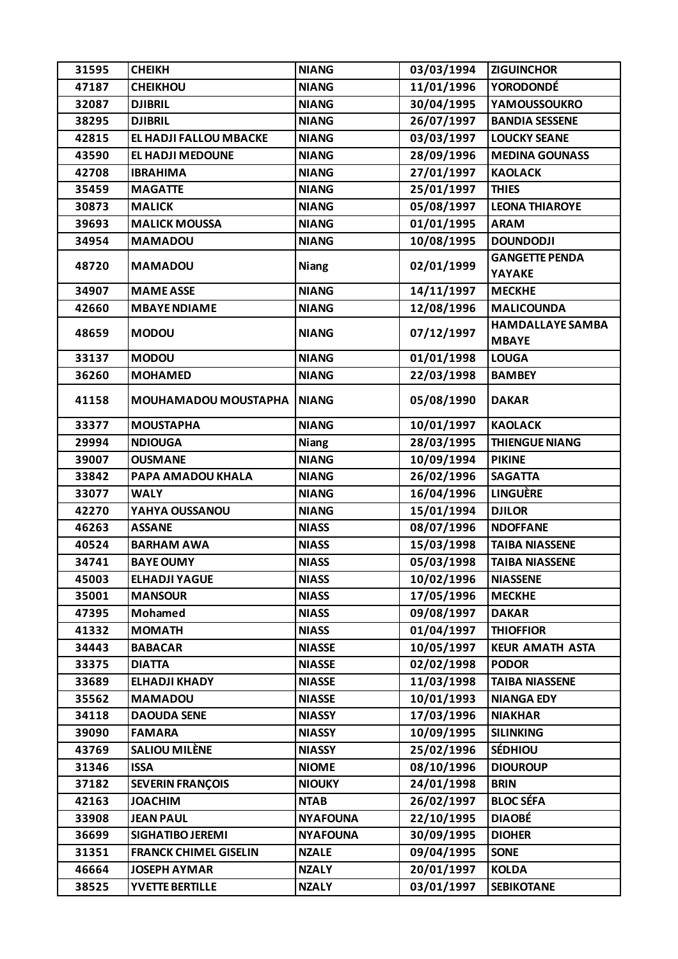| 31595 | <b>CHEIKH</b>                | <b>NIANG</b>    | 03/03/1994 | <b>ZIGUINCHOR</b>                       |
|-------|------------------------------|-----------------|------------|-----------------------------------------|
| 47187 | <b>CHEIKHOU</b>              | <b>NIANG</b>    | 11/01/1996 | <b>YORODONDÉ</b>                        |
| 32087 | <b>DJIBRIL</b>               | <b>NIANG</b>    | 30/04/1995 | <b>YAMOUSSOUKRO</b>                     |
| 38295 | <b>DJIBRIL</b>               | <b>NIANG</b>    | 26/07/1997 | <b>BANDIA SESSENE</b>                   |
| 42815 | EL HADJI FALLOU MBACKE       | <b>NIANG</b>    | 03/03/1997 | <b>LOUCKY SEANE</b>                     |
| 43590 | EL HADJI MEDOUNE             | <b>NIANG</b>    | 28/09/1996 | <b>MEDINA GOUNASS</b>                   |
| 42708 | <b>IBRAHIMA</b>              | <b>NIANG</b>    | 27/01/1997 | <b>KAOLACK</b>                          |
| 35459 | <b>MAGATTE</b>               | <b>NIANG</b>    | 25/01/1997 | <b>THIES</b>                            |
| 30873 | <b>MALICK</b>                | <b>NIANG</b>    | 05/08/1997 | <b>LEONA THIAROYE</b>                   |
| 39693 | <b>MALICK MOUSSA</b>         | <b>NIANG</b>    | 01/01/1995 | <b>ARAM</b>                             |
| 34954 | <b>MAMADOU</b>               | <b>NIANG</b>    | 10/08/1995 | <b>DOUNDODJI</b>                        |
| 48720 | <b>MAMADOU</b>               | <b>Niang</b>    | 02/01/1999 | <b>GANGETTE PENDA</b><br><b>YAYAKE</b>  |
| 34907 | <b>MAME ASSE</b>             | <b>NIANG</b>    | 14/11/1997 | <b>MECKHE</b>                           |
| 42660 | <b>MBAYE NDIAME</b>          | <b>NIANG</b>    | 12/08/1996 | <b>MALICOUNDA</b>                       |
| 48659 | <b>MODOU</b>                 | <b>NIANG</b>    | 07/12/1997 | <b>HAMDALLAYE SAMBA</b><br><b>MBAYE</b> |
| 33137 | <b>MODOU</b>                 | <b>NIANG</b>    | 01/01/1998 | <b>LOUGA</b>                            |
| 36260 | <b>MOHAMED</b>               | <b>NIANG</b>    | 22/03/1998 | <b>BAMBEY</b>                           |
| 41158 | <b>MOUHAMADOU MOUSTAPHA</b>  | <b>NIANG</b>    | 05/08/1990 | <b>DAKAR</b>                            |
| 33377 | <b>MOUSTAPHA</b>             | <b>NIANG</b>    | 10/01/1997 | <b>KAOLACK</b>                          |
| 29994 | <b>NDIOUGA</b>               | <b>Niang</b>    | 28/03/1995 | <b>THIENGUE NIANG</b>                   |
| 39007 | <b>OUSMANE</b>               | <b>NIANG</b>    | 10/09/1994 | <b>PIKINE</b>                           |
| 33842 | PAPA AMADOU KHALA            | <b>NIANG</b>    | 26/02/1996 | <b>SAGATTA</b>                          |
| 33077 | <b>WALY</b>                  | <b>NIANG</b>    | 16/04/1996 | <b>LINGUÈRE</b>                         |
| 42270 | YAHYA OUSSANOU               | <b>NIANG</b>    | 15/01/1994 | <b>DJILOR</b>                           |
| 46263 | <b>ASSANE</b>                | <b>NIASS</b>    | 08/07/1996 | <b>NDOFFANE</b>                         |
| 40524 | <b>BARHAM AWA</b>            | <b>NIASS</b>    | 15/03/1998 | <b>TAIBA NIASSENE</b>                   |
| 34741 | <b>BAYE OUMY</b>             | <b>NIASS</b>    | 05/03/1998 | <b>TAIBA NIASSENE</b>                   |
| 45003 | <b>ELHADJI YAGUE</b>         | <b>NIASS</b>    | 10/02/1996 | <b>NIASSENE</b>                         |
| 35001 | <b>MANSOUR</b>               | <b>NIASS</b>    | 17/05/1996 | <b>MECKHE</b>                           |
| 47395 | Mohamed                      | <b>NIASS</b>    | 09/08/1997 | <b>DAKAR</b>                            |
| 41332 | <b>MOMATH</b>                | <b>NIASS</b>    | 01/04/1997 | <b>THIOFFIOR</b>                        |
| 34443 | <b>BABACAR</b>               | <b>NIASSE</b>   | 10/05/1997 | <b>KEUR AMATH ASTA</b>                  |
| 33375 | <b>DIATTA</b>                | <b>NIASSE</b>   | 02/02/1998 | <b>PODOR</b>                            |
| 33689 | <b>ELHADJI KHADY</b>         | <b>NIASSE</b>   | 11/03/1998 | <b>TAIBA NIASSENE</b>                   |
| 35562 | <b>MAMADOU</b>               | <b>NIASSE</b>   | 10/01/1993 | <b>NIANGA EDY</b>                       |
| 34118 | <b>DAOUDA SENE</b>           | <b>NIASSY</b>   | 17/03/1996 | <b>NIAKHAR</b>                          |
| 39090 | <b>FAMARA</b>                | <b>NIASSY</b>   | 10/09/1995 | <b>SILINKING</b>                        |
| 43769 | <b>SALIOU MILÈNE</b>         | <b>NIASSY</b>   | 25/02/1996 | <b>SÉDHIOU</b>                          |
| 31346 | <b>ISSA</b>                  | <b>NIOME</b>    | 08/10/1996 | <b>DIOUROUP</b>                         |
| 37182 | <b>SEVERIN FRANÇOIS</b>      | <b>NIOUKY</b>   | 24/01/1998 | <b>BRIN</b>                             |
| 42163 | <b>JOACHIM</b>               | <b>NTAB</b>     | 26/02/1997 | <b>BLOC SÉFA</b>                        |
| 33908 | <b>JEAN PAUL</b>             | <b>NYAFOUNA</b> | 22/10/1995 | <b>DIAOBÉ</b>                           |
| 36699 | <b>SIGHATIBO JEREMI</b>      | <b>NYAFOUNA</b> | 30/09/1995 | <b>DIOHER</b>                           |
| 31351 | <b>FRANCK CHIMEL GISELIN</b> | <b>NZALE</b>    | 09/04/1995 | <b>SONE</b>                             |
| 46664 | <b>JOSEPH AYMAR</b>          | <b>NZALY</b>    | 20/01/1997 | <b>KOLDA</b>                            |
| 38525 | <b>YVETTE BERTILLE</b>       | <b>NZALY</b>    | 03/01/1997 | <b>SEBIKOTANE</b>                       |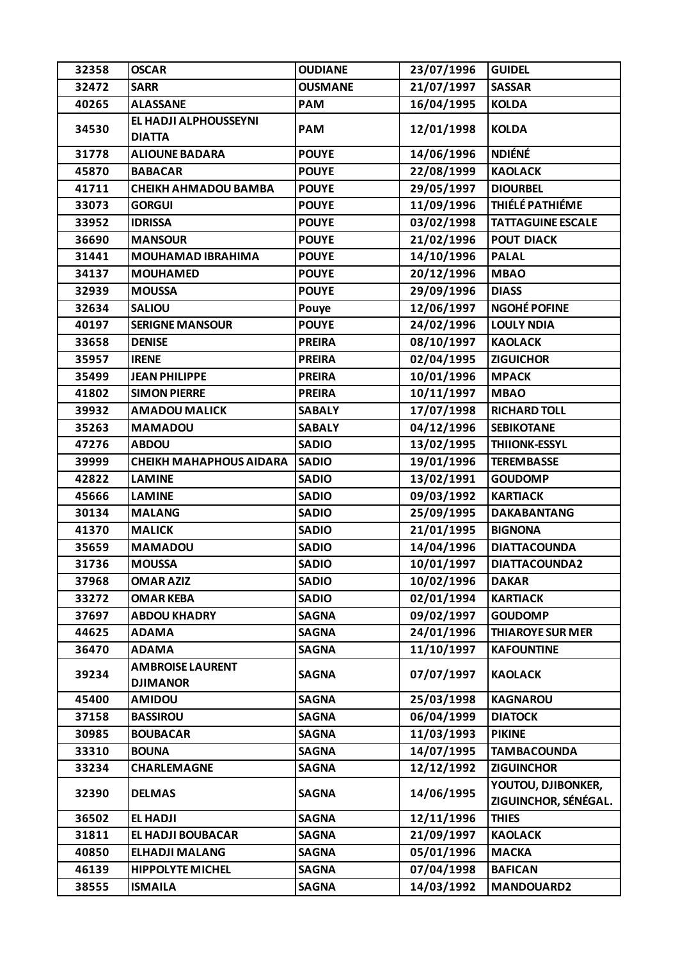| 32358 | <b>OSCAR</b>                               | <b>OUDIANE</b> | 23/07/1996 | <b>GUIDEL</b>                              |
|-------|--------------------------------------------|----------------|------------|--------------------------------------------|
| 32472 | <b>SARR</b>                                | <b>OUSMANE</b> | 21/07/1997 | <b>SASSAR</b>                              |
| 40265 | <b>ALASSANE</b>                            | <b>PAM</b>     | 16/04/1995 | <b>KOLDA</b>                               |
| 34530 | EL HADJI ALPHOUSSEYNI<br><b>DIATTA</b>     | <b>PAM</b>     | 12/01/1998 | <b>KOLDA</b>                               |
| 31778 | <b>ALIOUNE BADARA</b>                      | <b>POUYE</b>   | 14/06/1996 | <b>NDIÉNÉ</b>                              |
| 45870 | <b>BABACAR</b>                             | <b>POUYE</b>   | 22/08/1999 | <b>KAOLACK</b>                             |
| 41711 | <b>CHEIKH AHMADOU BAMBA</b>                | <b>POUYE</b>   | 29/05/1997 | <b>DIOURBEL</b>                            |
| 33073 | <b>GORGUI</b>                              | <b>POUYE</b>   | 11/09/1996 | <b>THIÉLÉ PATHIÉME</b>                     |
| 33952 | <b>IDRISSA</b>                             | <b>POUYE</b>   | 03/02/1998 | <b>TATTAGUINE ESCALE</b>                   |
| 36690 | <b>MANSOUR</b>                             | <b>POUYE</b>   | 21/02/1996 | <b>POUT DIACK</b>                          |
| 31441 | <b>MOUHAMAD IBRAHIMA</b>                   | <b>POUYE</b>   | 14/10/1996 | <b>PALAL</b>                               |
| 34137 | <b>MOUHAMED</b>                            | <b>POUYE</b>   | 20/12/1996 | <b>MBAO</b>                                |
| 32939 | <b>MOUSSA</b>                              | <b>POUYE</b>   | 29/09/1996 | <b>DIASS</b>                               |
| 32634 | <b>SALIOU</b>                              | Pouye          | 12/06/1997 | <b>NGOHÉ POFINE</b>                        |
| 40197 | <b>SERIGNE MANSOUR</b>                     | <b>POUYE</b>   | 24/02/1996 | <b>LOULY NDIA</b>                          |
| 33658 | <b>DENISE</b>                              | <b>PREIRA</b>  | 08/10/1997 | <b>KAOLACK</b>                             |
| 35957 | <b>IRENE</b>                               | <b>PREIRA</b>  | 02/04/1995 | <b>ZIGUICHOR</b>                           |
| 35499 | <b>JEAN PHILIPPE</b>                       | <b>PREIRA</b>  | 10/01/1996 | <b>MPACK</b>                               |
| 41802 | <b>SIMON PIERRE</b>                        | <b>PREIRA</b>  | 10/11/1997 | <b>MBAO</b>                                |
| 39932 | <b>AMADOU MALICK</b>                       | <b>SABALY</b>  | 17/07/1998 | <b>RICHARD TOLL</b>                        |
| 35263 | <b>MAMADOU</b>                             | <b>SABALY</b>  | 04/12/1996 | <b>SEBIKOTANE</b>                          |
| 47276 | <b>ABDOU</b>                               | <b>SADIO</b>   | 13/02/1995 | <b>THIIONK-ESSYL</b>                       |
| 39999 | <b>CHEIKH MAHAPHOUS AIDARA</b>             | <b>SADIO</b>   | 19/01/1996 | <b>TEREMBASSE</b>                          |
| 42822 | <b>LAMINE</b>                              | <b>SADIO</b>   | 13/02/1991 | <b>GOUDOMP</b>                             |
| 45666 | <b>LAMINE</b>                              | <b>SADIO</b>   | 09/03/1992 | <b>KARTIACK</b>                            |
| 30134 | <b>MALANG</b>                              | <b>SADIO</b>   | 25/09/1995 | <b>DAKABANTANG</b>                         |
| 41370 | <b>MALICK</b>                              | <b>SADIO</b>   | 21/01/1995 | <b>BIGNONA</b>                             |
| 35659 | <b>MAMADOU</b>                             | <b>SADIO</b>   | 14/04/1996 | <b>DIATTACOUNDA</b>                        |
| 31736 | <b>MOUSSA</b>                              | <b>SADIO</b>   | 10/01/1997 | <b>DIATTACOUNDA2</b>                       |
| 37968 | <b>OMAR AZIZ</b>                           | <b>SADIO</b>   | 10/02/1996 | <b>DAKAR</b>                               |
| 33272 | <b>OMAR KEBA</b>                           | <b>SADIO</b>   | 02/01/1994 | <b>KARTIACK</b>                            |
| 37697 | <b>ABDOU KHADRY</b>                        | <b>SAGNA</b>   | 09/02/1997 | <b>GOUDOMP</b>                             |
| 44625 | <b>ADAMA</b>                               | <b>SAGNA</b>   | 24/01/1996 | <b>THIAROYE SUR MER</b>                    |
| 36470 | <b>ADAMA</b>                               | <b>SAGNA</b>   | 11/10/1997 | <b>KAFOUNTINE</b>                          |
| 39234 | <b>AMBROISE LAURENT</b><br><b>DJIMANOR</b> | <b>SAGNA</b>   | 07/07/1997 | <b>KAOLACK</b>                             |
| 45400 | <b>AMIDOU</b>                              | <b>SAGNA</b>   | 25/03/1998 | <b>KAGNAROU</b>                            |
| 37158 | <b>BASSIROU</b>                            | <b>SAGNA</b>   | 06/04/1999 | <b>DIATOCK</b>                             |
| 30985 | <b>BOUBACAR</b>                            | <b>SAGNA</b>   | 11/03/1993 | <b>PIKINE</b>                              |
| 33310 | <b>BOUNA</b>                               | <b>SAGNA</b>   | 14/07/1995 | <b>TAMBACOUNDA</b>                         |
| 33234 | <b>CHARLEMAGNE</b>                         | <b>SAGNA</b>   | 12/12/1992 | <b>ZIGUINCHOR</b>                          |
| 32390 | <b>DELMAS</b>                              | <b>SAGNA</b>   | 14/06/1995 | YOUTOU, DJIBONKER,<br>ZIGUINCHOR, SÉNÉGAL. |
| 36502 | <b>EL HADJI</b>                            | <b>SAGNA</b>   | 12/11/1996 | <b>THIES</b>                               |
| 31811 | EL HADJI BOUBACAR                          | <b>SAGNA</b>   | 21/09/1997 | <b>KAOLACK</b>                             |
| 40850 | <b>ELHADJI MALANG</b>                      | <b>SAGNA</b>   | 05/01/1996 | <b>MACKA</b>                               |
| 46139 | <b>HIPPOLYTE MICHEL</b>                    | <b>SAGNA</b>   | 07/04/1998 | <b>BAFICAN</b>                             |
| 38555 | <b>ISMAILA</b>                             | <b>SAGNA</b>   | 14/03/1992 | <b>MANDOUARD2</b>                          |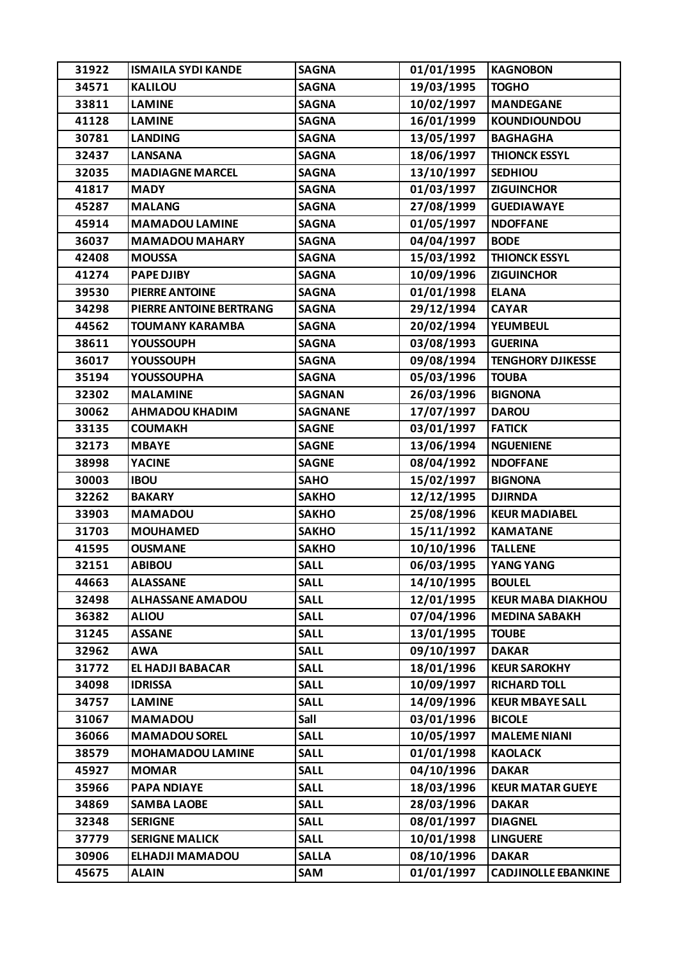| 31922 | <b>ISMAILA SYDI KANDE</b> | <b>SAGNA</b>   | 01/01/1995 | <b>KAGNOBON</b>            |
|-------|---------------------------|----------------|------------|----------------------------|
| 34571 | <b>KALILOU</b>            | <b>SAGNA</b>   | 19/03/1995 | <b>TOGHO</b>               |
| 33811 | <b>LAMINE</b>             | <b>SAGNA</b>   | 10/02/1997 | <b>MANDEGANE</b>           |
| 41128 | <b>LAMINE</b>             | <b>SAGNA</b>   | 16/01/1999 | <b>KOUNDIOUNDOU</b>        |
| 30781 | <b>LANDING</b>            | <b>SAGNA</b>   | 13/05/1997 | <b>BAGHAGHA</b>            |
| 32437 | <b>LANSANA</b>            | <b>SAGNA</b>   | 18/06/1997 | <b>THIONCK ESSYL</b>       |
| 32035 | <b>MADIAGNE MARCEL</b>    | <b>SAGNA</b>   | 13/10/1997 | <b>SEDHIOU</b>             |
| 41817 | <b>MADY</b>               | <b>SAGNA</b>   | 01/03/1997 | <b>ZIGUINCHOR</b>          |
| 45287 | <b>MALANG</b>             | <b>SAGNA</b>   | 27/08/1999 | <b>GUEDIAWAYE</b>          |
| 45914 | <b>MAMADOU LAMINE</b>     | <b>SAGNA</b>   | 01/05/1997 | <b>NDOFFANE</b>            |
| 36037 | <b>MAMADOU MAHARY</b>     | <b>SAGNA</b>   | 04/04/1997 | <b>BODE</b>                |
| 42408 | <b>MOUSSA</b>             | <b>SAGNA</b>   | 15/03/1992 | <b>THIONCK ESSYL</b>       |
| 41274 | <b>PAPE DJIBY</b>         | <b>SAGNA</b>   | 10/09/1996 | <b>ZIGUINCHOR</b>          |
| 39530 | <b>PIERRE ANTOINE</b>     | <b>SAGNA</b>   | 01/01/1998 | <b>ELANA</b>               |
| 34298 | PIERRE ANTOINE BERTRANG   | <b>SAGNA</b>   | 29/12/1994 | <b>CAYAR</b>               |
| 44562 | <b>TOUMANY KARAMBA</b>    | <b>SAGNA</b>   | 20/02/1994 | <b>YEUMBEUL</b>            |
| 38611 | <b>YOUSSOUPH</b>          | <b>SAGNA</b>   | 03/08/1993 | <b>GUERINA</b>             |
| 36017 | <b>YOUSSOUPH</b>          | <b>SAGNA</b>   | 09/08/1994 | <b>TENGHORY DJIKESSE</b>   |
| 35194 | <b>YOUSSOUPHA</b>         | <b>SAGNA</b>   | 05/03/1996 | <b>TOUBA</b>               |
| 32302 | <b>MALAMINE</b>           | <b>SAGNAN</b>  | 26/03/1996 | <b>BIGNONA</b>             |
| 30062 | <b>AHMADOU KHADIM</b>     | <b>SAGNANE</b> | 17/07/1997 | <b>DAROU</b>               |
| 33135 | <b>COUMAKH</b>            | <b>SAGNE</b>   | 03/01/1997 | <b>FATICK</b>              |
| 32173 | <b>MBAYE</b>              | <b>SAGNE</b>   | 13/06/1994 | <b>NGUENIENE</b>           |
| 38998 | <b>YACINE</b>             | <b>SAGNE</b>   | 08/04/1992 | <b>NDOFFANE</b>            |
| 30003 | <b>IBOU</b>               | <b>SAHO</b>    | 15/02/1997 | <b>BIGNONA</b>             |
| 32262 | <b>BAKARY</b>             | <b>SAKHO</b>   | 12/12/1995 | <b>DJIRNDA</b>             |
| 33903 | <b>MAMADOU</b>            | <b>SAKHO</b>   | 25/08/1996 | <b>KEUR MADIABEL</b>       |
| 31703 | <b>MOUHAMED</b>           | <b>SAKHO</b>   | 15/11/1992 | <b>KAMATANE</b>            |
| 41595 | <b>OUSMANE</b>            | <b>SAKHO</b>   | 10/10/1996 | <b>TALLENE</b>             |
| 32151 | <b>ABIBOU</b>             | <b>SALL</b>    | 06/03/1995 | YANG YANG                  |
| 44663 | <b>ALASSANE</b>           | <b>SALL</b>    | 14/10/1995 | <b>BOULEL</b>              |
| 32498 | <b>ALHASSANE AMADOU</b>   | <b>SALL</b>    | 12/01/1995 | <b>KEUR MABA DIAKHOU</b>   |
| 36382 | <b>ALIOU</b>              | <b>SALL</b>    | 07/04/1996 | <b>MEDINA SABAKH</b>       |
| 31245 | <b>ASSANE</b>             | <b>SALL</b>    | 13/01/1995 | <b>TOUBE</b>               |
| 32962 | <b>AWA</b>                | <b>SALL</b>    | 09/10/1997 | <b>DAKAR</b>               |
| 31772 | <b>EL HADJI BABACAR</b>   | <b>SALL</b>    | 18/01/1996 | <b>KEUR SAROKHY</b>        |
| 34098 | <b>IDRISSA</b>            | <b>SALL</b>    | 10/09/1997 | <b>RICHARD TOLL</b>        |
| 34757 | <b>LAMINE</b>             | <b>SALL</b>    | 14/09/1996 | <b>KEUR MBAYE SALL</b>     |
| 31067 | <b>MAMADOU</b>            | Sall           | 03/01/1996 | <b>BICOLE</b>              |
| 36066 | <b>MAMADOU SOREL</b>      | <b>SALL</b>    | 10/05/1997 | <b>MALEME NIANI</b>        |
| 38579 | <b>MOHAMADOU LAMINE</b>   | <b>SALL</b>    | 01/01/1998 | <b>KAOLACK</b>             |
| 45927 | <b>MOMAR</b>              | <b>SALL</b>    | 04/10/1996 | <b>DAKAR</b>               |
| 35966 | <b>PAPA NDIAYE</b>        | <b>SALL</b>    | 18/03/1996 | <b>KEUR MATAR GUEYE</b>    |
| 34869 | <b>SAMBA LAOBE</b>        | <b>SALL</b>    | 28/03/1996 | <b>DAKAR</b>               |
| 32348 | <b>SERIGNE</b>            | <b>SALL</b>    | 08/01/1997 | <b>DIAGNEL</b>             |
| 37779 | <b>SERIGNE MALICK</b>     | <b>SALL</b>    | 10/01/1998 | <b>LINGUERE</b>            |
| 30906 | ELHADJI MAMADOU           | <b>SALLA</b>   | 08/10/1996 | <b>DAKAR</b>               |
| 45675 | <b>ALAIN</b>              | SAM            | 01/01/1997 | <b>CADJINOLLE EBANKINE</b> |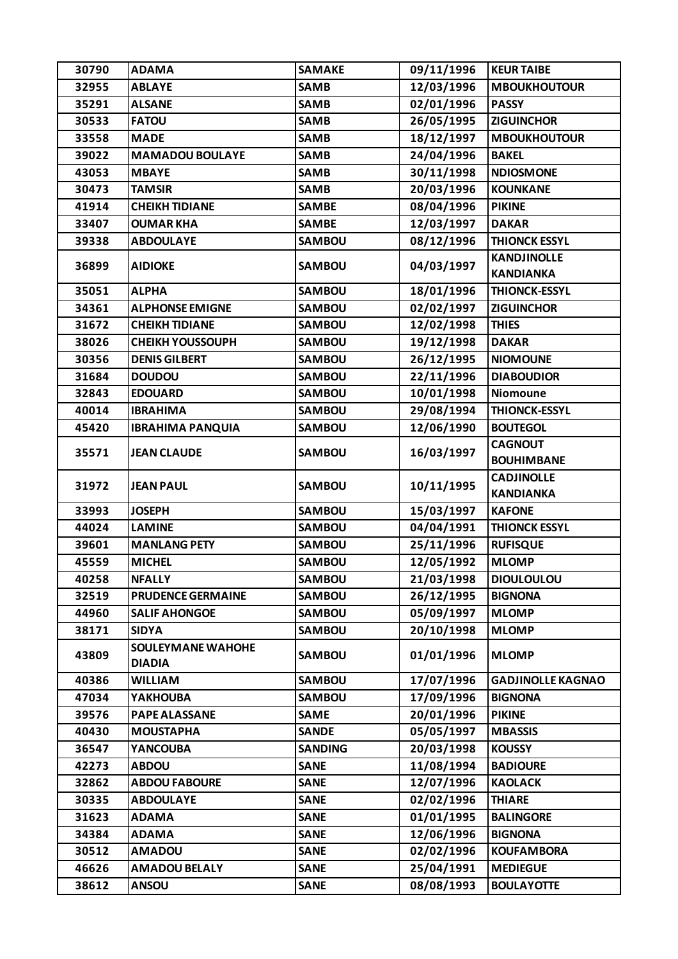| 30790 | <b>ADAMA</b>                              | <b>SAMAKE</b>  | 09/11/1996 | <b>KEUR TAIBE</b>                      |
|-------|-------------------------------------------|----------------|------------|----------------------------------------|
| 32955 | <b>ABLAYE</b>                             | <b>SAMB</b>    | 12/03/1996 | <b>MBOUKHOUTOUR</b>                    |
| 35291 | <b>ALSANE</b>                             | <b>SAMB</b>    | 02/01/1996 | <b>PASSY</b>                           |
| 30533 | <b>FATOU</b>                              | <b>SAMB</b>    | 26/05/1995 | <b>ZIGUINCHOR</b>                      |
| 33558 | <b>MADE</b>                               | <b>SAMB</b>    | 18/12/1997 | <b>MBOUKHOUTOUR</b>                    |
| 39022 | <b>MAMADOU BOULAYE</b>                    | <b>SAMB</b>    | 24/04/1996 | <b>BAKEL</b>                           |
| 43053 | <b>MBAYE</b>                              | <b>SAMB</b>    | 30/11/1998 | <b>NDIOSMONE</b>                       |
| 30473 | <b>TAMSIR</b>                             | <b>SAMB</b>    | 20/03/1996 | <b>KOUNKANE</b>                        |
| 41914 | <b>CHEIKH TIDIANE</b>                     | <b>SAMBE</b>   | 08/04/1996 | <b>PIKINE</b>                          |
| 33407 | <b>OUMARKHA</b>                           | <b>SAMBE</b>   | 12/03/1997 | <b>DAKAR</b>                           |
| 39338 | <b>ABDOULAYE</b>                          | <b>SAMBOU</b>  | 08/12/1996 | <b>THIONCK ESSYL</b>                   |
| 36899 | <b>AIDIOKE</b>                            | <b>SAMBOU</b>  | 04/03/1997 | <b>KANDJINOLLE</b><br><b>KANDIANKA</b> |
| 35051 | <b>ALPHA</b>                              | <b>SAMBOU</b>  | 18/01/1996 | <b>THIONCK-ESSYL</b>                   |
| 34361 | <b>ALPHONSE EMIGNE</b>                    | <b>SAMBOU</b>  | 02/02/1997 | <b>ZIGUINCHOR</b>                      |
| 31672 | <b>CHEIKH TIDIANE</b>                     | <b>SAMBOU</b>  | 12/02/1998 | <b>THIES</b>                           |
| 38026 | <b>CHEIKH YOUSSOUPH</b>                   | <b>SAMBOU</b>  | 19/12/1998 | <b>DAKAR</b>                           |
| 30356 | <b>DENIS GILBERT</b>                      | <b>SAMBOU</b>  | 26/12/1995 | <b>NIOMOUNE</b>                        |
| 31684 | <b>DOUDOU</b>                             | <b>SAMBOU</b>  | 22/11/1996 | <b>DIABOUDIOR</b>                      |
| 32843 | <b>EDOUARD</b>                            | <b>SAMBOU</b>  | 10/01/1998 | <b>Niomoune</b>                        |
| 40014 | <b>IBRAHIMA</b>                           | <b>SAMBOU</b>  | 29/08/1994 | <b>THIONCK-ESSYL</b>                   |
| 45420 | <b>IBRAHIMA PANQUIA</b>                   | <b>SAMBOU</b>  | 12/06/1990 | <b>BOUTEGOL</b>                        |
| 35571 | <b>JEAN CLAUDE</b>                        | <b>SAMBOU</b>  | 16/03/1997 | <b>CAGNOUT</b><br><b>BOUHIMBANE</b>    |
| 31972 | <b>JEAN PAUL</b>                          | <b>SAMBOU</b>  | 10/11/1995 | <b>CADJINOLLE</b><br><b>KANDIANKA</b>  |
| 33993 | <b>JOSEPH</b>                             | <b>SAMBOU</b>  | 15/03/1997 | <b>KAFONE</b>                          |
| 44024 | <b>LAMINE</b>                             | <b>SAMBOU</b>  | 04/04/1991 | <b>THIONCK ESSYL</b>                   |
| 39601 | <b>MANLANG PETY</b>                       | <b>SAMBOU</b>  | 25/11/1996 | <b>RUFISQUE</b>                        |
| 45559 | <b>MICHEL</b>                             | <b>SAMBOU</b>  | 12/05/1992 | <b>MLOMP</b>                           |
| 40258 | <b>NFALLY</b>                             | <b>SAMBOU</b>  | 21/03/1998 | <b>DIOULOULOU</b>                      |
| 32519 | <b>PRUDENCE GERMAINE</b>                  | <b>SAMBOU</b>  | 26/12/1995 | <b>BIGNONA</b>                         |
| 44960 | <b>SALIF AHONGOE</b>                      | <b>SAMBOU</b>  | 05/09/1997 | <b>MLOMP</b>                           |
| 38171 | <b>SIDYA</b>                              | <b>SAMBOU</b>  | 20/10/1998 | <b>MLOMP</b>                           |
| 43809 | <b>SOULEYMANE WAHOHE</b><br><b>DIADIA</b> | <b>SAMBOU</b>  | 01/01/1996 | <b>MLOMP</b>                           |
| 40386 | <b>WILLIAM</b>                            | <b>SAMBOU</b>  | 17/07/1996 | <b>GADJINOLLE KAGNAO</b>               |
| 47034 | <b>YAKHOUBA</b>                           | <b>SAMBOU</b>  | 17/09/1996 | <b>BIGNONA</b>                         |
| 39576 | <b>PAPE ALASSANE</b>                      | <b>SAME</b>    | 20/01/1996 | <b>PIKINE</b>                          |
| 40430 | <b>MOUSTAPHA</b>                          | <b>SANDE</b>   | 05/05/1997 | <b>MBASSIS</b>                         |
| 36547 | <b>YANCOUBA</b>                           | <b>SANDING</b> | 20/03/1998 | <b>KOUSSY</b>                          |
| 42273 | <b>ABDOU</b>                              | <b>SANE</b>    | 11/08/1994 | <b>BADIOURE</b>                        |
| 32862 | <b>ABDOU FABOURE</b>                      | <b>SANE</b>    | 12/07/1996 | <b>KAOLACK</b>                         |
| 30335 | <b>ABDOULAYE</b>                          | <b>SANE</b>    | 02/02/1996 | <b>THIARE</b>                          |
| 31623 | <b>ADAMA</b>                              | <b>SANE</b>    | 01/01/1995 | <b>BALINGORE</b>                       |
| 34384 | <b>ADAMA</b>                              | <b>SANE</b>    | 12/06/1996 | <b>BIGNONA</b>                         |
| 30512 | <b>AMADOU</b>                             | <b>SANE</b>    | 02/02/1996 | <b>KOUFAMBORA</b>                      |
| 46626 | <b>AMADOU BELALY</b>                      | <b>SANE</b>    | 25/04/1991 | <b>MEDIEGUE</b>                        |
| 38612 | <b>ANSOU</b>                              | <b>SANE</b>    | 08/08/1993 | <b>BOULAYOTTE</b>                      |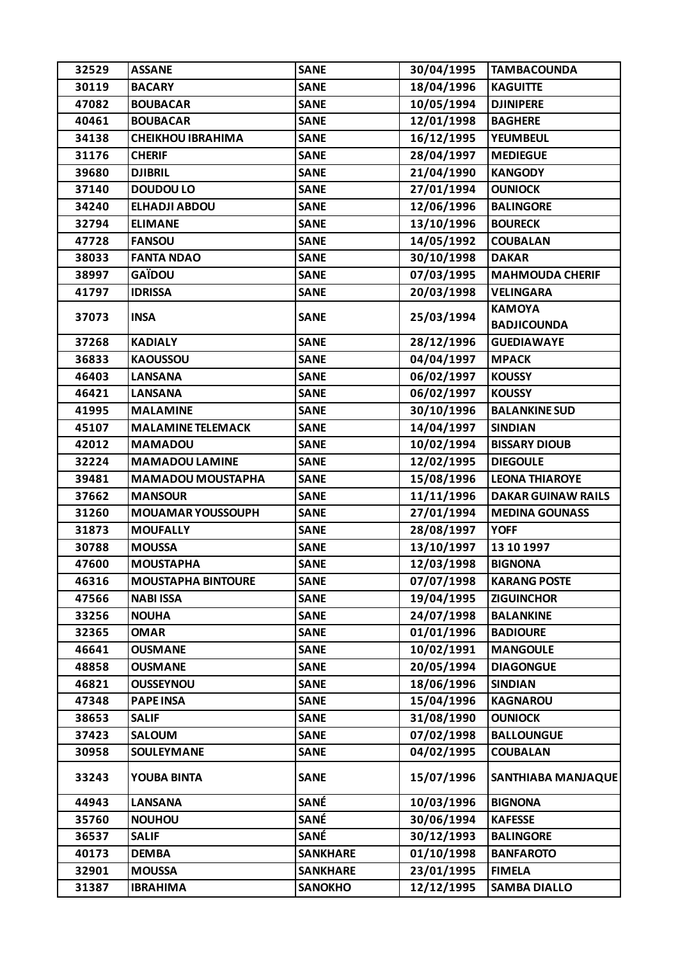| 32529 | <b>ASSANE</b>             | <b>SANE</b>     | 30/04/1995 | <b>TAMBACOUNDA</b>        |
|-------|---------------------------|-----------------|------------|---------------------------|
| 30119 | <b>BACARY</b>             | <b>SANE</b>     | 18/04/1996 | <b>KAGUITTE</b>           |
| 47082 | <b>BOUBACAR</b>           | <b>SANE</b>     | 10/05/1994 | <b>DJINIPERE</b>          |
| 40461 | <b>BOUBACAR</b>           | <b>SANE</b>     | 12/01/1998 | <b>BAGHERE</b>            |
| 34138 | <b>CHEIKHOU IBRAHIMA</b>  | <b>SANE</b>     | 16/12/1995 | <b>YEUMBEUL</b>           |
| 31176 | <b>CHERIF</b>             | <b>SANE</b>     | 28/04/1997 | <b>MEDIEGUE</b>           |
| 39680 | <b>DJIBRIL</b>            | <b>SANE</b>     | 21/04/1990 | <b>KANGODY</b>            |
| 37140 | <b>DOUDOU LO</b>          | <b>SANE</b>     | 27/01/1994 | <b>OUNIOCK</b>            |
| 34240 | <b>ELHADJI ABDOU</b>      | <b>SANE</b>     | 12/06/1996 | <b>BALINGORE</b>          |
| 32794 | <b>ELIMANE</b>            | <b>SANE</b>     | 13/10/1996 | <b>BOURECK</b>            |
| 47728 | <b>FANSOU</b>             | <b>SANE</b>     | 14/05/1992 | <b>COUBALAN</b>           |
| 38033 | <b>FANTA NDAO</b>         | <b>SANE</b>     | 30/10/1998 | <b>DAKAR</b>              |
| 38997 | <b>GAÏDOU</b>             | <b>SANE</b>     | 07/03/1995 | <b>MAHMOUDA CHERIF</b>    |
| 41797 | <b>IDRISSA</b>            | <b>SANE</b>     | 20/03/1998 | <b>VELINGARA</b>          |
| 37073 | <b>INSA</b>               | <b>SANE</b>     | 25/03/1994 | <b>KAMOYA</b>             |
|       |                           |                 |            | <b>BADJICOUNDA</b>        |
| 37268 | <b>KADIALY</b>            | <b>SANE</b>     | 28/12/1996 | <b>GUEDIAWAYE</b>         |
| 36833 | <b>KAOUSSOU</b>           | <b>SANE</b>     | 04/04/1997 | <b>MPACK</b>              |
| 46403 | <b>LANSANA</b>            | <b>SANE</b>     | 06/02/1997 | <b>KOUSSY</b>             |
| 46421 | <b>LANSANA</b>            | <b>SANE</b>     | 06/02/1997 | <b>KOUSSY</b>             |
| 41995 | <b>MALAMINE</b>           | <b>SANE</b>     | 30/10/1996 | <b>BALANKINE SUD</b>      |
| 45107 | <b>MALAMINE TELEMACK</b>  | <b>SANE</b>     | 14/04/1997 | <b>SINDIAN</b>            |
| 42012 | <b>MAMADOU</b>            | <b>SANE</b>     | 10/02/1994 | <b>BISSARY DIOUB</b>      |
| 32224 | <b>MAMADOU LAMINE</b>     | <b>SANE</b>     | 12/02/1995 | <b>DIEGOULE</b>           |
| 39481 | <b>MAMADOU MOUSTAPHA</b>  | <b>SANE</b>     | 15/08/1996 | <b>LEONA THIAROYE</b>     |
| 37662 | <b>MANSOUR</b>            | <b>SANE</b>     | 11/11/1996 | <b>DAKAR GUINAW RAILS</b> |
| 31260 | <b>MOUAMAR YOUSSOUPH</b>  | <b>SANE</b>     | 27/01/1994 | <b>MEDINA GOUNASS</b>     |
| 31873 | <b>MOUFALLY</b>           | <b>SANE</b>     | 28/08/1997 | <b>YOFF</b>               |
| 30788 | <b>MOUSSA</b>             | <b>SANE</b>     | 13/10/1997 | 13 10 1997                |
| 47600 | <b>MOUSTAPHA</b>          | <b>SANE</b>     | 12/03/1998 | <b>BIGNONA</b>            |
| 46316 | <b>MOUSTAPHA BINTOURE</b> | <b>SANE</b>     | 07/07/1998 | <b>KARANG POSTE</b>       |
| 47566 | <b>NABI ISSA</b>          | <b>SANE</b>     | 19/04/1995 | <b>ZIGUINCHOR</b>         |
| 33256 | <b>NOUHA</b>              | <b>SANE</b>     | 24/07/1998 | <b>BALANKINE</b>          |
| 32365 | <b>OMAR</b>               | <b>SANE</b>     | 01/01/1996 | <b>BADIOURE</b>           |
| 46641 | <b>OUSMANE</b>            | <b>SANE</b>     | 10/02/1991 | <b>MANGOULE</b>           |
| 48858 | <b>OUSMANE</b>            | <b>SANE</b>     | 20/05/1994 | <b>DIAGONGUE</b>          |
| 46821 | <b>OUSSEYNOU</b>          | <b>SANE</b>     | 18/06/1996 | <b>SINDIAN</b>            |
| 47348 | <b>PAPE INSA</b>          | <b>SANE</b>     | 15/04/1996 | <b>KAGNAROU</b>           |
| 38653 | <b>SALIF</b>              | <b>SANE</b>     | 31/08/1990 | <b>OUNIOCK</b>            |
| 37423 | <b>SALOUM</b>             | <b>SANE</b>     | 07/02/1998 | <b>BALLOUNGUE</b>         |
| 30958 | SOULEYMANE                | <b>SANE</b>     | 04/02/1995 | <b>COUBALAN</b>           |
| 33243 | <b>YOUBA BINTA</b>        | <b>SANE</b>     | 15/07/1996 | <b>SANTHIABA MANJAQUE</b> |
| 44943 | <b>LANSANA</b>            | <b>SANÉ</b>     | 10/03/1996 | <b>BIGNONA</b>            |
| 35760 | <b>NOUHOU</b>             | SANÉ            | 30/06/1994 | <b>KAFESSE</b>            |
| 36537 | <b>SALIF</b>              | SANÉ            | 30/12/1993 | <b>BALINGORE</b>          |
| 40173 | <b>DEMBA</b>              | <b>SANKHARE</b> | 01/10/1998 | <b>BANFAROTO</b>          |
| 32901 | <b>MOUSSA</b>             | <b>SANKHARE</b> | 23/01/1995 | <b>FIMELA</b>             |
| 31387 | <b>IBRAHIMA</b>           | <b>SANOKHO</b>  | 12/12/1995 | <b>SAMBA DIALLO</b>       |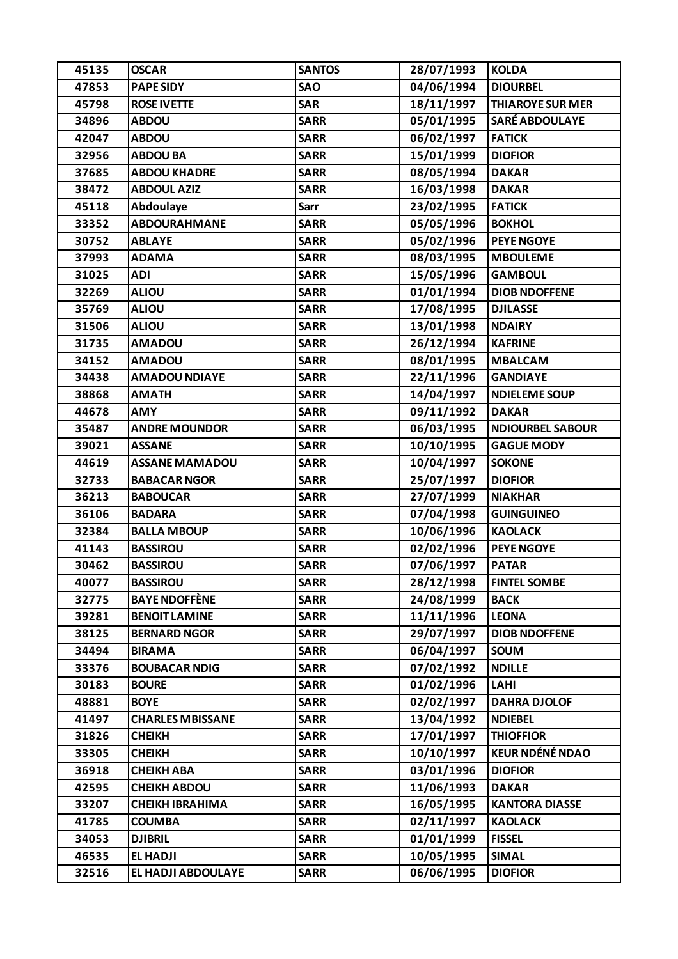| 45135 | <b>OSCAR</b>            | <b>SANTOS</b> | 28/07/1993 | <b>KOLDA</b>            |
|-------|-------------------------|---------------|------------|-------------------------|
| 47853 | <b>PAPE SIDY</b>        | SAO           | 04/06/1994 | <b>DIOURBEL</b>         |
| 45798 | <b>ROSE IVETTE</b>      | <b>SAR</b>    | 18/11/1997 | <b>THIAROYE SUR MER</b> |
| 34896 | <b>ABDOU</b>            | <b>SARR</b>   | 05/01/1995 | <b>SARÉ ABDOULAYE</b>   |
| 42047 | <b>ABDOU</b>            | <b>SARR</b>   | 06/02/1997 | <b>FATICK</b>           |
| 32956 | <b>ABDOU BA</b>         | <b>SARR</b>   | 15/01/1999 | <b>DIOFIOR</b>          |
| 37685 | <b>ABDOU KHADRE</b>     | <b>SARR</b>   | 08/05/1994 | <b>DAKAR</b>            |
| 38472 | <b>ABDOUL AZIZ</b>      | <b>SARR</b>   | 16/03/1998 | <b>DAKAR</b>            |
| 45118 | Abdoulaye               | Sarr          | 23/02/1995 | <b>FATICK</b>           |
| 33352 | <b>ABDOURAHMANE</b>     | <b>SARR</b>   | 05/05/1996 | <b>BOKHOL</b>           |
| 30752 | <b>ABLAYE</b>           | <b>SARR</b>   | 05/02/1996 | <b>PEYE NGOYE</b>       |
| 37993 | <b>ADAMA</b>            | <b>SARR</b>   | 08/03/1995 | <b>MBOULEME</b>         |
| 31025 | <b>ADI</b>              | <b>SARR</b>   | 15/05/1996 | <b>GAMBOUL</b>          |
| 32269 | <b>ALIOU</b>            | <b>SARR</b>   | 01/01/1994 | <b>DIOB NDOFFENE</b>    |
| 35769 | <b>ALIOU</b>            | <b>SARR</b>   | 17/08/1995 | <b>DJILASSE</b>         |
| 31506 | <b>ALIOU</b>            | <b>SARR</b>   | 13/01/1998 | <b>NDAIRY</b>           |
| 31735 | <b>AMADOU</b>           | <b>SARR</b>   | 26/12/1994 | <b>KAFRINE</b>          |
| 34152 | <b>AMADOU</b>           | <b>SARR</b>   | 08/01/1995 | <b>MBALCAM</b>          |
| 34438 | <b>AMADOU NDIAYE</b>    | <b>SARR</b>   | 22/11/1996 | <b>GANDIAYE</b>         |
| 38868 | <b>AMATH</b>            | <b>SARR</b>   | 14/04/1997 | <b>NDIELEME SOUP</b>    |
| 44678 | <b>AMY</b>              | <b>SARR</b>   | 09/11/1992 | <b>DAKAR</b>            |
| 35487 | <b>ANDRE MOUNDOR</b>    | <b>SARR</b>   | 06/03/1995 | <b>NDIOURBEL SABOUR</b> |
| 39021 | <b>ASSANE</b>           | <b>SARR</b>   | 10/10/1995 | <b>GAGUE MODY</b>       |
| 44619 | <b>ASSANE MAMADOU</b>   | <b>SARR</b>   | 10/04/1997 | <b>SOKONE</b>           |
| 32733 | <b>BABACAR NGOR</b>     | <b>SARR</b>   | 25/07/1997 | <b>DIOFIOR</b>          |
| 36213 | <b>BABOUCAR</b>         | <b>SARR</b>   | 27/07/1999 | <b>NIAKHAR</b>          |
| 36106 | <b>BADARA</b>           | <b>SARR</b>   | 07/04/1998 | <b>GUINGUINEO</b>       |
| 32384 | <b>BALLA MBOUP</b>      | <b>SARR</b>   | 10/06/1996 | <b>KAOLACK</b>          |
| 41143 | <b>BASSIROU</b>         | <b>SARR</b>   | 02/02/1996 | <b>PEYE NGOYE</b>       |
| 30462 | <b>BASSIROU</b>         | <b>SARR</b>   | 07/06/1997 | <b>PATAR</b>            |
| 40077 | <b>BASSIROU</b>         | <b>SARR</b>   | 28/12/1998 | <b>FINTEL SOMBE</b>     |
| 32775 | <b>BAYE NDOFFÈNE</b>    | <b>SARR</b>   | 24/08/1999 | <b>BACK</b>             |
| 39281 | <b>BENOIT LAMINE</b>    | <b>SARR</b>   | 11/11/1996 | <b>LEONA</b>            |
| 38125 | <b>BERNARD NGOR</b>     | <b>SARR</b>   | 29/07/1997 | <b>DIOB NDOFFENE</b>    |
| 34494 | <b>BIRAMA</b>           | <b>SARR</b>   | 06/04/1997 | <b>SOUM</b>             |
| 33376 | <b>BOUBACAR NDIG</b>    | <b>SARR</b>   | 07/02/1992 | <b>NDILLE</b>           |
| 30183 | <b>BOURE</b>            | <b>SARR</b>   | 01/02/1996 | LAHI                    |
| 48881 | <b>BOYE</b>             | <b>SARR</b>   | 02/02/1997 | <b>DAHRA DJOLOF</b>     |
| 41497 | <b>CHARLES MBISSANE</b> | <b>SARR</b>   | 13/04/1992 | <b>NDIEBEL</b>          |
| 31826 | <b>CHEIKH</b>           | <b>SARR</b>   | 17/01/1997 | <b>THIOFFIOR</b>        |
| 33305 | <b>CHEIKH</b>           | <b>SARR</b>   | 10/10/1997 | <b>KEUR NDÉNÉ NDAO</b>  |
| 36918 | <b>CHEIKH ABA</b>       | <b>SARR</b>   | 03/01/1996 | <b>DIOFIOR</b>          |
| 42595 | <b>CHEIKH ABDOU</b>     | <b>SARR</b>   | 11/06/1993 | <b>DAKAR</b>            |
| 33207 | <b>CHEIKH IBRAHIMA</b>  | <b>SARR</b>   | 16/05/1995 | <b>KANTORA DIASSE</b>   |
| 41785 | <b>COUMBA</b>           | <b>SARR</b>   | 02/11/1997 | <b>KAOLACK</b>          |
| 34053 | <b>DJIBRIL</b>          | <b>SARR</b>   | 01/01/1999 | <b>FISSEL</b>           |
| 46535 | <b>EL HADJI</b>         | <b>SARR</b>   | 10/05/1995 | <b>SIMAL</b>            |
| 32516 | EL HADJI ABDOULAYE      | <b>SARR</b>   | 06/06/1995 | <b>DIOFIOR</b>          |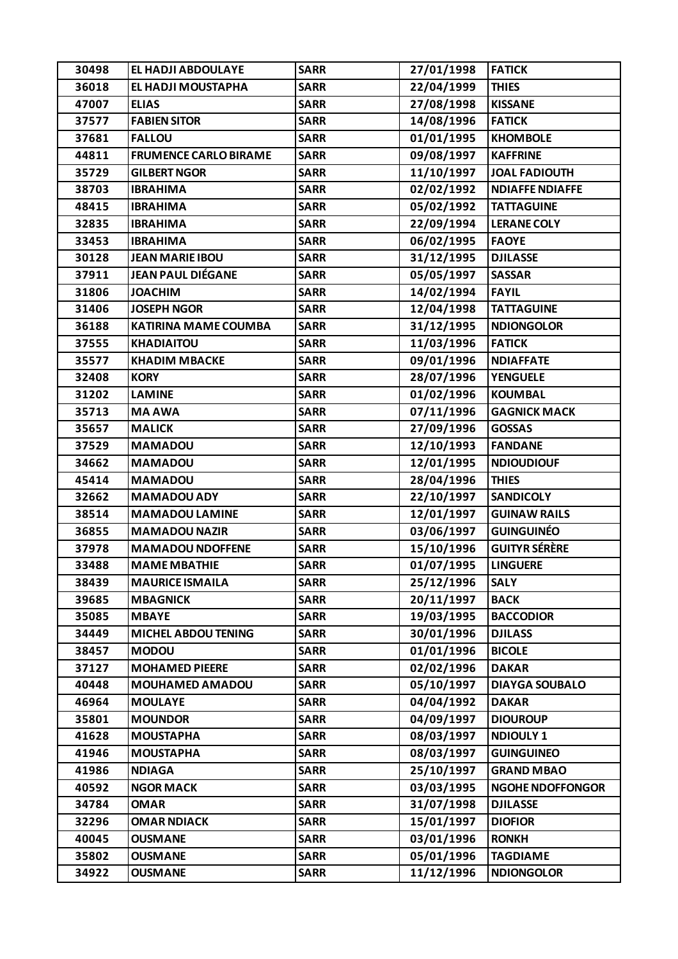| 30498 | EL HADJI ABDOULAYE           | <b>SARR</b> | 27/01/1998 | <b>FATICK</b>           |
|-------|------------------------------|-------------|------------|-------------------------|
| 36018 | EL HADJI MOUSTAPHA           | <b>SARR</b> | 22/04/1999 | <b>THIES</b>            |
| 47007 | <b>ELIAS</b>                 | <b>SARR</b> | 27/08/1998 | <b>KISSANE</b>          |
| 37577 | <b>FABIEN SITOR</b>          | <b>SARR</b> | 14/08/1996 | <b>FATICK</b>           |
| 37681 | <b>FALLOU</b>                | <b>SARR</b> | 01/01/1995 | <b>KHOMBOLE</b>         |
| 44811 | <b>FRUMENCE CARLO BIRAME</b> | <b>SARR</b> | 09/08/1997 | <b>KAFFRINE</b>         |
| 35729 | <b>GILBERT NGOR</b>          | <b>SARR</b> | 11/10/1997 | <b>JOAL FADIOUTH</b>    |
| 38703 | <b>IBRAHIMA</b>              | <b>SARR</b> | 02/02/1992 | <b>NDIAFFE NDIAFFE</b>  |
| 48415 | <b>IBRAHIMA</b>              | <b>SARR</b> | 05/02/1992 | <b>TATTAGUINE</b>       |
| 32835 | <b>IBRAHIMA</b>              | <b>SARR</b> | 22/09/1994 | <b>LERANE COLY</b>      |
| 33453 | <b>IBRAHIMA</b>              | <b>SARR</b> | 06/02/1995 | <b>FAOYE</b>            |
| 30128 | <b>JEAN MARIE IBOU</b>       | <b>SARR</b> | 31/12/1995 | <b>DJILASSE</b>         |
| 37911 | <b>JEAN PAUL DIÉGANE</b>     | <b>SARR</b> | 05/05/1997 | <b>SASSAR</b>           |
| 31806 | <b>JOACHIM</b>               | <b>SARR</b> | 14/02/1994 | <b>FAYIL</b>            |
| 31406 | <b>JOSEPH NGOR</b>           | <b>SARR</b> | 12/04/1998 | <b>TATTAGUINE</b>       |
| 36188 | <b>KATIRINA MAME COUMBA</b>  | <b>SARR</b> | 31/12/1995 | <b>NDIONGOLOR</b>       |
| 37555 | <b>KHADIAITOU</b>            | <b>SARR</b> | 11/03/1996 | <b>FATICK</b>           |
| 35577 | <b>KHADIM MBACKE</b>         | <b>SARR</b> | 09/01/1996 | <b>NDIAFFATE</b>        |
| 32408 | <b>KORY</b>                  | <b>SARR</b> | 28/07/1996 | <b>YENGUELE</b>         |
| 31202 | <b>LAMINE</b>                | <b>SARR</b> | 01/02/1996 | <b>KOUMBAL</b>          |
| 35713 | <b>MA AWA</b>                | <b>SARR</b> | 07/11/1996 | <b>GAGNICK MACK</b>     |
| 35657 | <b>MALICK</b>                | <b>SARR</b> | 27/09/1996 | <b>GOSSAS</b>           |
| 37529 | <b>MAMADOU</b>               | <b>SARR</b> | 12/10/1993 | <b>FANDANE</b>          |
| 34662 | <b>MAMADOU</b>               | <b>SARR</b> | 12/01/1995 | <b>NDIOUDIOUF</b>       |
| 45414 | <b>MAMADOU</b>               | <b>SARR</b> | 28/04/1996 | <b>THIES</b>            |
| 32662 | <b>MAMADOU ADY</b>           | <b>SARR</b> | 22/10/1997 | <b>SANDICOLY</b>        |
| 38514 | <b>MAMADOU LAMINE</b>        | <b>SARR</b> | 12/01/1997 | <b>GUINAW RAILS</b>     |
| 36855 | <b>MAMADOU NAZIR</b>         | <b>SARR</b> | 03/06/1997 | <b>GUINGUINÉO</b>       |
| 37978 | <b>MAMADOU NDOFFENE</b>      | <b>SARR</b> | 15/10/1996 | <b>GUITYR SÉRÈRE</b>    |
| 33488 | <b>MAME MBATHIE</b>          | <b>SARR</b> | 01/07/1995 | <b>LINGUERE</b>         |
| 38439 | <b>MAURICE ISMAILA</b>       | <b>SARR</b> | 25/12/1996 | <b>SALY</b>             |
| 39685 | <b>MBAGNICK</b>              | <b>SARR</b> | 20/11/1997 | <b>BACK</b>             |
| 35085 | <b>MBAYE</b>                 | <b>SARR</b> | 19/03/1995 | <b>BACCODIOR</b>        |
| 34449 | <b>MICHEL ABDOU TENING</b>   | <b>SARR</b> | 30/01/1996 | <b>DJILASS</b>          |
| 38457 | <b>MODOU</b>                 | <b>SARR</b> | 01/01/1996 | <b>BICOLE</b>           |
| 37127 | <b>MOHAMED PIEERE</b>        | <b>SARR</b> | 02/02/1996 | <b>DAKAR</b>            |
| 40448 | <b>MOUHAMED AMADOU</b>       | <b>SARR</b> | 05/10/1997 | <b>DIAYGA SOUBALO</b>   |
| 46964 | <b>MOULAYE</b>               | <b>SARR</b> | 04/04/1992 | <b>DAKAR</b>            |
| 35801 | <b>MOUNDOR</b>               | <b>SARR</b> | 04/09/1997 | <b>DIOUROUP</b>         |
| 41628 | <b>MOUSTAPHA</b>             | <b>SARR</b> | 08/03/1997 | <b>NDIOULY 1</b>        |
| 41946 | <b>MOUSTAPHA</b>             | <b>SARR</b> | 08/03/1997 | <b>GUINGUINEO</b>       |
| 41986 | <b>NDIAGA</b>                | <b>SARR</b> | 25/10/1997 | <b>GRAND MBAO</b>       |
| 40592 | <b>NGOR MACK</b>             | <b>SARR</b> | 03/03/1995 | <b>NGOHE NDOFFONGOR</b> |
| 34784 | <b>OMAR</b>                  | <b>SARR</b> | 31/07/1998 | <b>DJILASSE</b>         |
| 32296 | <b>OMAR NDIACK</b>           | <b>SARR</b> | 15/01/1997 | <b>DIOFIOR</b>          |
| 40045 | <b>OUSMANE</b>               | <b>SARR</b> | 03/01/1996 | <b>RONKH</b>            |
| 35802 | <b>OUSMANE</b>               | <b>SARR</b> | 05/01/1996 | <b>TAGDIAME</b>         |
| 34922 | <b>OUSMANE</b>               | <b>SARR</b> | 11/12/1996 | <b>NDIONGOLOR</b>       |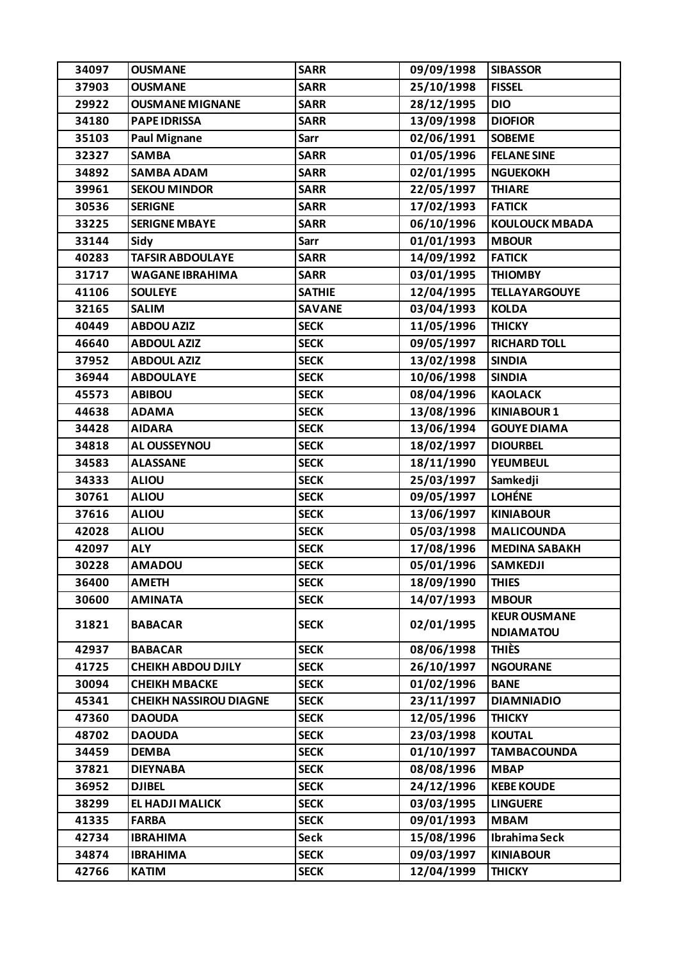| 34097 | <b>OUSMANE</b>                | <b>SARR</b>   | 09/09/1998               | <b>SIBASSOR</b>                         |
|-------|-------------------------------|---------------|--------------------------|-----------------------------------------|
| 37903 | <b>OUSMANE</b>                | <b>SARR</b>   | 25/10/1998               | <b>FISSEL</b>                           |
| 29922 | <b>OUSMANE MIGNANE</b>        | <b>SARR</b>   | 28/12/1995               | <b>DIO</b>                              |
| 34180 | <b>PAPE IDRISSA</b>           | <b>SARR</b>   | 13/09/1998               | <b>DIOFIOR</b>                          |
| 35103 | <b>Paul Mignane</b>           | Sarr          | 02/06/1991               | <b>SOBEME</b>                           |
| 32327 | <b>SAMBA</b>                  | <b>SARR</b>   | 01/05/1996               | <b>FELANE SINE</b>                      |
| 34892 | <b>SAMBA ADAM</b>             | <b>SARR</b>   | 02/01/1995               | <b>NGUEKOKH</b>                         |
| 39961 | <b>SEKOU MINDOR</b>           | <b>SARR</b>   | 22/05/1997               | <b>THIARE</b>                           |
| 30536 | <b>SERIGNE</b>                | <b>SARR</b>   | 17/02/1993               | <b>FATICK</b>                           |
| 33225 | <b>SERIGNE MBAYE</b>          | <b>SARR</b>   | 06/10/1996               | <b>KOULOUCK MBADA</b>                   |
| 33144 | Sidy                          | Sarr          | 01/01/1993               | <b>MBOUR</b>                            |
| 40283 | <b>TAFSIR ABDOULAYE</b>       | <b>SARR</b>   | 14/09/1992               | <b>FATICK</b>                           |
| 31717 | <b>WAGANE IBRAHIMA</b>        | <b>SARR</b>   | 03/01/1995               | <b>THIOMBY</b>                          |
| 41106 | <b>SOULEYE</b>                | <b>SATHIE</b> | 12/04/1995               | <b>TELLAYARGOUYE</b>                    |
| 32165 | <b>SALIM</b>                  | <b>SAVANE</b> | 03/04/1993               | <b>KOLDA</b>                            |
| 40449 | <b>ABDOU AZIZ</b>             | <b>SECK</b>   | 11/05/1996               | <b>THICKY</b>                           |
| 46640 | <b>ABDOUL AZIZ</b>            | <b>SECK</b>   | 09/05/1997               | <b>RICHARD TOLL</b>                     |
| 37952 | <b>ABDOUL AZIZ</b>            | <b>SECK</b>   | 13/02/1998               | <b>SINDIA</b>                           |
| 36944 | <b>ABDOULAYE</b>              | <b>SECK</b>   | 10/06/1998               | <b>SINDIA</b>                           |
| 45573 | <b>ABIBOU</b>                 | <b>SECK</b>   | 08/04/1996               | <b>KAOLACK</b>                          |
| 44638 | <b>ADAMA</b>                  | <b>SECK</b>   | 13/08/1996               | <b>KINIABOUR 1</b>                      |
| 34428 | <b>AIDARA</b>                 | <b>SECK</b>   | 13/06/1994               | <b>GOUYE DIAMA</b>                      |
| 34818 | AL OUSSEYNOU                  | <b>SECK</b>   | 18/02/1997               | <b>DIOURBEL</b>                         |
| 34583 | <b>ALASSANE</b>               | <b>SECK</b>   | 18/11/1990               | <b>YEUMBEUL</b>                         |
| 34333 | <b>ALIOU</b>                  | <b>SECK</b>   | 25/03/1997               | Samkedji                                |
| 30761 | <b>ALIOU</b>                  | <b>SECK</b>   | 09/05/1997               | <b>LOHÉNE</b>                           |
| 37616 | <b>ALIOU</b>                  | <b>SECK</b>   | 13/06/1997               | <b>KINIABOUR</b>                        |
| 42028 | <b>ALIOU</b>                  | <b>SECK</b>   | 05/03/1998               | <b>MALICOUNDA</b>                       |
| 42097 | <b>ALY</b>                    | <b>SECK</b>   | 17/08/1996               | <b>MEDINA SABAKH</b>                    |
| 30228 | <b>AMADOU</b>                 | <b>SECK</b>   | 05/01/1996               | <b>SAMKEDJI</b>                         |
| 36400 | <b>AMETH</b>                  | <b>SECK</b>   | 18/09/1990               | <b>THIES</b>                            |
| 30600 | <b>AMINATA</b>                | <b>SECK</b>   | 14/07/1993               | <b>MBOUR</b>                            |
| 31821 | <b>BABACAR</b>                | <b>SECK</b>   | 02/01/1995               | <b>KEUR OUSMANE</b><br><b>NDIAMATOU</b> |
| 42937 | <b>BABACAR</b>                | <b>SECK</b>   | 08/06/1998               | <b>THIÈS</b>                            |
| 41725 | <b>CHEIKH ABDOU DJILY</b>     | <b>SECK</b>   | 26/10/1997               | <b>NGOURANE</b>                         |
| 30094 | <b>CHEIKH MBACKE</b>          | <b>SECK</b>   | 01/02/1996               | <b>BANE</b>                             |
| 45341 | <b>CHEIKH NASSIROU DIAGNE</b> | <b>SECK</b>   | $\overline{23/11/1997}$  | <b>DIAMNIADIO</b>                       |
|       |                               |               | 12/05/1996               | <b>THICKY</b>                           |
| 47360 | <b>DAOUDA</b>                 | <b>SECK</b>   | 23/03/1998               |                                         |
| 48702 | <b>DAOUDA</b>                 | <b>SECK</b>   |                          | <b>KOUTAL</b>                           |
| 34459 | <b>DEMBA</b>                  | <b>SECK</b>   | 01/10/1997<br>08/08/1996 | <b>TAMBACOUNDA</b>                      |
| 37821 | <b>DIEYNABA</b>               | <b>SECK</b>   |                          | <b>MBAP</b>                             |
| 36952 | <b>DJIBEL</b>                 | <b>SECK</b>   | 24/12/1996               | <b>KEBE KOUDE</b>                       |
| 38299 | EL HADJI MALICK               | <b>SECK</b>   | 03/03/1995               | <b>LINGUERE</b>                         |
| 41335 | <b>FARBA</b>                  | <b>SECK</b>   | 09/01/1993               | <b>MBAM</b>                             |
| 42734 | <b>IBRAHIMA</b>               | <b>Seck</b>   | 15/08/1996               | Ibrahima Seck                           |
| 34874 | <b>IBRAHIMA</b>               | <b>SECK</b>   | 09/03/1997               | <b>KINIABOUR</b>                        |
| 42766 | <b>KATIM</b>                  | <b>SECK</b>   | 12/04/1999               | <b>THICKY</b>                           |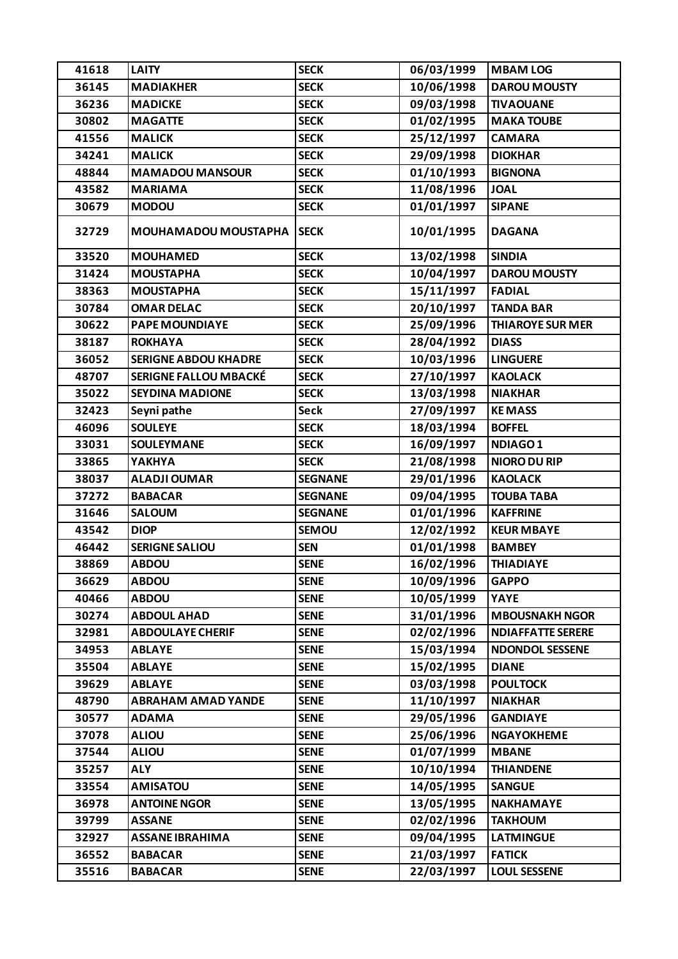| 41618 | <b>LAITY</b>                 | <b>SECK</b>    | 06/03/1999              | <b>MBAM LOG</b>          |
|-------|------------------------------|----------------|-------------------------|--------------------------|
| 36145 | <b>MADIAKHER</b>             | <b>SECK</b>    | 10/06/1998              | <b>DAROU MOUSTY</b>      |
| 36236 | <b>MADICKE</b>               | <b>SECK</b>    | 09/03/1998              | <b>TIVAOUANE</b>         |
| 30802 | <b>MAGATTE</b>               | <b>SECK</b>    | 01/02/1995              | <b>MAKA TOUBE</b>        |
| 41556 | <b>MALICK</b>                | <b>SECK</b>    | 25/12/1997              | <b>CAMARA</b>            |
| 34241 | <b>MALICK</b>                | <b>SECK</b>    | 29/09/1998              | <b>DIOKHAR</b>           |
| 48844 | <b>MAMADOU MANSOUR</b>       | <b>SECK</b>    | 01/10/1993              | <b>BIGNONA</b>           |
| 43582 | <b>MARIAMA</b>               | <b>SECK</b>    | 11/08/1996              | <b>JOAL</b>              |
| 30679 | <b>MODOU</b>                 | <b>SECK</b>    | 01/01/1997              | <b>SIPANE</b>            |
| 32729 | MOUHAMADOU MOUSTAPHA         | <b>SECK</b>    | 10/01/1995              | <b>DAGANA</b>            |
| 33520 | <b>MOUHAMED</b>              | <b>SECK</b>    | 13/02/1998              | <b>SINDIA</b>            |
| 31424 | <b>MOUSTAPHA</b>             | <b>SECK</b>    | 10/04/1997              | <b>DAROU MOUSTY</b>      |
| 38363 | <b>MOUSTAPHA</b>             | <b>SECK</b>    | 15/11/1997              | <b>FADIAL</b>            |
| 30784 | <b>OMAR DELAC</b>            | <b>SECK</b>    | 20/10/1997              | <b>TANDA BAR</b>         |
| 30622 | PAPE MOUNDIAYE               | <b>SECK</b>    | 25/09/1996              | <b>THIAROYE SUR MER</b>  |
| 38187 | <b>ROKHAYA</b>               | <b>SECK</b>    | 28/04/1992              | <b>DIASS</b>             |
| 36052 | <b>SERIGNE ABDOU KHADRE</b>  | <b>SECK</b>    | 10/03/1996              | <b>LINGUERE</b>          |
| 48707 | <b>SERIGNE FALLOU MBACKÉ</b> | <b>SECK</b>    | 27/10/1997              | <b>KAOLACK</b>           |
| 35022 | <b>SEYDINA MADIONE</b>       | <b>SECK</b>    | 13/03/1998              | <b>NIAKHAR</b>           |
| 32423 | Seyni pathe                  | <b>Seck</b>    | 27/09/1997              | <b>KE MASS</b>           |
| 46096 | <b>SOULEYE</b>               | <b>SECK</b>    | 18/03/1994              | <b>BOFFEL</b>            |
| 33031 | <b>SOULEYMANE</b>            | <b>SECK</b>    | 16/09/1997              | <b>NDIAGO1</b>           |
| 33865 | YAKHYA                       | <b>SECK</b>    | 21/08/1998              | <b>NIORO DU RIP</b>      |
| 38037 | <b>ALADJI OUMAR</b>          | <b>SEGNANE</b> | 29/01/1996              | <b>KAOLACK</b>           |
| 37272 | <b>BABACAR</b>               | <b>SEGNANE</b> | 09/04/1995              | <b>TOUBA TABA</b>        |
| 31646 | <b>SALOUM</b>                | <b>SEGNANE</b> | $\overline{01/01/1996}$ | <b>KAFFRINE</b>          |
| 43542 | <b>DIOP</b>                  | <b>SEMOU</b>   | 12/02/1992              | <b>KEUR MBAYE</b>        |
| 46442 | <b>SERIGNE SALIOU</b>        | <b>SEN</b>     | 01/01/1998              | <b>BAMBEY</b>            |
| 38869 | <b>ABDOU</b>                 | <b>SENE</b>    | 16/02/1996              | <b>THIADIAYE</b>         |
| 36629 | <b>ABDOU</b>                 | <b>SENE</b>    | 10/09/1996              | <b>GAPPO</b>             |
| 40466 | <b>ABDOU</b>                 | <b>SENE</b>    | 10/05/1999              | <b>YAYE</b>              |
| 30274 | <b>ABDOUL AHAD</b>           | <b>SENE</b>    | 31/01/1996              | <b>MBOUSNAKH NGOR</b>    |
| 32981 | <b>ABDOULAYE CHERIF</b>      | <b>SENE</b>    | 02/02/1996              | <b>NDIAFFATTE SERERE</b> |
| 34953 | <b>ABLAYE</b>                | <b>SENE</b>    | 15/03/1994              | <b>NDONDOL SESSENE</b>   |
| 35504 | <b>ABLAYE</b>                | <b>SENE</b>    | 15/02/1995              | <b>DIANE</b>             |
| 39629 | <b>ABLAYE</b>                | <b>SENE</b>    | 03/03/1998              | <b>POULTOCK</b>          |
| 48790 | <b>ABRAHAM AMAD YANDE</b>    | <b>SENE</b>    | 11/10/1997              | <b>NIAKHAR</b>           |
| 30577 | <b>ADAMA</b>                 | <b>SENE</b>    | 29/05/1996              | <b>GANDIAYE</b>          |
| 37078 | <b>ALIOU</b>                 | <b>SENE</b>    | 25/06/1996              | <b>NGAYOKHEME</b>        |
| 37544 | <b>ALIOU</b>                 | <b>SENE</b>    | 01/07/1999              | <b>MBANE</b>             |
| 35257 | <b>ALY</b>                   | <b>SENE</b>    | 10/10/1994              | <b>THIANDENE</b>         |
| 33554 | <b>AMISATOU</b>              | <b>SENE</b>    | 14/05/1995              | <b>SANGUE</b>            |
| 36978 | <b>ANTOINE NGOR</b>          | <b>SENE</b>    | 13/05/1995              | <b>NAKHAMAYE</b>         |
| 39799 | <b>ASSANE</b>                | <b>SENE</b>    | 02/02/1996              | <b>TAKHOUM</b>           |
| 32927 | <b>ASSANE IBRAHIMA</b>       | <b>SENE</b>    | 09/04/1995              | <b>LATMINGUE</b>         |
| 36552 | <b>BABACAR</b>               | <b>SENE</b>    | 21/03/1997              | <b>FATICK</b>            |
| 35516 | <b>BABACAR</b>               | <b>SENE</b>    | 22/03/1997              | <b>LOUL SESSENE</b>      |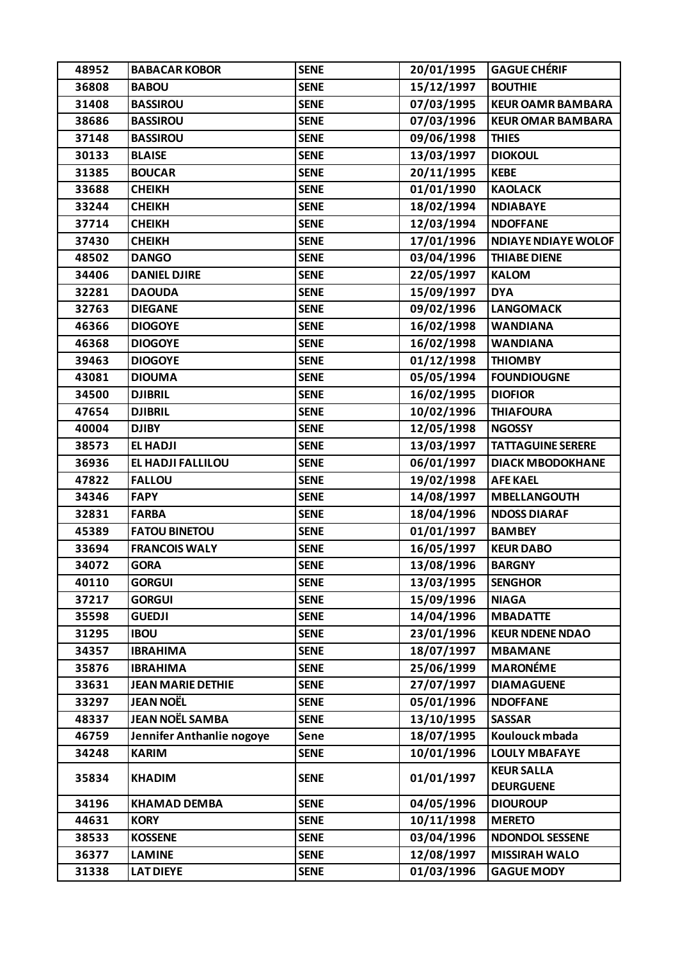| 48952 | <b>BABACAR KOBOR</b>      | <b>SENE</b> | 20/01/1995 | <b>GAGUE CHÉRIF</b>                   |
|-------|---------------------------|-------------|------------|---------------------------------------|
| 36808 | <b>BABOU</b>              | <b>SENE</b> | 15/12/1997 | <b>BOUTHIE</b>                        |
| 31408 | <b>BASSIROU</b>           | <b>SENE</b> | 07/03/1995 | <b>KEUR OAMR BAMBARA</b>              |
| 38686 | <b>BASSIROU</b>           | <b>SENE</b> | 07/03/1996 | <b>KEUR OMAR BAMBARA</b>              |
| 37148 | <b>BASSIROU</b>           | <b>SENE</b> | 09/06/1998 | <b>THIES</b>                          |
| 30133 | <b>BLAISE</b>             | <b>SENE</b> | 13/03/1997 | <b>DIOKOUL</b>                        |
| 31385 | <b>BOUCAR</b>             | <b>SENE</b> | 20/11/1995 | <b>KEBE</b>                           |
| 33688 | <b>CHEIKH</b>             | <b>SENE</b> | 01/01/1990 | <b>KAOLACK</b>                        |
| 33244 | <b>CHEIKH</b>             | <b>SENE</b> | 18/02/1994 | <b>NDIABAYE</b>                       |
| 37714 | <b>CHEIKH</b>             | <b>SENE</b> | 12/03/1994 | <b>NDOFFANE</b>                       |
| 37430 | <b>CHEIKH</b>             | <b>SENE</b> | 17/01/1996 | <b>NDIAYE NDIAYE WOLOF</b>            |
| 48502 | <b>DANGO</b>              | <b>SENE</b> | 03/04/1996 | <b>THIABE DIENE</b>                   |
| 34406 | <b>DANIEL DJIRE</b>       | <b>SENE</b> | 22/05/1997 | <b>KALOM</b>                          |
| 32281 | <b>DAOUDA</b>             | <b>SENE</b> | 15/09/1997 | <b>DYA</b>                            |
| 32763 | <b>DIEGANE</b>            | <b>SENE</b> | 09/02/1996 | <b>LANGOMACK</b>                      |
| 46366 | <b>DIOGOYE</b>            | <b>SENE</b> | 16/02/1998 | <b>WANDIANA</b>                       |
| 46368 | <b>DIOGOYE</b>            | <b>SENE</b> | 16/02/1998 | <b>WANDIANA</b>                       |
| 39463 | <b>DIOGOYE</b>            | <b>SENE</b> | 01/12/1998 | <b>THIOMBY</b>                        |
| 43081 | <b>DIOUMA</b>             | <b>SENE</b> | 05/05/1994 | <b>FOUNDIOUGNE</b>                    |
| 34500 | <b>DJIBRIL</b>            | <b>SENE</b> | 16/02/1995 | <b>DIOFIOR</b>                        |
| 47654 | <b>DJIBRIL</b>            | <b>SENE</b> | 10/02/1996 | <b>THIAFOURA</b>                      |
| 40004 | <b>DJIBY</b>              | <b>SENE</b> | 12/05/1998 | <b>NGOSSY</b>                         |
| 38573 | <b>EL HADJI</b>           | <b>SENE</b> | 13/03/1997 | <b>TATTAGUINE SERERE</b>              |
| 36936 | EL HADJI FALLILOU         | <b>SENE</b> | 06/01/1997 | <b>DIACK MBODOKHANE</b>               |
| 47822 | <b>FALLOU</b>             | <b>SENE</b> | 19/02/1998 | <b>AFE KAEL</b>                       |
| 34346 | <b>FAPY</b>               | <b>SENE</b> | 14/08/1997 | <b>MBELLANGOUTH</b>                   |
| 32831 | <b>FARBA</b>              | <b>SENE</b> | 18/04/1996 | <b>NDOSS DIARAF</b>                   |
| 45389 | <b>FATOU BINETOU</b>      | <b>SENE</b> | 01/01/1997 | <b>BAMBEY</b>                         |
| 33694 | <b>FRANCOIS WALY</b>      | <b>SENE</b> | 16/05/1997 | <b>KEUR DABO</b>                      |
| 34072 | <b>GORA</b>               | <b>SENE</b> | 13/08/1996 | <b>BARGNY</b>                         |
| 40110 | <b>GORGUI</b>             | <b>SENE</b> | 13/03/1995 | <b>SENGHOR</b>                        |
| 37217 | <b>GORGUI</b>             | <b>SENE</b> | 15/09/1996 | <b>NIAGA</b>                          |
| 35598 | <b>GUEDJI</b>             | <b>SENE</b> | 14/04/1996 | <b>MBADATTE</b>                       |
| 31295 | <b>IBOU</b>               | <b>SENE</b> | 23/01/1996 | <b>KEUR NDENE NDAO</b>                |
| 34357 | <b>IBRAHIMA</b>           | <b>SENE</b> | 18/07/1997 | <b>MBAMANE</b>                        |
| 35876 | <b>IBRAHIMA</b>           | <b>SENE</b> | 25/06/1999 | <b>MARONÉME</b>                       |
| 33631 | <b>JEAN MARIE DETHIE</b>  | <b>SENE</b> | 27/07/1997 | <b>DIAMAGUENE</b>                     |
| 33297 | <b>JEAN NOËL</b>          | <b>SENE</b> | 05/01/1996 | <b>NDOFFANE</b>                       |
| 48337 | <b>JEAN NOËL SAMBA</b>    | <b>SENE</b> | 13/10/1995 | <b>SASSAR</b>                         |
| 46759 | Jennifer Anthanlie nogoye | Sene        | 18/07/1995 | Koulouck mbada                        |
| 34248 | <b>KARIM</b>              | <b>SENE</b> | 10/01/1996 | <b>LOULY MBAFAYE</b>                  |
| 35834 | <b>KHADIM</b>             | <b>SENE</b> | 01/01/1997 | <b>KEUR SALLA</b><br><b>DEURGUENE</b> |
| 34196 | <b>KHAMAD DEMBA</b>       | <b>SENE</b> | 04/05/1996 | <b>DIOUROUP</b>                       |
| 44631 | <b>KORY</b>               | <b>SENE</b> | 10/11/1998 | <b>MERETO</b>                         |
| 38533 | <b>KOSSENE</b>            | <b>SENE</b> | 03/04/1996 | <b>NDONDOL SESSENE</b>                |
| 36377 | <b>LAMINE</b>             | <b>SENE</b> | 12/08/1997 | <b>MISSIRAH WALO</b>                  |
| 31338 | <b>LAT DIEYE</b>          | <b>SENE</b> | 01/03/1996 | <b>GAGUE MODY</b>                     |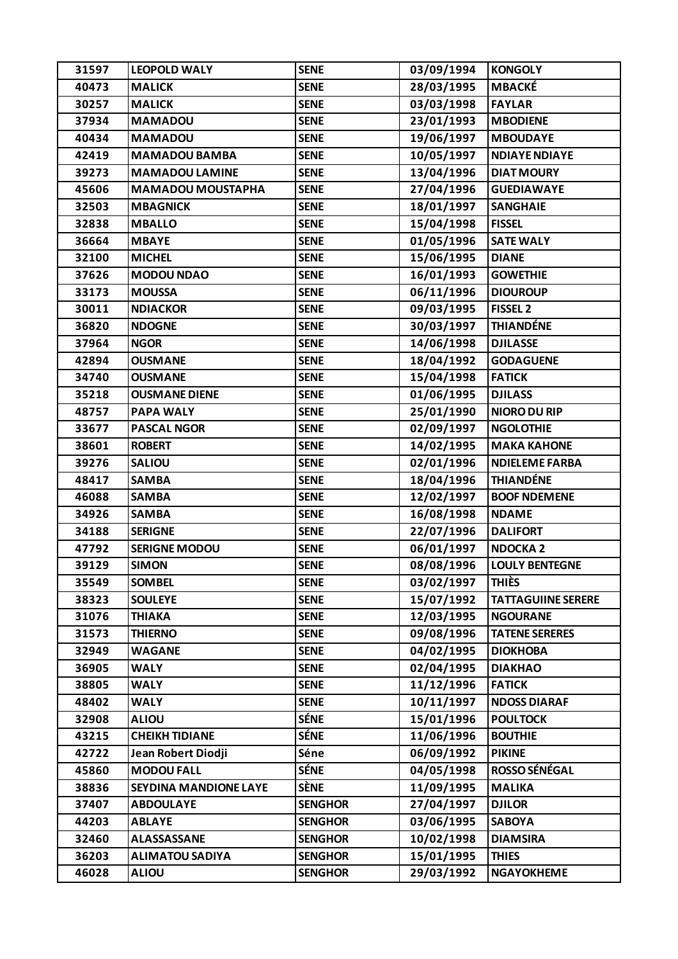| 31597 | <b>LEOPOLD WALY</b>      | <b>SENE</b>    | 03/09/1994 | <b>KONGOLY</b>            |
|-------|--------------------------|----------------|------------|---------------------------|
| 40473 | <b>MALICK</b>            | <b>SENE</b>    | 28/03/1995 | <b>MBACKÉ</b>             |
| 30257 | <b>MALICK</b>            | <b>SENE</b>    | 03/03/1998 | <b>FAYLAR</b>             |
| 37934 | <b>MAMADOU</b>           | <b>SENE</b>    | 23/01/1993 | <b>MBODIENE</b>           |
| 40434 | <b>MAMADOU</b>           | <b>SENE</b>    | 19/06/1997 | <b>MBOUDAYE</b>           |
| 42419 | <b>MAMADOU BAMBA</b>     | <b>SENE</b>    | 10/05/1997 | <b>NDIAYE NDIAYE</b>      |
| 39273 | <b>MAMADOU LAMINE</b>    | <b>SENE</b>    | 13/04/1996 | <b>DIAT MOURY</b>         |
| 45606 | <b>MAMADOU MOUSTAPHA</b> | <b>SENE</b>    | 27/04/1996 | <b>GUEDIAWAYE</b>         |
| 32503 | <b>MBAGNICK</b>          | <b>SENE</b>    | 18/01/1997 | <b>SANGHAIE</b>           |
| 32838 | <b>MBALLO</b>            | <b>SENE</b>    | 15/04/1998 | <b>FISSEL</b>             |
| 36664 | <b>MBAYE</b>             | <b>SENE</b>    | 01/05/1996 | <b>SATE WALY</b>          |
| 32100 | <b>MICHEL</b>            | <b>SENE</b>    | 15/06/1995 | <b>DIANE</b>              |
| 37626 | <b>MODOU NDAO</b>        | <b>SENE</b>    | 16/01/1993 | <b>GOWETHIE</b>           |
| 33173 | <b>MOUSSA</b>            | <b>SENE</b>    | 06/11/1996 | <b>DIOUROUP</b>           |
| 30011 | <b>NDIACKOR</b>          | <b>SENE</b>    | 09/03/1995 | <b>FISSEL 2</b>           |
| 36820 | <b>NDOGNE</b>            | <b>SENE</b>    | 30/03/1997 | <b>THIANDÉNE</b>          |
| 37964 | <b>NGOR</b>              | <b>SENE</b>    | 14/06/1998 | <b>DJILASSE</b>           |
| 42894 | <b>OUSMANE</b>           | <b>SENE</b>    | 18/04/1992 | <b>GODAGUENE</b>          |
| 34740 | <b>OUSMANE</b>           | <b>SENE</b>    | 15/04/1998 | <b>FATICK</b>             |
| 35218 | <b>OUSMANE DIENE</b>     | <b>SENE</b>    | 01/06/1995 | <b>DJILASS</b>            |
| 48757 | <b>PAPA WALY</b>         | <b>SENE</b>    | 25/01/1990 | <b>NIORO DU RIP</b>       |
| 33677 | <b>PASCAL NGOR</b>       | <b>SENE</b>    | 02/09/1997 | <b>NGOLOTHIE</b>          |
| 38601 | <b>ROBERT</b>            | <b>SENE</b>    | 14/02/1995 | <b>MAKA KAHONE</b>        |
| 39276 | <b>SALIOU</b>            | <b>SENE</b>    | 02/01/1996 | <b>NDIELEME FARBA</b>     |
| 48417 | <b>SAMBA</b>             | <b>SENE</b>    | 18/04/1996 | <b>THIANDÉNE</b>          |
| 46088 | <b>SAMBA</b>             | <b>SENE</b>    | 12/02/1997 | <b>BOOF NDEMENE</b>       |
| 34926 | <b>SAMBA</b>             | <b>SENE</b>    | 16/08/1998 | <b>NDAME</b>              |
| 34188 | <b>SERIGNE</b>           | <b>SENE</b>    | 22/07/1996 | <b>DALIFORT</b>           |
| 47792 | <b>SERIGNE MODOU</b>     | <b>SENE</b>    | 06/01/1997 | <b>NDOCKA 2</b>           |
| 39129 | <b>SIMON</b>             | <b>SENE</b>    | 08/08/1996 | <b>LOULY BENTEGNE</b>     |
| 35549 | <b>SOMBEL</b>            | <b>SENE</b>    | 03/02/1997 | <b>THIÈS</b>              |
| 38323 | <b>SOULEYE</b>           | <b>SENE</b>    | 15/07/1992 | <b>TATTAGUIINE SERERE</b> |
| 31076 | <b>THIAKA</b>            | <b>SENE</b>    | 12/03/1995 | <b>NGOURANE</b>           |
| 31573 | <b>THIERNO</b>           | <b>SENE</b>    | 09/08/1996 | <b>TATENE SERERES</b>     |
| 32949 | <b>WAGANE</b>            | <b>SENE</b>    | 04/02/1995 | <b>DIOKHOBA</b>           |
| 36905 | <b>WALY</b>              | <b>SENE</b>    | 02/04/1995 | <b>DIAKHAO</b>            |
| 38805 | <b>WALY</b>              | <b>SENE</b>    | 11/12/1996 | <b>FATICK</b>             |
| 48402 | <b>WALY</b>              | <b>SENE</b>    | 10/11/1997 | <b>NDOSS DIARAF</b>       |
| 32908 | <b>ALIOU</b>             | <b>SÉNE</b>    | 15/01/1996 | <b>POULTOCK</b>           |
| 43215 | <b>CHEIKH TIDIANE</b>    | <b>SÉNE</b>    | 11/06/1996 | <b>BOUTHIE</b>            |
| 42722 | Jean Robert Diodji       | Séne           | 06/09/1992 | <b>PIKINE</b>             |
| 45860 | <b>MODOU FALL</b>        | <b>SÉNE</b>    | 04/05/1998 | <b>ROSSO SÉNÉGAL</b>      |
| 38836 | SEYDINA MANDIONE LAYE    | <b>SÈNE</b>    | 11/09/1995 | <b>MALIKA</b>             |
| 37407 | <b>ABDOULAYE</b>         | <b>SENGHOR</b> | 27/04/1997 | <b>DJILOR</b>             |
| 44203 | <b>ABLAYE</b>            | <b>SENGHOR</b> | 03/06/1995 | <b>SABOYA</b>             |
| 32460 | <b>ALASSASSANE</b>       | <b>SENGHOR</b> | 10/02/1998 | <b>DIAMSIRA</b>           |
| 36203 | <b>ALIMATOU SADIYA</b>   | <b>SENGHOR</b> | 15/01/1995 | <b>THIES</b>              |
| 46028 | <b>ALIOU</b>             | <b>SENGHOR</b> | 29/03/1992 | <b>NGAYOKHEME</b>         |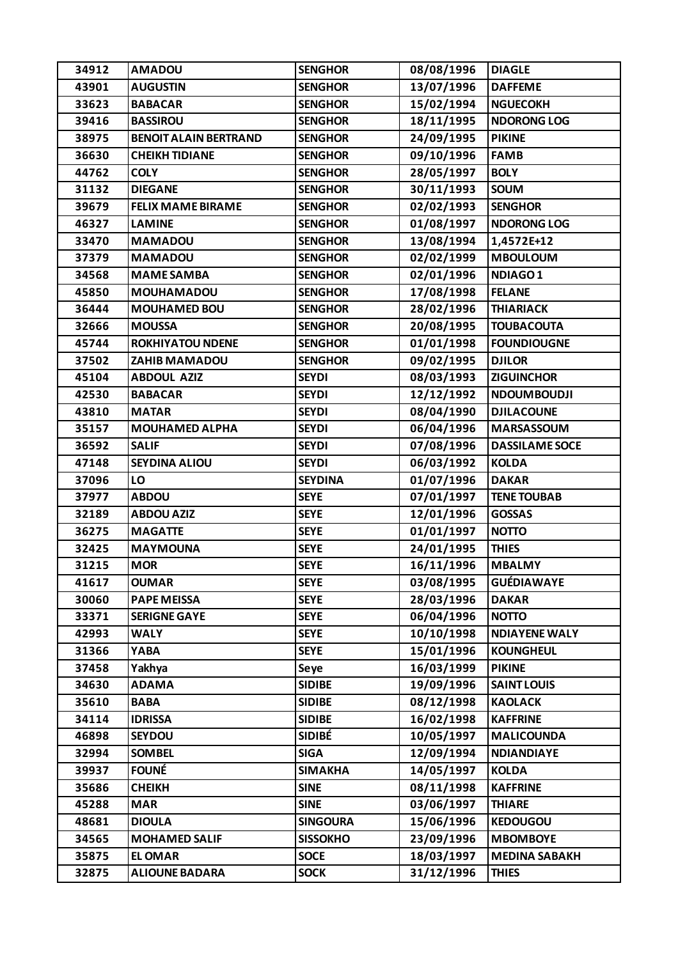| 34912 | <b>AMADOU</b>                | <b>SENGHOR</b>  | 08/08/1996 | <b>DIAGLE</b>         |
|-------|------------------------------|-----------------|------------|-----------------------|
| 43901 | <b>AUGUSTIN</b>              | <b>SENGHOR</b>  | 13/07/1996 | <b>DAFFEME</b>        |
| 33623 | <b>BABACAR</b>               | <b>SENGHOR</b>  | 15/02/1994 | <b>NGUECOKH</b>       |
| 39416 | <b>BASSIROU</b>              | <b>SENGHOR</b>  | 18/11/1995 | <b>NDORONG LOG</b>    |
| 38975 | <b>BENOIT ALAIN BERTRAND</b> | <b>SENGHOR</b>  | 24/09/1995 | <b>PIKINE</b>         |
| 36630 | <b>CHEIKH TIDIANE</b>        | <b>SENGHOR</b>  | 09/10/1996 | <b>FAMB</b>           |
| 44762 | <b>COLY</b>                  | <b>SENGHOR</b>  | 28/05/1997 | <b>BOLY</b>           |
| 31132 | <b>DIEGANE</b>               | <b>SENGHOR</b>  | 30/11/1993 | <b>SOUM</b>           |
| 39679 | <b>FELIX MAME BIRAME</b>     | <b>SENGHOR</b>  | 02/02/1993 | <b>SENGHOR</b>        |
| 46327 | <b>LAMINE</b>                | <b>SENGHOR</b>  | 01/08/1997 | <b>NDORONG LOG</b>    |
| 33470 | <b>MAMADOU</b>               | <b>SENGHOR</b>  | 13/08/1994 | 1,4572E+12            |
| 37379 | <b>MAMADOU</b>               | <b>SENGHOR</b>  | 02/02/1999 | <b>MBOULOUM</b>       |
| 34568 | <b>MAME SAMBA</b>            | <b>SENGHOR</b>  | 02/01/1996 | <b>NDIAGO1</b>        |
| 45850 | <b>MOUHAMADOU</b>            | <b>SENGHOR</b>  | 17/08/1998 | <b>FELANE</b>         |
| 36444 | <b>MOUHAMED BOU</b>          | <b>SENGHOR</b>  | 28/02/1996 | <b>THIARIACK</b>      |
| 32666 | <b>MOUSSA</b>                | <b>SENGHOR</b>  | 20/08/1995 | <b>TOUBACOUTA</b>     |
| 45744 | <b>ROKHIYATOU NDENE</b>      | <b>SENGHOR</b>  | 01/01/1998 | <b>FOUNDIOUGNE</b>    |
| 37502 | <b>ZAHIB MAMADOU</b>         | <b>SENGHOR</b>  | 09/02/1995 | <b>DJILOR</b>         |
| 45104 | <b>ABDOUL AZIZ</b>           | <b>SEYDI</b>    | 08/03/1993 | <b>ZIGUINCHOR</b>     |
| 42530 | <b>BABACAR</b>               | <b>SEYDI</b>    | 12/12/1992 | <b>NDOUMBOUDJI</b>    |
| 43810 | <b>MATAR</b>                 | <b>SEYDI</b>    | 08/04/1990 | <b>DJILACOUNE</b>     |
| 35157 | <b>MOUHAMED ALPHA</b>        | <b>SEYDI</b>    | 06/04/1996 | <b>MARSASSOUM</b>     |
| 36592 | <b>SALIF</b>                 | <b>SEYDI</b>    | 07/08/1996 | <b>DASSILAME SOCE</b> |
| 47148 | <b>SEYDINA ALIOU</b>         | <b>SEYDI</b>    | 06/03/1992 | <b>KOLDA</b>          |
| 37096 | LO                           | <b>SEYDINA</b>  | 01/07/1996 | <b>DAKAR</b>          |
| 37977 | <b>ABDOU</b>                 | <b>SEYE</b>     | 07/01/1997 | <b>TENE TOUBAB</b>    |
| 32189 | <b>ABDOU AZIZ</b>            | <b>SEYE</b>     | 12/01/1996 | <b>GOSSAS</b>         |
| 36275 | <b>MAGATTE</b>               | <b>SEYE</b>     | 01/01/1997 | <b>NOTTO</b>          |
| 32425 | <b>MAYMOUNA</b>              | <b>SEYE</b>     | 24/01/1995 | <b>THIES</b>          |
| 31215 | <b>MOR</b>                   | <b>SEYE</b>     | 16/11/1996 | <b>MBALMY</b>         |
| 41617 | <b>OUMAR</b>                 | <b>SEYE</b>     | 03/08/1995 | <b>GUÉDIAWAYE</b>     |
| 30060 | <b>PAPE MEISSA</b>           | <b>SEYE</b>     | 28/03/1996 | <b>DAKAR</b>          |
| 33371 | <b>SERIGNE GAYE</b>          | <b>SEYE</b>     | 06/04/1996 | <b>NOTTO</b>          |
| 42993 | <b>WALY</b>                  | <b>SEYE</b>     | 10/10/1998 | <b>NDIAYENE WALY</b>  |
| 31366 | <b>YABA</b>                  | <b>SEYE</b>     | 15/01/1996 | <b>KOUNGHEUL</b>      |
| 37458 | Yakhya                       | Seye            | 16/03/1999 | <b>PIKINE</b>         |
| 34630 | <b>ADAMA</b>                 | <b>SIDIBE</b>   | 19/09/1996 | <b>SAINT LOUIS</b>    |
| 35610 | <b>BABA</b>                  | <b>SIDIBE</b>   | 08/12/1998 | <b>KAOLACK</b>        |
| 34114 | <b>IDRISSA</b>               | <b>SIDIBE</b>   | 16/02/1998 | <b>KAFFRINE</b>       |
| 46898 | <b>SEYDOU</b>                | <b>SIDIBÉ</b>   | 10/05/1997 | <b>MALICOUNDA</b>     |
| 32994 | <b>SOMBEL</b>                | <b>SIGA</b>     | 12/09/1994 | <b>NDIANDIAYE</b>     |
| 39937 | <b>FOUNÉ</b>                 | <b>SIMAKHA</b>  | 14/05/1997 | <b>KOLDA</b>          |
| 35686 | <b>CHEIKH</b>                | <b>SINE</b>     | 08/11/1998 | <b>KAFFRINE</b>       |
| 45288 | <b>MAR</b>                   | <b>SINE</b>     | 03/06/1997 | <b>THIARE</b>         |
| 48681 | <b>DIOULA</b>                | <b>SINGOURA</b> | 15/06/1996 | <b>KEDOUGOU</b>       |
| 34565 | <b>MOHAMED SALIF</b>         | <b>SISSOKHO</b> | 23/09/1996 | <b>MBOMBOYE</b>       |
| 35875 | <b>EL OMAR</b>               | <b>SOCE</b>     | 18/03/1997 | <b>MEDINA SABAKH</b>  |
| 32875 | <b>ALIOUNE BADARA</b>        | <b>SOCK</b>     | 31/12/1996 | <b>THIES</b>          |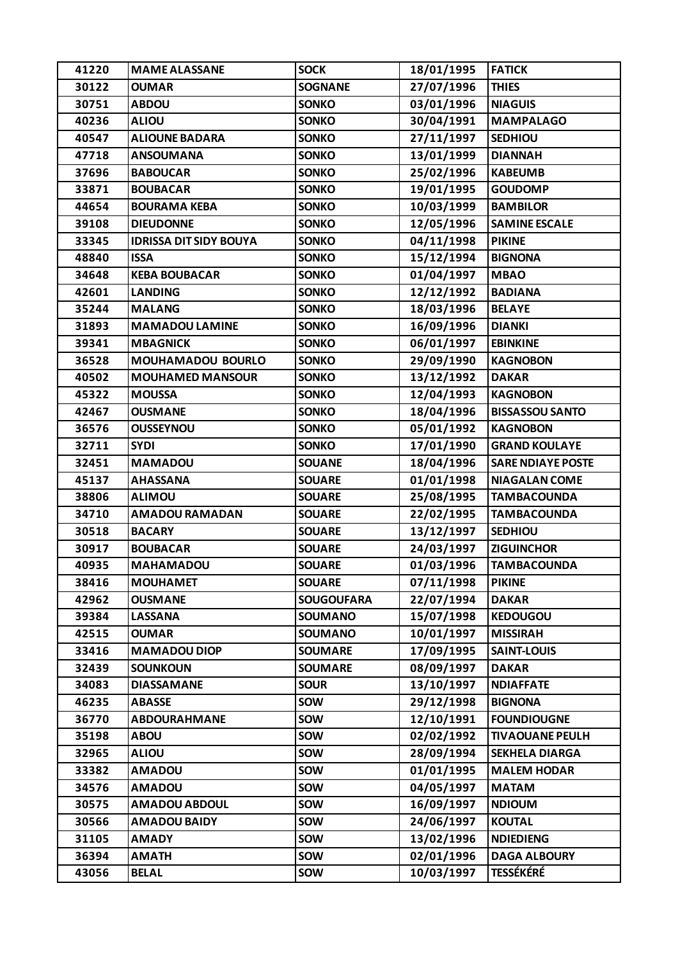| 41220 | <b>MAME ALASSANE</b>          | <b>SOCK</b>       | 18/01/1995              | <b>FATICK</b>            |
|-------|-------------------------------|-------------------|-------------------------|--------------------------|
| 30122 | <b>OUMAR</b>                  | <b>SOGNANE</b>    | 27/07/1996              | <b>THIES</b>             |
| 30751 | <b>ABDOU</b>                  | <b>SONKO</b>      | 03/01/1996              | <b>NIAGUIS</b>           |
| 40236 | <b>ALIOU</b>                  | <b>SONKO</b>      | 30/04/1991              | <b>MAMPALAGO</b>         |
| 40547 | <b>ALIOUNE BADARA</b>         | <b>SONKO</b>      | 27/11/1997              | <b>SEDHIOU</b>           |
| 47718 | <b>ANSOUMANA</b>              | <b>SONKO</b>      | 13/01/1999              | <b>DIANNAH</b>           |
| 37696 | <b>BABOUCAR</b>               | <b>SONKO</b>      | 25/02/1996              | <b>KABEUMB</b>           |
| 33871 | <b>BOUBACAR</b>               | <b>SONKO</b>      | $\overline{19/01/1995}$ | <b>GOUDOMP</b>           |
| 44654 | <b>BOURAMA KEBA</b>           | <b>SONKO</b>      | 10/03/1999              | <b>BAMBILOR</b>          |
| 39108 | <b>DIEUDONNE</b>              | <b>SONKO</b>      | 12/05/1996              | <b>SAMINE ESCALE</b>     |
| 33345 | <b>IDRISSA DIT SIDY BOUYA</b> | <b>SONKO</b>      | 04/11/1998              | <b>PIKINE</b>            |
| 48840 | <b>ISSA</b>                   | <b>SONKO</b>      | 15/12/1994              | <b>BIGNONA</b>           |
| 34648 | <b>KEBA BOUBACAR</b>          | <b>SONKO</b>      | 01/04/1997              | <b>MBAO</b>              |
| 42601 | <b>LANDING</b>                | <b>SONKO</b>      | 12/12/1992              | <b>BADIANA</b>           |
| 35244 | <b>MALANG</b>                 | <b>SONKO</b>      | 18/03/1996              | <b>BELAYE</b>            |
| 31893 | <b>MAMADOU LAMINE</b>         | <b>SONKO</b>      | 16/09/1996              | <b>DIANKI</b>            |
| 39341 | <b>MBAGNICK</b>               | <b>SONKO</b>      | 06/01/1997              | <b>EBINKINE</b>          |
| 36528 | MOUHAMADOU BOURLO             | <b>SONKO</b>      | 29/09/1990              | <b>KAGNOBON</b>          |
| 40502 | <b>MOUHAMED MANSOUR</b>       | <b>SONKO</b>      | 13/12/1992              | <b>DAKAR</b>             |
| 45322 | <b>MOUSSA</b>                 | <b>SONKO</b>      | 12/04/1993              | <b>KAGNOBON</b>          |
| 42467 | <b>OUSMANE</b>                | <b>SONKO</b>      | 18/04/1996              | <b>BISSASSOU SANTO</b>   |
| 36576 | <b>OUSSEYNOU</b>              | <b>SONKO</b>      | 05/01/1992              | <b>KAGNOBON</b>          |
| 32711 | <b>SYDI</b>                   | <b>SONKO</b>      | 17/01/1990              | <b>GRAND KOULAYE</b>     |
| 32451 | <b>MAMADOU</b>                | <b>SOUANE</b>     | 18/04/1996              | <b>SARE NDIAYE POSTE</b> |
| 45137 | <b>AHASSANA</b>               | <b>SOUARE</b>     | 01/01/1998              | <b>NIAGALAN COME</b>     |
| 38806 | <b>ALIMOU</b>                 | <b>SOUARE</b>     | 25/08/1995              | <b>TAMBACOUNDA</b>       |
| 34710 | <b>AMADOU RAMADAN</b>         | <b>SOUARE</b>     | 22/02/1995              | <b>TAMBACOUNDA</b>       |
| 30518 | <b>BACARY</b>                 | <b>SOUARE</b>     | 13/12/1997              | <b>SEDHIOU</b>           |
| 30917 | <b>BOUBACAR</b>               | <b>SOUARE</b>     | 24/03/1997              | <b>ZIGUINCHOR</b>        |
| 40935 | <b>MAHAMADOU</b>              | <b>SOUARE</b>     | 01/03/1996              | <b>TAMBACOUNDA</b>       |
| 38416 | <b>MOUHAMET</b>               | <b>SOUARE</b>     | 07/11/1998              | <b>PIKINE</b>            |
| 42962 | <b>OUSMANE</b>                | <b>SOUGOUFARA</b> | 22/07/1994              | <b>DAKAR</b>             |
| 39384 | <b>LASSANA</b>                | <b>SOUMANO</b>    | 15/07/1998              | <b>KEDOUGOU</b>          |
| 42515 | <b>OUMAR</b>                  | <b>SOUMANO</b>    | 10/01/1997              | <b>MISSIRAH</b>          |
| 33416 | <b>MAMADOU DIOP</b>           | <b>SOUMARE</b>    | 17/09/1995              | <b>SAINT-LOUIS</b>       |
| 32439 | <b>SOUNKOUN</b>               | <b>SOUMARE</b>    | 08/09/1997              | <b>DAKAR</b>             |
| 34083 | <b>DIASSAMANE</b>             | <b>SOUR</b>       | 13/10/1997              | <b>NDIAFFATE</b>         |
| 46235 | <b>ABASSE</b>                 | <b>SOW</b>        | 29/12/1998              | <b>BIGNONA</b>           |
| 36770 | <b>ABDOURAHMANE</b>           | <b>SOW</b>        | 12/10/1991              | <b>FOUNDIOUGNE</b>       |
| 35198 | <b>ABOU</b>                   | <b>SOW</b>        | 02/02/1992              | <b>TIVAOUANE PEULH</b>   |
| 32965 | <b>ALIOU</b>                  | <b>SOW</b>        | 28/09/1994              | <b>SEKHELA DIARGA</b>    |
| 33382 | <b>AMADOU</b>                 | <b>SOW</b>        | 01/01/1995              | <b>MALEM HODAR</b>       |
| 34576 | <b>AMADOU</b>                 | <b>SOW</b>        | 04/05/1997              | <b>MATAM</b>             |
| 30575 | <b>AMADOU ABDOUL</b>          | <b>SOW</b>        | 16/09/1997              | <b>NDIOUM</b>            |
| 30566 | <b>AMADOU BAIDY</b>           | <b>SOW</b>        | 24/06/1997              | <b>KOUTAL</b>            |
| 31105 | <b>AMADY</b>                  | <b>SOW</b>        | 13/02/1996              | <b>NDIEDIENG</b>         |
| 36394 | <b>AMATH</b>                  | <b>SOW</b>        | 02/01/1996              | <b>DAGA ALBOURY</b>      |
| 43056 | <b>BELAL</b>                  | <b>SOW</b>        | 10/03/1997              | <b>TESSÉKÉRÉ</b>         |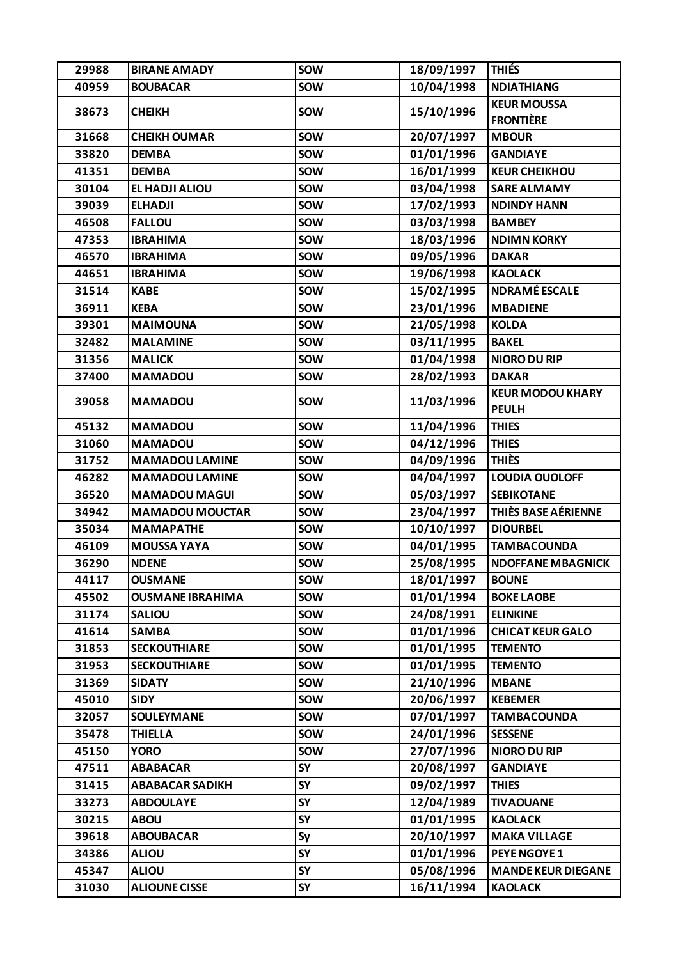| 29988 | <b>BIRANE AMADY</b>     | <b>SOW</b> | 18/09/1997 | <b>THIÉS</b>                            |
|-------|-------------------------|------------|------------|-----------------------------------------|
| 40959 | <b>BOUBACAR</b>         | <b>SOW</b> | 10/04/1998 | <b>NDIATHIANG</b>                       |
| 38673 | <b>CHEIKH</b>           | <b>SOW</b> | 15/10/1996 | <b>KEUR MOUSSA</b>                      |
|       |                         |            |            | <b>FRONTIÈRE</b>                        |
| 31668 | <b>CHEIKH OUMAR</b>     | <b>SOW</b> | 20/07/1997 | <b>MBOUR</b>                            |
| 33820 | <b>DEMBA</b>            | <b>SOW</b> | 01/01/1996 | <b>GANDIAYE</b>                         |
| 41351 | <b>DEMBA</b>            | <b>SOW</b> | 16/01/1999 | <b>KEUR CHEIKHOU</b>                    |
| 30104 | EL HADJI ALIOU          | <b>SOW</b> | 03/04/1998 | <b>SARE ALMAMY</b>                      |
| 39039 | <b>ELHADJI</b>          | <b>SOW</b> | 17/02/1993 | <b>NDINDY HANN</b>                      |
| 46508 | <b>FALLOU</b>           | <b>SOW</b> | 03/03/1998 | <b>BAMBEY</b>                           |
| 47353 | <b>IBRAHIMA</b>         | <b>SOW</b> | 18/03/1996 | <b>NDIMN KORKY</b>                      |
| 46570 | <b>IBRAHIMA</b>         | <b>SOW</b> | 09/05/1996 | <b>DAKAR</b>                            |
| 44651 | <b>IBRAHIMA</b>         | <b>SOW</b> | 19/06/1998 | <b>KAOLACK</b>                          |
| 31514 | <b>KABE</b>             | <b>SOW</b> | 15/02/1995 | <b>NDRAMÉ ESCALE</b>                    |
| 36911 | <b>KEBA</b>             | <b>SOW</b> | 23/01/1996 | <b>MBADIENE</b>                         |
| 39301 | <b>MAIMOUNA</b>         | <b>SOW</b> | 21/05/1998 | <b>KOLDA</b>                            |
| 32482 | <b>MALAMINE</b>         | <b>SOW</b> | 03/11/1995 | <b>BAKEL</b>                            |
| 31356 | <b>MALICK</b>           | <b>SOW</b> | 01/04/1998 | <b>NIORO DU RIP</b>                     |
| 37400 | <b>MAMADOU</b>          | <b>SOW</b> | 28/02/1993 | <b>DAKAR</b>                            |
| 39058 | <b>MAMADOU</b>          | <b>SOW</b> | 11/03/1996 | <b>KEUR MODOU KHARY</b><br><b>PEULH</b> |
| 45132 | <b>MAMADOU</b>          | <b>SOW</b> | 11/04/1996 | <b>THIES</b>                            |
| 31060 | <b>MAMADOU</b>          | <b>SOW</b> | 04/12/1996 | <b>THIES</b>                            |
| 31752 | <b>MAMADOU LAMINE</b>   | <b>SOW</b> | 04/09/1996 | <b>THIÈS</b>                            |
| 46282 | <b>MAMADOU LAMINE</b>   | <b>SOW</b> | 04/04/1997 | <b>LOUDIA OUOLOFF</b>                   |
| 36520 | <b>MAMADOU MAGUI</b>    | <b>SOW</b> | 05/03/1997 | <b>SEBIKOTANE</b>                       |
| 34942 | <b>MAMADOU MOUCTAR</b>  | <b>SOW</b> | 23/04/1997 | <b>THIÈS BASE AÉRIENNE</b>              |
| 35034 | <b>MAMAPATHE</b>        | <b>SOW</b> | 10/10/1997 | <b>DIOURBEL</b>                         |
| 46109 | <b>MOUSSA YAYA</b>      | <b>SOW</b> | 04/01/1995 | <b>TAMBACOUNDA</b>                      |
| 36290 | <b>NDENE</b>            | <b>SOW</b> | 25/08/1995 | <b>NDOFFANE MBAGNICK</b>                |
| 44117 | <b>OUSMANE</b>          | <b>SOW</b> | 18/01/1997 | <b>BOUNE</b>                            |
| 45502 | <b>OUSMANE IBRAHIMA</b> | <b>SOW</b> | 01/01/1994 | <b>BOKE LAOBE</b>                       |
| 31174 | <b>SALIOU</b>           | <b>SOW</b> | 24/08/1991 | <b>ELINKINE</b>                         |
| 41614 | <b>SAMBA</b>            | <b>SOW</b> | 01/01/1996 | <b>CHICAT KEUR GALO</b>                 |
| 31853 | <b>SECKOUTHIARE</b>     | <b>SOW</b> | 01/01/1995 | <b>TEMENTO</b>                          |
| 31953 | <b>SECKOUTHIARE</b>     | <b>SOW</b> | 01/01/1995 | <b>TEMENTO</b>                          |
| 31369 | <b>SIDATY</b>           | <b>SOW</b> | 21/10/1996 | <b>MBANE</b>                            |
| 45010 | <b>SIDY</b>             | <b>SOW</b> | 20/06/1997 | <b>KEBEMER</b>                          |
| 32057 | SOULEYMANE              | <b>SOW</b> | 07/01/1997 | <b>TAMBACOUNDA</b>                      |
| 35478 | <b>THIELLA</b>          | <b>SOW</b> | 24/01/1996 | <b>SESSENE</b>                          |
| 45150 | <b>YORO</b>             | <b>SOW</b> | 27/07/1996 | <b>NIORO DU RIP</b>                     |
| 47511 | <b>ABABACAR</b>         | <b>SY</b>  | 20/08/1997 | <b>GANDIAYE</b>                         |
| 31415 | <b>ABABACAR SADIKH</b>  | SY         | 09/02/1997 | <b>THIES</b>                            |
| 33273 | <b>ABDOULAYE</b>        | <b>SY</b>  | 12/04/1989 | <b>TIVAOUANE</b>                        |
| 30215 | <b>ABOU</b>             | <b>SY</b>  | 01/01/1995 | <b>KAOLACK</b>                          |
| 39618 | <b>ABOUBACAR</b>        | Sy         | 20/10/1997 | <b>MAKA VILLAGE</b>                     |
| 34386 | <b>ALIOU</b>            | <b>SY</b>  | 01/01/1996 | <b>PEYE NGOYE 1</b>                     |
| 45347 | <b>ALIOU</b>            | <b>SY</b>  | 05/08/1996 | <b>MANDE KEUR DIEGANE</b>               |
| 31030 | <b>ALIOUNE CISSE</b>    | <b>SY</b>  | 16/11/1994 | <b>KAOLACK</b>                          |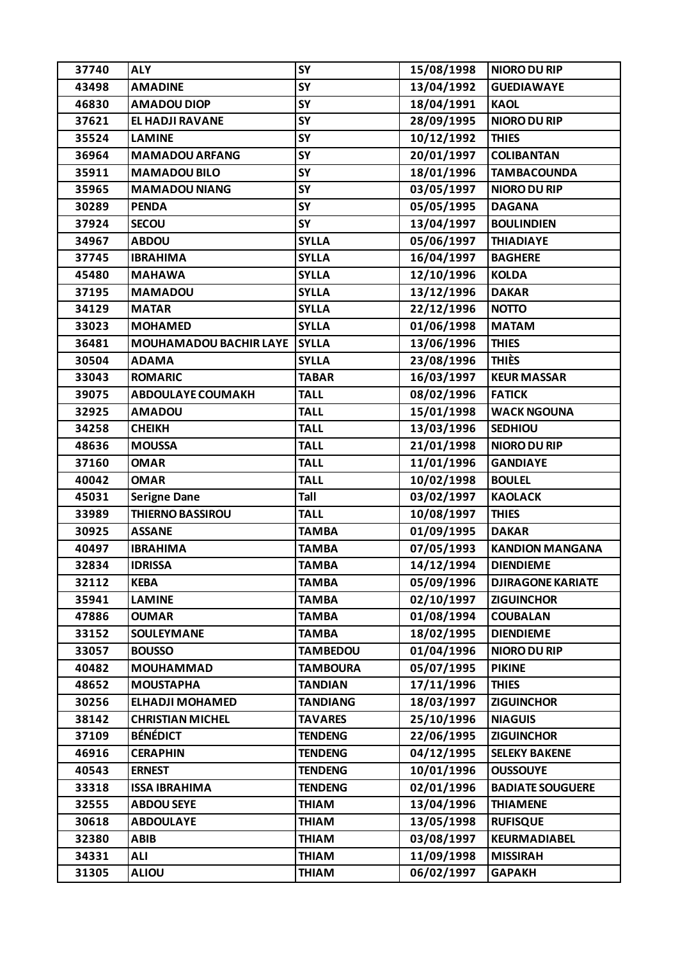| 37740 | <b>ALY</b>                    | SY              | 15/08/1998 | <b>NIORO DU RIP</b>      |
|-------|-------------------------------|-----------------|------------|--------------------------|
| 43498 | <b>AMADINE</b>                | <b>SY</b>       | 13/04/1992 | <b>GUEDIAWAYE</b>        |
| 46830 | <b>AMADOU DIOP</b>            | SY              | 18/04/1991 | <b>KAOL</b>              |
| 37621 | EL HADJI RAVANE               | SY              | 28/09/1995 | <b>NIORO DU RIP</b>      |
| 35524 | <b>LAMINE</b>                 | SY              | 10/12/1992 | <b>THIES</b>             |
| 36964 | <b>MAMADOU ARFANG</b>         | <b>SY</b>       | 20/01/1997 | <b>COLIBANTAN</b>        |
| 35911 | <b>MAMADOU BILO</b>           | SY              | 18/01/1996 | <b>TAMBACOUNDA</b>       |
| 35965 | <b>MAMADOU NIANG</b>          | <b>SY</b>       | 03/05/1997 | <b>NIORO DU RIP</b>      |
| 30289 | <b>PENDA</b>                  | SY              | 05/05/1995 | <b>DAGANA</b>            |
| 37924 | <b>SECOU</b>                  | <b>SY</b>       | 13/04/1997 | <b>BOULINDIEN</b>        |
| 34967 | <b>ABDOU</b>                  | <b>SYLLA</b>    | 05/06/1997 | <b>THIADIAYE</b>         |
| 37745 | <b>IBRAHIMA</b>               | <b>SYLLA</b>    | 16/04/1997 | <b>BAGHERE</b>           |
| 45480 | <b>MAHAWA</b>                 | <b>SYLLA</b>    | 12/10/1996 | <b>KOLDA</b>             |
| 37195 | <b>MAMADOU</b>                | <b>SYLLA</b>    | 13/12/1996 | <b>DAKAR</b>             |
| 34129 | <b>MATAR</b>                  | <b>SYLLA</b>    | 22/12/1996 | <b>NOTTO</b>             |
| 33023 | <b>MOHAMED</b>                | <b>SYLLA</b>    | 01/06/1998 | <b>MATAM</b>             |
| 36481 | <b>MOUHAMADOU BACHIR LAYE</b> | <b>SYLLA</b>    | 13/06/1996 | <b>THIES</b>             |
| 30504 | <b>ADAMA</b>                  | <b>SYLLA</b>    | 23/08/1996 | <b>THIÈS</b>             |
| 33043 | <b>ROMARIC</b>                | <b>TABAR</b>    | 16/03/1997 | <b>KEUR MASSAR</b>       |
| 39075 | <b>ABDOULAYE COUMAKH</b>      | <b>TALL</b>     | 08/02/1996 | <b>FATICK</b>            |
| 32925 | <b>AMADOU</b>                 | <b>TALL</b>     | 15/01/1998 | <b>WACK NGOUNA</b>       |
| 34258 | <b>CHEIKH</b>                 | <b>TALL</b>     | 13/03/1996 | <b>SEDHIOU</b>           |
| 48636 | <b>MOUSSA</b>                 | <b>TALL</b>     | 21/01/1998 | <b>NIORO DU RIP</b>      |
| 37160 | <b>OMAR</b>                   | <b>TALL</b>     | 11/01/1996 | <b>GANDIAYE</b>          |
| 40042 | <b>OMAR</b>                   | <b>TALL</b>     | 10/02/1998 | <b>BOULEL</b>            |
| 45031 | <b>Serigne Dane</b>           | Tall            | 03/02/1997 | <b>KAOLACK</b>           |
| 33989 | <b>THIERNO BASSIROU</b>       | <b>TALL</b>     | 10/08/1997 | <b>THIES</b>             |
| 30925 | <b>ASSANE</b>                 | <b>TAMBA</b>    | 01/09/1995 | <b>DAKAR</b>             |
| 40497 | <b>IBRAHIMA</b>               | <b>TAMBA</b>    | 07/05/1993 | <b>KANDION MANGANA</b>   |
| 32834 | <b>IDRISSA</b>                | <b>TAMBA</b>    | 14/12/1994 | <b>DIENDIEME</b>         |
| 32112 | <b>KEBA</b>                   | <b>TAMBA</b>    | 05/09/1996 | <b>DJIRAGONE KARIATE</b> |
| 35941 | <b>LAMINE</b>                 | <b>TAMBA</b>    | 02/10/1997 | <b>ZIGUINCHOR</b>        |
| 47886 | <b>OUMAR</b>                  | <b>TAMBA</b>    | 01/08/1994 | <b>COUBALAN</b>          |
| 33152 | <b>SOULEYMANE</b>             | <b>TAMBA</b>    | 18/02/1995 | <b>DIENDIEME</b>         |
| 33057 | <b>BOUSSO</b>                 | <b>TAMBEDOU</b> | 01/04/1996 | <b>NIORO DU RIP</b>      |
| 40482 | <b>MOUHAMMAD</b>              | <b>TAMBOURA</b> | 05/07/1995 | <b>PIKINE</b>            |
| 48652 | <b>MOUSTAPHA</b>              | <b>TANDIAN</b>  | 17/11/1996 | <b>THIES</b>             |
| 30256 | <b>ELHADJI MOHAMED</b>        | <b>TANDIANG</b> | 18/03/1997 | <b>ZIGUINCHOR</b>        |
| 38142 | <b>CHRISTIAN MICHEL</b>       | <b>TAVARES</b>  | 25/10/1996 | <b>NIAGUIS</b>           |
| 37109 | <b>BÉNÉDICT</b>               | <b>TENDENG</b>  | 22/06/1995 | <b>ZIGUINCHOR</b>        |
| 46916 | <b>CERAPHIN</b>               | <b>TENDENG</b>  | 04/12/1995 | <b>SELEKY BAKENE</b>     |
| 40543 | <b>ERNEST</b>                 | <b>TENDENG</b>  | 10/01/1996 | <b>OUSSOUYE</b>          |
| 33318 | <b>ISSA IBRAHIMA</b>          | <b>TENDENG</b>  | 02/01/1996 | <b>BADIATE SOUGUERE</b>  |
| 32555 | <b>ABDOU SEYE</b>             | <b>THIAM</b>    | 13/04/1996 | <b>THIAMENE</b>          |
| 30618 | <b>ABDOULAYE</b>              | <b>THIAM</b>    | 13/05/1998 | <b>RUFISQUE</b>          |
| 32380 | <b>ABIB</b>                   | <b>THIAM</b>    | 03/08/1997 | <b>KEURMADIABEL</b>      |
| 34331 | ALI                           | <b>THIAM</b>    | 11/09/1998 | <b>MISSIRAH</b>          |
| 31305 | <b>ALIOU</b>                  | <b>THIAM</b>    | 06/02/1997 | <b>GAPAKH</b>            |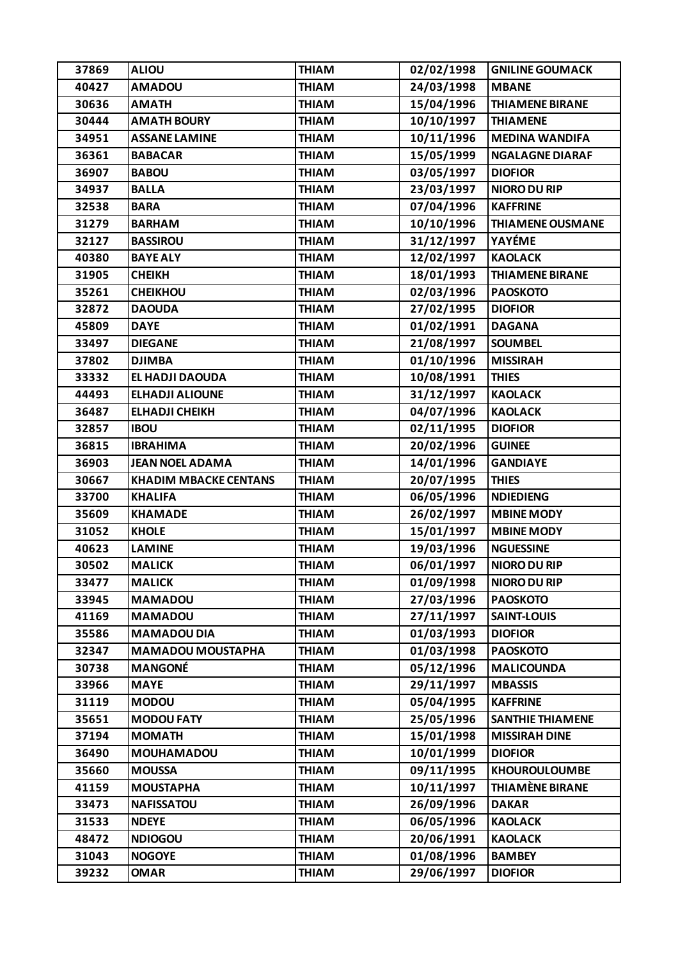| 37869 | <b>ALIOU</b>                 | <b>THIAM</b> | 02/02/1998 | <b>GNILINE GOUMACK</b>  |
|-------|------------------------------|--------------|------------|-------------------------|
| 40427 | <b>AMADOU</b>                | <b>THIAM</b> | 24/03/1998 | <b>MBANE</b>            |
| 30636 | <b>AMATH</b>                 | <b>THIAM</b> | 15/04/1996 | <b>THIAMENE BIRANE</b>  |
| 30444 | <b>AMATH BOURY</b>           | <b>THIAM</b> | 10/10/1997 | <b>THIAMENE</b>         |
| 34951 | <b>ASSANE LAMINE</b>         | <b>THIAM</b> | 10/11/1996 | <b>MEDINA WANDIFA</b>   |
| 36361 | <b>BABACAR</b>               | <b>THIAM</b> | 15/05/1999 | <b>NGALAGNE DIARAF</b>  |
| 36907 | <b>BABOU</b>                 | <b>THIAM</b> | 03/05/1997 | <b>DIOFIOR</b>          |
| 34937 | <b>BALLA</b>                 | <b>THIAM</b> | 23/03/1997 | <b>NIORO DU RIP</b>     |
| 32538 | <b>BARA</b>                  | <b>THIAM</b> | 07/04/1996 | <b>KAFFRINE</b>         |
| 31279 | <b>BARHAM</b>                | <b>THIAM</b> | 10/10/1996 | <b>THIAMENE OUSMANE</b> |
| 32127 | <b>BASSIROU</b>              | <b>THIAM</b> | 31/12/1997 | YAYÉME                  |
| 40380 | <b>BAYE ALY</b>              | <b>THIAM</b> | 12/02/1997 | <b>KAOLACK</b>          |
| 31905 | <b>CHEIKH</b>                | <b>THIAM</b> | 18/01/1993 | <b>THIAMENE BIRANE</b>  |
| 35261 | <b>CHEIKHOU</b>              | <b>THIAM</b> | 02/03/1996 | <b>PAOSKOTO</b>         |
| 32872 | <b>DAOUDA</b>                | <b>THIAM</b> | 27/02/1995 | <b>DIOFIOR</b>          |
| 45809 | <b>DAYE</b>                  | <b>THIAM</b> | 01/02/1991 | <b>DAGANA</b>           |
| 33497 | <b>DIEGANE</b>               | <b>THIAM</b> | 21/08/1997 | <b>SOUMBEL</b>          |
| 37802 | <b>DJIMBA</b>                | <b>THIAM</b> | 01/10/1996 | <b>MISSIRAH</b>         |
| 33332 | EL HADJI DAOUDA              | <b>THIAM</b> | 10/08/1991 | <b>THIES</b>            |
| 44493 | <b>ELHADJI ALIOUNE</b>       | <b>THIAM</b> | 31/12/1997 | <b>KAOLACK</b>          |
| 36487 | <b>ELHADJI CHEIKH</b>        | <b>THIAM</b> | 04/07/1996 | <b>KAOLACK</b>          |
| 32857 | <b>IBOU</b>                  | <b>THIAM</b> | 02/11/1995 | <b>DIOFIOR</b>          |
| 36815 | <b>IBRAHIMA</b>              | <b>THIAM</b> | 20/02/1996 | <b>GUINEE</b>           |
| 36903 | <b>JEAN NOEL ADAMA</b>       | <b>THIAM</b> | 14/01/1996 | <b>GANDIAYE</b>         |
| 30667 | <b>KHADIM MBACKE CENTANS</b> | <b>THIAM</b> | 20/07/1995 | <b>THIES</b>            |
| 33700 | <b>KHALIFA</b>               | <b>THIAM</b> | 06/05/1996 | <b>NDIEDIENG</b>        |
| 35609 | <b>KHAMADE</b>               | <b>THIAM</b> | 26/02/1997 | <b>MBINE MODY</b>       |
| 31052 | <b>KHOLE</b>                 | <b>THIAM</b> | 15/01/1997 | <b>MBINE MODY</b>       |
| 40623 | <b>LAMINE</b>                | <b>THIAM</b> | 19/03/1996 | <b>NGUESSINE</b>        |
| 30502 | <b>MALICK</b>                | <b>THIAM</b> | 06/01/1997 | <b>NIORO DU RIP</b>     |
| 33477 | <b>MALICK</b>                | <b>THIAM</b> | 01/09/1998 | <b>NIORO DU RIP</b>     |
| 33945 | <b>MAMADOU</b>               | <b>THIAM</b> | 27/03/1996 | <b>PAOSKOTO</b>         |
| 41169 | <b>MAMADOU</b>               | <b>THIAM</b> | 27/11/1997 | <b>SAINT-LOUIS</b>      |
| 35586 | <b>MAMADOU DIA</b>           | <b>THIAM</b> | 01/03/1993 | <b>DIOFIOR</b>          |
| 32347 | <b>MAMADOU MOUSTAPHA</b>     | <b>THIAM</b> | 01/03/1998 | <b>PAOSKOTO</b>         |
| 30738 | <b>MANGONÉ</b>               | <b>THIAM</b> | 05/12/1996 | <b>MALICOUNDA</b>       |
| 33966 | <b>MAYE</b>                  | <b>THIAM</b> | 29/11/1997 | <b>MBASSIS</b>          |
| 31119 | <b>MODOU</b>                 | <b>THIAM</b> | 05/04/1995 | <b>KAFFRINE</b>         |
| 35651 | <b>MODOU FATY</b>            | <b>THIAM</b> | 25/05/1996 | <b>SANTHIE THIAMENE</b> |
| 37194 | <b>MOMATH</b>                | <b>THIAM</b> | 15/01/1998 | <b>MISSIRAH DINE</b>    |
| 36490 | <b>MOUHAMADOU</b>            | <b>THIAM</b> | 10/01/1999 | <b>DIOFIOR</b>          |
| 35660 | <b>MOUSSA</b>                | <b>THIAM</b> | 09/11/1995 | <b>KHOUROULOUMBE</b>    |
| 41159 | <b>MOUSTAPHA</b>             | <b>THIAM</b> | 10/11/1997 | <b>THIAMÈNE BIRANE</b>  |
| 33473 | <b>NAFISSATOU</b>            | <b>THIAM</b> | 26/09/1996 | <b>DAKAR</b>            |
| 31533 | <b>NDEYE</b>                 | <b>THIAM</b> | 06/05/1996 | <b>KAOLACK</b>          |
| 48472 | <b>NDIOGOU</b>               | <b>THIAM</b> | 20/06/1991 | <b>KAOLACK</b>          |
| 31043 | <b>NOGOYE</b>                | <b>THIAM</b> | 01/08/1996 | <b>BAMBEY</b>           |
| 39232 | <b>OMAR</b>                  | <b>THIAM</b> | 29/06/1997 | <b>DIOFIOR</b>          |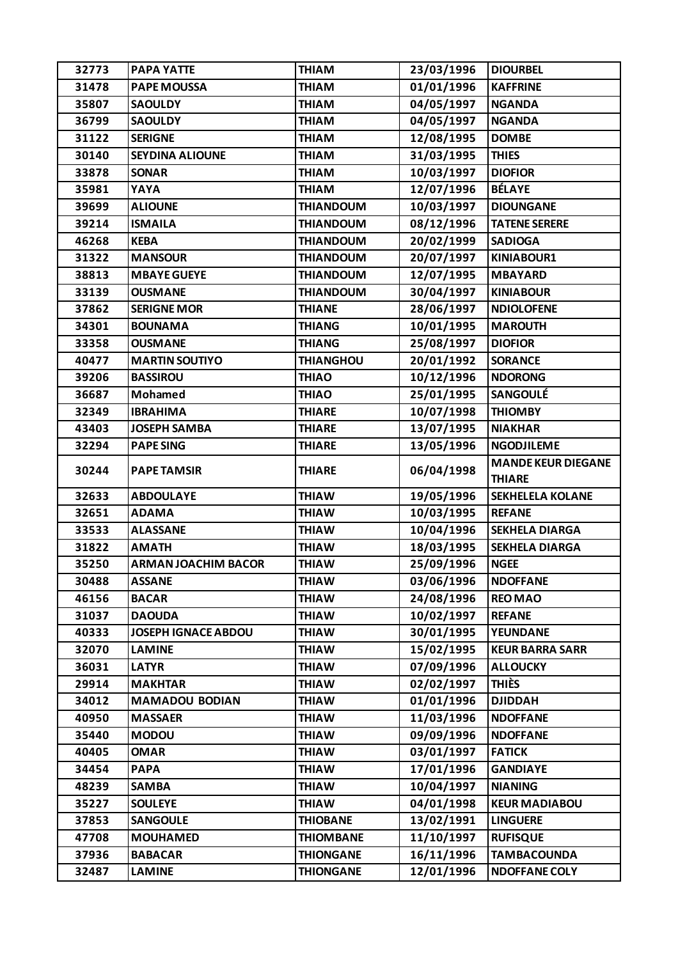| 32773 | <b>PAPA YATTE</b>          | <b>THIAM</b>     | 23/03/1996 | <b>DIOURBEL</b>                            |
|-------|----------------------------|------------------|------------|--------------------------------------------|
| 31478 | <b>PAPE MOUSSA</b>         | <b>THIAM</b>     | 01/01/1996 | <b>KAFFRINE</b>                            |
| 35807 | <b>SAOULDY</b>             | <b>THIAM</b>     | 04/05/1997 | <b>NGANDA</b>                              |
| 36799 | <b>SAOULDY</b>             | <b>THIAM</b>     | 04/05/1997 | <b>NGANDA</b>                              |
| 31122 | <b>SERIGNE</b>             | <b>THIAM</b>     | 12/08/1995 | <b>DOMBE</b>                               |
| 30140 | <b>SEYDINA ALIOUNE</b>     | <b>THIAM</b>     | 31/03/1995 | <b>THIES</b>                               |
| 33878 | <b>SONAR</b>               | <b>THIAM</b>     | 10/03/1997 | <b>DIOFIOR</b>                             |
| 35981 | YAYA                       | <b>THIAM</b>     | 12/07/1996 | <b>BÉLAYE</b>                              |
| 39699 | <b>ALIOUNE</b>             | <b>THIANDOUM</b> | 10/03/1997 | <b>DIOUNGANE</b>                           |
| 39214 | <b>ISMAILA</b>             | <b>THIANDOUM</b> | 08/12/1996 | <b>TATENE SERERE</b>                       |
| 46268 | <b>KEBA</b>                | <b>THIANDOUM</b> | 20/02/1999 | <b>SADIOGA</b>                             |
| 31322 | <b>MANSOUR</b>             | <b>THIANDOUM</b> | 20/07/1997 | <b>KINIABOUR1</b>                          |
| 38813 | <b>MBAYE GUEYE</b>         | <b>THIANDOUM</b> | 12/07/1995 | <b>MBAYARD</b>                             |
| 33139 | <b>OUSMANE</b>             | <b>THIANDOUM</b> | 30/04/1997 | <b>KINIABOUR</b>                           |
| 37862 | <b>SERIGNE MOR</b>         | <b>THIANE</b>    | 28/06/1997 | <b>NDIOLOFENE</b>                          |
| 34301 | <b>BOUNAMA</b>             | <b>THIANG</b>    | 10/01/1995 | <b>MAROUTH</b>                             |
| 33358 | <b>OUSMANE</b>             | <b>THIANG</b>    | 25/08/1997 | <b>DIOFIOR</b>                             |
| 40477 | <b>MARTIN SOUTIYO</b>      | <b>THIANGHOU</b> | 20/01/1992 | <b>SORANCE</b>                             |
| 39206 | <b>BASSIROU</b>            | <b>THIAO</b>     | 10/12/1996 | <b>NDORONG</b>                             |
| 36687 | Mohamed                    | <b>THIAO</b>     | 25/01/1995 | <b>SANGOULÉ</b>                            |
| 32349 | <b>IBRAHIMA</b>            | <b>THIARE</b>    | 10/07/1998 | <b>THIOMBY</b>                             |
| 43403 | <b>JOSEPH SAMBA</b>        | <b>THIARE</b>    | 13/07/1995 | <b>NIAKHAR</b>                             |
| 32294 | <b>PAPE SING</b>           | <b>THIARE</b>    | 13/05/1996 | <b>NGODJILEME</b>                          |
| 30244 | <b>PAPE TAMSIR</b>         | <b>THIARE</b>    | 06/04/1998 | <b>MANDE KEUR DIEGANE</b><br><b>THIARE</b> |
| 32633 | <b>ABDOULAYE</b>           | <b>THIAW</b>     | 19/05/1996 | <b>SEKHELELA KOLANE</b>                    |
| 32651 | <b>ADAMA</b>               | <b>THIAW</b>     | 10/03/1995 | <b>REFANE</b>                              |
| 33533 | <b>ALASSANE</b>            | <b>THIAW</b>     | 10/04/1996 | <b>SEKHELA DIARGA</b>                      |
| 31822 | <b>AMATH</b>               | <b>THIAW</b>     | 18/03/1995 | <b>SEKHELA DIARGA</b>                      |
| 35250 | <b>ARMAN JOACHIM BACOR</b> | <b>THIAW</b>     | 25/09/1996 | <b>NGEE</b>                                |
| 30488 | <b>ASSANE</b>              | <b>THIAW</b>     | 03/06/1996 | <b>NDOFFANE</b>                            |
| 46156 | <b>BACAR</b>               | <b>THIAW</b>     | 24/08/1996 | <b>REO MAO</b>                             |
| 31037 | <b>DAOUDA</b>              | <b>THIAW</b>     | 10/02/1997 | <b>REFANE</b>                              |
| 40333 | <b>JOSEPH IGNACE ABDOU</b> | <b>THIAW</b>     | 30/01/1995 | <b>YEUNDANE</b>                            |
| 32070 | <b>LAMINE</b>              | <b>THIAW</b>     | 15/02/1995 | <b>KEUR BARRA SARR</b>                     |
| 36031 | <b>LATYR</b>               | <b>THIAW</b>     | 07/09/1996 | <b>ALLOUCKY</b>                            |
| 29914 | <b>MAKHTAR</b>             | <b>THIAW</b>     | 02/02/1997 | <b>THIÈS</b>                               |
| 34012 | <b>MAMADOU BODIAN</b>      | <b>THIAW</b>     | 01/01/1996 | <b>DJIDDAH</b>                             |
| 40950 | <b>MASSAER</b>             | <b>THIAW</b>     | 11/03/1996 | <b>NDOFFANE</b>                            |
| 35440 | <b>MODOU</b>               | <b>THIAW</b>     | 09/09/1996 | <b>NDOFFANE</b>                            |
| 40405 | <b>OMAR</b>                | <b>THIAW</b>     | 03/01/1997 | <b>FATICK</b>                              |
| 34454 | <b>PAPA</b>                | <b>THIAW</b>     | 17/01/1996 | <b>GANDIAYE</b>                            |
| 48239 | <b>SAMBA</b>               | <b>THIAW</b>     | 10/04/1997 | <b>NIANING</b>                             |
| 35227 | <b>SOULEYE</b>             | <b>THIAW</b>     | 04/01/1998 | <b>KEUR MADIABOU</b>                       |
| 37853 | <b>SANGOULE</b>            | <b>THIOBANE</b>  | 13/02/1991 | <b>LINGUERE</b>                            |
| 47708 | <b>MOUHAMED</b>            | <b>THIOMBANE</b> | 11/10/1997 | <b>RUFISQUE</b>                            |
| 37936 | <b>BABACAR</b>             | <b>THIONGANE</b> | 16/11/1996 | <b>TAMBACOUNDA</b>                         |
| 32487 | <b>LAMINE</b>              | <b>THIONGANE</b> | 12/01/1996 | <b>NDOFFANE COLY</b>                       |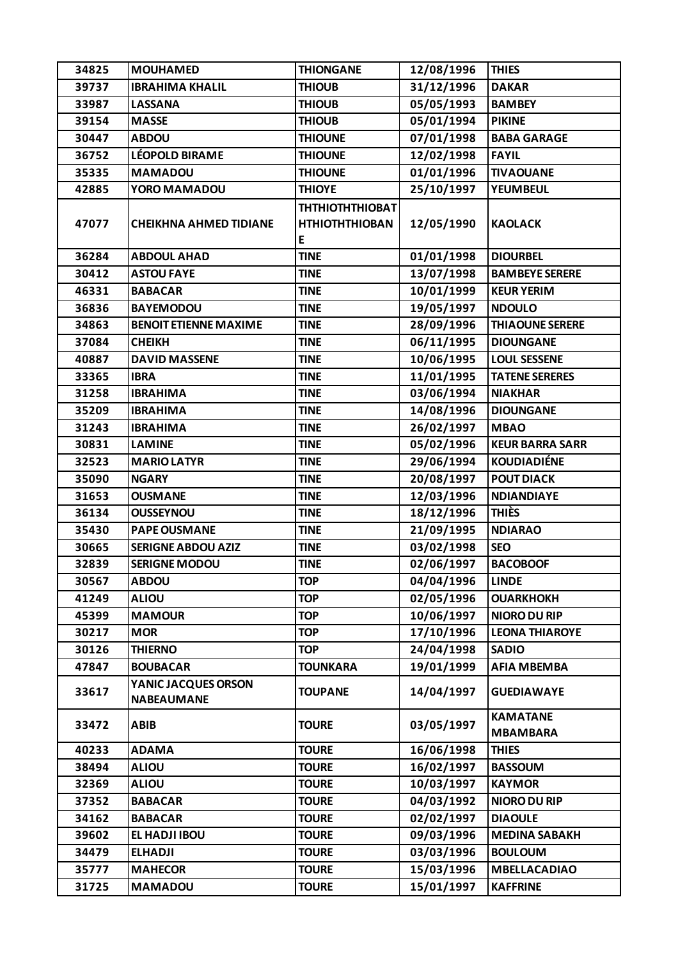| 34825 | <b>MOUHAMED</b>                          | <b>THIONGANE</b>                                     | 12/08/1996              | <b>THIES</b>                       |
|-------|------------------------------------------|------------------------------------------------------|-------------------------|------------------------------------|
| 39737 | <b>IBRAHIMA KHALIL</b>                   | <b>THIOUB</b>                                        | 31/12/1996              | <b>DAKAR</b>                       |
| 33987 | <b>LASSANA</b>                           | <b>THIOUB</b>                                        | 05/05/1993              | <b>BAMBEY</b>                      |
| 39154 | <b>MASSE</b>                             | <b>THIOUB</b>                                        | 05/01/1994              | <b>PIKINE</b>                      |
| 30447 | <b>ABDOU</b>                             | <b>THIOUNE</b>                                       | 07/01/1998              | <b>BABA GARAGE</b>                 |
| 36752 | <b>LÉOPOLD BIRAME</b>                    | <b>THIOUNE</b>                                       | 12/02/1998              | <b>FAYIL</b>                       |
| 35335 | <b>MAMADOU</b>                           | <b>THIOUNE</b>                                       | $\overline{01/01/1996}$ | <b>TIVAOUANE</b>                   |
| 42885 | YORO MAMADOU                             | <b>THIOYE</b>                                        | 25/10/1997              | <b>YEUMBEUL</b>                    |
| 47077 | <b>CHEIKHNA AHMED TIDIANE</b>            | <b>THTHIOTHTHIOBAT</b><br><b>HTHIOTHTHIOBAN</b><br>E | 12/05/1990              | <b>KAOLACK</b>                     |
| 36284 | <b>ABDOUL AHAD</b>                       | <b>TINE</b>                                          | 01/01/1998              | <b>DIOURBEL</b>                    |
| 30412 | <b>ASTOU FAYE</b>                        | <b>TINE</b>                                          | 13/07/1998              | <b>BAMBEYE SERERE</b>              |
| 46331 | <b>BABACAR</b>                           | <b>TINE</b>                                          | 10/01/1999              | <b>KEUR YERIM</b>                  |
| 36836 | <b>BAYEMODOU</b>                         | <b>TINE</b>                                          | 19/05/1997              | <b>NDOULO</b>                      |
| 34863 | <b>BENOIT ETIENNE MAXIME</b>             | <b>TINE</b>                                          | 28/09/1996              | <b>THIAOUNE SERERE</b>             |
| 37084 | <b>CHEIKH</b>                            | <b>TINE</b>                                          | 06/11/1995              | <b>DIOUNGANE</b>                   |
| 40887 | <b>DAVID MASSENE</b>                     | <b>TINE</b>                                          | 10/06/1995              | <b>LOUL SESSENE</b>                |
| 33365 | <b>IBRA</b>                              | <b>TINE</b>                                          | 11/01/1995              | <b>TATENE SERERES</b>              |
| 31258 | <b>IBRAHIMA</b>                          | <b>TINE</b>                                          | 03/06/1994              | <b>NIAKHAR</b>                     |
| 35209 | <b>IBRAHIMA</b>                          | <b>TINE</b>                                          | 14/08/1996              | <b>DIOUNGANE</b>                   |
| 31243 | <b>IBRAHIMA</b>                          | <b>TINE</b>                                          | 26/02/1997              | <b>MBAO</b>                        |
| 30831 | <b>LAMINE</b>                            | <b>TINE</b>                                          | 05/02/1996              | <b>KEUR BARRA SARR</b>             |
| 32523 | <b>MARIO LATYR</b>                       | <b>TINE</b>                                          | 29/06/1994              | <b>KOUDIADIÉNE</b>                 |
| 35090 | <b>NGARY</b>                             | <b>TINE</b>                                          | 20/08/1997              | <b>POUT DIACK</b>                  |
| 31653 | <b>OUSMANE</b>                           | <b>TINE</b>                                          | 12/03/1996              | <b>NDIANDIAYE</b>                  |
| 36134 | <b>OUSSEYNOU</b>                         | <b>TINE</b>                                          | 18/12/1996              | <b>THIÈS</b>                       |
| 35430 | <b>PAPE OUSMANE</b>                      | <b>TINE</b>                                          | 21/09/1995              | <b>NDIARAO</b>                     |
| 30665 | <b>SERIGNE ABDOU AZIZ</b>                | <b>TINE</b>                                          | 03/02/1998              | <b>SEO</b>                         |
| 32839 | <b>SERIGNE MODOU</b>                     | <b>TINE</b>                                          | 02/06/1997              | <b>BACOBOOF</b>                    |
| 30567 | <b>ABDOU</b>                             | <b>TOP</b>                                           | 04/04/1996              | <b>LINDE</b>                       |
| 41249 | <b>ALIOU</b>                             | <b>TOP</b>                                           | 02/05/1996              | <b>OUARKHOKH</b>                   |
| 45399 | <b>MAMOUR</b>                            | <b>TOP</b>                                           | 10/06/1997              | <b>NIORO DU RIP</b>                |
| 30217 | <b>MOR</b>                               | <b>TOP</b>                                           | 17/10/1996              | <b>LEONA THIAROYE</b>              |
| 30126 | <b>THIERNO</b>                           | <b>TOP</b>                                           | 24/04/1998              | <b>SADIO</b>                       |
| 47847 | <b>BOUBACAR</b>                          | <b>TOUNKARA</b>                                      | 19/01/1999              | <b>AFIA MBEMBA</b>                 |
| 33617 | YANIC JACQUES ORSON<br><b>NABEAUMANE</b> | <b>TOUPANE</b>                                       | 14/04/1997              | <b>GUEDIAWAYE</b>                  |
| 33472 | <b>ABIB</b>                              | <b>TOURE</b>                                         | 03/05/1997              | <b>KAMATANE</b><br><b>MBAMBARA</b> |
| 40233 | <b>ADAMA</b>                             | <b>TOURE</b>                                         | 16/06/1998              | <b>THIES</b>                       |
| 38494 | <b>ALIOU</b>                             | <b>TOURE</b>                                         | 16/02/1997              | <b>BASSOUM</b>                     |
| 32369 | <b>ALIOU</b>                             | <b>TOURE</b>                                         | 10/03/1997              | <b>KAYMOR</b>                      |
| 37352 | <b>BABACAR</b>                           | <b>TOURE</b>                                         | 04/03/1992              | <b>NIORO DU RIP</b>                |
| 34162 | <b>BABACAR</b>                           | <b>TOURE</b>                                         | 02/02/1997              | <b>DIAOULE</b>                     |
| 39602 | EL HADJI IBOU                            | <b>TOURE</b>                                         | 09/03/1996              | <b>MEDINA SABAKH</b>               |
| 34479 | <b>ELHADJI</b>                           | <b>TOURE</b>                                         | 03/03/1996              | <b>BOULOUM</b>                     |
| 35777 | <b>MAHECOR</b>                           | <b>TOURE</b>                                         | 15/03/1996              | <b>MBELLACADIAO</b>                |
| 31725 | <b>MAMADOU</b>                           | <b>TOURE</b>                                         | 15/01/1997              | <b>KAFFRINE</b>                    |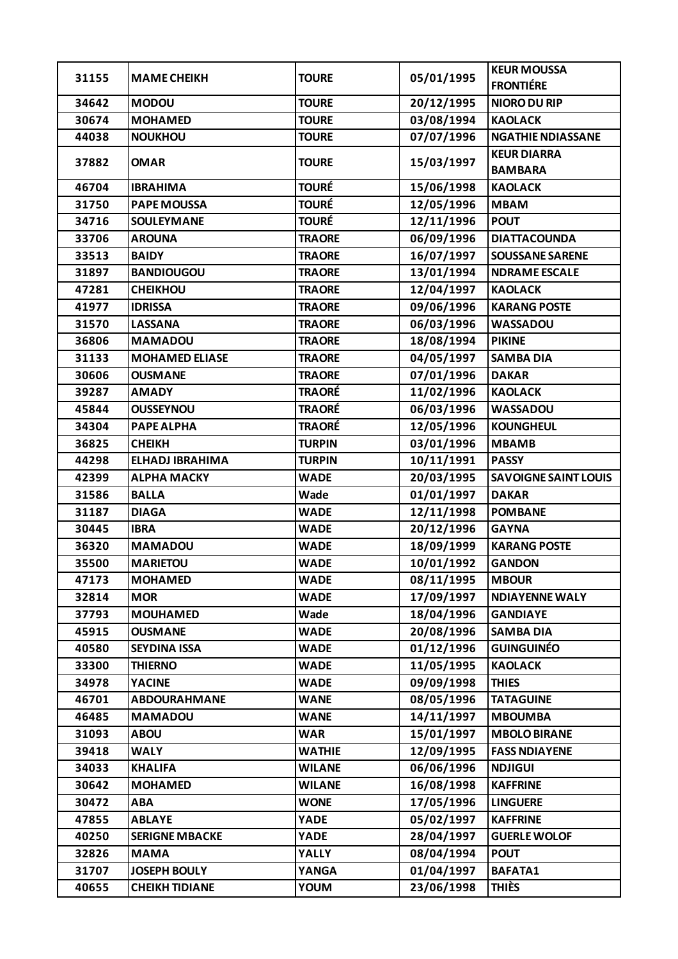| 31155 | <b>MAME CHEIKH</b>     | <b>TOURE</b>  | 05/01/1995 | <b>KEUR MOUSSA</b>                   |
|-------|------------------------|---------------|------------|--------------------------------------|
|       |                        |               |            | <b>FRONTIÉRE</b>                     |
| 34642 | <b>MODOU</b>           | <b>TOURE</b>  | 20/12/1995 | <b>NIORO DU RIP</b>                  |
| 30674 | <b>MOHAMED</b>         | <b>TOURE</b>  | 03/08/1994 | <b>KAOLACK</b>                       |
| 44038 | <b>NOUKHOU</b>         | <b>TOURE</b>  | 07/07/1996 | <b>NGATHIE NDIASSANE</b>             |
| 37882 | <b>OMAR</b>            | <b>TOURE</b>  | 15/03/1997 | <b>KEUR DIARRA</b><br><b>BAMBARA</b> |
| 46704 | <b>IBRAHIMA</b>        | <b>TOURÉ</b>  | 15/06/1998 | <b>KAOLACK</b>                       |
| 31750 | <b>PAPE MOUSSA</b>     | <b>TOURÉ</b>  | 12/05/1996 | <b>MBAM</b>                          |
| 34716 | <b>SOULEYMANE</b>      | <b>TOURÉ</b>  | 12/11/1996 | <b>POUT</b>                          |
| 33706 | <b>AROUNA</b>          | <b>TRAORE</b> | 06/09/1996 | <b>DIATTACOUNDA</b>                  |
| 33513 | <b>BAIDY</b>           | <b>TRAORE</b> | 16/07/1997 | <b>SOUSSANE SARENE</b>               |
| 31897 | <b>BANDIOUGOU</b>      | <b>TRAORE</b> | 13/01/1994 | <b>NDRAME ESCALE</b>                 |
| 47281 | <b>CHEIKHOU</b>        | <b>TRAORE</b> | 12/04/1997 | <b>KAOLACK</b>                       |
| 41977 | <b>IDRISSA</b>         | <b>TRAORE</b> | 09/06/1996 | <b>KARANG POSTE</b>                  |
| 31570 | <b>LASSANA</b>         | <b>TRAORE</b> | 06/03/1996 | <b>WASSADOU</b>                      |
| 36806 | <b>MAMADOU</b>         | <b>TRAORE</b> | 18/08/1994 | <b>PIKINE</b>                        |
| 31133 | <b>MOHAMED ELIASE</b>  | <b>TRAORE</b> | 04/05/1997 | <b>SAMBA DIA</b>                     |
| 30606 | <b>OUSMANE</b>         | <b>TRAORE</b> | 07/01/1996 | <b>DAKAR</b>                         |
| 39287 | <b>AMADY</b>           | <b>TRAORÉ</b> | 11/02/1996 | <b>KAOLACK</b>                       |
| 45844 | <b>OUSSEYNOU</b>       | <b>TRAORÉ</b> | 06/03/1996 | <b>WASSADOU</b>                      |
| 34304 | <b>PAPE ALPHA</b>      | <b>TRAORÉ</b> | 12/05/1996 | <b>KOUNGHEUL</b>                     |
| 36825 | <b>CHEIKH</b>          | <b>TURPIN</b> | 03/01/1996 | <b>MBAMB</b>                         |
| 44298 | <b>ELHADJ IBRAHIMA</b> | <b>TURPIN</b> | 10/11/1991 | <b>PASSY</b>                         |
| 42399 | <b>ALPHA MACKY</b>     | <b>WADE</b>   | 20/03/1995 | <b>SAVOIGNE SAINT LOUIS</b>          |
| 31586 | <b>BALLA</b>           | Wade          | 01/01/1997 | <b>DAKAR</b>                         |
| 31187 | <b>DIAGA</b>           | <b>WADE</b>   | 12/11/1998 | <b>POMBANE</b>                       |
| 30445 | <b>IBRA</b>            | <b>WADE</b>   | 20/12/1996 | <b>GAYNA</b>                         |
| 36320 | <b>MAMADOU</b>         | <b>WADE</b>   | 18/09/1999 | <b>KARANG POSTE</b>                  |
| 35500 | <b>MARIETOU</b>        | <b>WADE</b>   | 10/01/1992 | <b>GANDON</b>                        |
| 47173 | <b>MOHAMED</b>         | <b>WADE</b>   | 08/11/1995 | <b>MBOUR</b>                         |
| 32814 | <b>MOR</b>             | <b>WADE</b>   | 17/09/1997 | <b>NDIAYENNE WALY</b>                |
| 37793 | <b>MOUHAMED</b>        | Wade          | 18/04/1996 | <b>GANDIAYE</b>                      |
| 45915 | <b>OUSMANE</b>         | <b>WADE</b>   | 20/08/1996 | <b>SAMBA DIA</b>                     |
| 40580 | <b>SEYDINA ISSA</b>    | <b>WADE</b>   | 01/12/1996 | <b>GUINGUINÉO</b>                    |
| 33300 | <b>THIERNO</b>         | <b>WADE</b>   | 11/05/1995 | <b>KAOLACK</b>                       |
| 34978 | <b>YACINE</b>          | <b>WADE</b>   | 09/09/1998 | <b>THIES</b>                         |
| 46701 | <b>ABDOURAHMANE</b>    | <b>WANE</b>   | 08/05/1996 | <b>TATAGUINE</b>                     |
| 46485 | <b>MAMADOU</b>         | <b>WANE</b>   | 14/11/1997 | <b>MBOUMBA</b>                       |
| 31093 | <b>ABOU</b>            | <b>WAR</b>    | 15/01/1997 | <b>MBOLO BIRANE</b>                  |
| 39418 | <b>WALY</b>            | <b>WATHIE</b> | 12/09/1995 | <b>FASS NDIAYENE</b>                 |
| 34033 | <b>KHALIFA</b>         | <b>WILANE</b> | 06/06/1996 | <b>NDJIGUI</b>                       |
| 30642 | <b>MOHAMED</b>         | <b>WILANE</b> | 16/08/1998 | <b>KAFFRINE</b>                      |
| 30472 | <b>ABA</b>             | <b>WONE</b>   | 17/05/1996 | <b>LINGUERE</b>                      |
| 47855 | <b>ABLAYE</b>          | <b>YADE</b>   | 05/02/1997 | <b>KAFFRINE</b>                      |
| 40250 | <b>SERIGNE MBACKE</b>  | <b>YADE</b>   | 28/04/1997 | <b>GUERLE WOLOF</b>                  |
| 32826 | <b>MAMA</b>            | <b>YALLY</b>  | 08/04/1994 | <b>POUT</b>                          |
| 31707 | <b>JOSEPH BOULY</b>    | YANGA         | 01/04/1997 | <b>BAFATA1</b>                       |
| 40655 | <b>CHEIKH TIDIANE</b>  | YOUM          | 23/06/1998 | <b>THIÈS</b>                         |